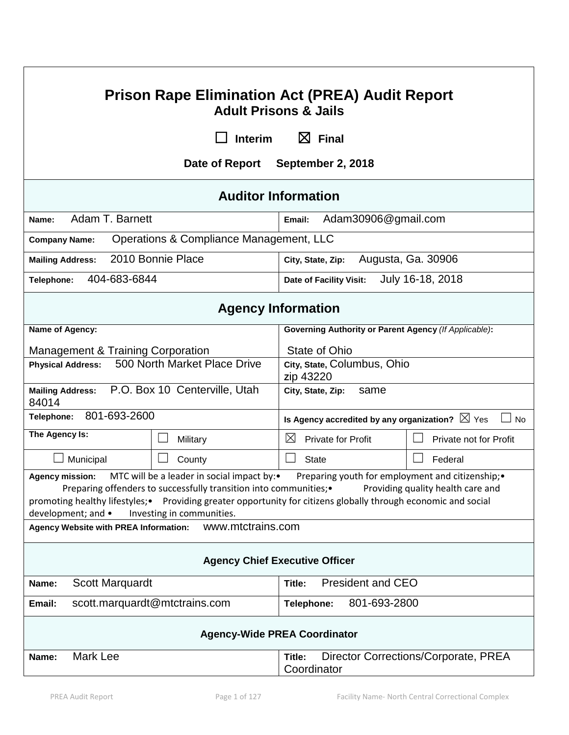| <b>Prison Rape Elimination Act (PREA) Audit Report</b><br><b>Adult Prisons &amp; Jails</b>                                                                                                                                                                                                                                                                                                                   |                                                             |                                                           |                                      |  |
|--------------------------------------------------------------------------------------------------------------------------------------------------------------------------------------------------------------------------------------------------------------------------------------------------------------------------------------------------------------------------------------------------------------|-------------------------------------------------------------|-----------------------------------------------------------|--------------------------------------|--|
|                                                                                                                                                                                                                                                                                                                                                                                                              | <b>Interim</b>                                              | $\boxtimes$ Final                                         |                                      |  |
|                                                                                                                                                                                                                                                                                                                                                                                                              | Date of Report                                              | September 2, 2018                                         |                                      |  |
|                                                                                                                                                                                                                                                                                                                                                                                                              |                                                             | <b>Auditor Information</b>                                |                                      |  |
| Adam T. Barnett<br>Name:                                                                                                                                                                                                                                                                                                                                                                                     |                                                             | Adam30906@gmail.com<br>Email:                             |                                      |  |
| <b>Company Name:</b>                                                                                                                                                                                                                                                                                                                                                                                         | Operations & Compliance Management, LLC                     |                                                           |                                      |  |
| <b>Mailing Address:</b>                                                                                                                                                                                                                                                                                                                                                                                      | 2010 Bonnie Place                                           | City, State, Zip:                                         | Augusta, Ga. 30906                   |  |
| 404-683-6844<br>Telephone:                                                                                                                                                                                                                                                                                                                                                                                   |                                                             | Date of Facility Visit:                                   | July 16-18, 2018                     |  |
|                                                                                                                                                                                                                                                                                                                                                                                                              |                                                             | <b>Agency Information</b>                                 |                                      |  |
| Name of Agency:                                                                                                                                                                                                                                                                                                                                                                                              |                                                             | Governing Authority or Parent Agency (If Applicable):     |                                      |  |
| <b>Management &amp; Training Corporation</b>                                                                                                                                                                                                                                                                                                                                                                 |                                                             | State of Ohio                                             |                                      |  |
| 500 North Market Place Drive<br><b>Physical Address:</b>                                                                                                                                                                                                                                                                                                                                                     |                                                             | City, State, Columbus, Ohio<br>zip 43220                  |                                      |  |
| P.O. Box 10 Centerville, Utah<br><b>Mailing Address:</b><br>84014                                                                                                                                                                                                                                                                                                                                            |                                                             | City, State, Zip:<br>same                                 |                                      |  |
| 801-693-2600<br>Telephone:                                                                                                                                                                                                                                                                                                                                                                                   |                                                             | Is Agency accredited by any organization? $\boxtimes$ Yes | <b>No</b>                            |  |
| The Agency Is:                                                                                                                                                                                                                                                                                                                                                                                               | Military                                                    | $\boxtimes$<br><b>Private for Profit</b>                  | Private not for Profit               |  |
| Municipal                                                                                                                                                                                                                                                                                                                                                                                                    | County                                                      | <b>State</b>                                              | Federal                              |  |
| MTC will be a leader in social impact by:•<br>Preparing youth for employment and citizenship; •<br><b>Agency mission:</b><br>Preparing offenders to successfully transition into communities;•<br>Providing quality health care and<br>Providing greater opportunity for citizens globally through economic and social<br>promoting healthy lifestyles; •<br>development; and •<br>Investing in communities. |                                                             |                                                           |                                      |  |
| <b>Agency Website with PREA Information:</b>                                                                                                                                                                                                                                                                                                                                                                 | www.mtctrains.com                                           |                                                           |                                      |  |
| <b>Agency Chief Executive Officer</b>                                                                                                                                                                                                                                                                                                                                                                        |                                                             |                                                           |                                      |  |
| <b>President and CEO</b><br><b>Scott Marquardt</b><br>Name:<br>Title:                                                                                                                                                                                                                                                                                                                                        |                                                             |                                                           |                                      |  |
| Email:                                                                                                                                                                                                                                                                                                                                                                                                       | 801-693-2800<br>scott.marquardt@mtctrains.com<br>Telephone: |                                                           |                                      |  |
| <b>Agency-Wide PREA Coordinator</b>                                                                                                                                                                                                                                                                                                                                                                          |                                                             |                                                           |                                      |  |
| Mark Lee<br>Name:                                                                                                                                                                                                                                                                                                                                                                                            |                                                             | Title:<br>Coordinator                                     | Director Corrections/Corporate, PREA |  |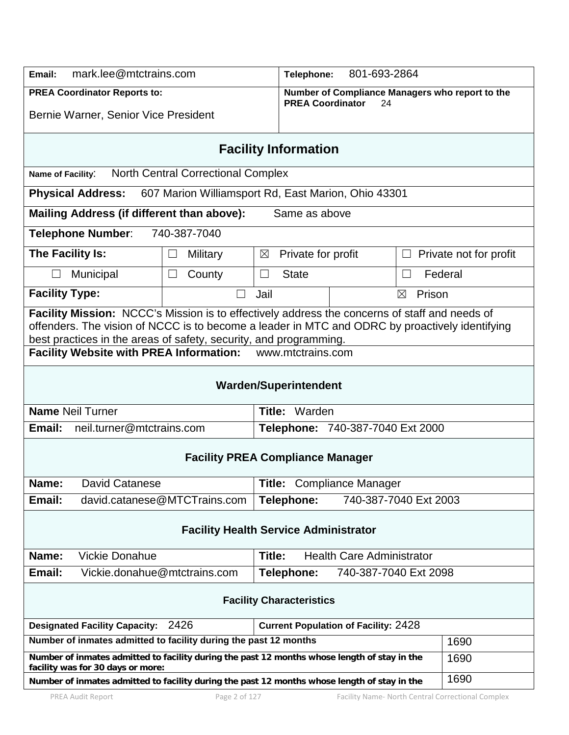| mark.lee@mtctrains.com<br>Email:                                                                                                                                                                                                                                     |                                                                          | 801-693-2864<br>Telephone:                          |                                                       |  |
|----------------------------------------------------------------------------------------------------------------------------------------------------------------------------------------------------------------------------------------------------------------------|--------------------------------------------------------------------------|-----------------------------------------------------|-------------------------------------------------------|--|
| <b>PREA Coordinator Reports to:</b>                                                                                                                                                                                                                                  |                                                                          | <b>PREA Coordinator</b>                             | Number of Compliance Managers who report to the<br>24 |  |
| Bernie Warner, Senior Vice President                                                                                                                                                                                                                                 |                                                                          |                                                     |                                                       |  |
|                                                                                                                                                                                                                                                                      |                                                                          | <b>Facility Information</b>                         |                                                       |  |
| Name of Facility:                                                                                                                                                                                                                                                    | <b>North Central Correctional Complex</b>                                |                                                     |                                                       |  |
| <b>Physical Address:</b>                                                                                                                                                                                                                                             |                                                                          | 607 Marion Williamsport Rd, East Marion, Ohio 43301 |                                                       |  |
| Mailing Address (if different than above):                                                                                                                                                                                                                           |                                                                          | Same as above                                       |                                                       |  |
| <b>Telephone Number:</b>                                                                                                                                                                                                                                             | 740-387-7040                                                             |                                                     |                                                       |  |
| The Facility Is:                                                                                                                                                                                                                                                     | <b>Military</b>                                                          | Private for profit<br>$\boxtimes$                   | Private not for profit<br>Ш                           |  |
| Municipal                                                                                                                                                                                                                                                            | County<br>$\Box$                                                         | <b>State</b><br>$\Box$                              | Federal<br>$\Box$                                     |  |
| <b>Facility Type:</b>                                                                                                                                                                                                                                                |                                                                          | Jail                                                | Prison<br>$\boxtimes$                                 |  |
| Facility Mission: NCCC's Mission is to effectively address the concerns of staff and needs of<br>offenders. The vision of NCCC is to become a leader in MTC and ODRC by proactively identifying<br>best practices in the areas of safety, security, and programming. |                                                                          |                                                     |                                                       |  |
| Facility Website with PREA Information: www.mtctrains.com                                                                                                                                                                                                            |                                                                          |                                                     |                                                       |  |
|                                                                                                                                                                                                                                                                      |                                                                          | <b>Warden/Superintendent</b>                        |                                                       |  |
| <b>Name Neil Turner</b><br>Title: Warden                                                                                                                                                                                                                             |                                                                          |                                                     |                                                       |  |
| neil.turner@mtctrains.com<br>Email:<br>Telephone: 740-387-7040 Ext 2000                                                                                                                                                                                              |                                                                          |                                                     |                                                       |  |
|                                                                                                                                                                                                                                                                      |                                                                          | <b>Facility PREA Compliance Manager</b>             |                                                       |  |
| Name:<br><b>David Catanese</b>                                                                                                                                                                                                                                       |                                                                          | Title: Compliance Manager                           |                                                       |  |
| Email:<br>david.catanese@MTCTrains.com                                                                                                                                                                                                                               |                                                                          | Telephone:                                          | 740-387-7040 Ext 2003                                 |  |
| <b>Facility Health Service Administrator</b>                                                                                                                                                                                                                         |                                                                          |                                                     |                                                       |  |
| <b>Vickie Donahue</b><br>Name:                                                                                                                                                                                                                                       |                                                                          | Title:<br><b>Health Care Administrator</b>          |                                                       |  |
| Email:<br>Vickie.donahue@mtctrains.com<br>740-387-7040 Ext 2098<br>Telephone:                                                                                                                                                                                        |                                                                          |                                                     |                                                       |  |
| <b>Facility Characteristics</b>                                                                                                                                                                                                                                      |                                                                          |                                                     |                                                       |  |
| 2426<br><b>Current Population of Facility: 2428</b><br><b>Designated Facility Capacity:</b>                                                                                                                                                                          |                                                                          |                                                     |                                                       |  |
|                                                                                                                                                                                                                                                                      | Number of inmates admitted to facility during the past 12 months<br>1690 |                                                     |                                                       |  |
| Number of inmates admitted to facility during the past 12 months whose length of stay in the<br>facility was for 30 days or more:                                                                                                                                    |                                                                          |                                                     | 1690                                                  |  |
| 1690<br>Number of inmates admitted to facility during the past 12 months whose length of stay in the                                                                                                                                                                 |                                                                          |                                                     |                                                       |  |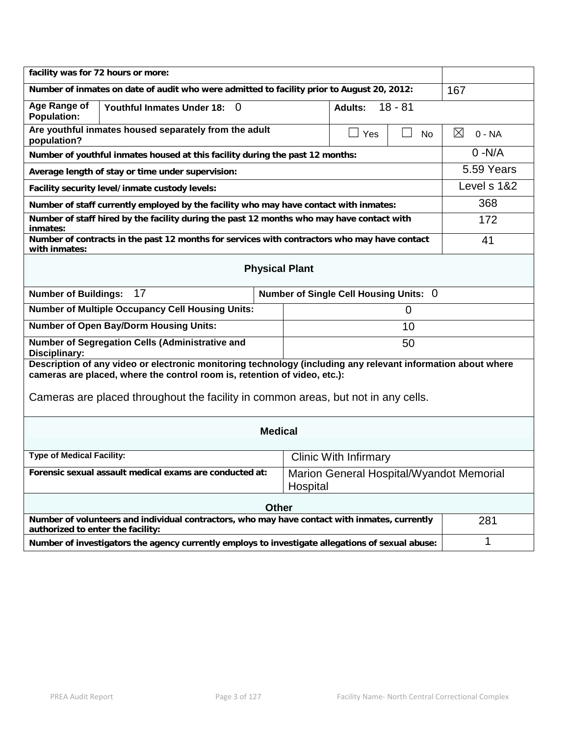| facility was for 72 hours or more:                                                                                                                                                        |                                        |                       |             |                         |  |
|-------------------------------------------------------------------------------------------------------------------------------------------------------------------------------------------|----------------------------------------|-----------------------|-------------|-------------------------|--|
| Number of inmates on date of audit who were admitted to facility prior to August 20, 2012:                                                                                                | 167                                    |                       |             |                         |  |
| Age Range of<br>Youthful Inmates Under 18: 0<br><b>Adults:</b><br><b>Population:</b>                                                                                                      |                                        |                       | $18 - 81$   |                         |  |
| Are youthful inmates housed separately from the adult<br>population?                                                                                                                      |                                        | Yes<br>$\blacksquare$ | <b>No</b>   | $\boxtimes$<br>$0 - NA$ |  |
| Number of youthful inmates housed at this facility during the past 12 months:                                                                                                             |                                        |                       |             | $0 - N/A$               |  |
| Average length of stay or time under supervision:                                                                                                                                         |                                        |                       |             | 5.59 Years              |  |
| Facility security level/inmate custody levels:                                                                                                                                            |                                        |                       |             | Level s 1&2             |  |
| Number of staff currently employed by the facility who may have contact with inmates:                                                                                                     |                                        |                       |             | 368                     |  |
| Number of staff hired by the facility during the past 12 months who may have contact with<br>inmates:                                                                                     |                                        |                       |             | 172                     |  |
| Number of contracts in the past 12 months for services with contractors who may have contact<br>with inmates:                                                                             |                                        |                       |             | 41                      |  |
|                                                                                                                                                                                           | <b>Physical Plant</b>                  |                       |             |                         |  |
| 17<br><b>Number of Buildings:</b>                                                                                                                                                         | Number of Single Cell Housing Units: 0 |                       |             |                         |  |
| <b>Number of Multiple Occupancy Cell Housing Units:</b>                                                                                                                                   |                                        |                       | $\mathbf 0$ |                         |  |
| <b>Number of Open Bay/Dorm Housing Units:</b>                                                                                                                                             |                                        |                       | 10          |                         |  |
| Number of Segregation Cells (Administrative and<br>50<br>Disciplinary:                                                                                                                    |                                        |                       |             |                         |  |
| Description of any video or electronic monitoring technology (including any relevant information about where<br>cameras are placed, where the control room is, retention of video, etc.): |                                        |                       |             |                         |  |
|                                                                                                                                                                                           |                                        |                       |             |                         |  |
| Cameras are placed throughout the facility in common areas, but not in any cells.                                                                                                         |                                        |                       |             |                         |  |
| <b>Medical</b>                                                                                                                                                                            |                                        |                       |             |                         |  |
| <b>Type of Medical Facility:</b>                                                                                                                                                          | <b>Clinic With Infirmary</b>           |                       |             |                         |  |
| Forensic sexual assault medical exams are conducted at:<br>Marion General Hospital/Wyandot Memorial<br>Hospital                                                                           |                                        |                       |             |                         |  |
| <b>Other</b>                                                                                                                                                                              |                                        |                       |             |                         |  |
| Number of volunteers and individual contractors, who may have contact with inmates, currently<br>authorized to enter the facility:                                                        |                                        |                       | 281         |                         |  |
| Number of investigators the agency currently employs to investigate allegations of sexual abuse:                                                                                          |                                        |                       |             | 1                       |  |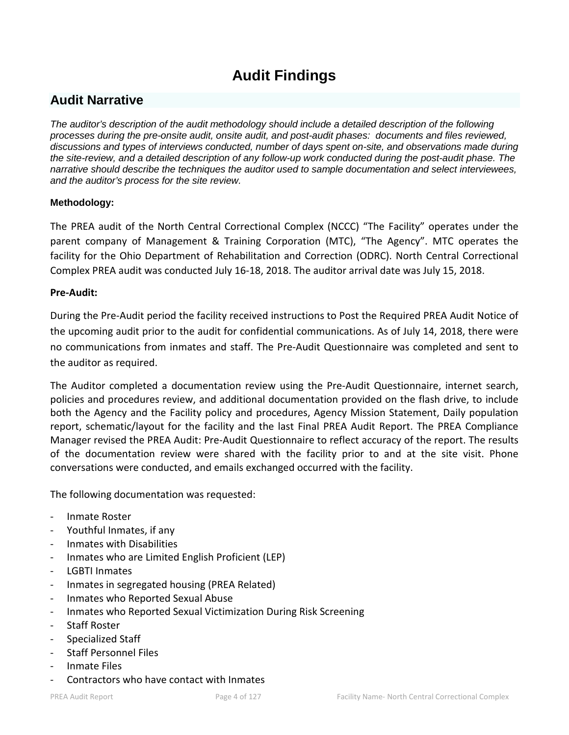# **Audit Findings**

# **Audit Narrative**

*The auditor's description of the audit methodology should include a detailed description of the following processes during the pre-onsite audit, onsite audit, and post-audit phases: documents and files reviewed, discussions and types of interviews conducted, number of days spent on-site, and observations made during the site-review, and a detailed description of any follow-up work conducted during the post-audit phase. The narrative should describe the techniques the auditor used to sample documentation and select interviewees, and the auditor's process for the site review.*

# **Methodology:**

The PREA audit of the North Central Correctional Complex (NCCC) "The Facility" operates under the parent company of Management & Training Corporation (MTC), "The Agency". MTC operates the facility for the Ohio Department of Rehabilitation and Correction (ODRC). North Central Correctional Complex PREA audit was conducted July 16-18, 2018. The auditor arrival date was July 15, 2018.

# **Pre-Audit:**

During the Pre-Audit period the facility received instructions to Post the Required PREA Audit Notice of the upcoming audit prior to the audit for confidential communications. As of July 14, 2018, there were no communications from inmates and staff. The Pre-Audit Questionnaire was completed and sent to the auditor as required.

The Auditor completed a documentation review using the Pre-Audit Questionnaire, internet search, policies and procedures review, and additional documentation provided on the flash drive, to include both the Agency and the Facility policy and procedures, Agency Mission Statement, Daily population report, schematic/layout for the facility and the last Final PREA Audit Report. The PREA Compliance Manager revised the PREA Audit: Pre-Audit Questionnaire to reflect accuracy of the report. The results of the documentation review were shared with the facility prior to and at the site visit. Phone conversations were conducted, and emails exchanged occurred with the facility.

The following documentation was requested:

- Inmate Roster
- Youthful Inmates, if any
- Inmates with Disabilities
- Inmates who are Limited English Proficient (LEP)
- LGBTI Inmates
- Inmates in segregated housing (PREA Related)
- Inmates who Reported Sexual Abuse
- Inmates who Reported Sexual Victimization During Risk Screening
- Staff Roster
- Specialized Staff
- Staff Personnel Files
- Inmate Files
- Contractors who have contact with Inmates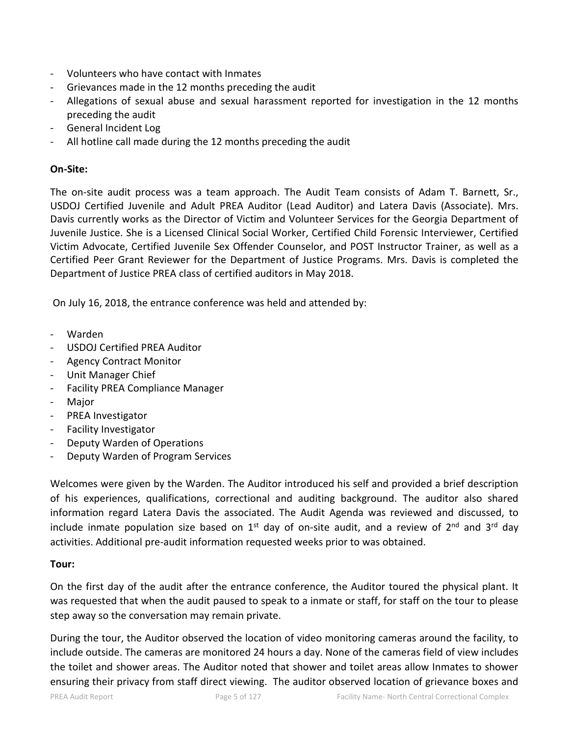- Volunteers who have contact with Inmates
- Grievances made in the 12 months preceding the audit
- Allegations of sexual abuse and sexual harassment reported for investigation in the 12 months preceding the audit
- General Incident Log
- All hotline call made during the 12 months preceding the audit

# **On-Site:**

The on-site audit process was a team approach. The Audit Team consists of Adam T. Barnett, Sr., USDOJ Certified Juvenile and Adult PREA Auditor (Lead Auditor) and Latera Davis (Associate). Mrs. Davis currently works as the Director of Victim and Volunteer Services for the Georgia Department of Juvenile Justice. She is a Licensed Clinical Social Worker, Certified Child Forensic Interviewer, Certified Victim Advocate, Certified Juvenile Sex Offender Counselor, and POST Instructor Trainer, as well as a Certified Peer Grant Reviewer for the Department of Justice Programs. Mrs. Davis is completed the Department of Justice PREA class of certified auditors in May 2018.

On July 16, 2018, the entrance conference was held and attended by:

- Warden
- USDOJ Certified PREA Auditor
- Agency Contract Monitor
- Unit Manager Chief
- Facility PREA Compliance Manager
- **Major**
- PREA Investigator
- Facility Investigator
- Deputy Warden of Operations
- Deputy Warden of Program Services

Welcomes were given by the Warden. The Auditor introduced his self and provided a brief description of his experiences, qualifications, correctional and auditing background. The auditor also shared information regard Latera Davis the associated. The Audit Agenda was reviewed and discussed, to include inmate population size based on 1<sup>st</sup> day of on-site audit, and a review of  $2^{nd}$  and  $3^{rd}$  day activities. Additional pre-audit information requested weeks prior to was obtained.

## **Tour:**

On the first day of the audit after the entrance conference, the Auditor toured the physical plant. It was requested that when the audit paused to speak to a inmate or staff, for staff on the tour to please step away so the conversation may remain private.

During the tour, the Auditor observed the location of video monitoring cameras around the facility, to include outside. The cameras are monitored 24 hours a day. None of the cameras field of view includes the toilet and shower areas. The Auditor noted that shower and toilet areas allow Inmates to shower ensuring their privacy from staff direct viewing. The auditor observed location of grievance boxes and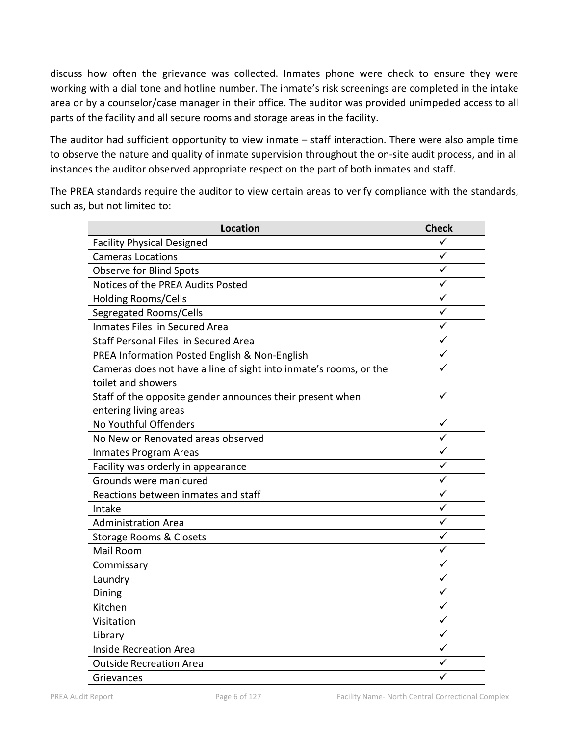discuss how often the grievance was collected. Inmates phone were check to ensure they were working with a dial tone and hotline number. The inmate's risk screenings are completed in the intake area or by a counselor/case manager in their office. The auditor was provided unimpeded access to all parts of the facility and all secure rooms and storage areas in the facility.

The auditor had sufficient opportunity to view inmate – staff interaction. There were also ample time to observe the nature and quality of inmate supervision throughout the on-site audit process, and in all instances the auditor observed appropriate respect on the part of both inmates and staff.

The PREA standards require the auditor to view certain areas to verify compliance with the standards, such as, but not limited to:

| <b>Location</b>                                                   | <b>Check</b> |
|-------------------------------------------------------------------|--------------|
| <b>Facility Physical Designed</b>                                 |              |
| <b>Cameras Locations</b>                                          | ✓            |
| <b>Observe for Blind Spots</b>                                    |              |
| Notices of the PREA Audits Posted                                 |              |
| Holding Rooms/Cells                                               |              |
| Segregated Rooms/Cells                                            | ✓            |
| Inmates Files in Secured Area                                     |              |
| Staff Personal Files in Secured Area                              |              |
| PREA Information Posted English & Non-English                     |              |
| Cameras does not have a line of sight into inmate's rooms, or the |              |
| toilet and showers                                                |              |
| Staff of the opposite gender announces their present when         |              |
| entering living areas                                             |              |
| No Youthful Offenders                                             | ✓            |
| No New or Renovated areas observed                                |              |
| Inmates Program Areas                                             |              |
| Facility was orderly in appearance                                | ✓            |
| Grounds were manicured                                            | ✓            |
| Reactions between inmates and staff                               | ✓            |
| Intake                                                            |              |
| <b>Administration Area</b>                                        | ✓            |
| Storage Rooms & Closets                                           |              |
| Mail Room                                                         |              |
| Commissary                                                        |              |
| Laundry                                                           | ✓            |
| Dining                                                            |              |
| Kitchen                                                           |              |
| Visitation                                                        | ✓            |
| Library                                                           | ✓            |
| <b>Inside Recreation Area</b>                                     |              |
| <b>Outside Recreation Area</b>                                    |              |
| Grievances                                                        |              |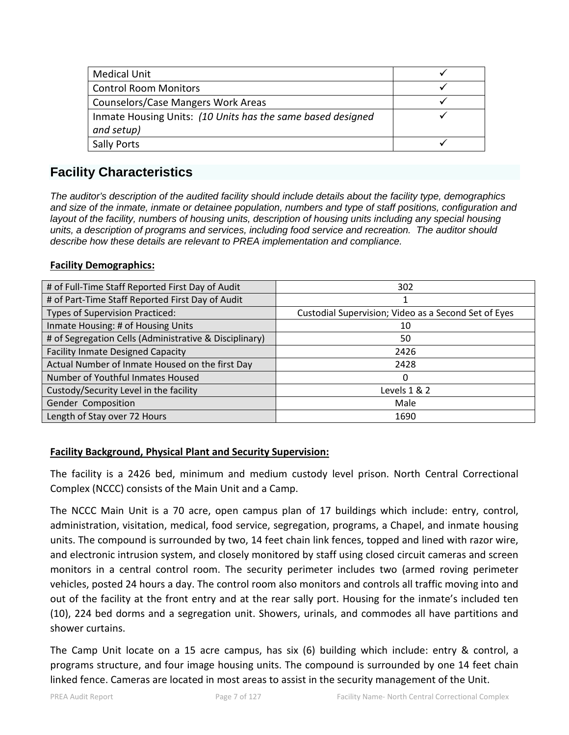| <b>Medical Unit</b>                                         |  |
|-------------------------------------------------------------|--|
| <b>Control Room Monitors</b>                                |  |
| Counselors/Case Mangers Work Areas                          |  |
| Inmate Housing Units: (10 Units has the same based designed |  |
| and setup)                                                  |  |
| <b>Sally Ports</b>                                          |  |

# **Facility Characteristics**

*The auditor's description of the audited facility should include details about the facility type, demographics and size of the inmate, inmate or detainee population, numbers and type of staff positions, configuration and*  layout of the facility, numbers of housing units, description of housing units including any special housing *units, a description of programs and services, including food service and recreation. The auditor should describe how these details are relevant to PREA implementation and compliance.*

# **Facility Demographics:**

| # of Full-Time Staff Reported First Day of Audit       | 302                                                  |  |
|--------------------------------------------------------|------------------------------------------------------|--|
| # of Part-Time Staff Reported First Day of Audit       |                                                      |  |
| Types of Supervision Practiced:                        | Custodial Supervision; Video as a Second Set of Eyes |  |
| Inmate Housing: # of Housing Units                     | 10                                                   |  |
| # of Segregation Cells (Administrative & Disciplinary) | 50                                                   |  |
| <b>Facility Inmate Designed Capacity</b>               | 2426                                                 |  |
| Actual Number of Inmate Housed on the first Day        | 2428                                                 |  |
| Number of Youthful Inmates Housed                      | 0                                                    |  |
| Custody/Security Level in the facility                 | Levels 1 & 2                                         |  |
| Gender Composition                                     | Male                                                 |  |
| Length of Stay over 72 Hours                           | 1690                                                 |  |

# **Facility Background, Physical Plant and Security Supervision:**

The facility is a 2426 bed, minimum and medium custody level prison. North Central Correctional Complex (NCCC) consists of the Main Unit and a Camp.

The NCCC Main Unit is a 70 acre, open campus plan of 17 buildings which include: entry, control, administration, visitation, medical, food service, segregation, programs, a Chapel, and inmate housing units. The compound is surrounded by two, 14 feet chain link fences, topped and lined with razor wire, and electronic intrusion system, and closely monitored by staff using closed circuit cameras and screen monitors in a central control room. The security perimeter includes two (armed roving perimeter vehicles, posted 24 hours a day. The control room also monitors and controls all traffic moving into and out of the facility at the front entry and at the rear sally port. Housing for the inmate's included ten (10), 224 bed dorms and a segregation unit. Showers, urinals, and commodes all have partitions and shower curtains.

The Camp Unit locate on a 15 acre campus, has six (6) building which include: entry & control, a programs structure, and four image housing units. The compound is surrounded by one 14 feet chain linked fence. Cameras are located in most areas to assist in the security management of the Unit.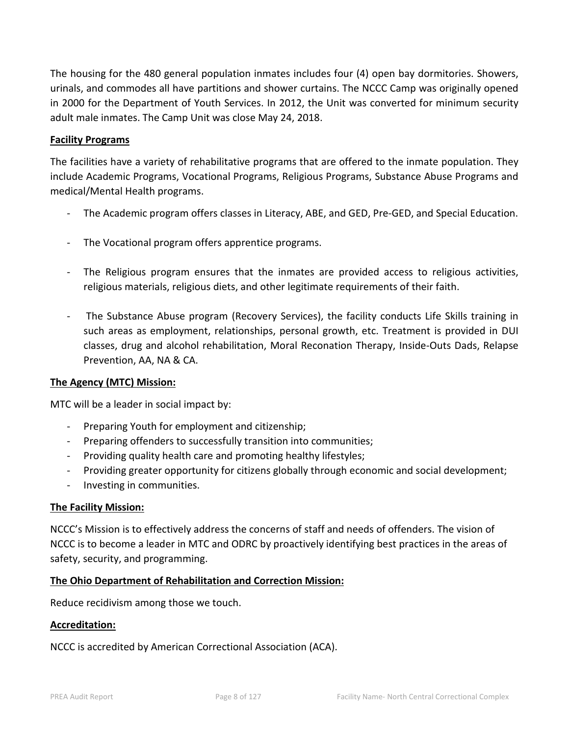The housing for the 480 general population inmates includes four (4) open bay dormitories. Showers, urinals, and commodes all have partitions and shower curtains. The NCCC Camp was originally opened in 2000 for the Department of Youth Services. In 2012, the Unit was converted for minimum security adult male inmates. The Camp Unit was close May 24, 2018.

# **Facility Programs**

The facilities have a variety of rehabilitative programs that are offered to the inmate population. They include Academic Programs, Vocational Programs, Religious Programs, Substance Abuse Programs and medical/Mental Health programs.

- The Academic program offers classes in Literacy, ABE, and GED, Pre-GED, and Special Education.
- The Vocational program offers apprentice programs.
- The Religious program ensures that the inmates are provided access to religious activities, religious materials, religious diets, and other legitimate requirements of their faith.
- The Substance Abuse program (Recovery Services), the facility conducts Life Skills training in such areas as employment, relationships, personal growth, etc. Treatment is provided in DUI classes, drug and alcohol rehabilitation, Moral Reconation Therapy, Inside-Outs Dads, Relapse Prevention, AA, NA & CA.

# **The Agency (MTC) Mission:**

MTC will be a leader in social impact by:

- Preparing Youth for employment and citizenship;
- Preparing offenders to successfully transition into communities;
- Providing quality health care and promoting healthy lifestyles;
- Providing greater opportunity for citizens globally through economic and social development;
- Investing in communities.

# **The Facility Mission:**

NCCC's Mission is to effectively address the concerns of staff and needs of offenders. The vision of NCCC is to become a leader in MTC and ODRC by proactively identifying best practices in the areas of safety, security, and programming.

# **The Ohio Department of Rehabilitation and Correction Mission:**

Reduce recidivism among those we touch.

# **Accreditation:**

NCCC is accredited by American Correctional Association (ACA).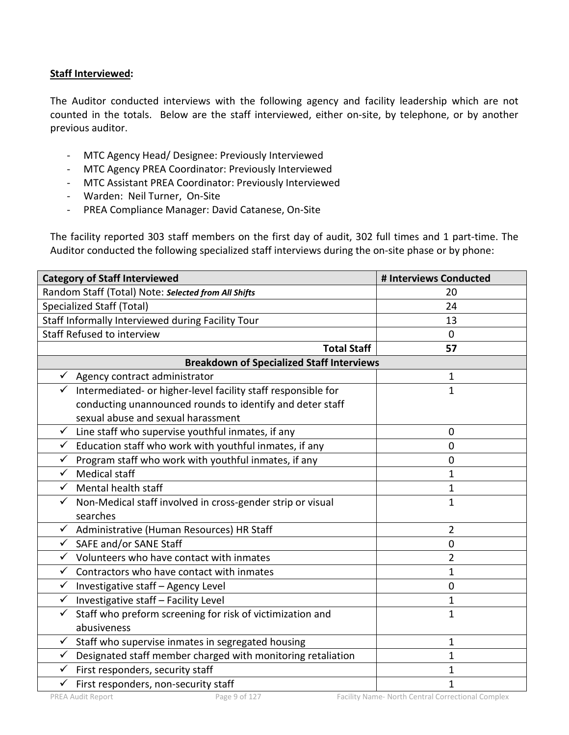# **Staff Interviewed:**

The Auditor conducted interviews with the following agency and facility leadership which are not counted in the totals. Below are the staff interviewed, either on-site, by telephone, or by another previous auditor.

- MTC Agency Head/ Designee: Previously Interviewed
- MTC Agency PREA Coordinator: Previously Interviewed
- MTC Assistant PREA Coordinator: Previously Interviewed
- Warden: Neil Turner, On-Site
- PREA Compliance Manager: David Catanese, On-Site

The facility reported 303 staff members on the first day of audit, 302 full times and 1 part-time. The Auditor conducted the following specialized staff interviews during the on-site phase or by phone:

| <b>Category of Staff Interviewed</b>                                          | # Interviews Conducted |
|-------------------------------------------------------------------------------|------------------------|
| Random Staff (Total) Note: Selected from All Shifts                           | 20                     |
| <b>Specialized Staff (Total)</b>                                              | 24                     |
| Staff Informally Interviewed during Facility Tour                             | 13                     |
| Staff Refused to interview                                                    | $\Omega$               |
| <b>Total Staff</b>                                                            | 57                     |
| <b>Breakdown of Specialized Staff Interviews</b>                              |                        |
| Agency contract administrator<br>✓                                            | $\mathbf{1}$           |
| Intermediated- or higher-level facility staff responsible for<br>$\checkmark$ | $\mathbf{1}$           |
| conducting unannounced rounds to identify and deter staff                     |                        |
| sexual abuse and sexual harassment                                            |                        |
| $\checkmark$ Line staff who supervise youthful inmates, if any                | $\mathbf{0}$           |
| Education staff who work with youthful inmates, if any<br>✓                   | $\overline{0}$         |
| Program staff who work with youthful inmates, if any<br>$\checkmark$          | $\overline{0}$         |
| <b>Medical staff</b><br>$\checkmark$                                          | 1                      |
| Mental health staff<br>$\checkmark$                                           | $\mathbf 1$            |
| Non-Medical staff involved in cross-gender strip or visual<br>$\checkmark$    | 1                      |
| searches                                                                      |                        |
| √ Administrative (Human Resources) HR Staff                                   | 2                      |
| SAFE and/or SANE Staff<br>$\checkmark$                                        | $\overline{0}$         |
| $\checkmark$ Volunteers who have contact with inmates                         | 2                      |
| Contractors who have contact with inmates<br>$\checkmark$                     | $\mathbf{1}$           |
| √ Investigative staff - Agency Level                                          | $\mathbf 0$            |
| Investigative staff - Facility Level<br>$\checkmark$                          | $\mathbf{1}$           |
| Staff who preform screening for risk of victimization and<br>$\checkmark$     | $\overline{1}$         |
| abusiveness                                                                   |                        |
| $\checkmark$<br>Staff who supervise inmates in segregated housing             | 1                      |
| Designated staff member charged with monitoring retaliation<br>$\checkmark$   | 1                      |
| First responders, security staff<br>$\checkmark$                              | 1                      |
| First responders, non-security staff<br>$\checkmark$                          | 1                      |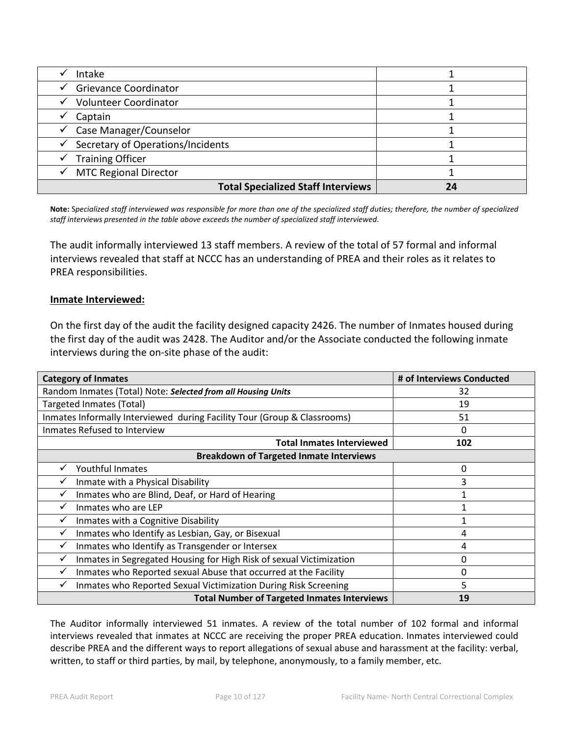| Intake                                    |  |
|-------------------------------------------|--|
| <b>Grievance Coordinator</b>              |  |
| Volunteer Coordinator                     |  |
| Captain                                   |  |
| Case Manager/Counselor                    |  |
| Secretary of Operations/Incidents         |  |
| <b>Training Officer</b>                   |  |
| <b>MTC Regional Director</b>              |  |
| <b>Total Specialized Staff Interviews</b> |  |

**Note:** S*pecialized staff interviewed was responsible for more than one of the specialized staff duties; therefore, the number of specialized staff interviews presented in the table above exceeds the number of specialized staff interviewed*.

The audit informally interviewed 13 staff members. A review of the total of 57 formal and informal interviews revealed that staff at NCCC has an understanding of PREA and their roles as it relates to PREA responsibilities.

# **Inmate Interviewed:**

On the first day of the audit the facility designed capacity 2426. The number of Inmates housed during the first day of the audit was 2428. The Auditor and/or the Associate conducted the following inmate interviews during the on-site phase of the audit:

| <b>Category of Inmates</b>                                                          | # of Interviews Conducted |
|-------------------------------------------------------------------------------------|---------------------------|
| Random Inmates (Total) Note: Selected from all Housing Units                        | 32                        |
| Targeted Inmates (Total)                                                            | 19                        |
| Inmates Informally Interviewed during Facility Tour (Group & Classrooms)            | 51                        |
| Inmates Refused to Interview                                                        | 0                         |
| <b>Total Inmates Interviewed</b>                                                    | 102                       |
| <b>Breakdown of Targeted Inmate Interviews</b>                                      |                           |
| Youthful Inmates                                                                    | 0                         |
| Inmate with a Physical Disability                                                   | 3                         |
| Inmates who are Blind, Deaf, or Hard of Hearing                                     |                           |
| Inmates who are LEP                                                                 |                           |
| Inmates with a Cognitive Disability                                                 |                           |
| Inmates who Identify as Lesbian, Gay, or Bisexual<br>✓                              | 4                         |
| Inmates who Identify as Transgender or Intersex<br>✓                                | 4                         |
| $\checkmark$<br>Inmates in Segregated Housing for High Risk of sexual Victimization | 0                         |
| Inmates who Reported sexual Abuse that occurred at the Facility                     | 0                         |
| Inmates who Reported Sexual Victimization During Risk Screening<br>✓                | 5                         |
| <b>Total Number of Targeted Inmates Interviews</b>                                  | 19                        |

The Auditor informally interviewed 51 inmates. A review of the total number of 102 formal and informal interviews revealed that inmates at NCCC are receiving the proper PREA education. Inmates interviewed could describe PREA and the different ways to report allegations of sexual abuse and harassment at the facility: verbal, written, to staff or third parties, by mail, by telephone, anonymously, to a family member, etc.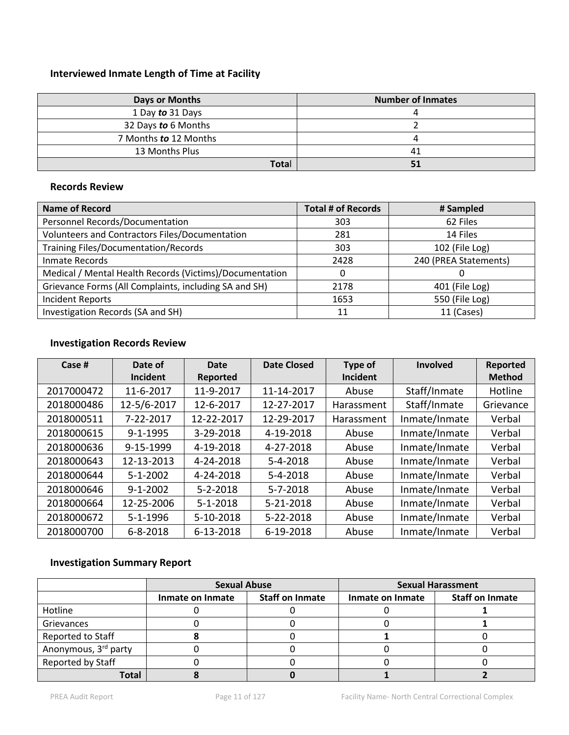# **Interviewed Inmate Length of Time at Facility**

| Days or Months        | <b>Number of Inmates</b> |  |
|-----------------------|--------------------------|--|
| 1 Day to 31 Days      |                          |  |
| 32 Days to 6 Months   |                          |  |
| 7 Months to 12 Months |                          |  |
| 13 Months Plus        | 41                       |  |
| Total                 |                          |  |

## **Records Review**

| <b>Name of Record</b>                                   | <b>Total # of Records</b> | # Sampled             |
|---------------------------------------------------------|---------------------------|-----------------------|
| Personnel Records/Documentation                         | 303                       | 62 Files              |
| Volunteers and Contractors Files/Documentation          | 281                       | 14 Files              |
| <b>Training Files/Documentation/Records</b>             | 303                       | 102 (File Log)        |
| Inmate Records                                          | 2428                      | 240 (PREA Statements) |
| Medical / Mental Health Records (Victims)/Documentation | $\Omega$                  | 0                     |
| Grievance Forms (All Complaints, including SA and SH)   | 2178                      | 401 (File Log)        |
| <b>Incident Reports</b>                                 | 1653                      | 550 (File Log)        |
| Investigation Records (SA and SH)                       | 11                        | 11 (Cases)            |

# **Investigation Records Review**

| Case #     | Date of        | Date           | <b>Date Closed</b> | Type of           | <b>Involved</b> | Reported      |
|------------|----------------|----------------|--------------------|-------------------|-----------------|---------------|
|            | Incident       | Reported       |                    | Incident          |                 | <b>Method</b> |
| 2017000472 | 11-6-2017      | 11-9-2017      | 11-14-2017         | Abuse             | Staff/Inmate    | Hotline       |
| 2018000486 | 12-5/6-2017    | 12-6-2017      | 12-27-2017         | Harassment        | Staff/Inmate    | Grievance     |
| 2018000511 | 7-22-2017      | 12-22-2017     | 12-29-2017         | <b>Harassment</b> | Inmate/Inmate   | Verbal        |
| 2018000615 | $9 - 1 - 1995$ | 3-29-2018      | 4-19-2018          | Abuse             | Inmate/Inmate   | Verbal        |
| 2018000636 | 9-15-1999      | 4-19-2018      | 4-27-2018          | Abuse             | Inmate/Inmate   | Verbal        |
| 2018000643 | 12-13-2013     | 4-24-2018      | $5 - 4 - 2018$     | Abuse             | Inmate/Inmate   | Verbal        |
| 2018000644 | $5 - 1 - 2002$ | 4-24-2018      | $5 - 4 - 2018$     | Abuse             | Inmate/Inmate   | Verbal        |
| 2018000646 | $9 - 1 - 2002$ | $5 - 2 - 2018$ | $5 - 7 - 2018$     | Abuse             | Inmate/Inmate   | Verbal        |
| 2018000664 | 12-25-2006     | $5 - 1 - 2018$ | 5-21-2018          | Abuse             | Inmate/Inmate   | Verbal        |
| 2018000672 | $5 - 1 - 1996$ | 5-10-2018      | 5-22-2018          | Abuse             | Inmate/Inmate   | Verbal        |
| 2018000700 | $6 - 8 - 2018$ | 6-13-2018      | 6-19-2018          | Abuse             | Inmate/Inmate   | Verbal        |

# **Investigation Summary Report**

|                      | <b>Sexual Abuse</b> |                        | <b>Sexual Harassment</b> |                        |
|----------------------|---------------------|------------------------|--------------------------|------------------------|
|                      | Inmate on Inmate    | <b>Staff on Inmate</b> | Inmate on Inmate         | <b>Staff on Inmate</b> |
| Hotline              |                     |                        |                          |                        |
| Grievances           |                     |                        |                          |                        |
| Reported to Staff    |                     |                        |                          |                        |
| Anonymous, 3rd party |                     |                        |                          |                        |
| Reported by Staff    |                     |                        |                          |                        |
| Total                |                     |                        |                          |                        |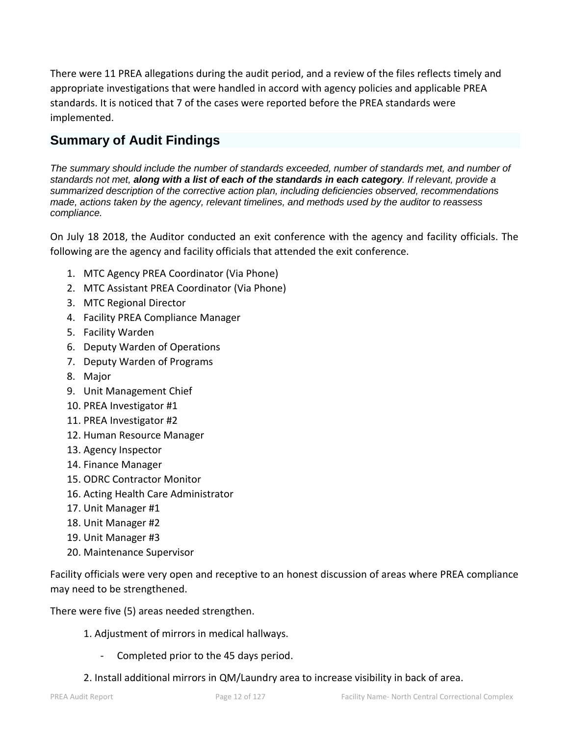There were 11 PREA allegations during the audit period, and a review of the files reflects timely and appropriate investigations that were handled in accord with agency policies and applicable PREA standards. It is noticed that 7 of the cases were reported before the PREA standards were implemented.

# **Summary of Audit Findings**

*The summary should include the number of standards exceeded, number of standards met, and number of standards not met, along with a list of each of the standards in each category. If relevant, provide a summarized description of the corrective action plan, including deficiencies observed, recommendations made, actions taken by the agency, relevant timelines, and methods used by the auditor to reassess compliance.*

On July 18 2018, the Auditor conducted an exit conference with the agency and facility officials. The following are the agency and facility officials that attended the exit conference.

- 1. MTC Agency PREA Coordinator (Via Phone)
- 2. MTC Assistant PREA Coordinator (Via Phone)
- 3. MTC Regional Director
- 4. Facility PREA Compliance Manager
- 5. Facility Warden
- 6. Deputy Warden of Operations
- 7. Deputy Warden of Programs
- 8. Major
- 9. Unit Management Chief
- 10. PREA Investigator #1
- 11. PREA Investigator #2
- 12. Human Resource Manager
- 13. Agency Inspector
- 14. Finance Manager
- 15. ODRC Contractor Monitor
- 16. Acting Health Care Administrator
- 17. Unit Manager #1
- 18. Unit Manager #2
- 19. Unit Manager #3
- 20. Maintenance Supervisor

Facility officials were very open and receptive to an honest discussion of areas where PREA compliance may need to be strengthened.

There were five (5) areas needed strengthen.

- 1. Adjustment of mirrors in medical hallways.
	- Completed prior to the 45 days period.
- 2. Install additional mirrors in QM/Laundry area to increase visibility in back of area.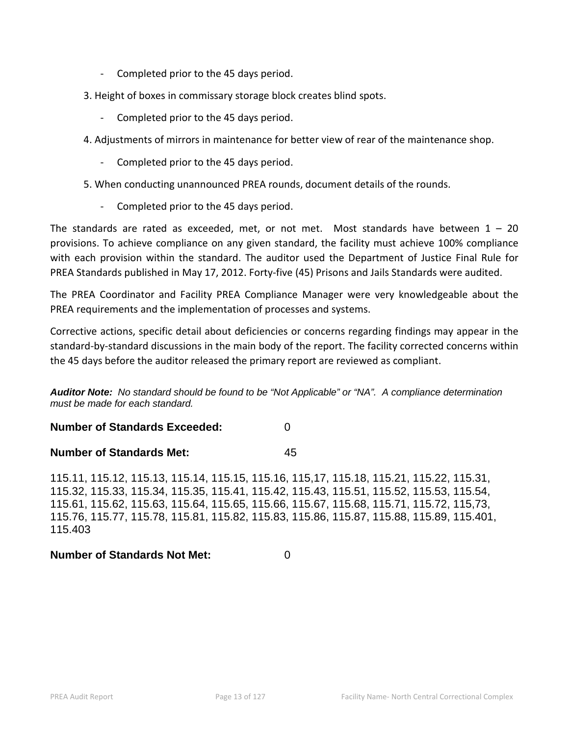- Completed prior to the 45 days period.
- 3. Height of boxes in commissary storage block creates blind spots.
	- Completed prior to the 45 days period.
- 4. Adjustments of mirrors in maintenance for better view of rear of the maintenance shop.
	- Completed prior to the 45 days period.
- 5. When conducting unannounced PREA rounds, document details of the rounds.
	- Completed prior to the 45 days period.

The standards are rated as exceeded, met, or not met. Most standards have between  $1 - 20$ provisions. To achieve compliance on any given standard, the facility must achieve 100% compliance with each provision within the standard. The auditor used the Department of Justice Final Rule for PREA Standards published in May 17, 2012. Forty-five (45) Prisons and Jails Standards were audited.

The PREA Coordinator and Facility PREA Compliance Manager were very knowledgeable about the PREA requirements and the implementation of processes and systems.

Corrective actions, specific detail about deficiencies or concerns regarding findings may appear in the standard-by-standard discussions in the main body of the report. The facility corrected concerns within the 45 days before the auditor released the primary report are reviewed as compliant.

*Auditor Note: No standard should be found to be "Not Applicable" or "NA". A compliance determination must be made for each standard.* 

**Number of Standards Exceeded:** 0

# **Number of Standards Met:** 45

115.11, 115.12, 115.13, 115.14, 115.15, 115.16, 115,17, 115.18, 115.21, 115.22, 115.31, 115.32, 115.33, 115.34, 115.35, 115.41, 115.42, 115.43, 115.51, 115.52, 115.53, 115.54, 115.61, 115.62, 115.63, 115.64, 115.65, 115.66, 115.67, 115.68, 115.71, 115.72, 115,73, 115.76, 115.77, 115.78, 115.81, 115.82, 115.83, 115.86, 115.87, 115.88, 115.89, 115.401, 115.403

# **Number of Standards Not Met:** 0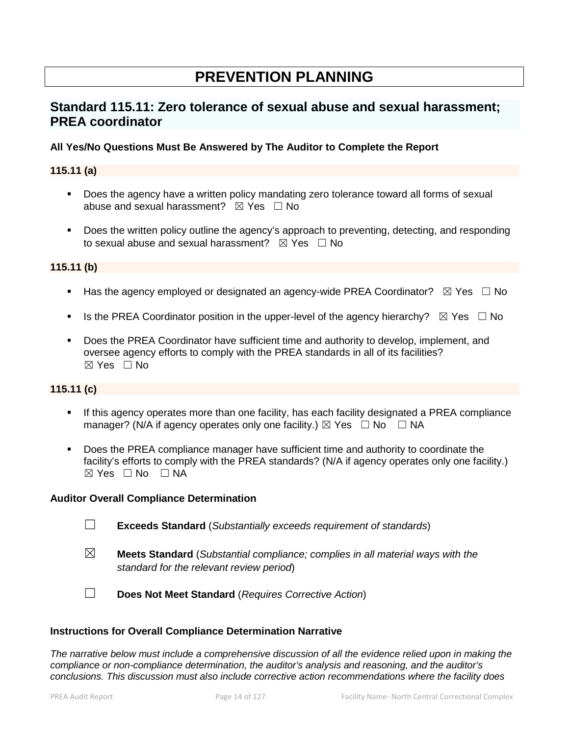# **PREVENTION PLANNING**

# **Standard 115.11: Zero tolerance of sexual abuse and sexual harassment; PREA coordinator**

# **All Yes/No Questions Must Be Answered by The Auditor to Complete the Report**

# **115.11 (a)**

- **Does the agency have a written policy mandating zero tolerance toward all forms of sexual** abuse and sexual harassment?  $\boxtimes$  Yes  $\Box$  No
- Does the written policy outline the agency's approach to preventing, detecting, and responding to sexual abuse and sexual harassment?  $\boxtimes$  Yes  $\Box$  No

## **115.11 (b)**

- Has the agency employed or designated an agency-wide PREA Coordinator?  $\boxtimes$  Yes  $\Box$  No
- Is the PREA Coordinator position in the upper-level of the agency hierarchy?  $\boxtimes$  Yes  $\Box$  No
- **Does the PREA Coordinator have sufficient time and authority to develop, implement, and** oversee agency efforts to comply with the PREA standards in all of its facilities?  $\boxtimes$  Yes  $\Box$  No

## **115.11 (c)**

- **If this agency operates more than one facility, has each facility designated a PREA compliance** manager? (N/A if agency operates only one facility.)  $\boxtimes$  Yes  $\Box$  No  $\Box$  NA
- Does the PREA compliance manager have sufficient time and authority to coordinate the facility's efforts to comply with the PREA standards? (N/A if agency operates only one facility.)  $⊠ Yes ⊡ No ⊡ NA$

## **Auditor Overall Compliance Determination**

- ☐ **Exceeds Standard** (*Substantially exceeds requirement of standards*)
- ☒ **Meets Standard** (*Substantial compliance; complies in all material ways with the standard for the relevant review period*)
- ☐ **Does Not Meet Standard** (*Requires Corrective Action*)

## **Instructions for Overall Compliance Determination Narrative**

*The narrative below must include a comprehensive discussion of all the evidence relied upon in making the compliance or non-compliance determination, the auditor's analysis and reasoning, and the auditor's conclusions. This discussion must also include corrective action recommendations where the facility does*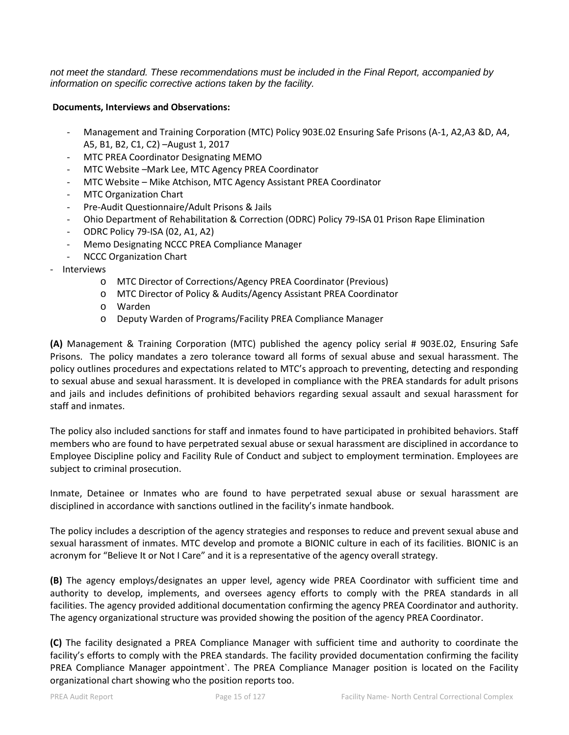*not meet the standard. These recommendations must be included in the Final Report, accompanied by information on specific corrective actions taken by the facility.*

### **Documents, Interviews and Observations:**

- Management and Training Corporation (MTC) Policy 903E.02 Ensuring Safe Prisons (A-1, A2,A3 &D, A4, A5, B1, B2, C1, C2) –August 1, 2017
- MTC PREA Coordinator Designating MEMO
- MTC Website –Mark Lee, MTC Agency PREA Coordinator
- MTC Website Mike Atchison, MTC Agency Assistant PREA Coordinator
- MTC Organization Chart
- Pre-Audit Questionnaire/Adult Prisons & Jails
- Ohio Department of Rehabilitation & Correction (ODRC) Policy 79-ISA 01 Prison Rape Elimination
- ODRC Policy 79-ISA (02, A1, A2)
- Memo Designating NCCC PREA Compliance Manager
- NCCC Organization Chart
- **Interviews** 
	- o MTC Director of Corrections/Agency PREA Coordinator (Previous)
	- o MTC Director of Policy & Audits/Agency Assistant PREA Coordinator
	- o Warden
	- o Deputy Warden of Programs/Facility PREA Compliance Manager

**(A)** Management & Training Corporation (MTC) published the agency policy serial # 903E.02, Ensuring Safe Prisons. The policy mandates a zero tolerance toward all forms of sexual abuse and sexual harassment. The policy outlines procedures and expectations related to MTC's approach to preventing, detecting and responding to sexual abuse and sexual harassment. It is developed in compliance with the PREA standards for adult prisons and jails and includes definitions of prohibited behaviors regarding sexual assault and sexual harassment for staff and inmates.

The policy also included sanctions for staff and inmates found to have participated in prohibited behaviors. Staff members who are found to have perpetrated sexual abuse or sexual harassment are disciplined in accordance to Employee Discipline policy and Facility Rule of Conduct and subject to employment termination. Employees are subject to criminal prosecution.

Inmate, Detainee or Inmates who are found to have perpetrated sexual abuse or sexual harassment are disciplined in accordance with sanctions outlined in the facility's inmate handbook.

The policy includes a description of the agency strategies and responses to reduce and prevent sexual abuse and sexual harassment of inmates. MTC develop and promote a BIONIC culture in each of its facilities. BIONIC is an acronym for "Believe It or Not I Care" and it is a representative of the agency overall strategy.

**(B)** The agency employs/designates an upper level, agency wide PREA Coordinator with sufficient time and authority to develop, implements, and oversees agency efforts to comply with the PREA standards in all facilities. The agency provided additional documentation confirming the agency PREA Coordinator and authority. The agency organizational structure was provided showing the position of the agency PREA Coordinator.

**(C)** The facility designated a PREA Compliance Manager with sufficient time and authority to coordinate the facility's efforts to comply with the PREA standards. The facility provided documentation confirming the facility PREA Compliance Manager appointment`. The PREA Compliance Manager position is located on the Facility organizational chart showing who the position reports too.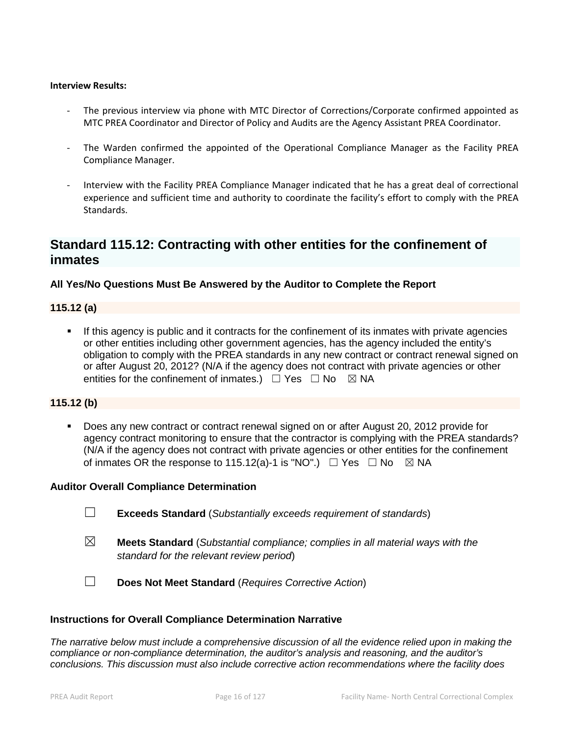#### **Interview Results:**

- The previous interview via phone with MTC Director of Corrections/Corporate confirmed appointed as MTC PREA Coordinator and Director of Policy and Audits are the Agency Assistant PREA Coordinator.
- The Warden confirmed the appointed of the Operational Compliance Manager as the Facility PREA Compliance Manager.
- Interview with the Facility PREA Compliance Manager indicated that he has a great deal of correctional experience and sufficient time and authority to coordinate the facility's effort to comply with the PREA Standards.

# **Standard 115.12: Contracting with other entities for the confinement of inmates**

# **All Yes/No Questions Must Be Answered by the Auditor to Complete the Report**

## **115.12 (a)**

 If this agency is public and it contracts for the confinement of its inmates with private agencies or other entities including other government agencies, has the agency included the entity's obligation to comply with the PREA standards in any new contract or contract renewal signed on or after August 20, 2012? (N/A if the agency does not contract with private agencies or other entities for the confinement of inmates.)  $\Box$  Yes  $\Box$  No  $\boxtimes$  NA

## **115.12 (b)**

 Does any new contract or contract renewal signed on or after August 20, 2012 provide for agency contract monitoring to ensure that the contractor is complying with the PREA standards? (N/A if the agency does not contract with private agencies or other entities for the confinement of inmates OR the response to 115.12(a)-1 is "NO".)  $\Box$  Yes  $\Box$  No  $\boxtimes$  NA

#### **Auditor Overall Compliance Determination**

- ☐ **Exceeds Standard** (*Substantially exceeds requirement of standards*)
- ☒ **Meets Standard** (*Substantial compliance; complies in all material ways with the standard for the relevant review period*)
- ☐ **Does Not Meet Standard** (*Requires Corrective Action*)

#### **Instructions for Overall Compliance Determination Narrative**

*The narrative below must include a comprehensive discussion of all the evidence relied upon in making the compliance or non-compliance determination, the auditor's analysis and reasoning, and the auditor's conclusions. This discussion must also include corrective action recommendations where the facility does*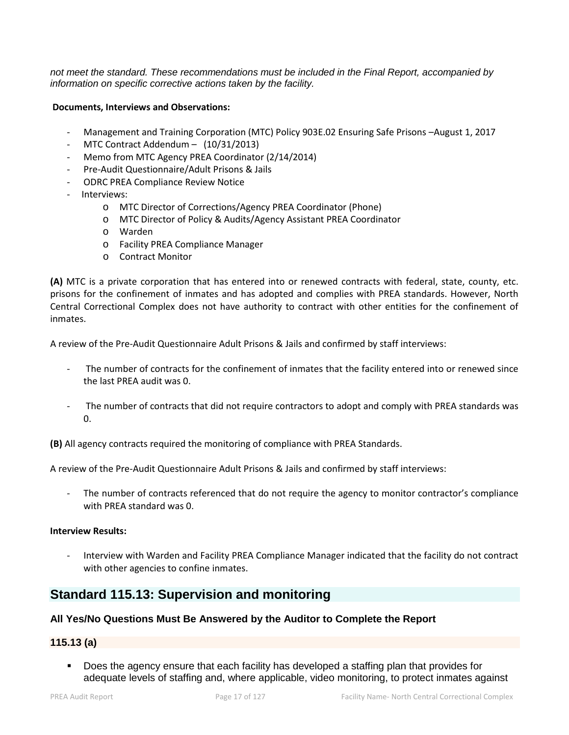*not meet the standard. These recommendations must be included in the Final Report, accompanied by information on specific corrective actions taken by the facility.*

#### **Documents, Interviews and Observations:**

- Management and Training Corporation (MTC) Policy 903E.02 Ensuring Safe Prisons –August 1, 2017
- MTC Contract Addendum  $-$  (10/31/2013)
- Memo from MTC Agency PREA Coordinator (2/14/2014)
- Pre-Audit Questionnaire/Adult Prisons & Jails
- ODRC PREA Compliance Review Notice
- Interviews:
	- o MTC Director of Corrections/Agency PREA Coordinator (Phone)
	- o MTC Director of Policy & Audits/Agency Assistant PREA Coordinator
	- o Warden
	- o Facility PREA Compliance Manager
	- o Contract Monitor

**(A)** MTC is a private corporation that has entered into or renewed contracts with federal, state, county, etc. prisons for the confinement of inmates and has adopted and complies with PREA standards. However, North Central Correctional Complex does not have authority to contract with other entities for the confinement of inmates.

A review of the Pre-Audit Questionnaire Adult Prisons & Jails and confirmed by staff interviews:

- The number of contracts for the confinement of inmates that the facility entered into or renewed since the last PREA audit was 0.
- The number of contracts that did not require contractors to adopt and comply with PREA standards was  $0.$

**(B)** All agency contracts required the monitoring of compliance with PREA Standards.

A review of the Pre-Audit Questionnaire Adult Prisons & Jails and confirmed by staff interviews:

The number of contracts referenced that do not require the agency to monitor contractor's compliance with PREA standard was 0.

### **Interview Results:**

- Interview with Warden and Facility PREA Compliance Manager indicated that the facility do not contract with other agencies to confine inmates.

# **Standard 115.13: Supervision and monitoring**

## **All Yes/No Questions Must Be Answered by the Auditor to Complete the Report**

# **115.13 (a)**

 Does the agency ensure that each facility has developed a staffing plan that provides for adequate levels of staffing and, where applicable, video monitoring, to protect inmates against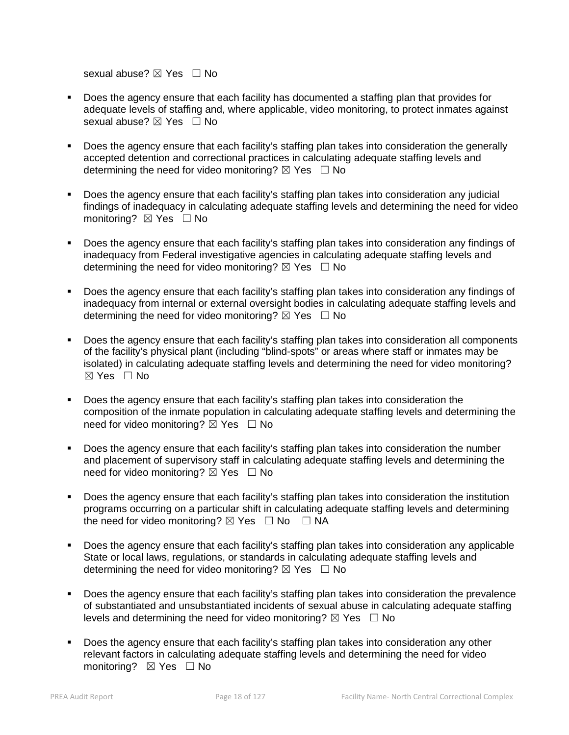sexual abuse?  $\boxtimes$  Yes  $\Box$  No

- Does the agency ensure that each facility has documented a staffing plan that provides for adequate levels of staffing and, where applicable, video monitoring, to protect inmates against sexual abuse? ⊠ Yes □ No
- Does the agency ensure that each facility's staffing plan takes into consideration the generally accepted detention and correctional practices in calculating adequate staffing levels and determining the need for video monitoring?  $\boxtimes$  Yes  $\Box$  No
- Does the agency ensure that each facility's staffing plan takes into consideration any judicial findings of inadequacy in calculating adequate staffing levels and determining the need for video monitoring? ⊠ Yes □ No
- Does the agency ensure that each facility's staffing plan takes into consideration any findings of inadequacy from Federal investigative agencies in calculating adequate staffing levels and determining the need for video monitoring?  $\boxtimes$  Yes  $\Box$  No
- Does the agency ensure that each facility's staffing plan takes into consideration any findings of inadequacy from internal or external oversight bodies in calculating adequate staffing levels and determining the need for video monitoring?  $\boxtimes$  Yes  $\Box$  No
- Does the agency ensure that each facility's staffing plan takes into consideration all components of the facility's physical plant (including "blind-spots" or areas where staff or inmates may be isolated) in calculating adequate staffing levels and determining the need for video monitoring?  $\boxtimes$  Yes  $\Box$  No
- Does the agency ensure that each facility's staffing plan takes into consideration the composition of the inmate population in calculating adequate staffing levels and determining the need for video monitoring?  $\boxtimes$  Yes  $\Box$  No
- Does the agency ensure that each facility's staffing plan takes into consideration the number and placement of supervisory staff in calculating adequate staffing levels and determining the need for video monitoring?  $\boxtimes$  Yes  $\Box$  No
- Does the agency ensure that each facility's staffing plan takes into consideration the institution programs occurring on a particular shift in calculating adequate staffing levels and determining the need for video monitoring?  $\boxtimes$  Yes  $\Box$  No  $\Box$  NA
- Does the agency ensure that each facility's staffing plan takes into consideration any applicable State or local laws, regulations, or standards in calculating adequate staffing levels and determining the need for video monitoring?  $\boxtimes$  Yes  $\Box$  No
- **Does the agency ensure that each facility's staffing plan takes into consideration the prevalence** of substantiated and unsubstantiated incidents of sexual abuse in calculating adequate staffing levels and determining the need for video monitoring?  $\boxtimes$  Yes  $\Box$  No
- Does the agency ensure that each facility's staffing plan takes into consideration any other relevant factors in calculating adequate staffing levels and determining the need for video monitoring? ⊠ Yes □ No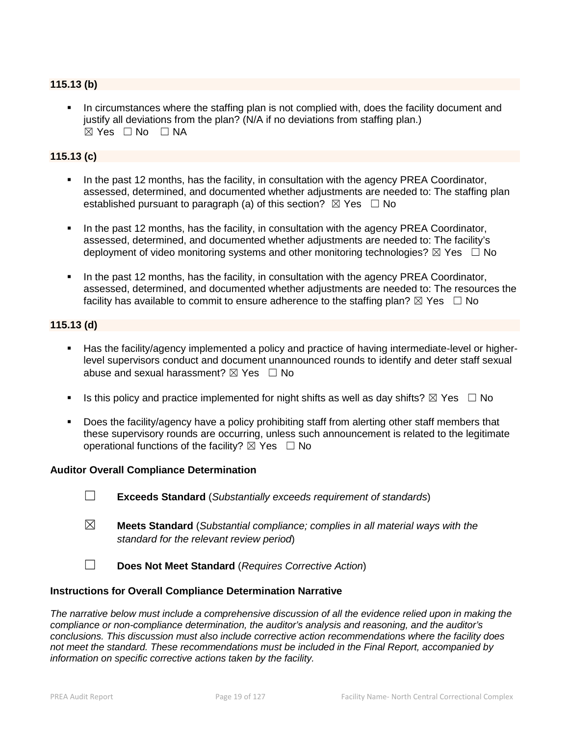# **115.13 (b)**

 In circumstances where the staffing plan is not complied with, does the facility document and justify all deviations from the plan? (N/A if no deviations from staffing plan.)  $\boxtimes$  Yes  $\Box$  No  $\Box$  NA

# **115.13 (c)**

- In the past 12 months, has the facility, in consultation with the agency PREA Coordinator, assessed, determined, and documented whether adjustments are needed to: The staffing plan established pursuant to paragraph (a) of this section?  $\boxtimes$  Yes  $\Box$  No
- In the past 12 months, has the facility, in consultation with the agency PREA Coordinator, assessed, determined, and documented whether adjustments are needed to: The facility's deployment of video monitoring systems and other monitoring technologies?  $\boxtimes$  Yes  $\Box$  No
- In the past 12 months, has the facility, in consultation with the agency PREA Coordinator, assessed, determined, and documented whether adjustments are needed to: The resources the facility has available to commit to ensure adherence to the staffing plan?  $\boxtimes$  Yes  $\Box$  No

## **115.13 (d)**

- Has the facility/agency implemented a policy and practice of having intermediate-level or higherlevel supervisors conduct and document unannounced rounds to identify and deter staff sexual abuse and sexual harassment?  $\boxtimes$  Yes  $\Box$  No
- Is this policy and practice implemented for night shifts as well as day shifts?  $\boxtimes$  Yes  $\Box$  No
- Does the facility/agency have a policy prohibiting staff from alerting other staff members that these supervisory rounds are occurring, unless such announcement is related to the legitimate operational functions of the facility?  $\boxtimes$  Yes  $\Box$  No

## **Auditor Overall Compliance Determination**

- ☐ **Exceeds Standard** (*Substantially exceeds requirement of standards*)
- ☒ **Meets Standard** (*Substantial compliance; complies in all material ways with the standard for the relevant review period*)
- ☐ **Does Not Meet Standard** (*Requires Corrective Action*)

## **Instructions for Overall Compliance Determination Narrative**

*The narrative below must include a comprehensive discussion of all the evidence relied upon in making the compliance or non-compliance determination, the auditor's analysis and reasoning, and the auditor's conclusions. This discussion must also include corrective action recommendations where the facility does not meet the standard. These recommendations must be included in the Final Report, accompanied by information on specific corrective actions taken by the facility.*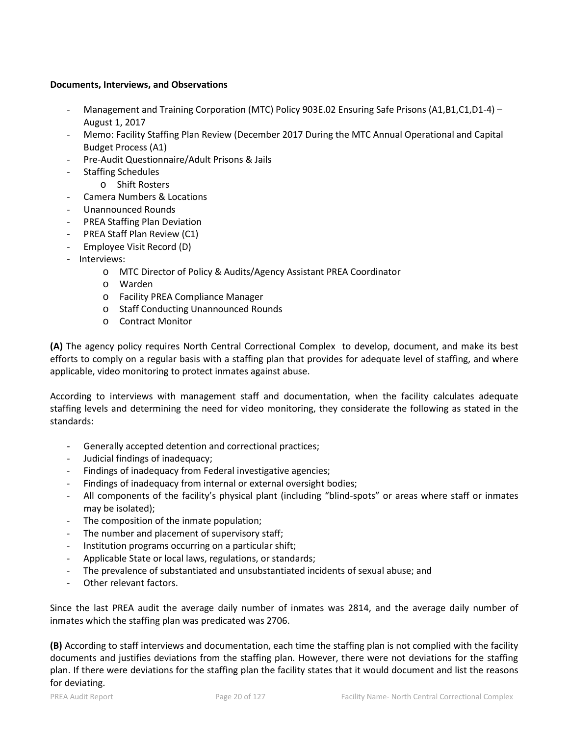### **Documents, Interviews, and Observations**

- Management and Training Corporation (MTC) Policy 903E.02 Ensuring Safe Prisons (A1,B1,C1,D1-4) August 1, 2017
- Memo: Facility Staffing Plan Review (December 2017 During the MTC Annual Operational and Capital Budget Process (A1)
- Pre-Audit Questionnaire/Adult Prisons & Jails
- Staffing Schedules
	- o Shift Rosters
- Camera Numbers & Locations
- Unannounced Rounds
- PREA Staffing Plan Deviation
- PREA Staff Plan Review (C1)
- Employee Visit Record (D)
- Interviews:
	- o MTC Director of Policy & Audits/Agency Assistant PREA Coordinator
	- o Warden
	- o Facility PREA Compliance Manager
	- o Staff Conducting Unannounced Rounds
	- o Contract Monitor

**(A)** The agency policy requires North Central Correctional Complex to develop, document, and make its best efforts to comply on a regular basis with a staffing plan that provides for adequate level of staffing, and where applicable, video monitoring to protect inmates against abuse.

According to interviews with management staff and documentation, when the facility calculates adequate staffing levels and determining the need for video monitoring, they considerate the following as stated in the standards:

- Generally accepted detention and correctional practices;
- Judicial findings of inadequacy;
- Findings of inadequacy from Federal investigative agencies;
- Findings of inadequacy from internal or external oversight bodies;
- All components of the facility's physical plant (including "blind-spots" or areas where staff or inmates may be isolated);
- The composition of the inmate population;
- The number and placement of supervisory staff;
- Institution programs occurring on a particular shift;
- Applicable State or local laws, regulations, or standards;
- The prevalence of substantiated and unsubstantiated incidents of sexual abuse; and
- Other relevant factors.

Since the last PREA audit the average daily number of inmates was 2814, and the average daily number of inmates which the staffing plan was predicated was 2706.

**(B)** According to staff interviews and documentation, each time the staffing plan is not complied with the facility documents and justifies deviations from the staffing plan. However, there were not deviations for the staffing plan. If there were deviations for the staffing plan the facility states that it would document and list the reasons for deviating.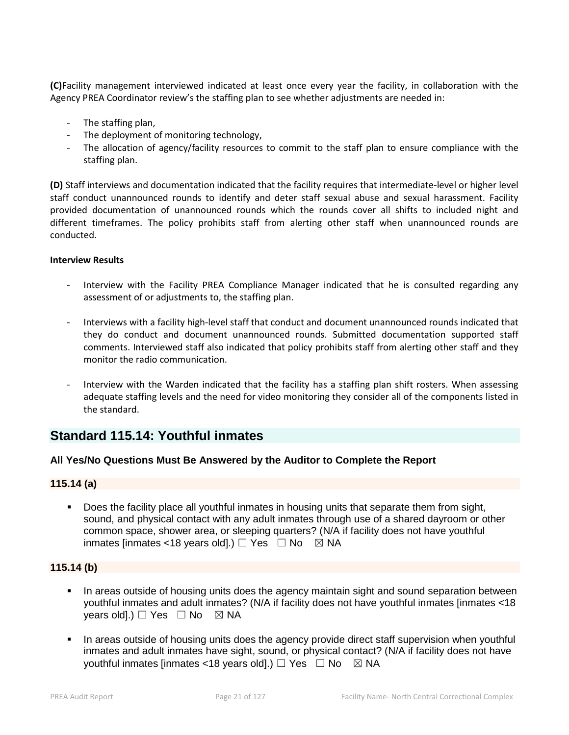**(C)**Facility management interviewed indicated at least once every year the facility, in collaboration with the Agency PREA Coordinator review's the staffing plan to see whether adjustments are needed in:

- The staffing plan,
- The deployment of monitoring technology,
- The allocation of agency/facility resources to commit to the staff plan to ensure compliance with the staffing plan.

**(D)** Staff interviews and documentation indicated that the facility requires that intermediate-level or higher level staff conduct unannounced rounds to identify and deter staff sexual abuse and sexual harassment. Facility provided documentation of unannounced rounds which the rounds cover all shifts to included night and different timeframes. The policy prohibits staff from alerting other staff when unannounced rounds are conducted.

## **Interview Results**

- Interview with the Facility PREA Compliance Manager indicated that he is consulted regarding any assessment of or adjustments to, the staffing plan.
- Interviews with a facility high-level staff that conduct and document unannounced rounds indicated that they do conduct and document unannounced rounds. Submitted documentation supported staff comments. Interviewed staff also indicated that policy prohibits staff from alerting other staff and they monitor the radio communication.
- Interview with the Warden indicated that the facility has a staffing plan shift rosters. When assessing adequate staffing levels and the need for video monitoring they consider all of the components listed in the standard.

# **Standard 115.14: Youthful inmates**

## **All Yes/No Questions Must Be Answered by the Auditor to Complete the Report**

## **115.14 (a)**

 Does the facility place all youthful inmates in housing units that separate them from sight, sound, and physical contact with any adult inmates through use of a shared dayroom or other common space, shower area, or sleeping quarters? (N/A if facility does not have youthful inmates [inmates <18 years old].)  $\Box$  Yes  $\Box$  No  $\boxtimes$  NA

# **115.14 (b)**

- In areas outside of housing units does the agency maintain sight and sound separation between youthful inmates and adult inmates? (N/A if facility does not have youthful inmates [inmates <18 years old].)  $\Box$  Yes  $\Box$  No  $\boxtimes$  NA
- In areas outside of housing units does the agency provide direct staff supervision when youthful inmates and adult inmates have sight, sound, or physical contact? (N/A if facility does not have youthful inmates [inmates <18 years old].)  $\Box$  Yes  $\Box$  No  $\boxtimes$  NA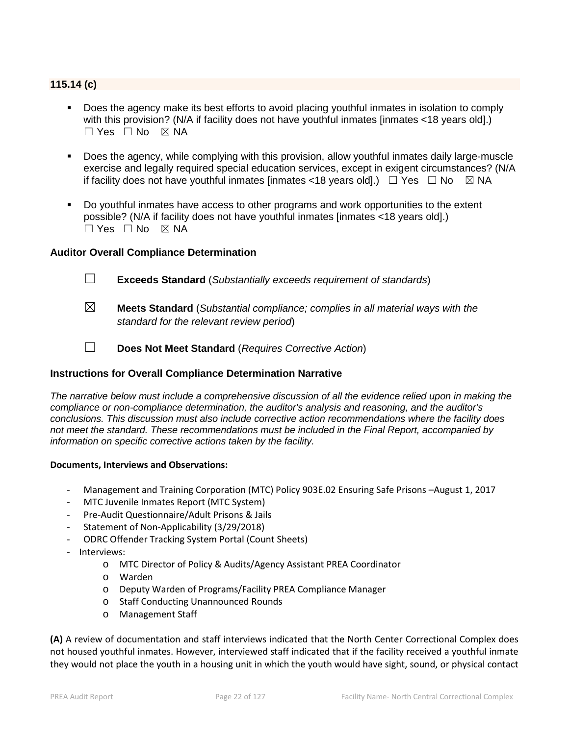# **115.14 (c)**

- Does the agency make its best efforts to avoid placing youthful inmates in isolation to comply with this provision? (N/A if facility does not have youthful inmates [inmates <18 years old].)  $\square$  Yes  $\square$  No  $\square$  NA
- Does the agency, while complying with this provision, allow youthful inmates daily large-muscle exercise and legally required special education services, except in exigent circumstances? (N/A if facility does not have youthful inmates [inmates <18 years old].)  $\Box$  Yes  $\Box$  No  $\boxtimes$  NA
- Do youthful inmates have access to other programs and work opportunities to the extent possible? (N/A if facility does not have youthful inmates [inmates <18 years old].)  $\Box$  Yes  $\Box$  No  $\boxtimes$  NA

## **Auditor Overall Compliance Determination**

- ☐ **Exceeds Standard** (*Substantially exceeds requirement of standards*)
- ☒ **Meets Standard** (*Substantial compliance; complies in all material ways with the standard for the relevant review period*)
- ☐ **Does Not Meet Standard** (*Requires Corrective Action*)

#### **Instructions for Overall Compliance Determination Narrative**

*The narrative below must include a comprehensive discussion of all the evidence relied upon in making the compliance or non-compliance determination, the auditor's analysis and reasoning, and the auditor's conclusions. This discussion must also include corrective action recommendations where the facility does not meet the standard. These recommendations must be included in the Final Report, accompanied by information on specific corrective actions taken by the facility.*

#### **Documents, Interviews and Observations:**

- Management and Training Corporation (MTC) Policy 903E.02 Ensuring Safe Prisons –August 1, 2017
- MTC Juvenile Inmates Report (MTC System)
- Pre-Audit Questionnaire/Adult Prisons & Jails
- Statement of Non-Applicability (3/29/2018)
- ODRC Offender Tracking System Portal (Count Sheets)
- Interviews:
	- o MTC Director of Policy & Audits/Agency Assistant PREA Coordinator
	- o Warden
	- o Deputy Warden of Programs/Facility PREA Compliance Manager
	- o Staff Conducting Unannounced Rounds
	- o Management Staff

**(A)** A review of documentation and staff interviews indicated that the North Center Correctional Complex does not housed youthful inmates. However, interviewed staff indicated that if the facility received a youthful inmate they would not place the youth in a housing unit in which the youth would have sight, sound, or physical contact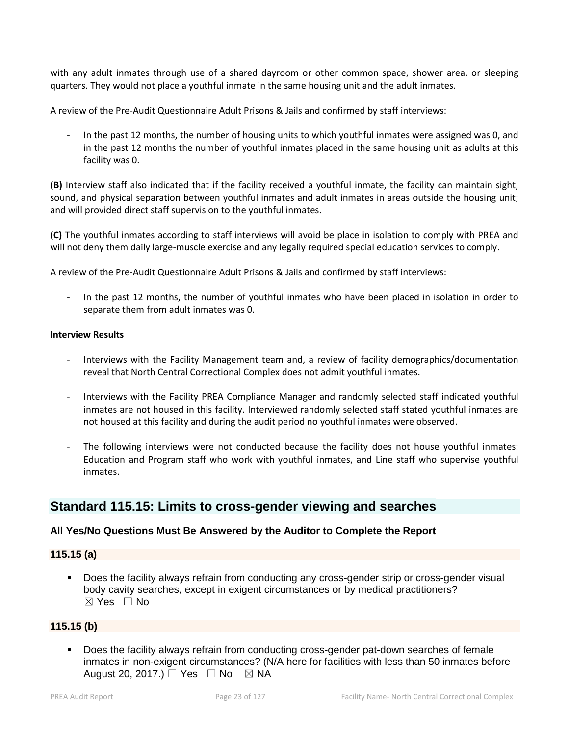with any adult inmates through use of a shared dayroom or other common space, shower area, or sleeping quarters. They would not place a youthful inmate in the same housing unit and the adult inmates.

A review of the Pre-Audit Questionnaire Adult Prisons & Jails and confirmed by staff interviews:

In the past 12 months, the number of housing units to which youthful inmates were assigned was 0, and in the past 12 months the number of youthful inmates placed in the same housing unit as adults at this facility was 0.

**(B)** Interview staff also indicated that if the facility received a youthful inmate, the facility can maintain sight, sound, and physical separation between youthful inmates and adult inmates in areas outside the housing unit; and will provided direct staff supervision to the youthful inmates.

**(C)** The youthful inmates according to staff interviews will avoid be place in isolation to comply with PREA and will not deny them daily large-muscle exercise and any legally required special education services to comply.

A review of the Pre-Audit Questionnaire Adult Prisons & Jails and confirmed by staff interviews:

In the past 12 months, the number of youthful inmates who have been placed in isolation in order to separate them from adult inmates was 0.

#### **Interview Results**

- Interviews with the Facility Management team and, a review of facility demographics/documentation reveal that North Central Correctional Complex does not admit youthful inmates.
- Interviews with the Facility PREA Compliance Manager and randomly selected staff indicated youthful inmates are not housed in this facility. Interviewed randomly selected staff stated youthful inmates are not housed at this facility and during the audit period no youthful inmates were observed.
- The following interviews were not conducted because the facility does not house youthful inmates: Education and Program staff who work with youthful inmates, and Line staff who supervise youthful inmates.

# **Standard 115.15: Limits to cross-gender viewing and searches**

# **All Yes/No Questions Must Be Answered by the Auditor to Complete the Report**

## **115.15 (a)**

 Does the facility always refrain from conducting any cross-gender strip or cross-gender visual body cavity searches, except in exigent circumstances or by medical practitioners? ☒ Yes ☐ No

# **115.15 (b)**

 Does the facility always refrain from conducting cross-gender pat-down searches of female inmates in non-exigent circumstances? (N/A here for facilities with less than 50 inmates before August 20, 2017.)  $\Box$  Yes  $\Box$  No  $\boxtimes$  NA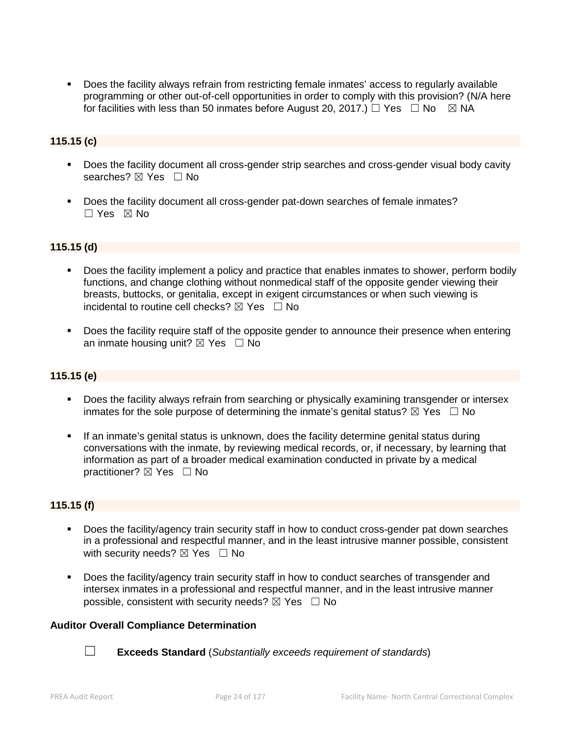Does the facility always refrain from restricting female inmates' access to regularly available programming or other out-of-cell opportunities in order to comply with this provision? (N/A here for facilities with less than 50 inmates before August 20, 2017.)  $\Box$  Yes  $\Box$  No  $\Box$  NA

# **115.15 (c)**

- Does the facility document all cross-gender strip searches and cross-gender visual body cavity searches? ⊠ Yes □ No
- Does the facility document all cross-gender pat-down searches of female inmates?  $\Box$  Yes  $\boxtimes$  No

## **115.15 (d)**

- Does the facility implement a policy and practice that enables inmates to shower, perform bodily functions, and change clothing without nonmedical staff of the opposite gender viewing their breasts, buttocks, or genitalia, except in exigent circumstances or when such viewing is incidental to routine cell checks?  $\boxtimes$  Yes  $\Box$  No
- Does the facility require staff of the opposite gender to announce their presence when entering an inmate housing unit?  $\boxtimes$  Yes  $\Box$  No

## **115.15 (e)**

- Does the facility always refrain from searching or physically examining transgender or intersex inmates for the sole purpose of determining the inmate's genital status?  $\boxtimes$  Yes  $\Box$  No
- If an inmate's genital status is unknown, does the facility determine genital status during conversations with the inmate, by reviewing medical records, or, if necessary, by learning that information as part of a broader medical examination conducted in private by a medical practitioner?  $\boxtimes$  Yes  $\Box$  No

## **115.15 (f)**

- Does the facility/agency train security staff in how to conduct cross-gender pat down searches in a professional and respectful manner, and in the least intrusive manner possible, consistent with security needs?  $\boxtimes$  Yes  $\Box$  No
- Does the facility/agency train security staff in how to conduct searches of transgender and intersex inmates in a professional and respectful manner, and in the least intrusive manner possible, consistent with security needs?  $\boxtimes$  Yes  $\Box$  No

## **Auditor Overall Compliance Determination**



☐ **Exceeds Standard** (*Substantially exceeds requirement of standards*)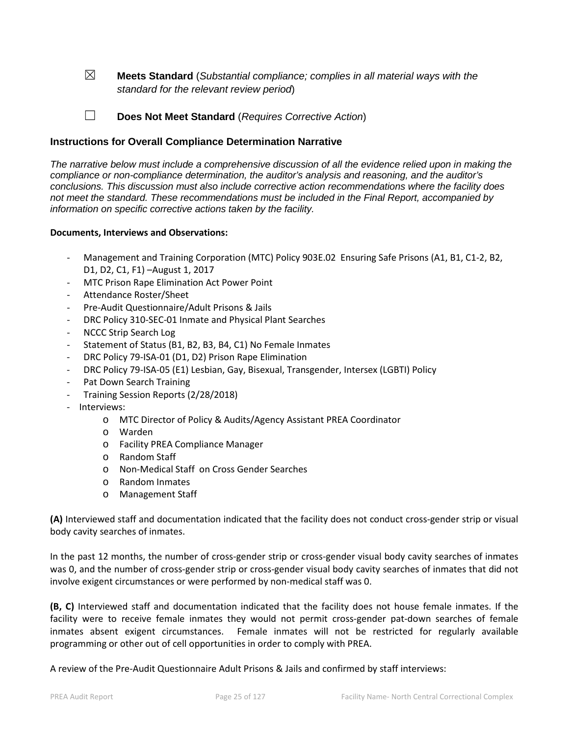☒ **Meets Standard** (*Substantial compliance; complies in all material ways with the standard for the relevant review period*)

☐ **Does Not Meet Standard** (*Requires Corrective Action*)

# **Instructions for Overall Compliance Determination Narrative**

*The narrative below must include a comprehensive discussion of all the evidence relied upon in making the compliance or non-compliance determination, the auditor's analysis and reasoning, and the auditor's conclusions. This discussion must also include corrective action recommendations where the facility does not meet the standard. These recommendations must be included in the Final Report, accompanied by information on specific corrective actions taken by the facility.*

#### **Documents, Interviews and Observations:**

- Management and Training Corporation (MTC) Policy 903E.02 Ensuring Safe Prisons (A1, B1, C1-2, B2, D1, D2, C1, F1) –August 1, 2017
- MTC Prison Rape Elimination Act Power Point
- Attendance Roster/Sheet
- Pre-Audit Questionnaire/Adult Prisons & Jails
- DRC Policy 310-SEC-01 Inmate and Physical Plant Searches
- NCCC Strip Search Log
- Statement of Status (B1, B2, B3, B4, C1) No Female Inmates
- DRC Policy 79-ISA-01 (D1, D2) Prison Rape Elimination
- DRC Policy 79-ISA-05 (E1) Lesbian, Gay, Bisexual, Transgender, Intersex (LGBTI) Policy
- Pat Down Search Training
- Training Session Reports (2/28/2018)
- Interviews:
	- o MTC Director of Policy & Audits/Agency Assistant PREA Coordinator
	- o Warden
	- o Facility PREA Compliance Manager
	- o Random Staff
	- o Non-Medical Staff on Cross Gender Searches
	- o Random Inmates
	- o Management Staff

**(A)** Interviewed staff and documentation indicated that the facility does not conduct cross-gender strip or visual body cavity searches of inmates.

In the past 12 months, the number of cross-gender strip or cross-gender visual body cavity searches of inmates was 0, and the number of cross-gender strip or cross-gender visual body cavity searches of inmates that did not involve exigent circumstances or were performed by non-medical staff was 0.

**(B, C)** Interviewed staff and documentation indicated that the facility does not house female inmates. If the facility were to receive female inmates they would not permit cross-gender pat-down searches of female inmates absent exigent circumstances. Female inmates will not be restricted for regularly available programming or other out of cell opportunities in order to comply with PREA.

A review of the Pre-Audit Questionnaire Adult Prisons & Jails and confirmed by staff interviews: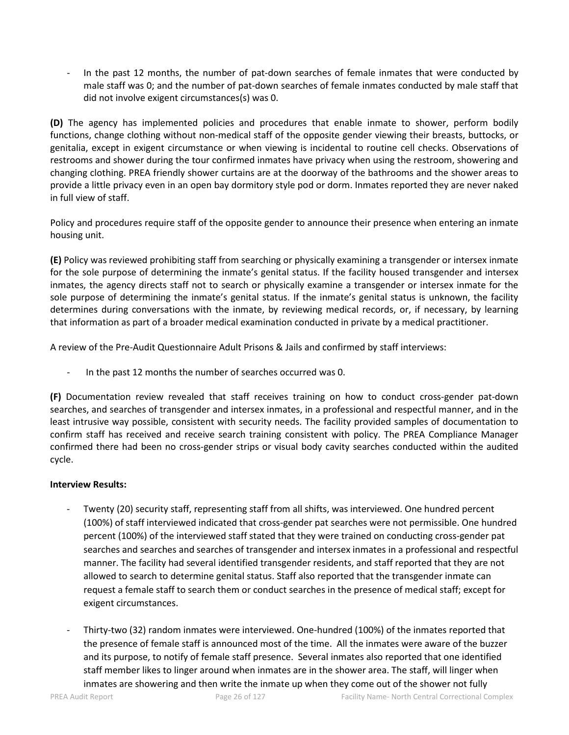In the past 12 months, the number of pat-down searches of female inmates that were conducted by male staff was 0; and the number of pat-down searches of female inmates conducted by male staff that did not involve exigent circumstances(s) was 0.

**(D)** The agency has implemented policies and procedures that enable inmate to shower, perform bodily functions, change clothing without non-medical staff of the opposite gender viewing their breasts, buttocks, or genitalia, except in exigent circumstance or when viewing is incidental to routine cell checks. Observations of restrooms and shower during the tour confirmed inmates have privacy when using the restroom, showering and changing clothing. PREA friendly shower curtains are at the doorway of the bathrooms and the shower areas to provide a little privacy even in an open bay dormitory style pod or dorm. Inmates reported they are never naked in full view of staff.

Policy and procedures require staff of the opposite gender to announce their presence when entering an inmate housing unit.

**(E)** Policy was reviewed prohibiting staff from searching or physically examining a transgender or intersex inmate for the sole purpose of determining the inmate's genital status. If the facility housed transgender and intersex inmates, the agency directs staff not to search or physically examine a transgender or intersex inmate for the sole purpose of determining the inmate's genital status. If the inmate's genital status is unknown, the facility determines during conversations with the inmate, by reviewing medical records, or, if necessary, by learning that information as part of a broader medical examination conducted in private by a medical practitioner.

A review of the Pre-Audit Questionnaire Adult Prisons & Jails and confirmed by staff interviews:

In the past 12 months the number of searches occurred was 0.

**(F)** Documentation review revealed that staff receives training on how to conduct cross-gender pat-down searches, and searches of transgender and intersex inmates, in a professional and respectful manner, and in the least intrusive way possible, consistent with security needs. The facility provided samples of documentation to confirm staff has received and receive search training consistent with policy. The PREA Compliance Manager confirmed there had been no cross-gender strips or visual body cavity searches conducted within the audited cycle.

## **Interview Results:**

- Twenty (20) security staff, representing staff from all shifts, was interviewed. One hundred percent (100%) of staff interviewed indicated that cross-gender pat searches were not permissible. One hundred percent (100%) of the interviewed staff stated that they were trained on conducting cross-gender pat searches and searches and searches of transgender and intersex inmates in a professional and respectful manner. The facility had several identified transgender residents, and staff reported that they are not allowed to search to determine genital status. Staff also reported that the transgender inmate can request a female staff to search them or conduct searches in the presence of medical staff; except for exigent circumstances.
- Thirty-two (32) random inmates were interviewed. One-hundred (100%) of the inmates reported that the presence of female staff is announced most of the time. All the inmates were aware of the buzzer and its purpose, to notify of female staff presence. Several inmates also reported that one identified staff member likes to linger around when inmates are in the shower area. The staff, will linger when inmates are showering and then write the inmate up when they come out of the shower not fully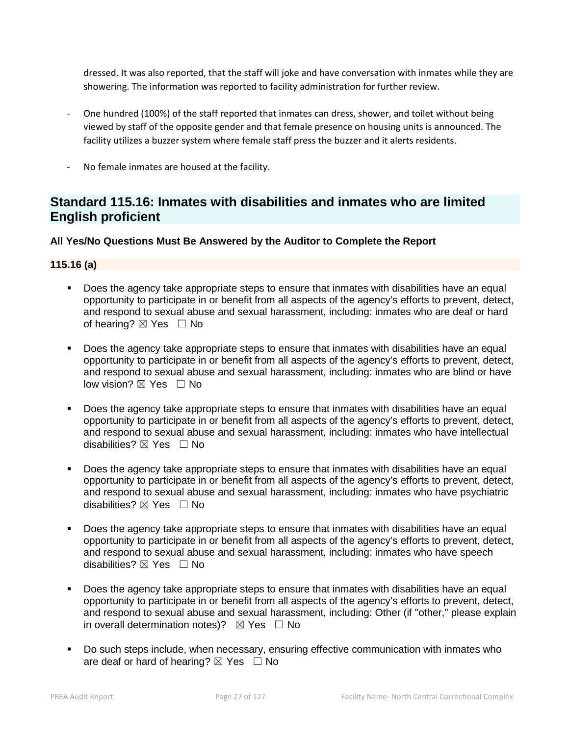dressed. It was also reported, that the staff will joke and have conversation with inmates while they are showering. The information was reported to facility administration for further review.

- One hundred (100%) of the staff reported that inmates can dress, shower, and toilet without being viewed by staff of the opposite gender and that female presence on housing units is announced. The facility utilizes a buzzer system where female staff press the buzzer and it alerts residents.
- No female inmates are housed at the facility.

# **Standard 115.16: Inmates with disabilities and inmates who are limited English proficient**

# **All Yes/No Questions Must Be Answered by the Auditor to Complete the Report**

## **115.16 (a)**

- Does the agency take appropriate steps to ensure that inmates with disabilities have an equal opportunity to participate in or benefit from all aspects of the agency's efforts to prevent, detect, and respond to sexual abuse and sexual harassment, including: inmates who are deaf or hard of hearing?  $\boxtimes$  Yes  $\Box$  No
- Does the agency take appropriate steps to ensure that inmates with disabilities have an equal opportunity to participate in or benefit from all aspects of the agency's efforts to prevent, detect, and respond to sexual abuse and sexual harassment, including: inmates who are blind or have low vision? ⊠ Yes □ No
- Does the agency take appropriate steps to ensure that inmates with disabilities have an equal opportunity to participate in or benefit from all aspects of the agency's efforts to prevent, detect, and respond to sexual abuse and sexual harassment, including: inmates who have intellectual disabilities? ⊠ Yes □ No
- Does the agency take appropriate steps to ensure that inmates with disabilities have an equal opportunity to participate in or benefit from all aspects of the agency's efforts to prevent, detect, and respond to sexual abuse and sexual harassment, including: inmates who have psychiatric disabilities?  $\boxtimes$  Yes  $\Box$  No
- Does the agency take appropriate steps to ensure that inmates with disabilities have an equal opportunity to participate in or benefit from all aspects of the agency's efforts to prevent, detect, and respond to sexual abuse and sexual harassment, including: inmates who have speech disabilities? ⊠ Yes □ No
- Does the agency take appropriate steps to ensure that inmates with disabilities have an equal opportunity to participate in or benefit from all aspects of the agency's efforts to prevent, detect, and respond to sexual abuse and sexual harassment, including: Other (if "other," please explain in overall determination notes)?  $\boxtimes$  Yes  $\Box$  No
- Do such steps include, when necessary, ensuring effective communication with inmates who are deaf or hard of hearing?  $\boxtimes$  Yes  $\Box$  No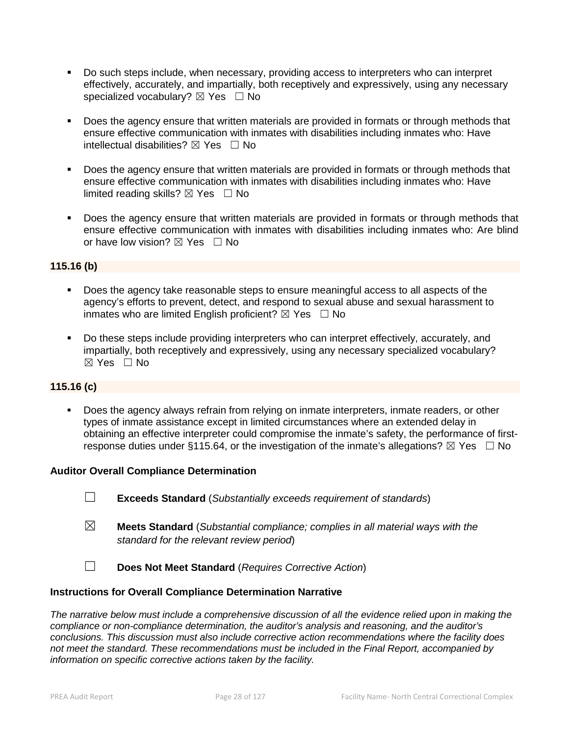- Do such steps include, when necessary, providing access to interpreters who can interpret effectively, accurately, and impartially, both receptively and expressively, using any necessary specialized vocabulary?  $\boxtimes$  Yes  $\Box$  No
- Does the agency ensure that written materials are provided in formats or through methods that ensure effective communication with inmates with disabilities including inmates who: Have intellectual disabilities?  $\boxtimes$  Yes  $\Box$  No
- Does the agency ensure that written materials are provided in formats or through methods that ensure effective communication with inmates with disabilities including inmates who: Have limited reading skills?  $\boxtimes$  Yes  $\Box$  No
- Does the agency ensure that written materials are provided in formats or through methods that ensure effective communication with inmates with disabilities including inmates who: Are blind or have low vision?  $\boxtimes$  Yes  $\Box$  No

# **115.16 (b)**

- Does the agency take reasonable steps to ensure meaningful access to all aspects of the agency's efforts to prevent, detect, and respond to sexual abuse and sexual harassment to inmates who are limited English proficient?  $\boxtimes$  Yes  $\Box$  No
- Do these steps include providing interpreters who can interpret effectively, accurately, and impartially, both receptively and expressively, using any necessary specialized vocabulary? ☒ Yes ☐ No

## **115.16 (c)**

 Does the agency always refrain from relying on inmate interpreters, inmate readers, or other types of inmate assistance except in limited circumstances where an extended delay in obtaining an effective interpreter could compromise the inmate's safety, the performance of firstresponse duties under §115.64, or the investigation of the inmate's allegations?  $\boxtimes$  Yes  $\Box$  No

## **Auditor Overall Compliance Determination**

- ☐ **Exceeds Standard** (*Substantially exceeds requirement of standards*)
- ☒ **Meets Standard** (*Substantial compliance; complies in all material ways with the standard for the relevant review period*)
- ☐ **Does Not Meet Standard** (*Requires Corrective Action*)

## **Instructions for Overall Compliance Determination Narrative**

*The narrative below must include a comprehensive discussion of all the evidence relied upon in making the compliance or non-compliance determination, the auditor's analysis and reasoning, and the auditor's conclusions. This discussion must also include corrective action recommendations where the facility does not meet the standard. These recommendations must be included in the Final Report, accompanied by information on specific corrective actions taken by the facility.*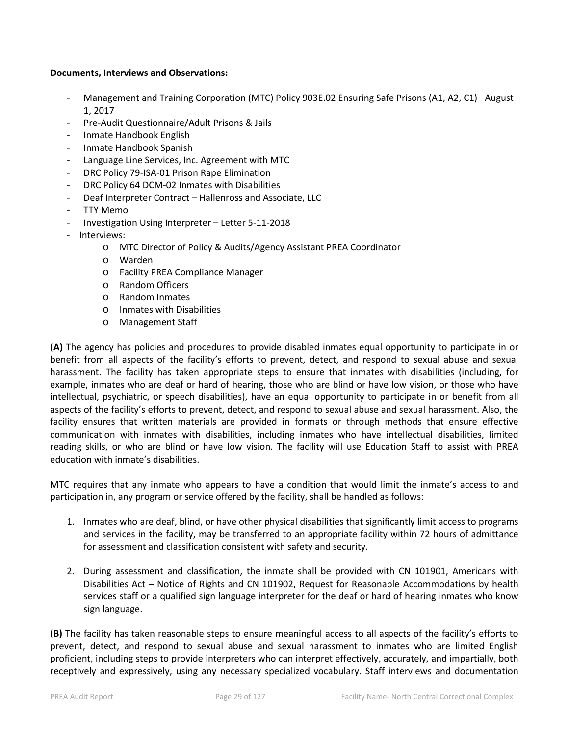#### **Documents, Interviews and Observations:**

- Management and Training Corporation (MTC) Policy 903E.02 Ensuring Safe Prisons (A1, A2, C1) –August 1, 2017
- Pre-Audit Questionnaire/Adult Prisons & Jails
- Inmate Handbook English
- Inmate Handbook Spanish
- Language Line Services, Inc. Agreement with MTC
- DRC Policy 79-ISA-01 Prison Rape Elimination
- DRC Policy 64 DCM-02 Inmates with Disabilities
- Deaf Interpreter Contract Hallenross and Associate, LLC
- TTY Memo
- Investigation Using Interpreter Letter 5-11-2018
- Interviews:
	- o MTC Director of Policy & Audits/Agency Assistant PREA Coordinator
	- o Warden
	- o Facility PREA Compliance Manager
	- o Random Officers
	- o Random Inmates
	- o Inmates with Disabilities
	- o Management Staff

**(A)** The agency has policies and procedures to provide disabled inmates equal opportunity to participate in or benefit from all aspects of the facility's efforts to prevent, detect, and respond to sexual abuse and sexual harassment. The facility has taken appropriate steps to ensure that inmates with disabilities (including, for example, inmates who are deaf or hard of hearing, those who are blind or have low vision, or those who have intellectual, psychiatric, or speech disabilities), have an equal opportunity to participate in or benefit from all aspects of the facility's efforts to prevent, detect, and respond to sexual abuse and sexual harassment. Also, the facility ensures that written materials are provided in formats or through methods that ensure effective communication with inmates with disabilities, including inmates who have intellectual disabilities, limited reading skills, or who are blind or have low vision. The facility will use Education Staff to assist with PREA education with inmate's disabilities.

MTC requires that any inmate who appears to have a condition that would limit the inmate's access to and participation in, any program or service offered by the facility, shall be handled as follows:

- 1. Inmates who are deaf, blind, or have other physical disabilities that significantly limit access to programs and services in the facility, may be transferred to an appropriate facility within 72 hours of admittance for assessment and classification consistent with safety and security.
- 2. During assessment and classification, the inmate shall be provided with CN 101901, Americans with Disabilities Act – Notice of Rights and CN 101902, Request for Reasonable Accommodations by health services staff or a qualified sign language interpreter for the deaf or hard of hearing inmates who know sign language.

**(B)** The facility has taken reasonable steps to ensure meaningful access to all aspects of the facility's efforts to prevent, detect, and respond to sexual abuse and sexual harassment to inmates who are limited English proficient, including steps to provide interpreters who can interpret effectively, accurately, and impartially, both receptively and expressively, using any necessary specialized vocabulary. Staff interviews and documentation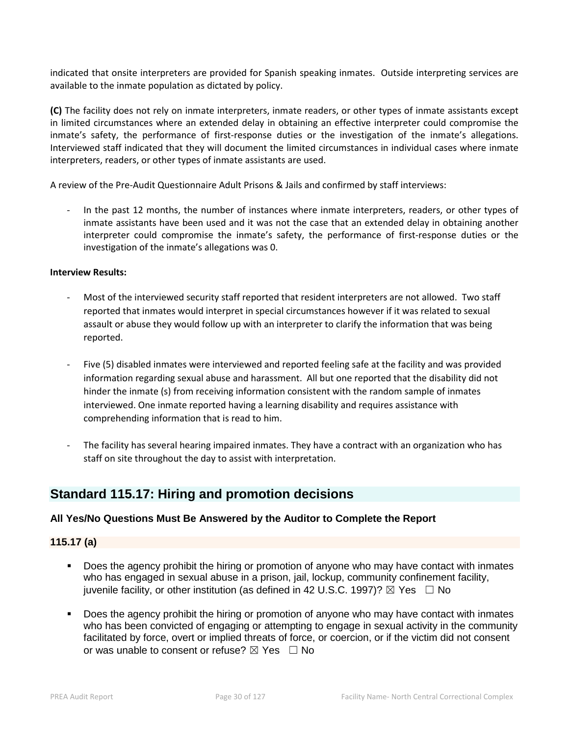indicated that onsite interpreters are provided for Spanish speaking inmates. Outside interpreting services are available to the inmate population as dictated by policy.

**(C)** The facility does not rely on inmate interpreters, inmate readers, or other types of inmate assistants except in limited circumstances where an extended delay in obtaining an effective interpreter could compromise the inmate's safety, the performance of first-response duties or the investigation of the inmate's allegations. Interviewed staff indicated that they will document the limited circumstances in individual cases where inmate interpreters, readers, or other types of inmate assistants are used.

A review of the Pre-Audit Questionnaire Adult Prisons & Jails and confirmed by staff interviews:

In the past 12 months, the number of instances where inmate interpreters, readers, or other types of inmate assistants have been used and it was not the case that an extended delay in obtaining another interpreter could compromise the inmate's safety, the performance of first-response duties or the investigation of the inmate's allegations was 0.

#### **Interview Results:**

- Most of the interviewed security staff reported that resident interpreters are not allowed. Two staff reported that inmates would interpret in special circumstances however if it was related to sexual assault or abuse they would follow up with an interpreter to clarify the information that was being reported.
- Five (5) disabled inmates were interviewed and reported feeling safe at the facility and was provided information regarding sexual abuse and harassment. All but one reported that the disability did not hinder the inmate (s) from receiving information consistent with the random sample of inmates interviewed. One inmate reported having a learning disability and requires assistance with comprehending information that is read to him.
- The facility has several hearing impaired inmates. They have a contract with an organization who has staff on site throughout the day to assist with interpretation.

# **Standard 115.17: Hiring and promotion decisions**

# **All Yes/No Questions Must Be Answered by the Auditor to Complete the Report**

## **115.17 (a)**

- Does the agency prohibit the hiring or promotion of anyone who may have contact with inmates who has engaged in sexual abuse in a prison, jail, lockup, community confinement facility, juvenile facility, or other institution (as defined in 42 U.S.C. 1997)?  $\boxtimes$  Yes  $\Box$  No
- Does the agency prohibit the hiring or promotion of anyone who may have contact with inmates who has been convicted of engaging or attempting to engage in sexual activity in the community facilitated by force, overt or implied threats of force, or coercion, or if the victim did not consent or was unable to consent or refuse?  $\boxtimes$  Yes  $\Box$  No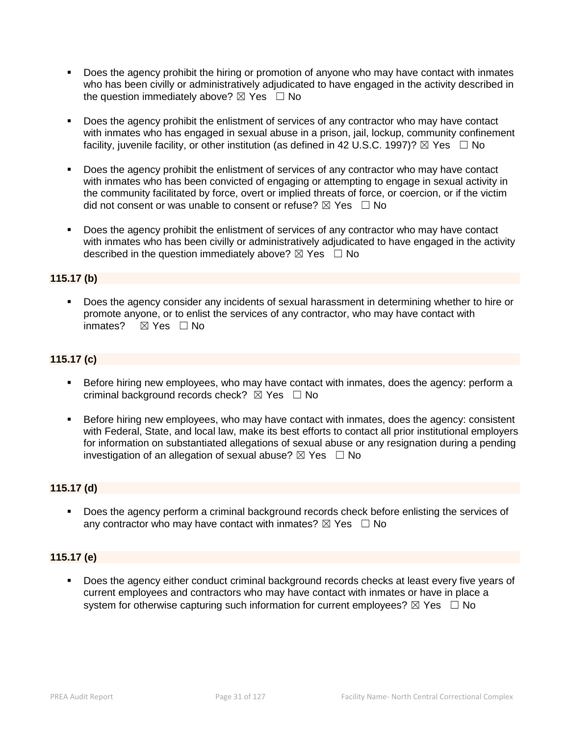- Does the agency prohibit the hiring or promotion of anyone who may have contact with inmates who has been civilly or administratively adjudicated to have engaged in the activity described in the question immediately above?  $\boxtimes$  Yes  $\Box$  No
- Does the agency prohibit the enlistment of services of any contractor who may have contact with inmates who has engaged in sexual abuse in a prison, jail, lockup, community confinement facility, juvenile facility, or other institution (as defined in 42 U.S.C. 1997)?  $\boxtimes$  Yes  $\Box$  No
- Does the agency prohibit the enlistment of services of any contractor who may have contact with inmates who has been convicted of engaging or attempting to engage in sexual activity in the community facilitated by force, overt or implied threats of force, or coercion, or if the victim did not consent or was unable to consent or refuse?  $\boxtimes$  Yes  $\Box$  No
- Does the agency prohibit the enlistment of services of any contractor who may have contact with inmates who has been civilly or administratively adjudicated to have engaged in the activity described in the question immediately above?  $\boxtimes$  Yes  $\Box$  No

# **115.17 (b)**

 Does the agency consider any incidents of sexual harassment in determining whether to hire or promote anyone, or to enlist the services of any contractor, who may have contact with inmates? **⊠ Yes** □ No

# **115.17 (c)**

- **Before hiring new employees, who may have contact with inmates, does the agency: perform a** criminal background records check?  $\boxtimes$  Yes  $\Box$  No
- Before hiring new employees, who may have contact with inmates, does the agency: consistent with Federal, State, and local law, make its best efforts to contact all prior institutional employers for information on substantiated allegations of sexual abuse or any resignation during a pending investigation of an allegation of sexual abuse?  $\boxtimes$  Yes  $\Box$  No

## **115.17 (d)**

 Does the agency perform a criminal background records check before enlisting the services of any contractor who may have contact with inmates?  $\boxtimes$  Yes  $\Box$  No

# **115.17 (e)**

 Does the agency either conduct criminal background records checks at least every five years of current employees and contractors who may have contact with inmates or have in place a system for otherwise capturing such information for current employees?  $\boxtimes$  Yes  $\Box$  No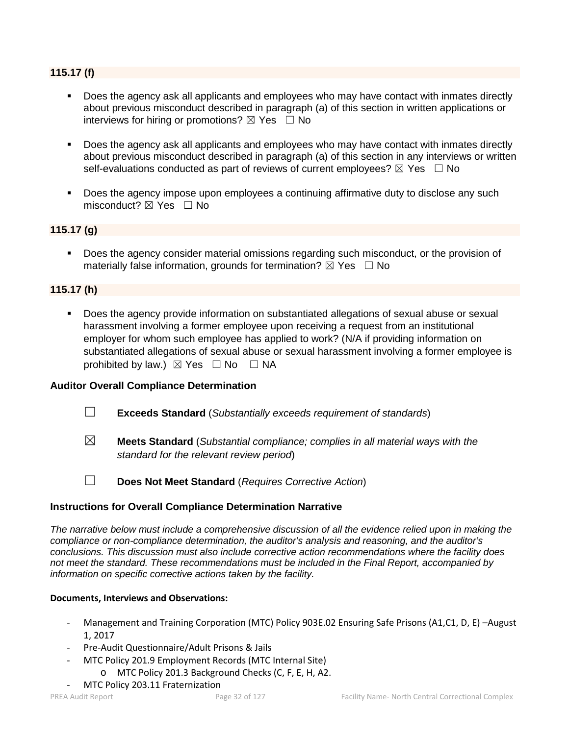# **115.17 (f)**

- Does the agency ask all applicants and employees who may have contact with inmates directly about previous misconduct described in paragraph (a) of this section in written applications or interviews for hiring or promotions?  $\boxtimes$  Yes  $\Box$  No
- Does the agency ask all applicants and employees who may have contact with inmates directly about previous misconduct described in paragraph (a) of this section in any interviews or written self-evaluations conducted as part of reviews of current employees?  $\boxtimes$  Yes  $\Box$  No
- Does the agency impose upon employees a continuing affirmative duty to disclose any such misconduct?  $\boxtimes$  Yes  $\Box$  No

# **115.17 (g)**

 Does the agency consider material omissions regarding such misconduct, or the provision of materially false information, grounds for termination?  $\boxtimes$  Yes  $\Box$  No

# **115.17 (h)**

 Does the agency provide information on substantiated allegations of sexual abuse or sexual harassment involving a former employee upon receiving a request from an institutional employer for whom such employee has applied to work? (N/A if providing information on substantiated allegations of sexual abuse or sexual harassment involving a former employee is prohibited by law.)  $\boxtimes$  Yes  $\Box$  No  $\Box$  NA

## **Auditor Overall Compliance Determination**

- ☐ **Exceeds Standard** (*Substantially exceeds requirement of standards*)
- ☒ **Meets Standard** (*Substantial compliance; complies in all material ways with the standard for the relevant review period*)

☐ **Does Not Meet Standard** (*Requires Corrective Action*)

## **Instructions for Overall Compliance Determination Narrative**

*The narrative below must include a comprehensive discussion of all the evidence relied upon in making the compliance or non-compliance determination, the auditor's analysis and reasoning, and the auditor's conclusions. This discussion must also include corrective action recommendations where the facility does not meet the standard. These recommendations must be included in the Final Report, accompanied by information on specific corrective actions taken by the facility.*

## **Documents, Interviews and Observations:**

- Management and Training Corporation (MTC) Policy 903E.02 Ensuring Safe Prisons (A1,C1, D, E) -August 1, 2017
- Pre-Audit Questionnaire/Adult Prisons & Jails
- MTC Policy 201.9 Employment Records (MTC Internal Site)
- o MTC Policy 201.3 Background Checks (C, F, E, H, A2.
- MTC Policy 203.11 Fraternization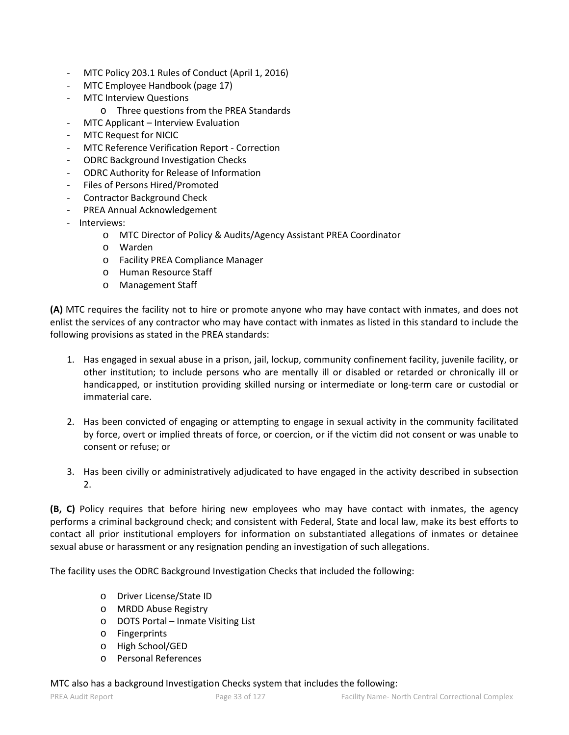- MTC Policy 203.1 Rules of Conduct (April 1, 2016)
- MTC Employee Handbook (page 17)
- **MTC Interview Questions** 
	- o Three questions from the PREA Standards
- MTC Applicant Interview Evaluation
- MTC Request for NICIC
- MTC Reference Verification Report Correction
- ODRC Background Investigation Checks
- ODRC Authority for Release of Information
- Files of Persons Hired/Promoted
- Contractor Background Check
- PREA Annual Acknowledgement
- Interviews:
	- o MTC Director of Policy & Audits/Agency Assistant PREA Coordinator
	- o Warden
	- o Facility PREA Compliance Manager
	- o Human Resource Staff
	- o Management Staff

**(A)** MTC requires the facility not to hire or promote anyone who may have contact with inmates, and does not enlist the services of any contractor who may have contact with inmates as listed in this standard to include the following provisions as stated in the PREA standards:

- 1. Has engaged in sexual abuse in a prison, jail, lockup, community confinement facility, juvenile facility, or other institution; to include persons who are mentally ill or disabled or retarded or chronically ill or handicapped, or institution providing skilled nursing or intermediate or long-term care or custodial or immaterial care.
- 2. Has been convicted of engaging or attempting to engage in sexual activity in the community facilitated by force, overt or implied threats of force, or coercion, or if the victim did not consent or was unable to consent or refuse; or
- 3. Has been civilly or administratively adjudicated to have engaged in the activity described in subsection 2.

**(B, C)** Policy requires that before hiring new employees who may have contact with inmates, the agency performs a criminal background check; and consistent with Federal, State and local law, make its best efforts to contact all prior institutional employers for information on substantiated allegations of inmates or detainee sexual abuse or harassment or any resignation pending an investigation of such allegations.

The facility uses the ODRC Background Investigation Checks that included the following:

- o Driver License/State ID
- o MRDD Abuse Registry
- o DOTS Portal Inmate Visiting List
- o Fingerprints
- o High School/GED
- o Personal References

## MTC also has a background Investigation Checks system that includes the following: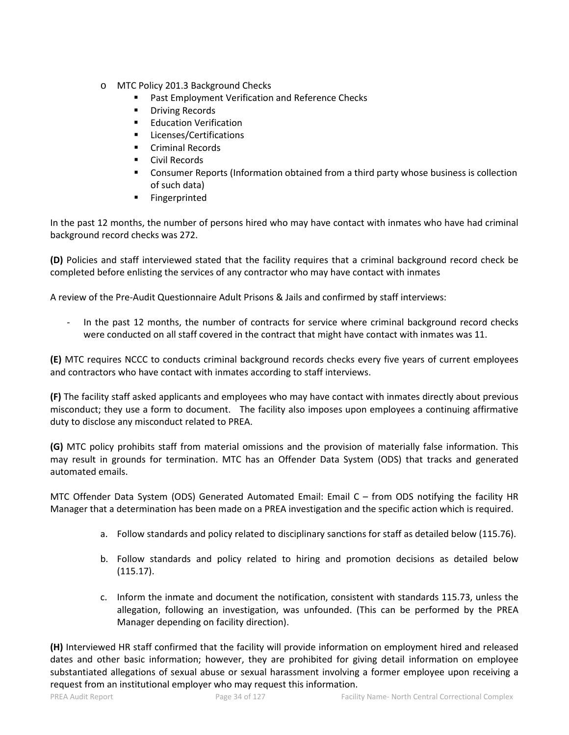- o MTC Policy 201.3 Background Checks
	- Past Employment Verification and Reference Checks
	- **•** Driving Records
	- **Education Verification**
	- **Licenses/Certifications**
	- Criminal Records
	- **Civil Records**
	- **Consumer Reports (Information obtained from a third party whose business is collection** of such data)
	- **Fingerprinted**

In the past 12 months, the number of persons hired who may have contact with inmates who have had criminal background record checks was 272.

**(D)** Policies and staff interviewed stated that the facility requires that a criminal background record check be completed before enlisting the services of any contractor who may have contact with inmates

A review of the Pre-Audit Questionnaire Adult Prisons & Jails and confirmed by staff interviews:

In the past 12 months, the number of contracts for service where criminal background record checks were conducted on all staff covered in the contract that might have contact with inmates was 11.

**(E)** MTC requires NCCC to conducts criminal background records checks every five years of current employees and contractors who have contact with inmates according to staff interviews.

**(F)** The facility staff asked applicants and employees who may have contact with inmates directly about previous misconduct; they use a form to document. The facility also imposes upon employees a continuing affirmative duty to disclose any misconduct related to PREA.

**(G)** MTC policy prohibits staff from material omissions and the provision of materially false information. This may result in grounds for termination. MTC has an Offender Data System (ODS) that tracks and generated automated emails.

MTC Offender Data System (ODS) Generated Automated Email: Email C – from ODS notifying the facility HR Manager that a determination has been made on a PREA investigation and the specific action which is required.

- a. Follow standards and policy related to disciplinary sanctions for staff as detailed below (115.76).
- b. Follow standards and policy related to hiring and promotion decisions as detailed below (115.17).
- c. Inform the inmate and document the notification, consistent with standards 115.73, unless the allegation, following an investigation, was unfounded. (This can be performed by the PREA Manager depending on facility direction).

**(H)** Interviewed HR staff confirmed that the facility will provide information on employment hired and released dates and other basic information; however, they are prohibited for giving detail information on employee substantiated allegations of sexual abuse or sexual harassment involving a former employee upon receiving a request from an institutional employer who may request this information.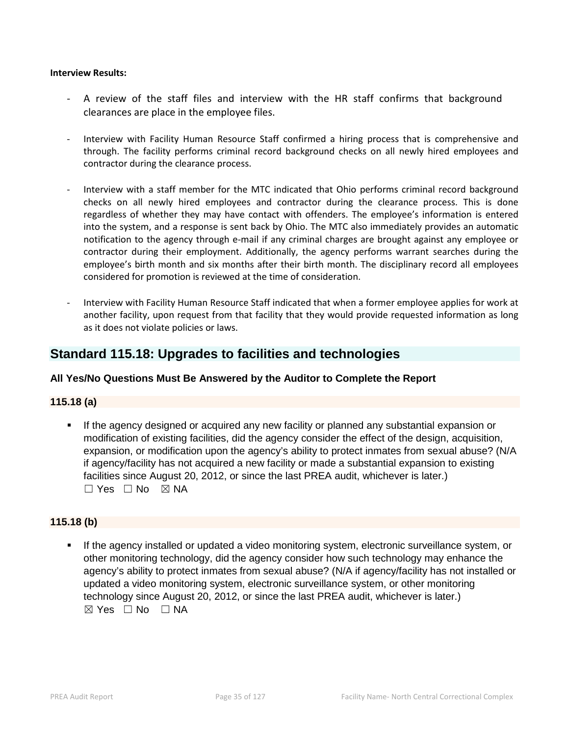#### **Interview Results:**

- A review of the staff files and interview with the HR staff confirms that background clearances are place in the employee files.
- Interview with Facility Human Resource Staff confirmed a hiring process that is comprehensive and through. The facility performs criminal record background checks on all newly hired employees and contractor during the clearance process.
- Interview with a staff member for the MTC indicated that Ohio performs criminal record background checks on all newly hired employees and contractor during the clearance process. This is done regardless of whether they may have contact with offenders. The employee's information is entered into the system, and a response is sent back by Ohio. The MTC also immediately provides an automatic notification to the agency through e-mail if any criminal charges are brought against any employee or contractor during their employment. Additionally, the agency performs warrant searches during the employee's birth month and six months after their birth month. The disciplinary record all employees considered for promotion is reviewed at the time of consideration.
- Interview with Facility Human Resource Staff indicated that when a former employee applies for work at another facility, upon request from that facility that they would provide requested information as long as it does not violate policies or laws.

# **Standard 115.18: Upgrades to facilities and technologies**

# **All Yes/No Questions Must Be Answered by the Auditor to Complete the Report**

## **115.18 (a)**

 If the agency designed or acquired any new facility or planned any substantial expansion or modification of existing facilities, did the agency consider the effect of the design, acquisition, expansion, or modification upon the agency's ability to protect inmates from sexual abuse? (N/A if agency/facility has not acquired a new facility or made a substantial expansion to existing facilities since August 20, 2012, or since the last PREA audit, whichever is later.)  $\square$  Yes  $\square$  No  $\square$  NA

# **115.18 (b)**

 If the agency installed or updated a video monitoring system, electronic surveillance system, or other monitoring technology, did the agency consider how such technology may enhance the agency's ability to protect inmates from sexual abuse? (N/A if agency/facility has not installed or updated a video monitoring system, electronic surveillance system, or other monitoring technology since August 20, 2012, or since the last PREA audit, whichever is later.)  $\boxtimes$  Yes  $\Box$  No  $\Box$  NA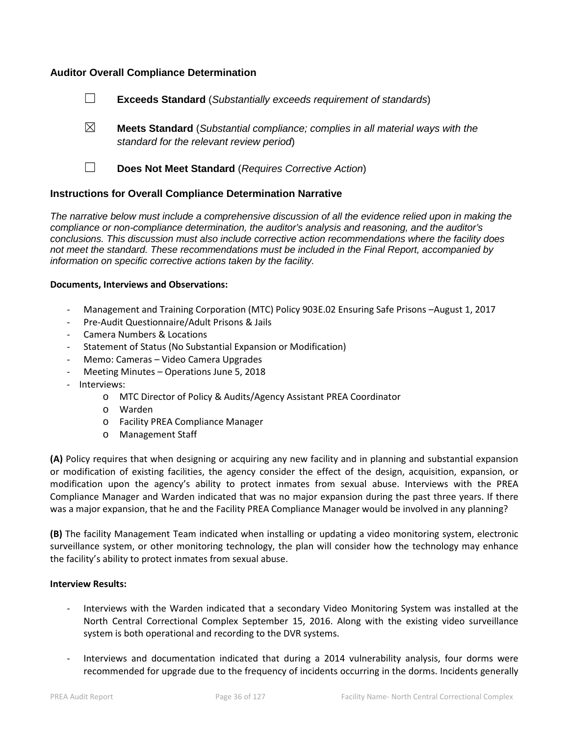# **Auditor Overall Compliance Determination**

- ☐ **Exceeds Standard** (*Substantially exceeds requirement of standards*)
- ☒ **Meets Standard** (*Substantial compliance; complies in all material ways with the standard for the relevant review period*)
- 
- ☐ **Does Not Meet Standard** (*Requires Corrective Action*)

## **Instructions for Overall Compliance Determination Narrative**

*The narrative below must include a comprehensive discussion of all the evidence relied upon in making the compliance or non-compliance determination, the auditor's analysis and reasoning, and the auditor's conclusions. This discussion must also include corrective action recommendations where the facility does not meet the standard. These recommendations must be included in the Final Report, accompanied by information on specific corrective actions taken by the facility.*

## **Documents, Interviews and Observations:**

- Management and Training Corporation (MTC) Policy 903E.02 Ensuring Safe Prisons –August 1, 2017
- Pre-Audit Questionnaire/Adult Prisons & Jails
- Camera Numbers & Locations
- Statement of Status (No Substantial Expansion or Modification)
- Memo: Cameras Video Camera Upgrades
- Meeting Minutes Operations June 5, 2018
- Interviews:
	- o MTC Director of Policy & Audits/Agency Assistant PREA Coordinator
	- o Warden
	- o Facility PREA Compliance Manager
	- o Management Staff

**(A)** Policy requires that when designing or acquiring any new facility and in planning and substantial expansion or modification of existing facilities, the agency consider the effect of the design, acquisition, expansion, or modification upon the agency's ability to protect inmates from sexual abuse. Interviews with the PREA Compliance Manager and Warden indicated that was no major expansion during the past three years. If there was a major expansion, that he and the Facility PREA Compliance Manager would be involved in any planning?

**(B)** The facility Management Team indicated when installing or updating a video monitoring system, electronic surveillance system, or other monitoring technology, the plan will consider how the technology may enhance the facility's ability to protect inmates from sexual abuse.

#### **Interview Results:**

- Interviews with the Warden indicated that a secondary Video Monitoring System was installed at the North Central Correctional Complex September 15, 2016. Along with the existing video surveillance system is both operational and recording to the DVR systems.
- Interviews and documentation indicated that during a 2014 vulnerability analysis, four dorms were recommended for upgrade due to the frequency of incidents occurring in the dorms. Incidents generally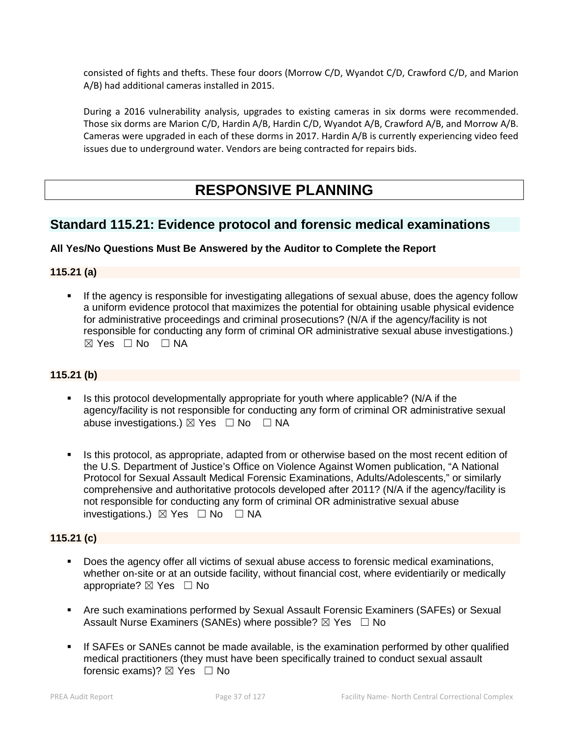consisted of fights and thefts. These four doors (Morrow C/D, Wyandot C/D, Crawford C/D, and Marion A/B) had additional cameras installed in 2015.

During a 2016 vulnerability analysis, upgrades to existing cameras in six dorms were recommended. Those six dorms are Marion C/D, Hardin A/B, Hardin C/D, Wyandot A/B, Crawford A/B, and Morrow A/B. Cameras were upgraded in each of these dorms in 2017. Hardin A/B is currently experiencing video feed issues due to underground water. Vendors are being contracted for repairs bids.

# **RESPONSIVE PLANNING**

# **Standard 115.21: Evidence protocol and forensic medical examinations**

# **All Yes/No Questions Must Be Answered by the Auditor to Complete the Report**

# **115.21 (a)**

 If the agency is responsible for investigating allegations of sexual abuse, does the agency follow a uniform evidence protocol that maximizes the potential for obtaining usable physical evidence for administrative proceedings and criminal prosecutions? (N/A if the agency/facility is not responsible for conducting any form of criminal OR administrative sexual abuse investigations.)  $\boxtimes$  Yes  $\Box$  No  $\Box$  NA

# **115.21 (b)**

- Is this protocol developmentally appropriate for youth where applicable? (N/A if the agency/facility is not responsible for conducting any form of criminal OR administrative sexual abuse investigations.)  $\boxtimes$  Yes  $\Box$  No  $\Box$  NA
- Is this protocol, as appropriate, adapted from or otherwise based on the most recent edition of the U.S. Department of Justice's Office on Violence Against Women publication, "A National Protocol for Sexual Assault Medical Forensic Examinations, Adults/Adolescents," or similarly comprehensive and authoritative protocols developed after 2011? (N/A if the agency/facility is not responsible for conducting any form of criminal OR administrative sexual abuse investigations.) ☒ Yes ☐ No ☐ NA

# **115.21 (c)**

- Does the agency offer all victims of sexual abuse access to forensic medical examinations, whether on-site or at an outside facility, without financial cost, where evidentiarily or medically appropriate?  $\boxtimes$  Yes  $\Box$  No
- Are such examinations performed by Sexual Assault Forensic Examiners (SAFEs) or Sexual Assault Nurse Examiners (SANEs) where possible?  $\boxtimes$  Yes  $\Box$  No
- If SAFEs or SANEs cannot be made available, is the examination performed by other qualified medical practitioners (they must have been specifically trained to conduct sexual assault forensic exams)?  $\boxtimes$  Yes  $\Box$  No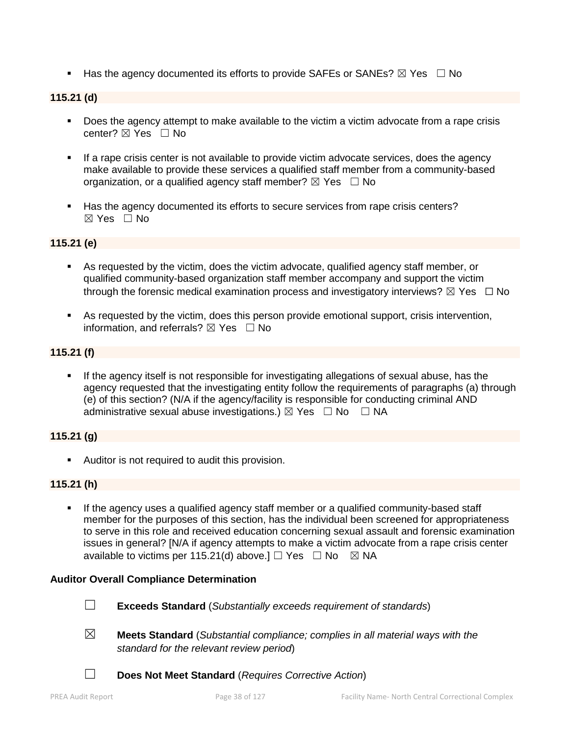Has the agency documented its efforts to provide SAFEs or SANEs?  $\boxtimes$  Yes  $\Box$  No

# **115.21 (d)**

- Does the agency attempt to make available to the victim a victim advocate from a rape crisis center?  $\boxtimes$  Yes  $\Box$  No
- **If a rape crisis center is not available to provide victim advocate services, does the agency** make available to provide these services a qualified staff member from a community-based organization, or a qualified agency staff member?  $\boxtimes$  Yes  $\Box$  No
- Has the agency documented its efforts to secure services from rape crisis centers?  $\boxtimes$  Yes  $\Box$  No

# **115.21 (e)**

- As requested by the victim, does the victim advocate, qualified agency staff member, or qualified community-based organization staff member accompany and support the victim through the forensic medical examination process and investigatory interviews?  $\boxtimes$  Yes  $\Box$  No
- As requested by the victim, does this person provide emotional support, crisis intervention, information, and referrals?  $\boxtimes$  Yes  $\Box$  No

#### **115.21 (f)**

 If the agency itself is not responsible for investigating allegations of sexual abuse, has the agency requested that the investigating entity follow the requirements of paragraphs (a) through (e) of this section? (N/A if the agency/facility is responsible for conducting criminal AND administrative sexual abuse investigations.)  $\boxtimes$  Yes  $\Box$  No  $\Box$  NA

#### **115.21 (g)**

**Auditor is not required to audit this provision.** 

## **115.21 (h)**

 If the agency uses a qualified agency staff member or a qualified community-based staff member for the purposes of this section, has the individual been screened for appropriateness to serve in this role and received education concerning sexual assault and forensic examination issues in general? [N/A if agency attempts to make a victim advocate from a rape crisis center available to victims per 115.21(d) above.]  $\Box$  Yes  $\Box$  No  $\boxtimes$  NA

#### **Auditor Overall Compliance Determination**



- ☐ **Exceeds Standard** (*Substantially exceeds requirement of standards*)
- ☒ **Meets Standard** (*Substantial compliance; complies in all material ways with the standard for the relevant review period*)
- ☐ **Does Not Meet Standard** (*Requires Corrective Action*)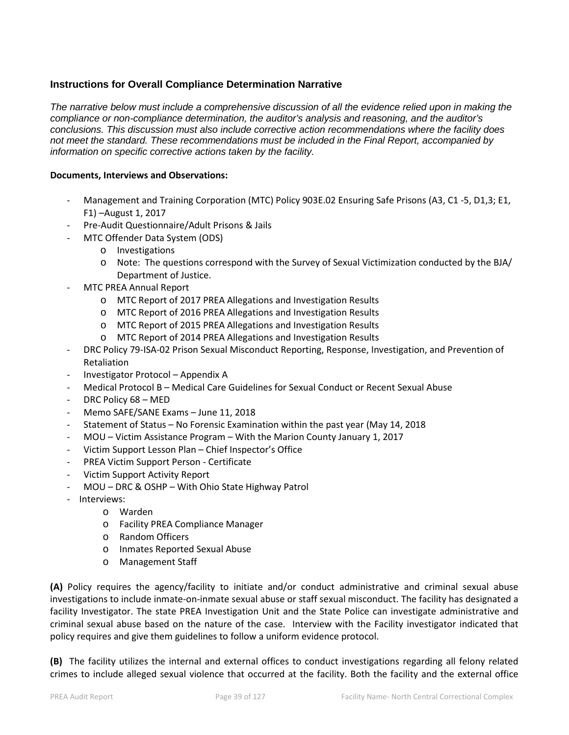# **Instructions for Overall Compliance Determination Narrative**

*The narrative below must include a comprehensive discussion of all the evidence relied upon in making the compliance or non-compliance determination, the auditor's analysis and reasoning, and the auditor's conclusions. This discussion must also include corrective action recommendations where the facility does not meet the standard. These recommendations must be included in the Final Report, accompanied by information on specific corrective actions taken by the facility.*

#### **Documents, Interviews and Observations:**

- Management and Training Corporation (MTC) Policy 903E.02 Ensuring Safe Prisons (A3, C1 -5, D1,3; E1, F1) –August 1, 2017
- Pre-Audit Questionnaire/Adult Prisons & Jails
- MTC Offender Data System (ODS)
	- o Investigations
	- o Note: The questions correspond with the Survey of Sexual Victimization conducted by the BJA/ Department of Justice.
- MTC PREA Annual Report
	- o MTC Report of 2017 PREA Allegations and Investigation Results
	- o MTC Report of 2016 PREA Allegations and Investigation Results
	- o MTC Report of 2015 PREA Allegations and Investigation Results
	- o MTC Report of 2014 PREA Allegations and Investigation Results
- DRC Policy 79-ISA-02 Prison Sexual Misconduct Reporting, Response, Investigation, and Prevention of Retaliation
- Investigator Protocol Appendix A
- Medical Protocol B Medical Care Guidelines for Sexual Conduct or Recent Sexual Abuse
- DRC Policy 68 MED
- Memo SAFE/SANE Exams June 11, 2018
- Statement of Status No Forensic Examination within the past year (May 14, 2018
- MOU Victim Assistance Program With the Marion County January 1, 2017
- Victim Support Lesson Plan Chief Inspector's Office
- PREA Victim Support Person Certificate
- Victim Support Activity Report
- MOU DRC & OSHP With Ohio State Highway Patrol
- Interviews:
	- o Warden
	- o Facility PREA Compliance Manager
	- o Random Officers
	- o Inmates Reported Sexual Abuse
	- o Management Staff

**(A)** Policy requires the agency/facility to initiate and/or conduct administrative and criminal sexual abuse investigations to include inmate-on-inmate sexual abuse or staff sexual misconduct. The facility has designated a facility Investigator. The state PREA Investigation Unit and the State Police can investigate administrative and criminal sexual abuse based on the nature of the case. Interview with the Facility investigator indicated that policy requires and give them guidelines to follow a uniform evidence protocol.

**(B)** The facility utilizes the internal and external offices to conduct investigations regarding all felony related crimes to include alleged sexual violence that occurred at the facility. Both the facility and the external office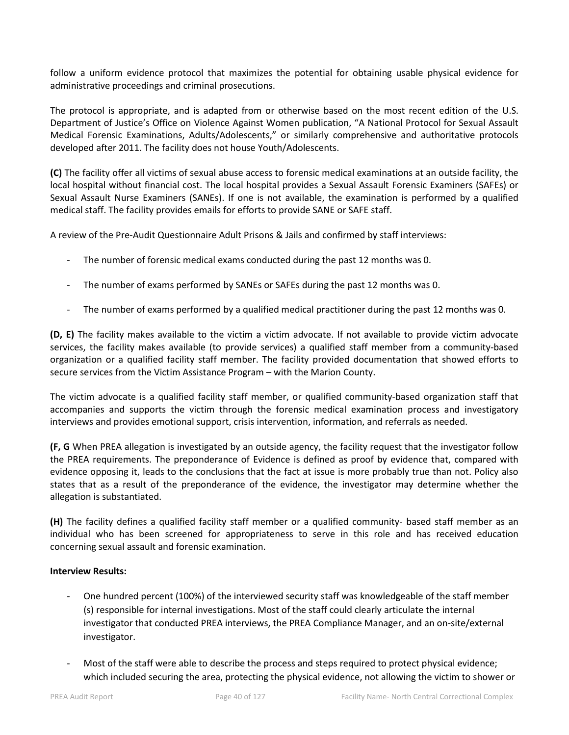follow a uniform evidence protocol that maximizes the potential for obtaining usable physical evidence for administrative proceedings and criminal prosecutions.

The protocol is appropriate, and is adapted from or otherwise based on the most recent edition of the U.S. Department of Justice's Office on Violence Against Women publication, "A National Protocol for Sexual Assault Medical Forensic Examinations, Adults/Adolescents," or similarly comprehensive and authoritative protocols developed after 2011. The facility does not house Youth/Adolescents.

**(C)** The facility offer all victims of sexual abuse access to forensic medical examinations at an outside facility, the local hospital without financial cost. The local hospital provides a Sexual Assault Forensic Examiners (SAFEs) or Sexual Assault Nurse Examiners (SANEs). If one is not available, the examination is performed by a qualified medical staff. The facility provides emails for efforts to provide SANE or SAFE staff.

A review of the Pre-Audit Questionnaire Adult Prisons & Jails and confirmed by staff interviews:

- The number of forensic medical exams conducted during the past 12 months was 0.
- The number of exams performed by SANEs or SAFEs during the past 12 months was 0.
- The number of exams performed by a qualified medical practitioner during the past 12 months was 0.

**(D, E)** The facility makes available to the victim a victim advocate. If not available to provide victim advocate services, the facility makes available (to provide services) a qualified staff member from a community-based organization or a qualified facility staff member. The facility provided documentation that showed efforts to secure services from the Victim Assistance Program – with the Marion County.

The victim advocate is a qualified facility staff member, or qualified community-based organization staff that accompanies and supports the victim through the forensic medical examination process and investigatory interviews and provides emotional support, crisis intervention, information, and referrals as needed.

**(F, G** When PREA allegation is investigated by an outside agency, the facility request that the investigator follow the PREA requirements. The preponderance of Evidence is defined as proof by evidence that, compared with evidence opposing it, leads to the conclusions that the fact at issue is more probably true than not. Policy also states that as a result of the preponderance of the evidence, the investigator may determine whether the allegation is substantiated.

**(H)** The facility defines a qualified facility staff member or a qualified community- based staff member as an individual who has been screened for appropriateness to serve in this role and has received education concerning sexual assault and forensic examination.

#### **Interview Results:**

- One hundred percent (100%) of the interviewed security staff was knowledgeable of the staff member (s) responsible for internal investigations. Most of the staff could clearly articulate the internal investigator that conducted PREA interviews, the PREA Compliance Manager, and an on-site/external investigator.
- Most of the staff were able to describe the process and steps required to protect physical evidence; which included securing the area, protecting the physical evidence, not allowing the victim to shower or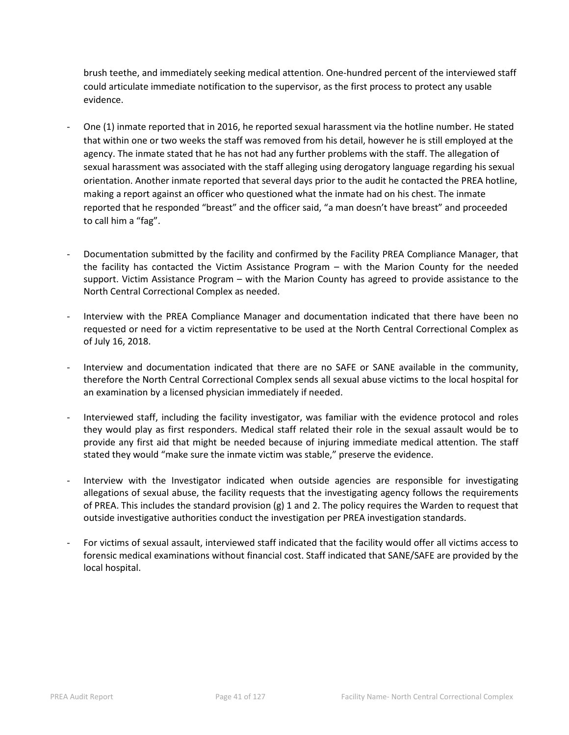brush teethe, and immediately seeking medical attention. One-hundred percent of the interviewed staff could articulate immediate notification to the supervisor, as the first process to protect any usable evidence.

- One (1) inmate reported that in 2016, he reported sexual harassment via the hotline number. He stated that within one or two weeks the staff was removed from his detail, however he is still employed at the agency. The inmate stated that he has not had any further problems with the staff. The allegation of sexual harassment was associated with the staff alleging using derogatory language regarding his sexual orientation. Another inmate reported that several days prior to the audit he contacted the PREA hotline, making a report against an officer who questioned what the inmate had on his chest. The inmate reported that he responded "breast" and the officer said, "a man doesn't have breast" and proceeded to call him a "fag".
- Documentation submitted by the facility and confirmed by the Facility PREA Compliance Manager, that the facility has contacted the Victim Assistance Program – with the Marion County for the needed support. Victim Assistance Program – with the Marion County has agreed to provide assistance to the North Central Correctional Complex as needed.
- Interview with the PREA Compliance Manager and documentation indicated that there have been no requested or need for a victim representative to be used at the North Central Correctional Complex as of July 16, 2018.
- Interview and documentation indicated that there are no SAFE or SANE available in the community, therefore the North Central Correctional Complex sends all sexual abuse victims to the local hospital for an examination by a licensed physician immediately if needed.
- Interviewed staff, including the facility investigator, was familiar with the evidence protocol and roles they would play as first responders. Medical staff related their role in the sexual assault would be to provide any first aid that might be needed because of injuring immediate medical attention. The staff stated they would "make sure the inmate victim was stable," preserve the evidence.
- Interview with the Investigator indicated when outside agencies are responsible for investigating allegations of sexual abuse, the facility requests that the investigating agency follows the requirements of PREA. This includes the standard provision (g) 1 and 2. The policy requires the Warden to request that outside investigative authorities conduct the investigation per PREA investigation standards.
- For victims of sexual assault, interviewed staff indicated that the facility would offer all victims access to forensic medical examinations without financial cost. Staff indicated that SANE/SAFE are provided by the local hospital.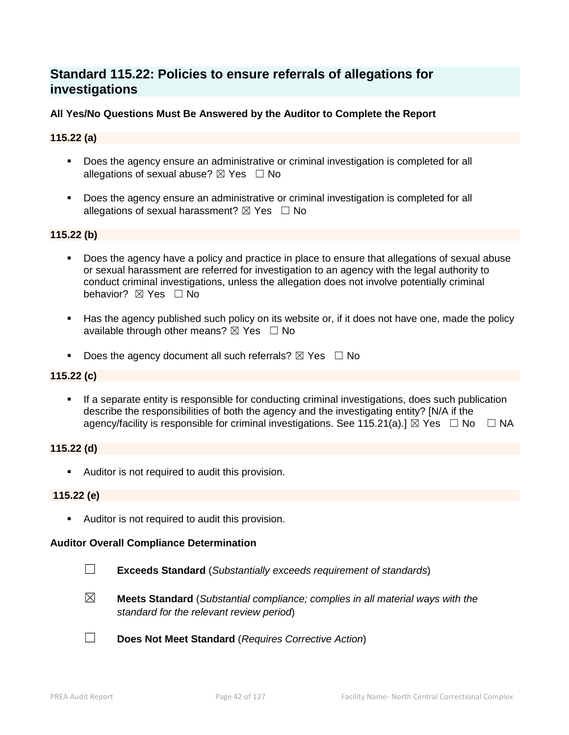# **Standard 115.22: Policies to ensure referrals of allegations for investigations**

# **All Yes/No Questions Must Be Answered by the Auditor to Complete the Report**

# **115.22 (a)**

- Does the agency ensure an administrative or criminal investigation is completed for all allegations of sexual abuse?  $\boxtimes$  Yes  $\Box$  No
- **Does the agency ensure an administrative or criminal investigation is completed for all** allegations of sexual harassment?  $\boxtimes$  Yes  $\Box$  No

#### **115.22 (b)**

- Does the agency have a policy and practice in place to ensure that allegations of sexual abuse or sexual harassment are referred for investigation to an agency with the legal authority to conduct criminal investigations, unless the allegation does not involve potentially criminal behavior? **⊠** Yes □ No
- Has the agency published such policy on its website or, if it does not have one, made the policy available through other means?  $\boxtimes$  Yes  $\Box$  No
- Does the agency document all such referrals?  $\boxtimes$  Yes  $\Box$  No

#### **115.22 (c)**

 If a separate entity is responsible for conducting criminal investigations, does such publication describe the responsibilities of both the agency and the investigating entity? [N/A if the agency/facility is responsible for criminal investigations. See 115.21(a).]  $\boxtimes$  Yes  $\Box$  No  $\Box$  NA

#### **115.22 (d)**

**Auditor is not required to audit this provision.** 

#### **115.22 (e)**

Auditor is not required to audit this provision.

#### **Auditor Overall Compliance Determination**

- ☐ **Exceeds Standard** (*Substantially exceeds requirement of standards*)
- ☒ **Meets Standard** (*Substantial compliance; complies in all material ways with the standard for the relevant review period*)
- ☐ **Does Not Meet Standard** (*Requires Corrective Action*)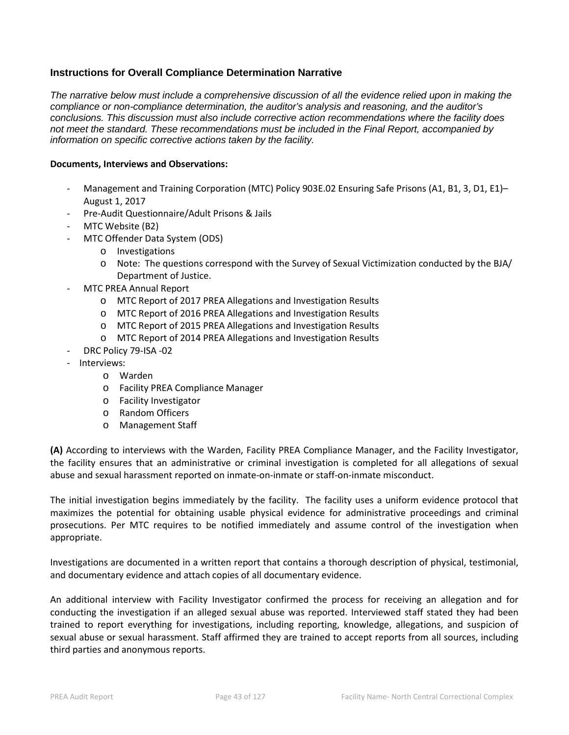# **Instructions for Overall Compliance Determination Narrative**

*The narrative below must include a comprehensive discussion of all the evidence relied upon in making the compliance or non-compliance determination, the auditor's analysis and reasoning, and the auditor's conclusions. This discussion must also include corrective action recommendations where the facility does not meet the standard. These recommendations must be included in the Final Report, accompanied by information on specific corrective actions taken by the facility.*

#### **Documents, Interviews and Observations:**

- Management and Training Corporation (MTC) Policy 903E.02 Ensuring Safe Prisons (A1, B1, 3, D1, E1)-August 1, 2017
- Pre-Audit Questionnaire/Adult Prisons & Jails
- MTC Website (B2)
- MTC Offender Data System (ODS)
	- o Investigations
	- o Note: The questions correspond with the Survey of Sexual Victimization conducted by the BJA/ Department of Justice.
- MTC PREA Annual Report
	- o MTC Report of 2017 PREA Allegations and Investigation Results
	- o MTC Report of 2016 PREA Allegations and Investigation Results
	- o MTC Report of 2015 PREA Allegations and Investigation Results
	- o MTC Report of 2014 PREA Allegations and Investigation Results
- DRC Policy 79-ISA -02
- Interviews:
	- o Warden
	- o Facility PREA Compliance Manager
	- o Facility Investigator
	- o Random Officers
	- o Management Staff

**(A)** According to interviews with the Warden, Facility PREA Compliance Manager, and the Facility Investigator, the facility ensures that an administrative or criminal investigation is completed for all allegations of sexual abuse and sexual harassment reported on inmate-on-inmate or staff-on-inmate misconduct.

The initial investigation begins immediately by the facility. The facility uses a uniform evidence protocol that maximizes the potential for obtaining usable physical evidence for administrative proceedings and criminal prosecutions. Per MTC requires to be notified immediately and assume control of the investigation when appropriate.

Investigations are documented in a written report that contains a thorough description of physical, testimonial, and documentary evidence and attach copies of all documentary evidence.

An additional interview with Facility Investigator confirmed the process for receiving an allegation and for conducting the investigation if an alleged sexual abuse was reported. Interviewed staff stated they had been trained to report everything for investigations, including reporting, knowledge, allegations, and suspicion of sexual abuse or sexual harassment. Staff affirmed they are trained to accept reports from all sources, including third parties and anonymous reports.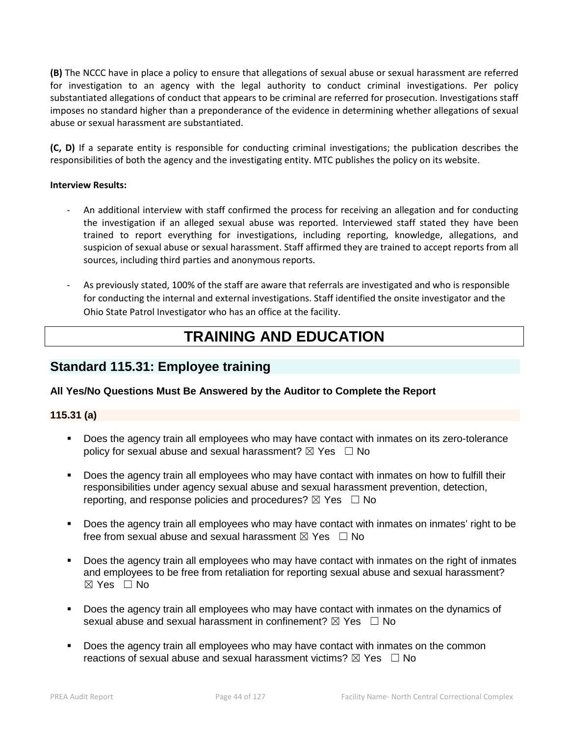**(B)** The NCCC have in place a policy to ensure that allegations of sexual abuse or sexual harassment are referred for investigation to an agency with the legal authority to conduct criminal investigations. Per policy substantiated allegations of conduct that appears to be criminal are referred for prosecution. Investigations staff imposes no standard higher than a preponderance of the evidence in determining whether allegations of sexual abuse or sexual harassment are substantiated.

**(C, D)** If a separate entity is responsible for conducting criminal investigations; the publication describes the responsibilities of both the agency and the investigating entity. MTC publishes the policy on its website.

#### **Interview Results:**

- An additional interview with staff confirmed the process for receiving an allegation and for conducting the investigation if an alleged sexual abuse was reported. Interviewed staff stated they have been trained to report everything for investigations, including reporting, knowledge, allegations, and suspicion of sexual abuse or sexual harassment. Staff affirmed they are trained to accept reports from all sources, including third parties and anonymous reports.
- As previously stated, 100% of the staff are aware that referrals are investigated and who is responsible for conducting the internal and external investigations. Staff identified the onsite investigator and the Ohio State Patrol Investigator who has an office at the facility.

# **TRAINING AND EDUCATION**

# **Standard 115.31: Employee training**

# **All Yes/No Questions Must Be Answered by the Auditor to Complete the Report**

#### **115.31 (a)**

- Does the agency train all employees who may have contact with inmates on its zero-tolerance policy for sexual abuse and sexual harassment?  $\boxtimes$  Yes  $\Box$  No
- Does the agency train all employees who may have contact with inmates on how to fulfill their responsibilities under agency sexual abuse and sexual harassment prevention, detection, reporting, and response policies and procedures?  $\boxtimes$  Yes  $\Box$  No
- Does the agency train all employees who may have contact with inmates on inmates' right to be free from sexual abuse and sexual harassment  $\boxtimes$  Yes  $\Box$  No
- Does the agency train all employees who may have contact with inmates on the right of inmates and employees to be free from retaliation for reporting sexual abuse and sexual harassment?  $\boxtimes$  Yes  $\Box$  No
- Does the agency train all employees who may have contact with inmates on the dynamics of sexual abuse and sexual harassment in confinement?  $\boxtimes$  Yes  $\Box$  No
- Does the agency train all employees who may have contact with inmates on the common reactions of sexual abuse and sexual harassment victims?  $\boxtimes$  Yes  $\Box$  No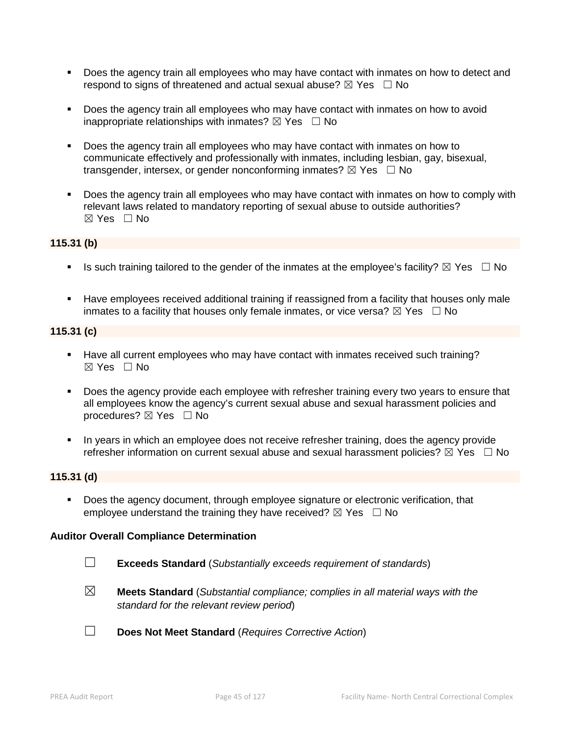- Does the agency train all employees who may have contact with inmates on how to detect and respond to signs of threatened and actual sexual abuse?  $\boxtimes$  Yes  $\Box$  No
- Does the agency train all employees who may have contact with inmates on how to avoid inappropriate relationships with inmates?  $\boxtimes$  Yes  $\Box$  No
- Does the agency train all employees who may have contact with inmates on how to communicate effectively and professionally with inmates, including lesbian, gay, bisexual, transgender, intersex, or gender nonconforming inmates?  $\boxtimes$  Yes  $\Box$  No
- Does the agency train all employees who may have contact with inmates on how to comply with relevant laws related to mandatory reporting of sexual abuse to outside authorities?  $\boxtimes$  Yes  $\Box$  No

# **115.31 (b)**

- Is such training tailored to the gender of the inmates at the employee's facility?  $\boxtimes$  Yes  $\Box$  No
- **Have employees received additional training if reassigned from a facility that houses only male** inmates to a facility that houses only female inmates, or vice versa?  $\boxtimes$  Yes  $\Box$  No

# **115.31 (c)**

- Have all current employees who may have contact with inmates received such training?  $\boxtimes$  Yes  $\Box$  No
- Does the agency provide each employee with refresher training every two years to ensure that all employees know the agency's current sexual abuse and sexual harassment policies and procedures?  $\boxtimes$  Yes  $\Box$  No
- In years in which an employee does not receive refresher training, does the agency provide refresher information on current sexual abuse and sexual harassment policies?  $\boxtimes$  Yes  $\Box$  No

# **115.31 (d)**

**Does the agency document, through employee signature or electronic verification, that** employee understand the training they have received?  $\boxtimes$  Yes  $\Box$  No

#### **Auditor Overall Compliance Determination**

- ☐ **Exceeds Standard** (*Substantially exceeds requirement of standards*)
- ☒ **Meets Standard** (*Substantial compliance; complies in all material ways with the standard for the relevant review period*)
- ☐ **Does Not Meet Standard** (*Requires Corrective Action*)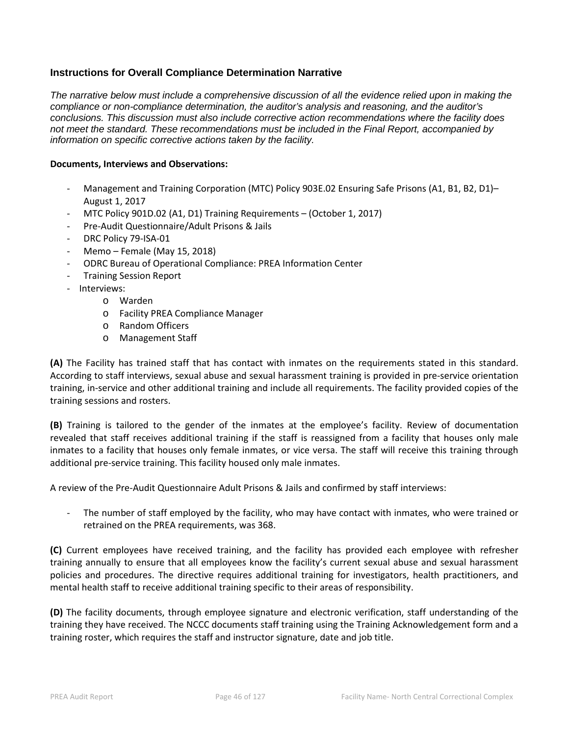# **Instructions for Overall Compliance Determination Narrative**

*The narrative below must include a comprehensive discussion of all the evidence relied upon in making the compliance or non-compliance determination, the auditor's analysis and reasoning, and the auditor's conclusions. This discussion must also include corrective action recommendations where the facility does not meet the standard. These recommendations must be included in the Final Report, accompanied by information on specific corrective actions taken by the facility.*

#### **Documents, Interviews and Observations:**

- Management and Training Corporation (MTC) Policy 903E.02 Ensuring Safe Prisons (A1, B1, B2, D1)-August 1, 2017
- MTC Policy 901D.02 (A1, D1) Training Requirements (October 1, 2017)
- Pre-Audit Questionnaire/Adult Prisons & Jails
- DRC Policy 79-ISA-01
- Memo Female (May 15, 2018)
- ODRC Bureau of Operational Compliance: PREA Information Center
- Training Session Report
- Interviews:
	- o Warden
		- o Facility PREA Compliance Manager
		- o Random Officers
		- o Management Staff

**(A)** The Facility has trained staff that has contact with inmates on the requirements stated in this standard. According to staff interviews, sexual abuse and sexual harassment training is provided in pre-service orientation training, in-service and other additional training and include all requirements. The facility provided copies of the training sessions and rosters.

**(B)** Training is tailored to the gender of the inmates at the employee's facility. Review of documentation revealed that staff receives additional training if the staff is reassigned from a facility that houses only male inmates to a facility that houses only female inmates, or vice versa. The staff will receive this training through additional pre-service training. This facility housed only male inmates.

A review of the Pre-Audit Questionnaire Adult Prisons & Jails and confirmed by staff interviews:

- The number of staff employed by the facility, who may have contact with inmates, who were trained or retrained on the PREA requirements, was 368.

**(C)** Current employees have received training, and the facility has provided each employee with refresher training annually to ensure that all employees know the facility's current sexual abuse and sexual harassment policies and procedures. The directive requires additional training for investigators, health practitioners, and mental health staff to receive additional training specific to their areas of responsibility.

**(D)** The facility documents, through employee signature and electronic verification, staff understanding of the training they have received. The NCCC documents staff training using the Training Acknowledgement form and a training roster, which requires the staff and instructor signature, date and job title.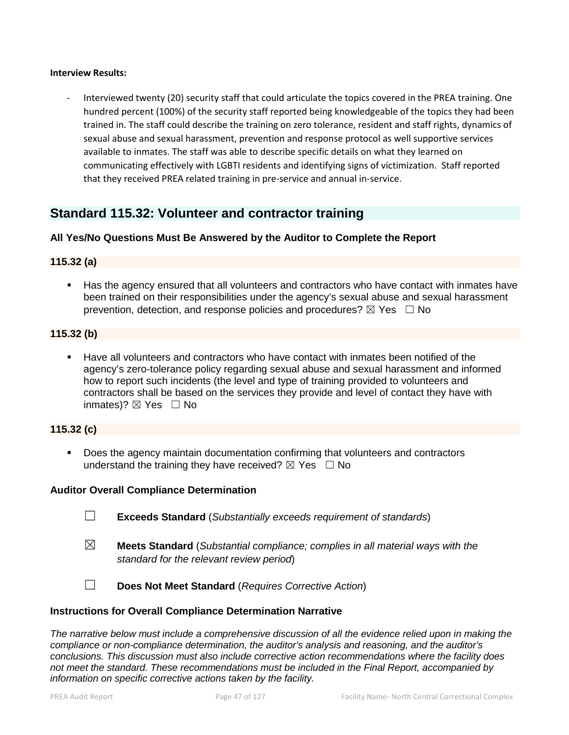#### **Interview Results:**

Interviewed twenty (20) security staff that could articulate the topics covered in the PREA training. One hundred percent (100%) of the security staff reported being knowledgeable of the topics they had been trained in. The staff could describe the training on zero tolerance, resident and staff rights, dynamics of sexual abuse and sexual harassment, prevention and response protocol as well supportive services available to inmates. The staff was able to describe specific details on what they learned on communicating effectively with LGBTI residents and identifying signs of victimization. Staff reported that they received PREA related training in pre-service and annual in-service.

# **Standard 115.32: Volunteer and contractor training**

# **All Yes/No Questions Must Be Answered by the Auditor to Complete the Report**

# **115.32 (a)**

 Has the agency ensured that all volunteers and contractors who have contact with inmates have been trained on their responsibilities under the agency's sexual abuse and sexual harassment prevention, detection, and response policies and procedures?  $\boxtimes$  Yes  $\Box$  No

### **115.32 (b)**

 Have all volunteers and contractors who have contact with inmates been notified of the agency's zero-tolerance policy regarding sexual abuse and sexual harassment and informed how to report such incidents (the level and type of training provided to volunteers and contractors shall be based on the services they provide and level of contact they have with inmates)?  $\boxtimes$  Yes  $\Box$  No

# **115.32 (c)**

 Does the agency maintain documentation confirming that volunteers and contractors understand the training they have received?  $\boxtimes$  Yes  $\Box$  No

#### **Auditor Overall Compliance Determination**

- ☐ **Exceeds Standard** (*Substantially exceeds requirement of standards*)
- ☒ **Meets Standard** (*Substantial compliance; complies in all material ways with the standard for the relevant review period*)
- ☐ **Does Not Meet Standard** (*Requires Corrective Action*)

#### **Instructions for Overall Compliance Determination Narrative**

*The narrative below must include a comprehensive discussion of all the evidence relied upon in making the compliance or non-compliance determination, the auditor's analysis and reasoning, and the auditor's conclusions. This discussion must also include corrective action recommendations where the facility does not meet the standard. These recommendations must be included in the Final Report, accompanied by information on specific corrective actions taken by the facility.*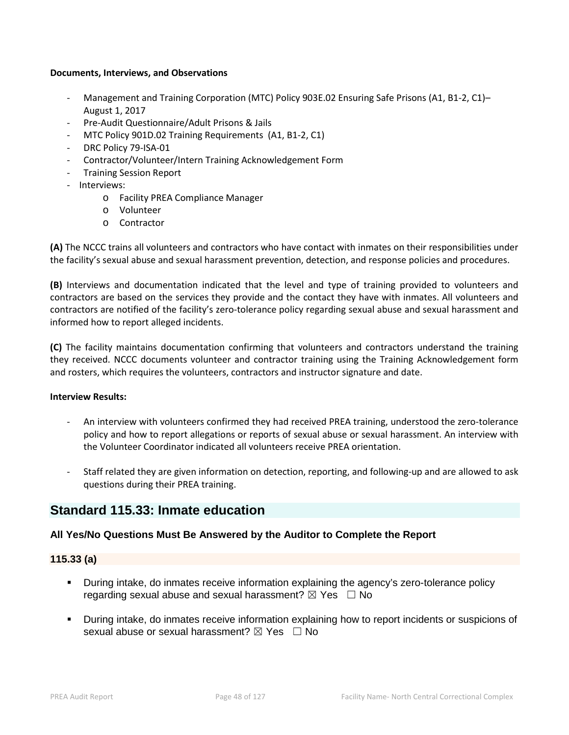#### **Documents, Interviews, and Observations**

- Management and Training Corporation (MTC) Policy 903E.02 Ensuring Safe Prisons (A1, B1-2, C1)– August 1, 2017
- Pre-Audit Questionnaire/Adult Prisons & Jails
- MTC Policy 901D.02 Training Requirements (A1, B1-2, C1)
- DRC Policy 79-ISA-01
- Contractor/Volunteer/Intern Training Acknowledgement Form
- Training Session Report
- Interviews:
	- o Facility PREA Compliance Manager
	- o Volunteer
	- o Contractor

**(A)** The NCCC trains all volunteers and contractors who have contact with inmates on their responsibilities under the facility's sexual abuse and sexual harassment prevention, detection, and response policies and procedures.

**(B)** Interviews and documentation indicated that the level and type of training provided to volunteers and contractors are based on the services they provide and the contact they have with inmates. All volunteers and contractors are notified of the facility's zero-tolerance policy regarding sexual abuse and sexual harassment and informed how to report alleged incidents.

**(C)** The facility maintains documentation confirming that volunteers and contractors understand the training they received. NCCC documents volunteer and contractor training using the Training Acknowledgement form and rosters, which requires the volunteers, contractors and instructor signature and date.

#### **Interview Results:**

- An interview with volunteers confirmed they had received PREA training, understood the zero-tolerance policy and how to report allegations or reports of sexual abuse or sexual harassment. An interview with the Volunteer Coordinator indicated all volunteers receive PREA orientation.
- Staff related they are given information on detection, reporting, and following-up and are allowed to ask questions during their PREA training.

# **Standard 115.33: Inmate education**

# **All Yes/No Questions Must Be Answered by the Auditor to Complete the Report**

#### **115.33 (a)**

- During intake, do inmates receive information explaining the agency's zero-tolerance policy regarding sexual abuse and sexual harassment?  $\boxtimes$  Yes  $\Box$  No
- During intake, do inmates receive information explaining how to report incidents or suspicions of sexual abuse or sexual harassment?  $\boxtimes$  Yes  $\Box$  No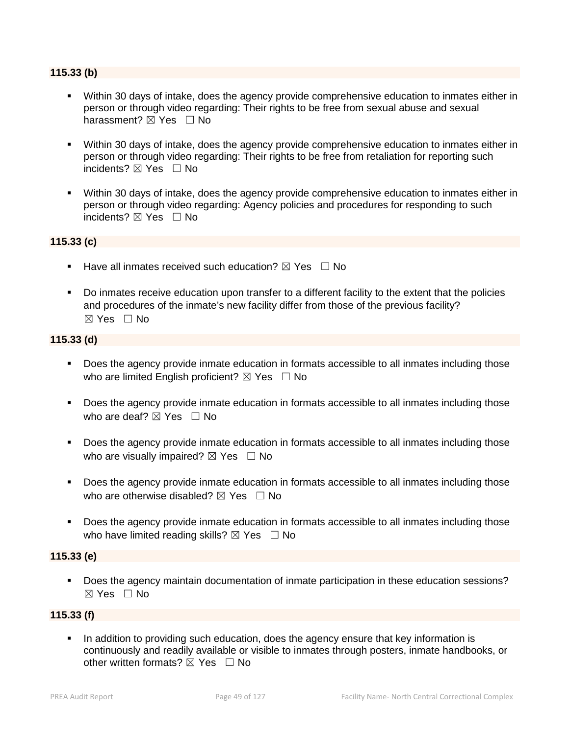#### **115.33 (b)**

- Within 30 days of intake, does the agency provide comprehensive education to inmates either in person or through video regarding: Their rights to be free from sexual abuse and sexual harassment? **⊠** Yes □ No
- Within 30 days of intake, does the agency provide comprehensive education to inmates either in person or through video regarding: Their rights to be free from retaliation for reporting such incidents? ⊠ Yes □ No
- Within 30 days of intake, does the agency provide comprehensive education to inmates either in person or through video regarding: Agency policies and procedures for responding to such incidents? ☒ Yes ☐ No

#### **115.33 (c)**

- Have all inmates received such education?  $\boxtimes$  Yes  $\Box$  No
- Do inmates receive education upon transfer to a different facility to the extent that the policies and procedures of the inmate's new facility differ from those of the previous facility?  $\boxtimes$  Yes  $\Box$  No

# **115.33 (d)**

- Does the agency provide inmate education in formats accessible to all inmates including those who are limited English proficient?  $\boxtimes$  Yes  $\Box$  No
- **Does the agency provide inmate education in formats accessible to all inmates including those** who are deaf?  $\boxtimes$  Yes  $\Box$  No
- Does the agency provide inmate education in formats accessible to all inmates including those who are visually impaired?  $\boxtimes$  Yes  $\Box$  No
- Does the agency provide inmate education in formats accessible to all inmates including those who are otherwise disabled?  $\boxtimes$  Yes  $\Box$  No
- Does the agency provide inmate education in formats accessible to all inmates including those who have limited reading skills?  $\boxtimes$  Yes  $\Box$  No

#### **115.33 (e)**

**Does the agency maintain documentation of inmate participation in these education sessions?** ☒ Yes ☐ No

#### **115.33 (f)**

 In addition to providing such education, does the agency ensure that key information is continuously and readily available or visible to inmates through posters, inmate handbooks, or other written formats?  $\nabla$  Yes  $\Box$  No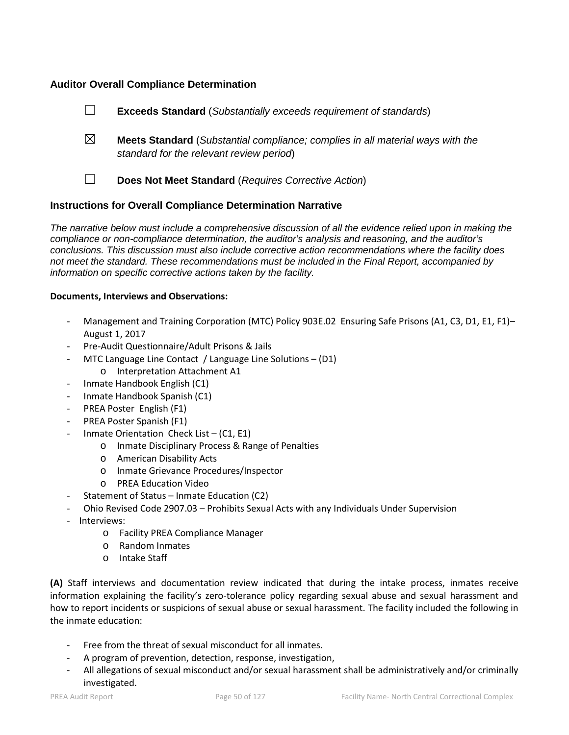# **Auditor Overall Compliance Determination**

|             | Does Not Meet Standard (Requires Corrective Action)                                                                               |
|-------------|-----------------------------------------------------------------------------------------------------------------------------------|
| $\boxtimes$ | <b>Meets Standard</b> (Substantial compliance; complies in all material ways with the<br>standard for the relevant review period) |
|             | <b>Exceeds Standard</b> (Substantially exceeds requirement of standards)                                                          |

#### **Instructions for Overall Compliance Determination Narrative**

*The narrative below must include a comprehensive discussion of all the evidence relied upon in making the compliance or non-compliance determination, the auditor's analysis and reasoning, and the auditor's conclusions. This discussion must also include corrective action recommendations where the facility does not meet the standard. These recommendations must be included in the Final Report, accompanied by information on specific corrective actions taken by the facility.*

#### **Documents, Interviews and Observations:**

- Management and Training Corporation (MTC) Policy 903E.02 Ensuring Safe Prisons (A1, C3, D1, E1, F1)-August 1, 2017
- Pre-Audit Questionnaire/Adult Prisons & Jails
- MTC Language Line Contact / Language Line Solutions  $(D1)$ 
	- o Interpretation Attachment A1
- Inmate Handbook English (C1)
- Inmate Handbook Spanish (C1)
- PREA Poster English (F1)
- PREA Poster Spanish (F1)
- Inmate Orientation Check List  $-$  (C1, E1)
	- o Inmate Disciplinary Process & Range of Penalties
	- o American Disability Acts
	- o Inmate Grievance Procedures/Inspector
	- o PREA Education Video
- Statement of Status Inmate Education (C2)
- Ohio Revised Code 2907.03 Prohibits Sexual Acts with any Individuals Under Supervision
- Interviews:
	- o Facility PREA Compliance Manager
	- o Random Inmates
	- o Intake Staff

**(A)** Staff interviews and documentation review indicated that during the intake process, inmates receive information explaining the facility's zero-tolerance policy regarding sexual abuse and sexual harassment and how to report incidents or suspicions of sexual abuse or sexual harassment. The facility included the following in the inmate education:

- Free from the threat of sexual misconduct for all inmates.
- A program of prevention, detection, response, investigation,
- All allegations of sexual misconduct and/or sexual harassment shall be administratively and/or criminally investigated.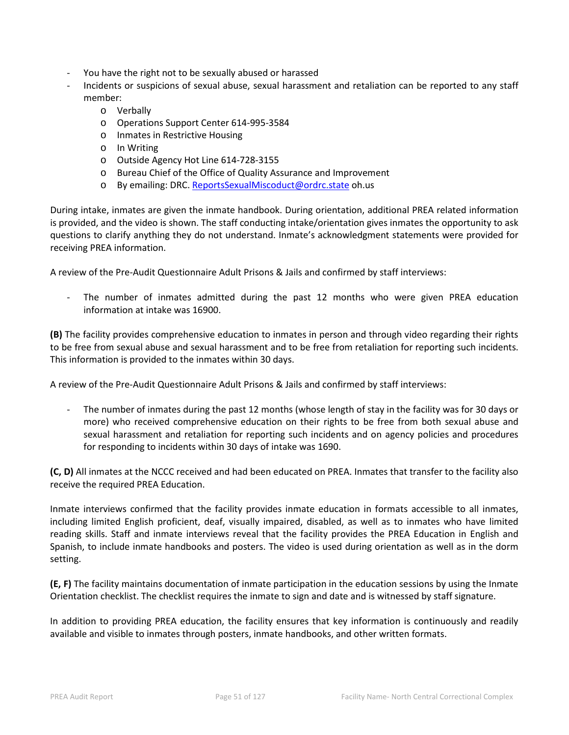- You have the right not to be sexually abused or harassed
- Incidents or suspicions of sexual abuse, sexual harassment and retaliation can be reported to any staff member:
	- o Verbally
	- o Operations Support Center 614-995-3584
	- o Inmates in Restrictive Housing
	- o In Writing
	- o Outside Agency Hot Line 614-728-3155
	- o Bureau Chief of the Office of Quality Assurance and Improvement
	- o By emailing: DRC. [ReportsSexualMiscoduct@ordrc.state](mailto:ReportsSexualMiscoduct@ordrc.state) oh.us

During intake, inmates are given the inmate handbook. During orientation, additional PREA related information is provided, and the video is shown. The staff conducting intake/orientation gives inmates the opportunity to ask questions to clarify anything they do not understand. Inmate's acknowledgment statements were provided for receiving PREA information.

A review of the Pre-Audit Questionnaire Adult Prisons & Jails and confirmed by staff interviews:

- The number of inmates admitted during the past 12 months who were given PREA education information at intake was 16900.

**(B)** The facility provides comprehensive education to inmates in person and through video regarding their rights to be free from sexual abuse and sexual harassment and to be free from retaliation for reporting such incidents. This information is provided to the inmates within 30 days.

A review of the Pre-Audit Questionnaire Adult Prisons & Jails and confirmed by staff interviews:

The number of inmates during the past 12 months (whose length of stay in the facility was for 30 days or more) who received comprehensive education on their rights to be free from both sexual abuse and sexual harassment and retaliation for reporting such incidents and on agency policies and procedures for responding to incidents within 30 days of intake was 1690.

**(C, D)** All inmates at the NCCC received and had been educated on PREA. Inmates that transfer to the facility also receive the required PREA Education.

Inmate interviews confirmed that the facility provides inmate education in formats accessible to all inmates, including limited English proficient, deaf, visually impaired, disabled, as well as to inmates who have limited reading skills. Staff and inmate interviews reveal that the facility provides the PREA Education in English and Spanish, to include inmate handbooks and posters. The video is used during orientation as well as in the dorm setting.

**(E, F)** The facility maintains documentation of inmate participation in the education sessions by using the Inmate Orientation checklist. The checklist requires the inmate to sign and date and is witnessed by staff signature.

In addition to providing PREA education, the facility ensures that key information is continuously and readily available and visible to inmates through posters, inmate handbooks, and other written formats.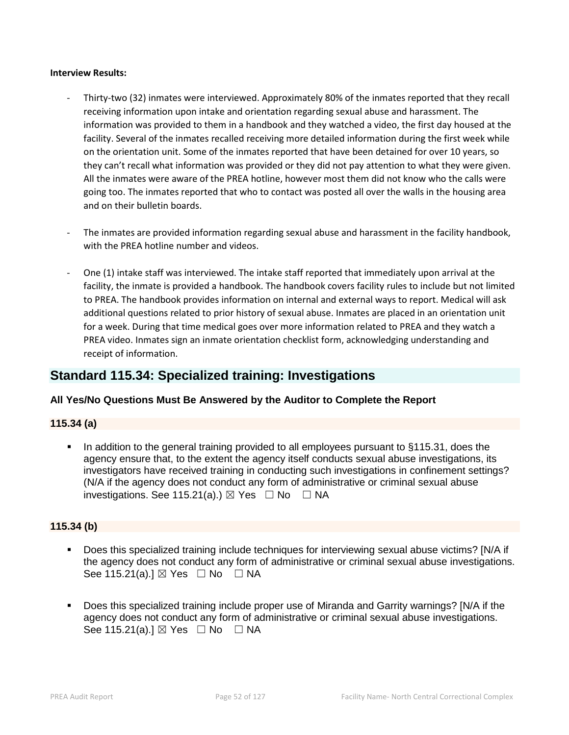#### **Interview Results:**

- Thirty-two (32) inmates were interviewed. Approximately 80% of the inmates reported that they recall receiving information upon intake and orientation regarding sexual abuse and harassment. The information was provided to them in a handbook and they watched a video, the first day housed at the facility. Several of the inmates recalled receiving more detailed information during the first week while on the orientation unit. Some of the inmates reported that have been detained for over 10 years, so they can't recall what information was provided or they did not pay attention to what they were given. All the inmates were aware of the PREA hotline, however most them did not know who the calls were going too. The inmates reported that who to contact was posted all over the walls in the housing area and on their bulletin boards.
- The inmates are provided information regarding sexual abuse and harassment in the facility handbook, with the PREA hotline number and videos.
- One (1) intake staff was interviewed. The intake staff reported that immediately upon arrival at the facility, the inmate is provided a handbook. The handbook covers facility rules to include but not limited to PREA. The handbook provides information on internal and external ways to report. Medical will ask additional questions related to prior history of sexual abuse. Inmates are placed in an orientation unit for a week. During that time medical goes over more information related to PREA and they watch a PREA video. Inmates sign an inmate orientation checklist form, acknowledging understanding and receipt of information.

# **Standard 115.34: Specialized training: Investigations**

# **All Yes/No Questions Must Be Answered by the Auditor to Complete the Report**

# **115.34 (a)**

 In addition to the general training provided to all employees pursuant to §115.31, does the agency ensure that, to the extent the agency itself conducts sexual abuse investigations, its investigators have received training in conducting such investigations in confinement settings? (N/A if the agency does not conduct any form of administrative or criminal sexual abuse investigations. See 115.21(a).)  $\boxtimes$  Yes  $\Box$  No  $\Box$  NA

# **115.34 (b)**

- Does this specialized training include techniques for interviewing sexual abuse victims? [N/A if the agency does not conduct any form of administrative or criminal sexual abuse investigations. See 115.21(a).]  $\boxtimes$  Yes  $\Box$  No  $\Box$  NA
- Does this specialized training include proper use of Miranda and Garrity warnings? [N/A if the agency does not conduct any form of administrative or criminal sexual abuse investigations. See 115.21(a).]  $\boxtimes$  Yes  $\Box$  No  $\Box$  NA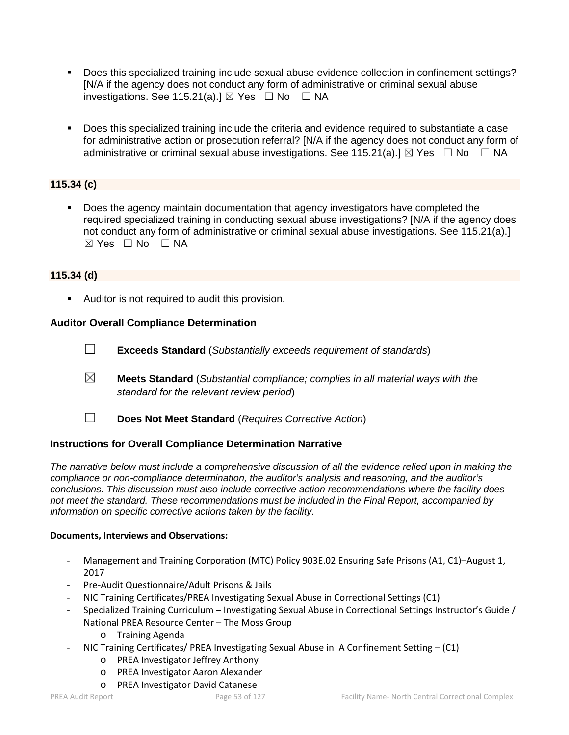- Does this specialized training include sexual abuse evidence collection in confinement settings? [N/A if the agency does not conduct any form of administrative or criminal sexual abuse investigations. See 115.21(a).]  $\boxtimes$  Yes  $\Box$  No  $\Box$  NA
- Does this specialized training include the criteria and evidence required to substantiate a case for administrative action or prosecution referral? [N/A if the agency does not conduct any form of administrative or criminal sexual abuse investigations. See 115.21(a).]  $\boxtimes$  Yes  $\Box$  No  $\Box$  NA

# **115.34 (c)**

 Does the agency maintain documentation that agency investigators have completed the required specialized training in conducting sexual abuse investigations? [N/A if the agency does not conduct any form of administrative or criminal sexual abuse investigations. See 115.21(a).]  $⊠ Yes ⊡ No ⊡ NA$ 

# **115.34 (d)**

**Auditor is not required to audit this provision.** 

# **Auditor Overall Compliance Determination**

- ☐ **Exceeds Standard** (*Substantially exceeds requirement of standards*)
- ☒ **Meets Standard** (*Substantial compliance; complies in all material ways with the standard for the relevant review period*)
- ☐ **Does Not Meet Standard** (*Requires Corrective Action*)

# **Instructions for Overall Compliance Determination Narrative**

*The narrative below must include a comprehensive discussion of all the evidence relied upon in making the compliance or non-compliance determination, the auditor's analysis and reasoning, and the auditor's conclusions. This discussion must also include corrective action recommendations where the facility does not meet the standard. These recommendations must be included in the Final Report, accompanied by information on specific corrective actions taken by the facility.*

#### **Documents, Interviews and Observations:**

- Management and Training Corporation (MTC) Policy 903E.02 Ensuring Safe Prisons (A1, C1)–August 1, 2017
- Pre-Audit Questionnaire/Adult Prisons & Jails
- NIC Training Certificates/PREA Investigating Sexual Abuse in Correctional Settings (C1)
- Specialized Training Curriculum Investigating Sexual Abuse in Correctional Settings Instructor's Guide / National PREA Resource Center – The Moss Group
	- o Training Agenda
- NIC Training Certificates/ PREA Investigating Sexual Abuse in A Confinement Setting (C1)
	- o PREA Investigator Jeffrey Anthony
	- o PREA Investigator Aaron Alexander
	- o PREA Investigator David Catanese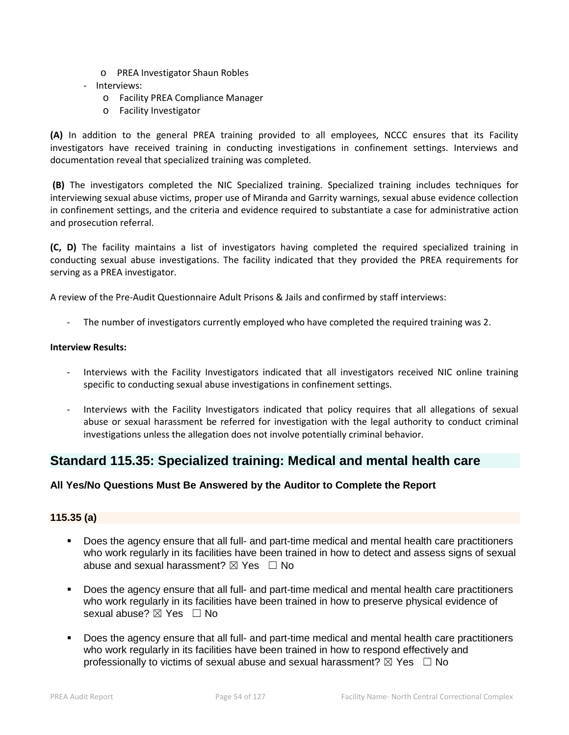- o PREA Investigator Shaun Robles
- Interviews:
	- o Facility PREA Compliance Manager
	- o Facility Investigator

**(A)** In addition to the general PREA training provided to all employees, NCCC ensures that its Facility investigators have received training in conducting investigations in confinement settings. Interviews and documentation reveal that specialized training was completed.

**(B)** The investigators completed the NIC Specialized training. Specialized training includes techniques for interviewing sexual abuse victims, proper use of Miranda and Garrity warnings, sexual abuse evidence collection in confinement settings, and the criteria and evidence required to substantiate a case for administrative action and prosecution referral.

**(C, D)** The facility maintains a list of investigators having completed the required specialized training in conducting sexual abuse investigations. The facility indicated that they provided the PREA requirements for serving as a PREA investigator.

A review of the Pre-Audit Questionnaire Adult Prisons & Jails and confirmed by staff interviews:

The number of investigators currently employed who have completed the required training was 2.

#### **Interview Results:**

- Interviews with the Facility Investigators indicated that all investigators received NIC online training specific to conducting sexual abuse investigations in confinement settings.
- Interviews with the Facility Investigators indicated that policy requires that all allegations of sexual abuse or sexual harassment be referred for investigation with the legal authority to conduct criminal investigations unless the allegation does not involve potentially criminal behavior.

# **Standard 115.35: Specialized training: Medical and mental health care**

# **All Yes/No Questions Must Be Answered by the Auditor to Complete the Report**

# **115.35 (a)**

- Does the agency ensure that all full- and part-time medical and mental health care practitioners who work regularly in its facilities have been trained in how to detect and assess signs of sexual abuse and sexual harassment?  $\boxtimes$  Yes  $\Box$  No
- Does the agency ensure that all full- and part-time medical and mental health care practitioners who work regularly in its facilities have been trained in how to preserve physical evidence of sexual abuse? ⊠ Yes □ No
- Does the agency ensure that all full- and part-time medical and mental health care practitioners who work regularly in its facilities have been trained in how to respond effectively and professionally to victims of sexual abuse and sexual harassment?  $\boxtimes$  Yes  $\Box$  No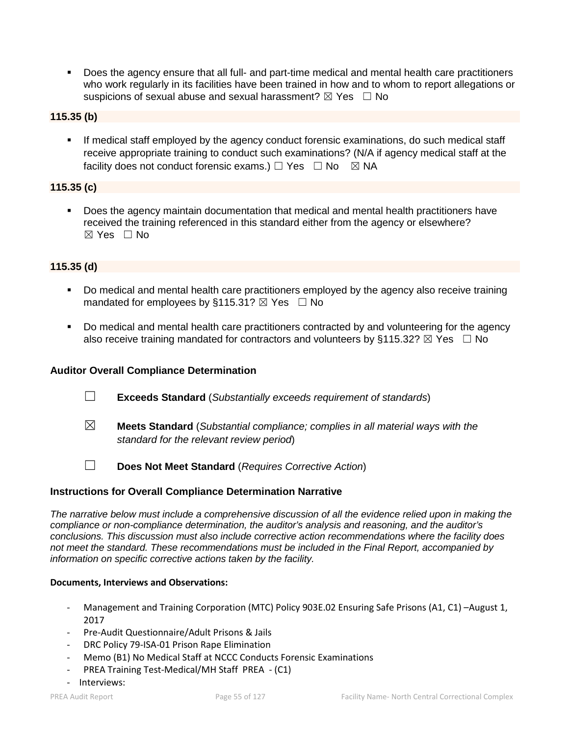Does the agency ensure that all full- and part-time medical and mental health care practitioners who work regularly in its facilities have been trained in how and to whom to report allegations or suspicions of sexual abuse and sexual harassment?  $\boxtimes$  Yes  $\Box$  No

# **115.35 (b)**

 If medical staff employed by the agency conduct forensic examinations, do such medical staff receive appropriate training to conduct such examinations? (N/A if agency medical staff at the facility does not conduct forensic exams.)  $\Box$  Yes  $\Box$  No  $\boxtimes$  NA

# **115.35 (c)**

 Does the agency maintain documentation that medical and mental health practitioners have received the training referenced in this standard either from the agency or elsewhere? ☒ Yes ☐ No

# **115.35 (d)**

- Do medical and mental health care practitioners employed by the agency also receive training mandated for employees by §115.31?  $\boxtimes$  Yes  $\Box$  No
- Do medical and mental health care practitioners contracted by and volunteering for the agency also receive training mandated for contractors and volunteers by §115.32?  $\boxtimes$  Yes  $\Box$  No

#### **Auditor Overall Compliance Determination**

- ☐ **Exceeds Standard** (*Substantially exceeds requirement of standards*)
- ☒ **Meets Standard** (*Substantial compliance; complies in all material ways with the standard for the relevant review period*)
- ☐ **Does Not Meet Standard** (*Requires Corrective Action*)

#### **Instructions for Overall Compliance Determination Narrative**

*The narrative below must include a comprehensive discussion of all the evidence relied upon in making the compliance or non-compliance determination, the auditor's analysis and reasoning, and the auditor's conclusions. This discussion must also include corrective action recommendations where the facility does not meet the standard. These recommendations must be included in the Final Report, accompanied by information on specific corrective actions taken by the facility.*

#### **Documents, Interviews and Observations:**

- Management and Training Corporation (MTC) Policy 903E.02 Ensuring Safe Prisons (A1, C1) -August 1, 2017
- Pre-Audit Questionnaire/Adult Prisons & Jails
- DRC Policy 79-ISA-01 Prison Rape Elimination
- Memo (B1) No Medical Staff at NCCC Conducts Forensic Examinations
- PREA Training Test-Medical/MH Staff PREA (C1)
- Interviews: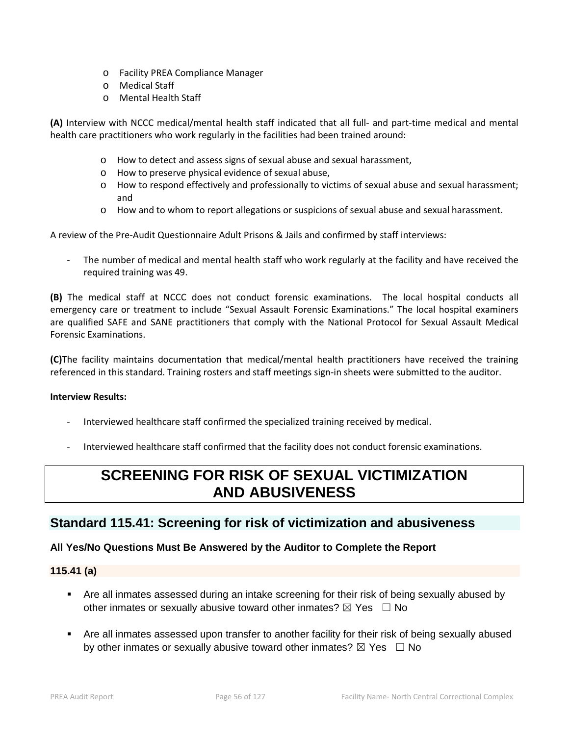- o Facility PREA Compliance Manager
- o Medical Staff
- o Mental Health Staff

**(A)** Interview with NCCC medical/mental health staff indicated that all full- and part-time medical and mental health care practitioners who work regularly in the facilities had been trained around:

- o How to detect and assess signs of sexual abuse and sexual harassment,
- o How to preserve physical evidence of sexual abuse,
- o How to respond effectively and professionally to victims of sexual abuse and sexual harassment; and
- o How and to whom to report allegations or suspicions of sexual abuse and sexual harassment.

A review of the Pre-Audit Questionnaire Adult Prisons & Jails and confirmed by staff interviews:

The number of medical and mental health staff who work regularly at the facility and have received the required training was 49.

**(B)** The medical staff at NCCC does not conduct forensic examinations. The local hospital conducts all emergency care or treatment to include "Sexual Assault Forensic Examinations." The local hospital examiners are qualified SAFE and SANE practitioners that comply with the National Protocol for Sexual Assault Medical Forensic Examinations.

**(C)**The facility maintains documentation that medical/mental health practitioners have received the training referenced in this standard. Training rosters and staff meetings sign-in sheets were submitted to the auditor.

#### **Interview Results:**

- Interviewed healthcare staff confirmed the specialized training received by medical.
- Interviewed healthcare staff confirmed that the facility does not conduct forensic examinations.

# **SCREENING FOR RISK OF SEXUAL VICTIMIZATION AND ABUSIVENESS**

# **Standard 115.41: Screening for risk of victimization and abusiveness**

# **All Yes/No Questions Must Be Answered by the Auditor to Complete the Report**

# **115.41 (a)**

- Are all inmates assessed during an intake screening for their risk of being sexually abused by other inmates or sexually abusive toward other inmates?  $\boxtimes$  Yes  $\Box$  No
- Are all inmates assessed upon transfer to another facility for their risk of being sexually abused by other inmates or sexually abusive toward other inmates?  $\boxtimes$  Yes  $\Box$  No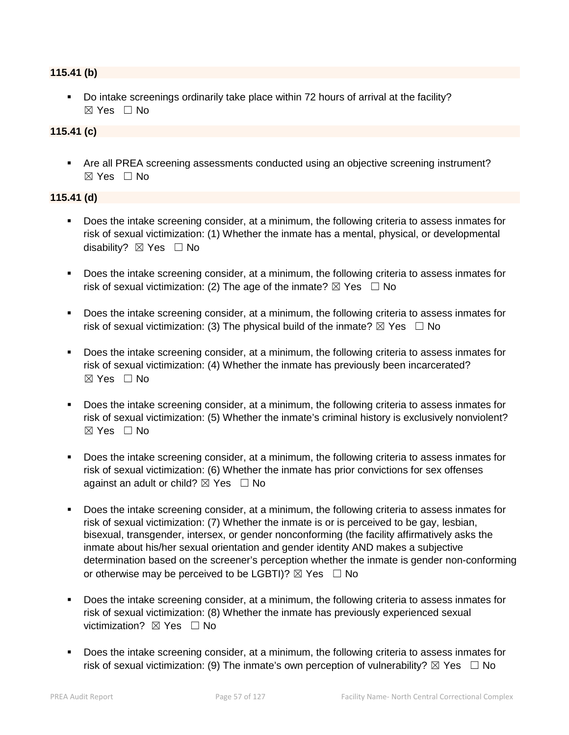# **115.41 (b)**

 Do intake screenings ordinarily take place within 72 hours of arrival at the facility?  $\boxtimes$  Yes  $\Box$  No

# **115.41 (c)**

 Are all PREA screening assessments conducted using an objective screening instrument?  $\boxtimes$  Yes  $\Box$  No

# **115.41 (d)**

- Does the intake screening consider, at a minimum, the following criteria to assess inmates for risk of sexual victimization: (1) Whether the inmate has a mental, physical, or developmental disability? **⊠** Yes □ No
- Does the intake screening consider, at a minimum, the following criteria to assess inmates for risk of sexual victimization: (2) The age of the inmate?  $\boxtimes$  Yes  $\Box$  No
- Does the intake screening consider, at a minimum, the following criteria to assess inmates for risk of sexual victimization: (3) The physical build of the inmate?  $\boxtimes$  Yes  $\Box$  No
- Does the intake screening consider, at a minimum, the following criteria to assess inmates for risk of sexual victimization: (4) Whether the inmate has previously been incarcerated? ☒ Yes ☐ No
- Does the intake screening consider, at a minimum, the following criteria to assess inmates for risk of sexual victimization: (5) Whether the inmate's criminal history is exclusively nonviolent?  $\boxtimes$  Yes  $\Box$  No
- Does the intake screening consider, at a minimum, the following criteria to assess inmates for risk of sexual victimization: (6) Whether the inmate has prior convictions for sex offenses against an adult or child?  $\boxtimes$  Yes  $\Box$  No
- Does the intake screening consider, at a minimum, the following criteria to assess inmates for risk of sexual victimization: (7) Whether the inmate is or is perceived to be gay, lesbian, bisexual, transgender, intersex, or gender nonconforming (the facility affirmatively asks the inmate about his/her sexual orientation and gender identity AND makes a subjective determination based on the screener's perception whether the inmate is gender non-conforming or otherwise may be perceived to be LGBTI)?  $\boxtimes$  Yes  $\Box$  No
- Does the intake screening consider, at a minimum, the following criteria to assess inmates for risk of sexual victimization: (8) Whether the inmate has previously experienced sexual victimization?  $\boxtimes$  Yes  $\Box$  No
- **Does the intake screening consider, at a minimum, the following criteria to assess inmates for** risk of sexual victimization: (9) The inmate's own perception of vulnerability?  $\boxtimes$  Yes  $\Box$  No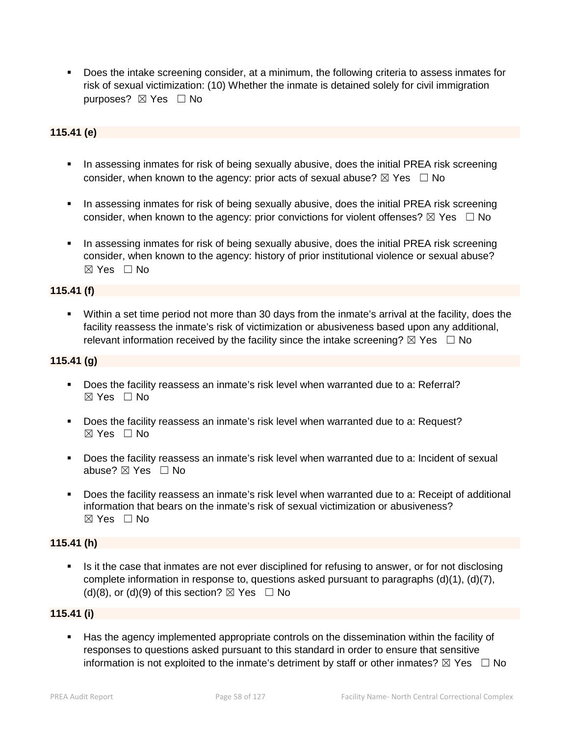Does the intake screening consider, at a minimum, the following criteria to assess inmates for risk of sexual victimization: (10) Whether the inmate is detained solely for civil immigration purposes? ⊠ Yes □ No

# **115.41 (e)**

- In assessing inmates for risk of being sexually abusive, does the initial PREA risk screening consider, when known to the agency: prior acts of sexual abuse?  $\boxtimes$  Yes  $\Box$  No
- **IF** In assessing inmates for risk of being sexually abusive, does the initial PREA risk screening consider, when known to the agency: prior convictions for violent offenses?  $\boxtimes$  Yes  $\Box$  No
- In assessing inmates for risk of being sexually abusive, does the initial PREA risk screening consider, when known to the agency: history of prior institutional violence or sexual abuse?  $\boxtimes$  Yes  $\Box$  No

# **115.41 (f)**

 Within a set time period not more than 30 days from the inmate's arrival at the facility, does the facility reassess the inmate's risk of victimization or abusiveness based upon any additional, relevant information received by the facility since the intake screening?  $\boxtimes$  Yes  $\Box$  No

#### **115.41 (g)**

- Does the facility reassess an inmate's risk level when warranted due to a: Referral?  $\boxtimes$  Yes  $\Box$  No
- Does the facility reassess an inmate's risk level when warranted due to a: Request? ☒ Yes ☐ No
- Does the facility reassess an inmate's risk level when warranted due to a: Incident of sexual abuse? ☒ Yes ☐ No
- Does the facility reassess an inmate's risk level when warranted due to a: Receipt of additional information that bears on the inmate's risk of sexual victimization or abusiveness?  $\boxtimes$  Yes  $\Box$  No

#### **115.41 (h)**

 Is it the case that inmates are not ever disciplined for refusing to answer, or for not disclosing complete information in response to, questions asked pursuant to paragraphs (d)(1), (d)(7), (d)(8), or (d)(9) of this section?  $\boxtimes$  Yes  $\Box$  No

# **115.41 (i)**

 Has the agency implemented appropriate controls on the dissemination within the facility of responses to questions asked pursuant to this standard in order to ensure that sensitive information is not exploited to the inmate's detriment by staff or other inmates?  $\boxtimes$  Yes  $\Box$  No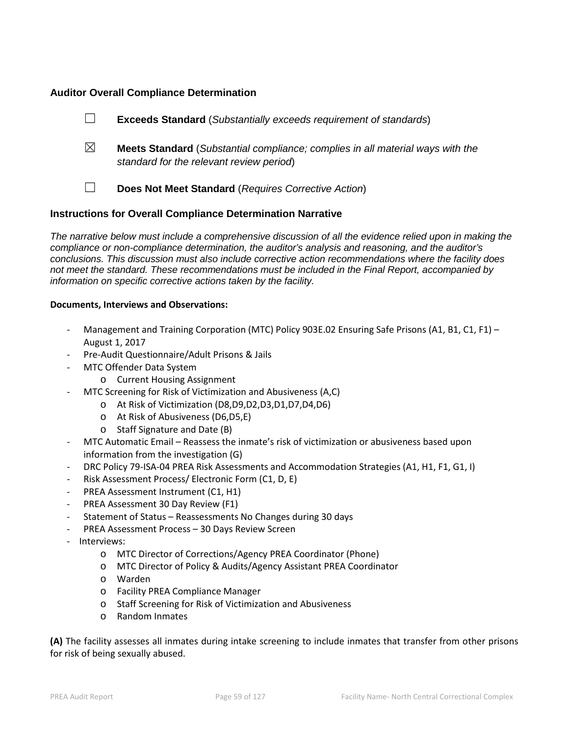# **Auditor Overall Compliance Determination**

- ☐ **Exceeds Standard** (*Substantially exceeds requirement of standards*)
- ☒ **Meets Standard** (*Substantial compliance; complies in all material ways with the standard for the relevant review period*)
	-
- ☐ **Does Not Meet Standard** (*Requires Corrective Action*)

# **Instructions for Overall Compliance Determination Narrative**

*The narrative below must include a comprehensive discussion of all the evidence relied upon in making the compliance or non-compliance determination, the auditor's analysis and reasoning, and the auditor's conclusions. This discussion must also include corrective action recommendations where the facility does not meet the standard. These recommendations must be included in the Final Report, accompanied by information on specific corrective actions taken by the facility.*

#### **Documents, Interviews and Observations:**

- Management and Training Corporation (MTC) Policy 903E.02 Ensuring Safe Prisons (A1, B1, C1, F1) August 1, 2017
- Pre-Audit Questionnaire/Adult Prisons & Jails
- MTC Offender Data System
	- o Current Housing Assignment
- MTC Screening for Risk of Victimization and Abusiveness (A,C)
	- o At Risk of Victimization (D8,D9,D2,D3,D1,D7,D4,D6)
	- o At Risk of Abusiveness (D6,D5,E)
	- o Staff Signature and Date (B)
- MTC Automatic Email Reassess the inmate's risk of victimization or abusiveness based upon information from the investigation (G)
- DRC Policy 79-ISA-04 PREA Risk Assessments and Accommodation Strategies (A1, H1, F1, G1, I)
- Risk Assessment Process/ Electronic Form (C1, D, E)
- PREA Assessment Instrument (C1, H1)
- PREA Assessment 30 Day Review (F1)
- Statement of Status Reassessments No Changes during 30 days
- PREA Assessment Process 30 Days Review Screen
- Interviews:
	- o MTC Director of Corrections/Agency PREA Coordinator (Phone)
	- o MTC Director of Policy & Audits/Agency Assistant PREA Coordinator
	- o Warden
	- o Facility PREA Compliance Manager
	- o Staff Screening for Risk of Victimization and Abusiveness
	- o Random Inmates

**(A)** The facility assesses all inmates during intake screening to include inmates that transfer from other prisons for risk of being sexually abused.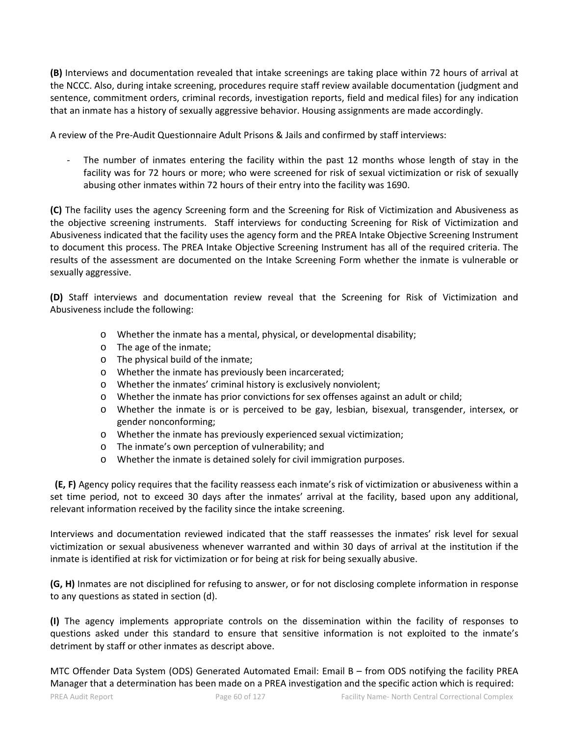**(B)** Interviews and documentation revealed that intake screenings are taking place within 72 hours of arrival at the NCCC. Also, during intake screening, procedures require staff review available documentation (judgment and sentence, commitment orders, criminal records, investigation reports, field and medical files) for any indication that an inmate has a history of sexually aggressive behavior. Housing assignments are made accordingly.

A review of the Pre-Audit Questionnaire Adult Prisons & Jails and confirmed by staff interviews:

The number of inmates entering the facility within the past 12 months whose length of stay in the facility was for 72 hours or more; who were screened for risk of sexual victimization or risk of sexually abusing other inmates within 72 hours of their entry into the facility was 1690.

**(C)** The facility uses the agency Screening form and the Screening for Risk of Victimization and Abusiveness as the objective screening instruments. Staff interviews for conducting Screening for Risk of Victimization and Abusiveness indicated that the facility uses the agency form and the PREA Intake Objective Screening Instrument to document this process. The PREA Intake Objective Screening Instrument has all of the required criteria. The results of the assessment are documented on the Intake Screening Form whether the inmate is vulnerable or sexually aggressive.

**(D)** Staff interviews and documentation review reveal that the Screening for Risk of Victimization and Abusiveness include the following:

- o Whether the inmate has a mental, physical, or developmental disability;
- o The age of the inmate;
- o The physical build of the inmate;
- o Whether the inmate has previously been incarcerated;
- o Whether the inmates' criminal history is exclusively nonviolent;
- o Whether the inmate has prior convictions for sex offenses against an adult or child;
- o Whether the inmate is or is perceived to be gay, lesbian, bisexual, transgender, intersex, or gender nonconforming;
- o Whether the inmate has previously experienced sexual victimization;
- o The inmate's own perception of vulnerability; and
- o Whether the inmate is detained solely for civil immigration purposes.

 **(E, F)** Agency policy requires that the facility reassess each inmate's risk of victimization or abusiveness within a set time period, not to exceed 30 days after the inmates' arrival at the facility, based upon any additional, relevant information received by the facility since the intake screening.

Interviews and documentation reviewed indicated that the staff reassesses the inmates' risk level for sexual victimization or sexual abusiveness whenever warranted and within 30 days of arrival at the institution if the inmate is identified at risk for victimization or for being at risk for being sexually abusive.

**(G, H)** Inmates are not disciplined for refusing to answer, or for not disclosing complete information in response to any questions as stated in section (d).

**(I)** The agency implements appropriate controls on the dissemination within the facility of responses to questions asked under this standard to ensure that sensitive information is not exploited to the inmate's detriment by staff or other inmates as descript above.

MTC Offender Data System (ODS) Generated Automated Email: Email B – from ODS notifying the facility PREA Manager that a determination has been made on a PREA investigation and the specific action which is required: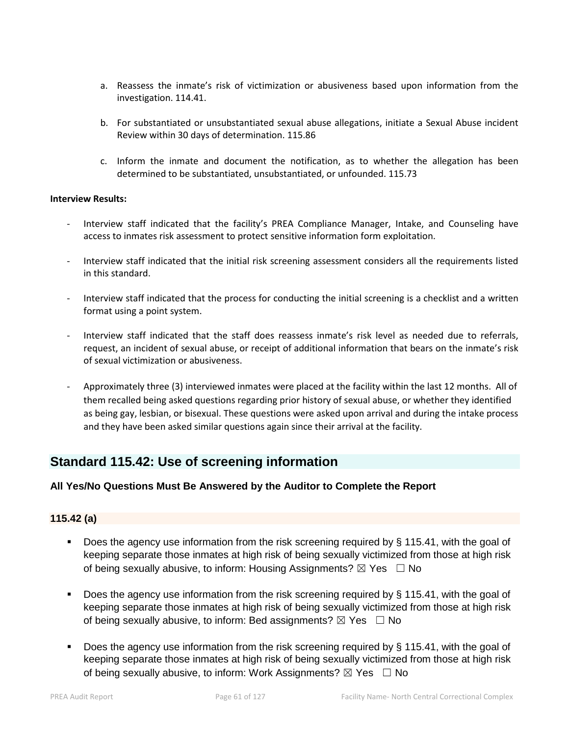- a. Reassess the inmate's risk of victimization or abusiveness based upon information from the investigation. 114.41.
- b. For substantiated or unsubstantiated sexual abuse allegations, initiate a Sexual Abuse incident Review within 30 days of determination. 115.86
- c. Inform the inmate and document the notification, as to whether the allegation has been determined to be substantiated, unsubstantiated, or unfounded. 115.73

#### **Interview Results:**

- Interview staff indicated that the facility's PREA Compliance Manager, Intake, and Counseling have access to inmates risk assessment to protect sensitive information form exploitation.
- Interview staff indicated that the initial risk screening assessment considers all the requirements listed in this standard.
- Interview staff indicated that the process for conducting the initial screening is a checklist and a written format using a point system.
- Interview staff indicated that the staff does reassess inmate's risk level as needed due to referrals, request, an incident of sexual abuse, or receipt of additional information that bears on the inmate's risk of sexual victimization or abusiveness.
- Approximately three (3) interviewed inmates were placed at the facility within the last 12 months. All of them recalled being asked questions regarding prior history of sexual abuse, or whether they identified as being gay, lesbian, or bisexual. These questions were asked upon arrival and during the intake process and they have been asked similar questions again since their arrival at the facility.

# **Standard 115.42: Use of screening information**

#### **All Yes/No Questions Must Be Answered by the Auditor to Complete the Report**

# **115.42 (a)**

- Does the agency use information from the risk screening required by § 115.41, with the goal of keeping separate those inmates at high risk of being sexually victimized from those at high risk of being sexually abusive, to inform: Housing Assignments?  $\boxtimes$  Yes  $\Box$  No
- Does the agency use information from the risk screening required by § 115.41, with the goal of keeping separate those inmates at high risk of being sexually victimized from those at high risk of being sexually abusive, to inform: Bed assignments?  $\boxtimes$  Yes  $\Box$  No
- Does the agency use information from the risk screening required by § 115.41, with the goal of keeping separate those inmates at high risk of being sexually victimized from those at high risk of being sexually abusive, to inform: Work Assignments?  $\boxtimes$  Yes  $\Box$  No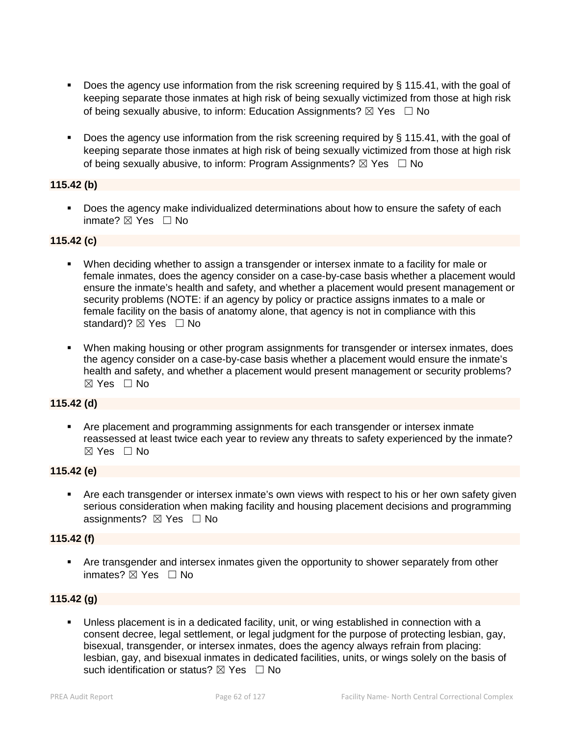- Does the agency use information from the risk screening required by § 115.41, with the goal of keeping separate those inmates at high risk of being sexually victimized from those at high risk of being sexually abusive, to inform: Education Assignments?  $\boxtimes$  Yes  $\Box$  No
- Does the agency use information from the risk screening required by § 115.41, with the goal of keeping separate those inmates at high risk of being sexually victimized from those at high risk of being sexually abusive, to inform: Program Assignments?  $\boxtimes$  Yes  $\Box$  No

# **115.42 (b)**

 Does the agency make individualized determinations about how to ensure the safety of each inmate? ☒ Yes ☐ No

# **115.42 (c)**

- When deciding whether to assign a transgender or intersex inmate to a facility for male or female inmates, does the agency consider on a case-by-case basis whether a placement would ensure the inmate's health and safety, and whether a placement would present management or security problems (NOTE: if an agency by policy or practice assigns inmates to a male or female facility on the basis of anatomy alone, that agency is not in compliance with this standard)?  $\boxtimes$  Yes  $\Box$  No
- When making housing or other program assignments for transgender or intersex inmates, does the agency consider on a case-by-case basis whether a placement would ensure the inmate's health and safety, and whether a placement would present management or security problems? ☒ Yes ☐ No

# **115.42 (d)**

 Are placement and programming assignments for each transgender or intersex inmate reassessed at least twice each year to review any threats to safety experienced by the inmate?  $\boxtimes$  Yes  $\Box$  No

#### **115.42 (e)**

 Are each transgender or intersex inmate's own views with respect to his or her own safety given serious consideration when making facility and housing placement decisions and programming assignments?  $\boxtimes$  Yes  $\Box$  No

#### **115.42 (f)**

 Are transgender and intersex inmates given the opportunity to shower separately from other inmates? ☒ Yes ☐ No

# **115.42 (g)**

 Unless placement is in a dedicated facility, unit, or wing established in connection with a consent decree, legal settlement, or legal judgment for the purpose of protecting lesbian, gay, bisexual, transgender, or intersex inmates, does the agency always refrain from placing: lesbian, gay, and bisexual inmates in dedicated facilities, units, or wings solely on the basis of such identification or status?  $\boxtimes$  Yes  $\Box$  No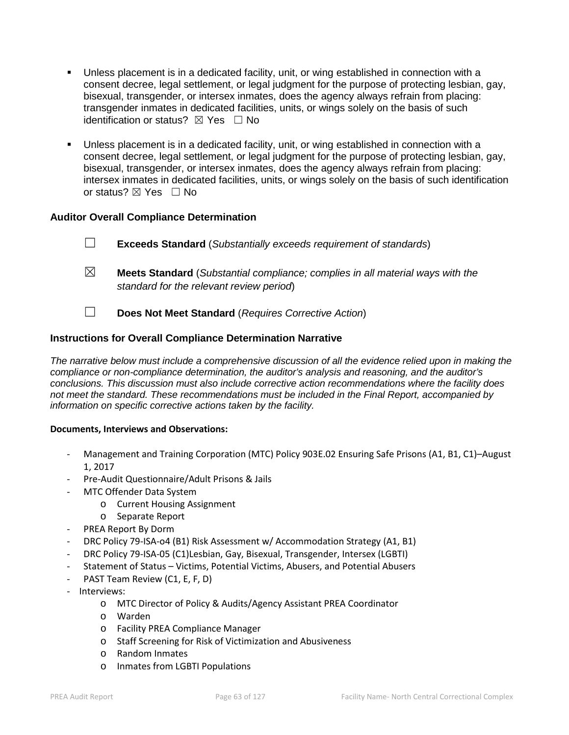- Unless placement is in a dedicated facility, unit, or wing established in connection with a consent decree, legal settlement, or legal judgment for the purpose of protecting lesbian, gay, bisexual, transgender, or intersex inmates, does the agency always refrain from placing: transgender inmates in dedicated facilities, units, or wings solely on the basis of such identification or status?  $\boxtimes$  Yes  $\Box$  No
- Unless placement is in a dedicated facility, unit, or wing established in connection with a consent decree, legal settlement, or legal judgment for the purpose of protecting lesbian, gay, bisexual, transgender, or intersex inmates, does the agency always refrain from placing: intersex inmates in dedicated facilities, units, or wings solely on the basis of such identification or status? ⊠ Yes □ No

# **Auditor Overall Compliance Determination**

- ☐ **Exceeds Standard** (*Substantially exceeds requirement of standards*)
- ☒ **Meets Standard** (*Substantial compliance; complies in all material ways with the standard for the relevant review period*)
- ☐ **Does Not Meet Standard** (*Requires Corrective Action*)

# **Instructions for Overall Compliance Determination Narrative**

*The narrative below must include a comprehensive discussion of all the evidence relied upon in making the compliance or non-compliance determination, the auditor's analysis and reasoning, and the auditor's conclusions. This discussion must also include corrective action recommendations where the facility does not meet the standard. These recommendations must be included in the Final Report, accompanied by information on specific corrective actions taken by the facility.*

#### **Documents, Interviews and Observations:**

- Management and Training Corporation (MTC) Policy 903E.02 Ensuring Safe Prisons (A1, B1, C1)-August 1, 2017
- Pre-Audit Questionnaire/Adult Prisons & Jails
- MTC Offender Data System
	- o Current Housing Assignment
	- o Separate Report
- PREA Report By Dorm
- DRC Policy 79-ISA-o4 (B1) Risk Assessment w/ Accommodation Strategy (A1, B1)
- DRC Policy 79-ISA-05 (C1)Lesbian, Gay, Bisexual, Transgender, Intersex (LGBTI)
- Statement of Status Victims, Potential Victims, Abusers, and Potential Abusers
- PAST Team Review (C1, E, F, D)
- Interviews:
	- o MTC Director of Policy & Audits/Agency Assistant PREA Coordinator
	- o Warden
	- o Facility PREA Compliance Manager
	- o Staff Screening for Risk of Victimization and Abusiveness
	- o Random Inmates
	- o Inmates from LGBTI Populations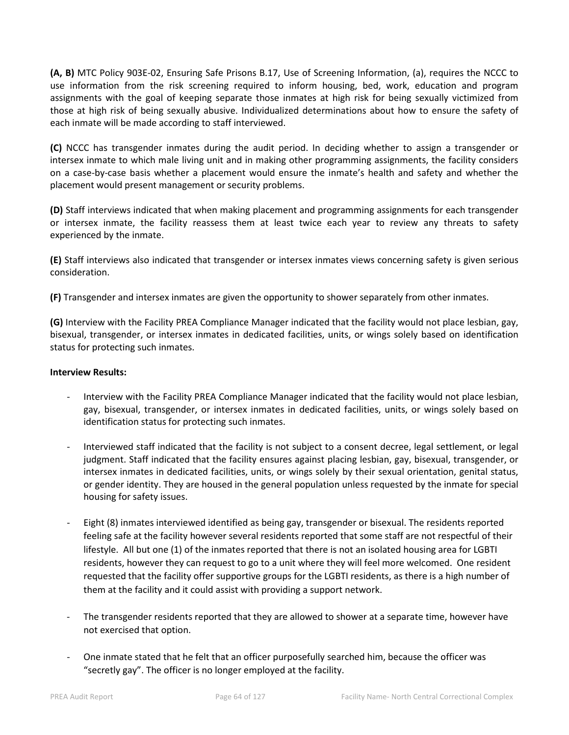**(A, B)** MTC Policy 903E-02, Ensuring Safe Prisons B.17, Use of Screening Information, (a), requires the NCCC to use information from the risk screening required to inform housing, bed, work, education and program assignments with the goal of keeping separate those inmates at high risk for being sexually victimized from those at high risk of being sexually abusive. Individualized determinations about how to ensure the safety of each inmate will be made according to staff interviewed.

**(C)** NCCC has transgender inmates during the audit period. In deciding whether to assign a transgender or intersex inmate to which male living unit and in making other programming assignments, the facility considers on a case-by-case basis whether a placement would ensure the inmate's health and safety and whether the placement would present management or security problems.

**(D)** Staff interviews indicated that when making placement and programming assignments for each transgender or intersex inmate, the facility reassess them at least twice each year to review any threats to safety experienced by the inmate.

**(E)** Staff interviews also indicated that transgender or intersex inmates views concerning safety is given serious consideration.

**(F)** Transgender and intersex inmates are given the opportunity to shower separately from other inmates.

**(G)** Interview with the Facility PREA Compliance Manager indicated that the facility would not place lesbian, gay, bisexual, transgender, or intersex inmates in dedicated facilities, units, or wings solely based on identification status for protecting such inmates.

#### **Interview Results:**

- Interview with the Facility PREA Compliance Manager indicated that the facility would not place lesbian, gay, bisexual, transgender, or intersex inmates in dedicated facilities, units, or wings solely based on identification status for protecting such inmates.
- Interviewed staff indicated that the facility is not subject to a consent decree, legal settlement, or legal judgment. Staff indicated that the facility ensures against placing lesbian, gay, bisexual, transgender, or intersex inmates in dedicated facilities, units, or wings solely by their sexual orientation, genital status, or gender identity. They are housed in the general population unless requested by the inmate for special housing for safety issues.
- Eight (8) inmates interviewed identified as being gay, transgender or bisexual. The residents reported feeling safe at the facility however several residents reported that some staff are not respectful of their lifestyle. All but one (1) of the inmates reported that there is not an isolated housing area for LGBTI residents, however they can request to go to a unit where they will feel more welcomed. One resident requested that the facility offer supportive groups for the LGBTI residents, as there is a high number of them at the facility and it could assist with providing a support network.
- The transgender residents reported that they are allowed to shower at a separate time, however have not exercised that option.
- One inmate stated that he felt that an officer purposefully searched him, because the officer was "secretly gay". The officer is no longer employed at the facility.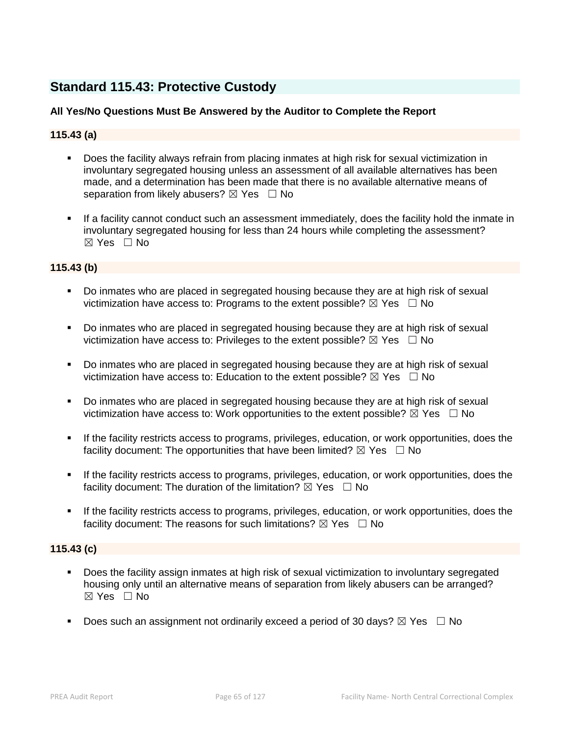# **Standard 115.43: Protective Custody**

# **All Yes/No Questions Must Be Answered by the Auditor to Complete the Report**

# **115.43 (a)**

- Does the facility always refrain from placing inmates at high risk for sexual victimization in involuntary segregated housing unless an assessment of all available alternatives has been made, and a determination has been made that there is no available alternative means of separation from likely abusers?  $\boxtimes$  Yes  $\Box$  No
- If a facility cannot conduct such an assessment immediately, does the facility hold the inmate in involuntary segregated housing for less than 24 hours while completing the assessment? ☒ Yes ☐ No

# **115.43 (b)**

- Do inmates who are placed in segregated housing because they are at high risk of sexual victimization have access to: Programs to the extent possible?  $\boxtimes$  Yes  $\Box$  No
- Do inmates who are placed in segregated housing because they are at high risk of sexual victimization have access to: Privileges to the extent possible?  $\boxtimes$  Yes  $\Box$  No
- Do inmates who are placed in segregated housing because they are at high risk of sexual victimization have access to: Education to the extent possible?  $\boxtimes$  Yes  $\Box$  No
- Do inmates who are placed in segregated housing because they are at high risk of sexual victimization have access to: Work opportunities to the extent possible?  $\boxtimes$  Yes  $\Box$  No
- If the facility restricts access to programs, privileges, education, or work opportunities, does the facility document: The opportunities that have been limited?  $\boxtimes$  Yes  $\Box$  No
- If the facility restricts access to programs, privileges, education, or work opportunities, does the facility document: The duration of the limitation?  $\boxtimes$  Yes  $\Box$  No
- If the facility restricts access to programs, privileges, education, or work opportunities, does the facility document: The reasons for such limitations?  $\boxtimes$  Yes  $\Box$  No

# **115.43 (c)**

- Does the facility assign inmates at high risk of sexual victimization to involuntary segregated housing only until an alternative means of separation from likely abusers can be arranged?  $\boxtimes$  Yes  $\Box$  No
- Does such an assignment not ordinarily exceed a period of 30 days?  $\boxtimes$  Yes  $\Box$  No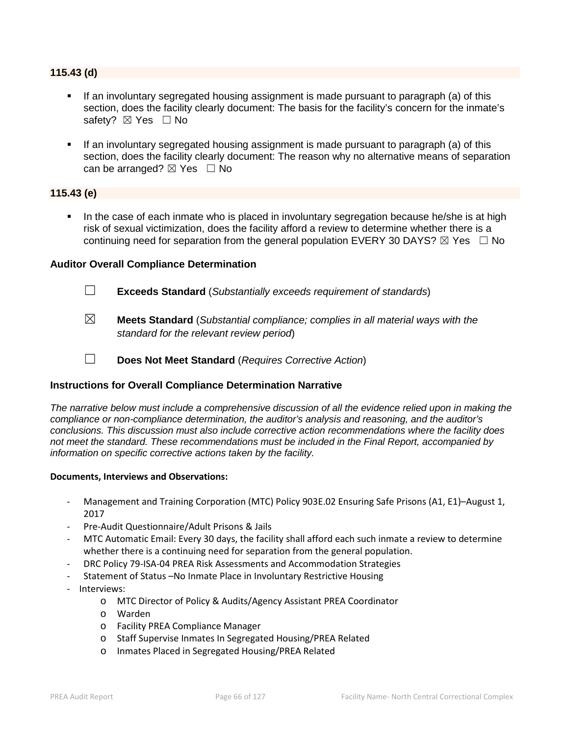#### **115.43 (d)**

- If an involuntary segregated housing assignment is made pursuant to paragraph (a) of this section, does the facility clearly document: The basis for the facility's concern for the inmate's safety? ⊠ Yes □ No
- If an involuntary segregated housing assignment is made pursuant to paragraph (a) of this section, does the facility clearly document: The reason why no alternative means of separation can be arranged?  $\boxtimes$  Yes  $\Box$  No

# **115.43 (e)**

In the case of each inmate who is placed in involuntary segregation because he/she is at high risk of sexual victimization, does the facility afford a review to determine whether there is a continuing need for separation from the general population EVERY 30 DAYS?  $\boxtimes$  Yes  $\Box$  No

#### **Auditor Overall Compliance Determination**

- ☐ **Exceeds Standard** (*Substantially exceeds requirement of standards*)
- ☒ **Meets Standard** (*Substantial compliance; complies in all material ways with the standard for the relevant review period*)
	-
- ☐ **Does Not Meet Standard** (*Requires Corrective Action*)

#### **Instructions for Overall Compliance Determination Narrative**

*The narrative below must include a comprehensive discussion of all the evidence relied upon in making the compliance or non-compliance determination, the auditor's analysis and reasoning, and the auditor's conclusions. This discussion must also include corrective action recommendations where the facility does not meet the standard. These recommendations must be included in the Final Report, accompanied by information on specific corrective actions taken by the facility.*

#### **Documents, Interviews and Observations:**

- Management and Training Corporation (MTC) Policy 903E.02 Ensuring Safe Prisons (A1, E1)–August 1, 2017
- Pre-Audit Questionnaire/Adult Prisons & Jails
- MTC Automatic Email: Every 30 days, the facility shall afford each such inmate a review to determine whether there is a continuing need for separation from the general population.
- DRC Policy 79-ISA-04 PREA Risk Assessments and Accommodation Strategies
- Statement of Status -No Inmate Place in Involuntary Restrictive Housing
- Interviews:
	- o MTC Director of Policy & Audits/Agency Assistant PREA Coordinator
	- o Warden
	- o Facility PREA Compliance Manager
	- o Staff Supervise Inmates In Segregated Housing/PREA Related
	- o Inmates Placed in Segregated Housing/PREA Related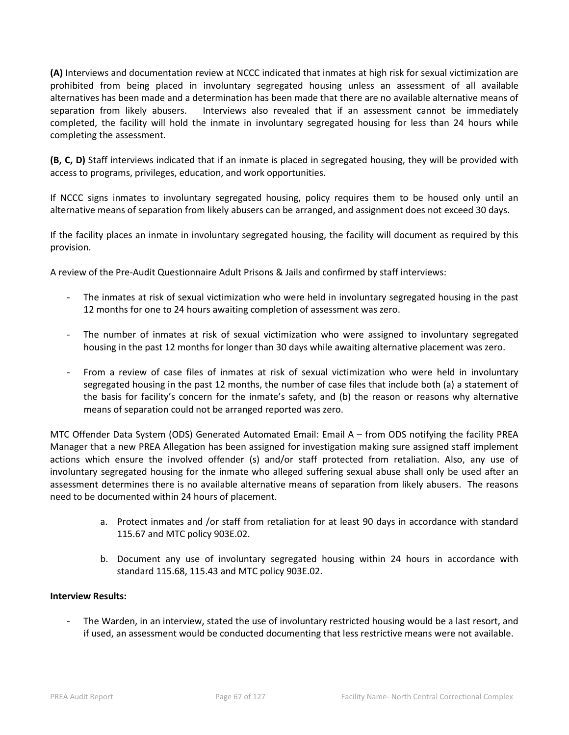**(A)** Interviews and documentation review at NCCC indicated that inmates at high risk for sexual victimization are prohibited from being placed in involuntary segregated housing unless an assessment of all available alternatives has been made and a determination has been made that there are no available alternative means of separation from likely abusers. Interviews also revealed that if an assessment cannot be immediately completed, the facility will hold the inmate in involuntary segregated housing for less than 24 hours while completing the assessment.

**(B, C, D)** Staff interviews indicated that if an inmate is placed in segregated housing, they will be provided with access to programs, privileges, education, and work opportunities.

If NCCC signs inmates to involuntary segregated housing, policy requires them to be housed only until an alternative means of separation from likely abusers can be arranged, and assignment does not exceed 30 days.

If the facility places an inmate in involuntary segregated housing, the facility will document as required by this provision.

A review of the Pre-Audit Questionnaire Adult Prisons & Jails and confirmed by staff interviews:

- The inmates at risk of sexual victimization who were held in involuntary segregated housing in the past 12 months for one to 24 hours awaiting completion of assessment was zero.
- The number of inmates at risk of sexual victimization who were assigned to involuntary segregated housing in the past 12 months for longer than 30 days while awaiting alternative placement was zero.
- From a review of case files of inmates at risk of sexual victimization who were held in involuntary segregated housing in the past 12 months, the number of case files that include both (a) a statement of the basis for facility's concern for the inmate's safety, and (b) the reason or reasons why alternative means of separation could not be arranged reported was zero.

MTC Offender Data System (ODS) Generated Automated Email: Email A – from ODS notifying the facility PREA Manager that a new PREA Allegation has been assigned for investigation making sure assigned staff implement actions which ensure the involved offender (s) and/or staff protected from retaliation. Also, any use of involuntary segregated housing for the inmate who alleged suffering sexual abuse shall only be used after an assessment determines there is no available alternative means of separation from likely abusers. The reasons need to be documented within 24 hours of placement.

- a. Protect inmates and /or staff from retaliation for at least 90 days in accordance with standard 115.67 and MTC policy 903E.02.
- b. Document any use of involuntary segregated housing within 24 hours in accordance with standard 115.68, 115.43 and MTC policy 903E.02.

# **Interview Results:**

The Warden, in an interview, stated the use of involuntary restricted housing would be a last resort, and if used, an assessment would be conducted documenting that less restrictive means were not available.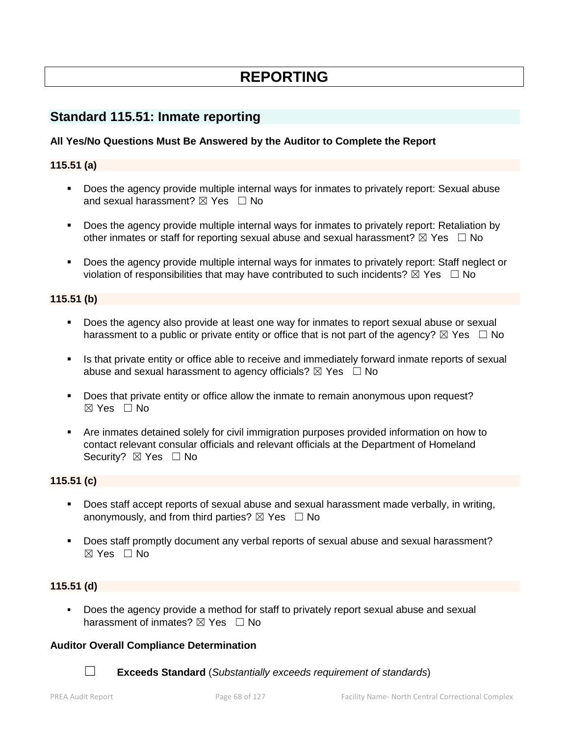# **REPORTING**

# **Standard 115.51: Inmate reporting**

# **All Yes/No Questions Must Be Answered by the Auditor to Complete the Report**

# **115.51 (a)**

- Does the agency provide multiple internal ways for inmates to privately report: Sexual abuse and sexual harassment?  $\boxtimes$  Yes  $\Box$  No
- Does the agency provide multiple internal ways for inmates to privately report: Retaliation by other inmates or staff for reporting sexual abuse and sexual harassment?  $\boxtimes$  Yes  $\Box$  No
- Does the agency provide multiple internal ways for inmates to privately report: Staff neglect or violation of responsibilities that may have contributed to such incidents?  $\boxtimes$  Yes  $\Box$  No

#### **115.51 (b)**

- Does the agency also provide at least one way for inmates to report sexual abuse or sexual harassment to a public or private entity or office that is not part of the agency?  $\boxtimes$  Yes  $\Box$  No
- In Is that private entity or office able to receive and immediately forward inmate reports of sexual abuse and sexual harassment to agency officials?  $\boxtimes$  Yes  $\Box$  No
- Does that private entity or office allow the inmate to remain anonymous upon request? ☒ Yes ☐ No
- Are inmates detained solely for civil immigration purposes provided information on how to contact relevant consular officials and relevant officials at the Department of Homeland Security? ⊠ Yes □ No

#### **115.51 (c)**

- Does staff accept reports of sexual abuse and sexual harassment made verbally, in writing, anonymously, and from third parties?  $\boxtimes$  Yes  $\Box$  No
- Does staff promptly document any verbal reports of sexual abuse and sexual harassment?  $\boxtimes$  Yes  $\Box$  No

#### **115.51 (d)**

Does the agency provide a method for staff to privately report sexual abuse and sexual harassment of inmates?  $\boxtimes$  Yes  $\Box$  No

#### **Auditor Overall Compliance Determination**

☐ **Exceeds Standard** (*Substantially exceeds requirement of standards*)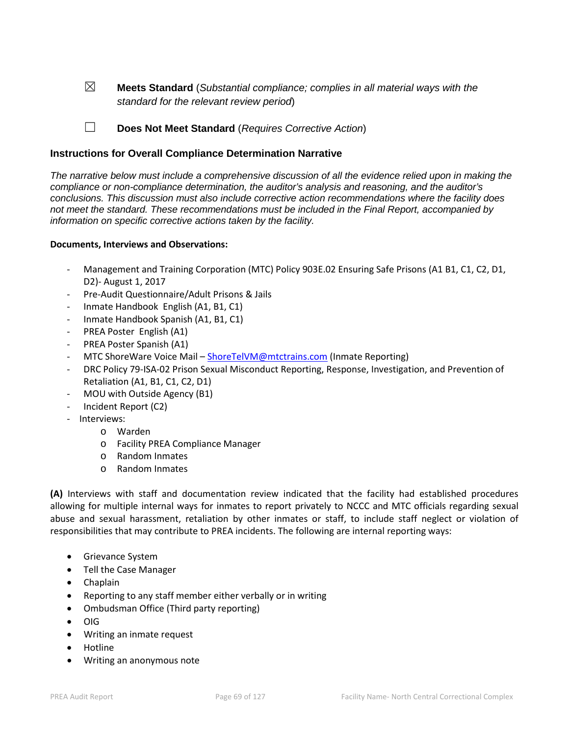☒ **Meets Standard** (*Substantial compliance; complies in all material ways with the standard for the relevant review period*)

☐ **Does Not Meet Standard** (*Requires Corrective Action*)

# **Instructions for Overall Compliance Determination Narrative**

*The narrative below must include a comprehensive discussion of all the evidence relied upon in making the compliance or non-compliance determination, the auditor's analysis and reasoning, and the auditor's conclusions. This discussion must also include corrective action recommendations where the facility does not meet the standard. These recommendations must be included in the Final Report, accompanied by information on specific corrective actions taken by the facility.*

#### **Documents, Interviews and Observations:**

- Management and Training Corporation (MTC) Policy 903E.02 Ensuring Safe Prisons (A1 B1, C1, C2, D1, D2)- August 1, 2017
- Pre-Audit Questionnaire/Adult Prisons & Jails
- Inmate Handbook English (A1, B1, C1)
- Inmate Handbook Spanish (A1, B1, C1)
- PREA Poster English (A1)
- PREA Poster Spanish (A1)
- MTC ShoreWare Voice Mail [ShoreTelVM@mtctrains.com](mailto:ShoreTelVM@mtctrains.com) (Inmate Reporting)
- DRC Policy 79-ISA-02 Prison Sexual Misconduct Reporting, Response, Investigation, and Prevention of Retaliation (A1, B1, C1, C2, D1)
- MOU with Outside Agency (B1)
- Incident Report (C2)
- Interviews:
	- o Warden
	- o Facility PREA Compliance Manager
	- o Random Inmates
	- o Random Inmates

**(A)** Interviews with staff and documentation review indicated that the facility had established procedures allowing for multiple internal ways for inmates to report privately to NCCC and MTC officials regarding sexual abuse and sexual harassment, retaliation by other inmates or staff, to include staff neglect or violation of responsibilities that may contribute to PREA incidents. The following are internal reporting ways:

- Grievance System
- Tell the Case Manager
- Chaplain
- Reporting to any staff member either verbally or in writing
- Ombudsman Office (Third party reporting)
- OIG
- Writing an inmate request
- Hotline
- Writing an anonymous note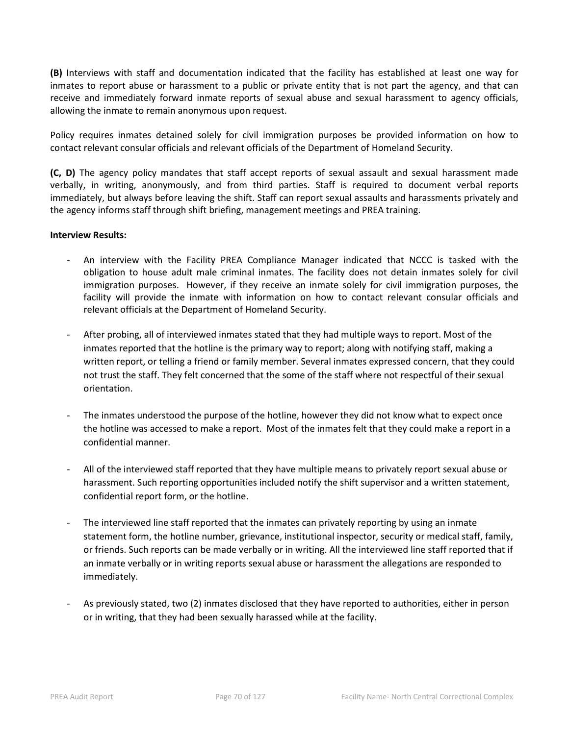**(B)** Interviews with staff and documentation indicated that the facility has established at least one way for inmates to report abuse or harassment to a public or private entity that is not part the agency, and that can receive and immediately forward inmate reports of sexual abuse and sexual harassment to agency officials, allowing the inmate to remain anonymous upon request.

Policy requires inmates detained solely for civil immigration purposes be provided information on how to contact relevant consular officials and relevant officials of the Department of Homeland Security.

**(C, D)** The agency policy mandates that staff accept reports of sexual assault and sexual harassment made verbally, in writing, anonymously, and from third parties. Staff is required to document verbal reports immediately, but always before leaving the shift. Staff can report sexual assaults and harassments privately and the agency informs staff through shift briefing, management meetings and PREA training.

#### **Interview Results:**

- An interview with the Facility PREA Compliance Manager indicated that NCCC is tasked with the obligation to house adult male criminal inmates. The facility does not detain inmates solely for civil immigration purposes. However, if they receive an inmate solely for civil immigration purposes, the facility will provide the inmate with information on how to contact relevant consular officials and relevant officials at the Department of Homeland Security.
- After probing, all of interviewed inmates stated that they had multiple ways to report. Most of the inmates reported that the hotline is the primary way to report; along with notifying staff, making a written report, or telling a friend or family member. Several inmates expressed concern, that they could not trust the staff. They felt concerned that the some of the staff where not respectful of their sexual orientation.
- The inmates understood the purpose of the hotline, however they did not know what to expect once the hotline was accessed to make a report. Most of the inmates felt that they could make a report in a confidential manner.
- All of the interviewed staff reported that they have multiple means to privately report sexual abuse or harassment. Such reporting opportunities included notify the shift supervisor and a written statement, confidential report form, or the hotline.
- The interviewed line staff reported that the inmates can privately reporting by using an inmate statement form, the hotline number, grievance, institutional inspector, security or medical staff, family, or friends. Such reports can be made verbally or in writing. All the interviewed line staff reported that if an inmate verbally or in writing reports sexual abuse or harassment the allegations are responded to immediately.
- As previously stated, two (2) inmates disclosed that they have reported to authorities, either in person or in writing, that they had been sexually harassed while at the facility.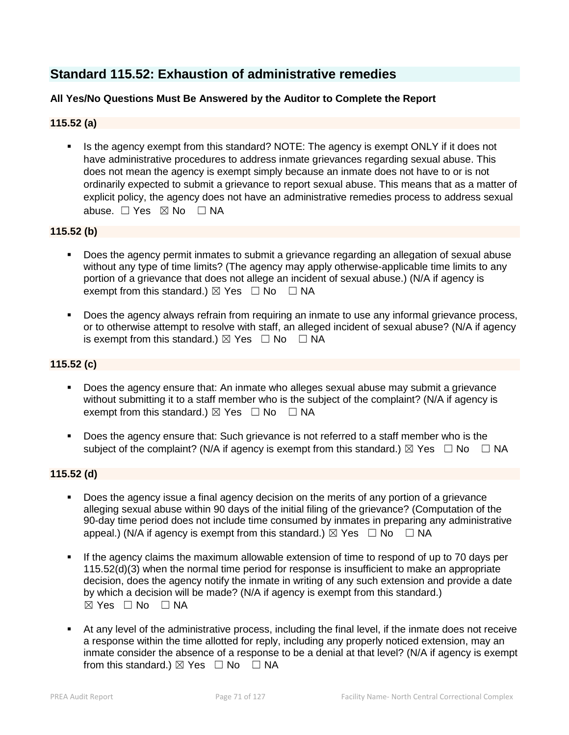# **Standard 115.52: Exhaustion of administrative remedies**

# **All Yes/No Questions Must Be Answered by the Auditor to Complete the Report**

# **115.52 (a)**

 Is the agency exempt from this standard? NOTE: The agency is exempt ONLY if it does not have administrative procedures to address inmate grievances regarding sexual abuse. This does not mean the agency is exempt simply because an inmate does not have to or is not ordinarily expected to submit a grievance to report sexual abuse. This means that as a matter of explicit policy, the agency does not have an administrative remedies process to address sexual abuse. □ Yes ⊠ No □ NA

# **115.52 (b)**

- Does the agency permit inmates to submit a grievance regarding an allegation of sexual abuse without any type of time limits? (The agency may apply otherwise-applicable time limits to any portion of a grievance that does not allege an incident of sexual abuse.) (N/A if agency is exempt from this standard.)  $\boxtimes$  Yes  $\Box$  No  $\Box$  NA
- Does the agency always refrain from requiring an inmate to use any informal grievance process, or to otherwise attempt to resolve with staff, an alleged incident of sexual abuse? (N/A if agency is exempt from this standard.)  $\boxtimes$  Yes  $\Box$  No  $\Box$  NA

# **115.52 (c)**

- Does the agency ensure that: An inmate who alleges sexual abuse may submit a grievance without submitting it to a staff member who is the subject of the complaint? (N/A if agency is exempt from this standard.)  $\boxtimes$  Yes  $\Box$  No  $\Box$  NA
- Does the agency ensure that: Such grievance is not referred to a staff member who is the subject of the complaint? (N/A if agency is exempt from this standard.)  $\boxtimes$  Yes  $\Box$  No  $\Box$  NA

# **115.52 (d)**

- Does the agency issue a final agency decision on the merits of any portion of a grievance alleging sexual abuse within 90 days of the initial filing of the grievance? (Computation of the 90-day time period does not include time consumed by inmates in preparing any administrative appeal.) (N/A if agency is exempt from this standard.)  $\boxtimes$  Yes  $\Box$  No  $\Box$  NA
- If the agency claims the maximum allowable extension of time to respond of up to 70 days per 115.52(d)(3) when the normal time period for response is insufficient to make an appropriate decision, does the agency notify the inmate in writing of any such extension and provide a date by which a decision will be made? (N/A if agency is exempt from this standard.)  $\boxtimes$  Yes  $\Box$  No  $\Box$  NA
- At any level of the administrative process, including the final level, if the inmate does not receive a response within the time allotted for reply, including any properly noticed extension, may an inmate consider the absence of a response to be a denial at that level? (N/A if agency is exempt from this standard.)  $\boxtimes$  Yes  $\Box$  No  $\Box$  NA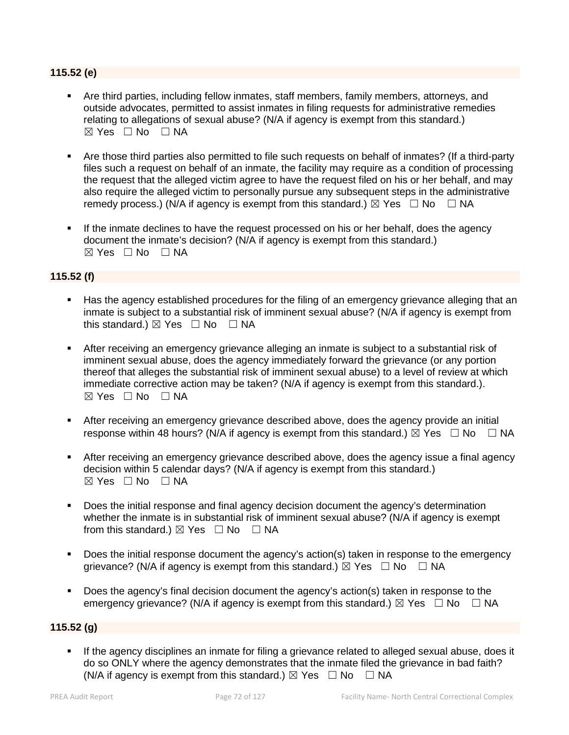# **115.52 (e)**

- Are third parties, including fellow inmates, staff members, family members, attorneys, and outside advocates, permitted to assist inmates in filing requests for administrative remedies relating to allegations of sexual abuse? (N/A if agency is exempt from this standard.)  $\boxtimes$  Yes  $\Box$  No  $\Box$  NA
- Are those third parties also permitted to file such requests on behalf of inmates? (If a third-party files such a request on behalf of an inmate, the facility may require as a condition of processing the request that the alleged victim agree to have the request filed on his or her behalf, and may also require the alleged victim to personally pursue any subsequent steps in the administrative remedy process.) (N/A if agency is exempt from this standard.)  $\boxtimes$  Yes  $\Box$  No  $\Box$  NA
- If the inmate declines to have the request processed on his or her behalf, does the agency document the inmate's decision? (N/A if agency is exempt from this standard.)  $\boxtimes$  Yes  $\Box$  No  $\Box$  NA

# **115.52 (f)**

- Has the agency established procedures for the filing of an emergency grievance alleging that an inmate is subject to a substantial risk of imminent sexual abuse? (N/A if agency is exempt from this standard.)  $\boxtimes$  Yes  $\Box$  No  $\Box$  NA
- After receiving an emergency grievance alleging an inmate is subject to a substantial risk of imminent sexual abuse, does the agency immediately forward the grievance (or any portion thereof that alleges the substantial risk of imminent sexual abuse) to a level of review at which immediate corrective action may be taken? (N/A if agency is exempt from this standard.). ☒ Yes ☐ No ☐ NA
- After receiving an emergency grievance described above, does the agency provide an initial response within 48 hours? (N/A if agency is exempt from this standard.)  $\boxtimes$  Yes  $\Box$  No  $\Box$  NA
- After receiving an emergency grievance described above, does the agency issue a final agency decision within 5 calendar days? (N/A if agency is exempt from this standard.)  $\boxtimes$  Yes  $\Box$  No  $\Box$  NA
- Does the initial response and final agency decision document the agency's determination whether the inmate is in substantial risk of imminent sexual abuse? (N/A if agency is exempt from this standard.)  $\boxtimes$  Yes  $\Box$  No  $\Box$  NA
- Does the initial response document the agency's action(s) taken in response to the emergency grievance? (N/A if agency is exempt from this standard.)  $\boxtimes$  Yes  $\Box$  No  $\Box$  NA
- Does the agency's final decision document the agency's action(s) taken in response to the emergency grievance? (N/A if agency is exempt from this standard.)  $\boxtimes$  Yes  $\Box$  No  $\Box$  NA

# **115.52 (g)**

 If the agency disciplines an inmate for filing a grievance related to alleged sexual abuse, does it do so ONLY where the agency demonstrates that the inmate filed the grievance in bad faith? (N/A if agency is exempt from this standard.)  $\boxtimes$  Yes  $\Box$  No  $\Box$  NA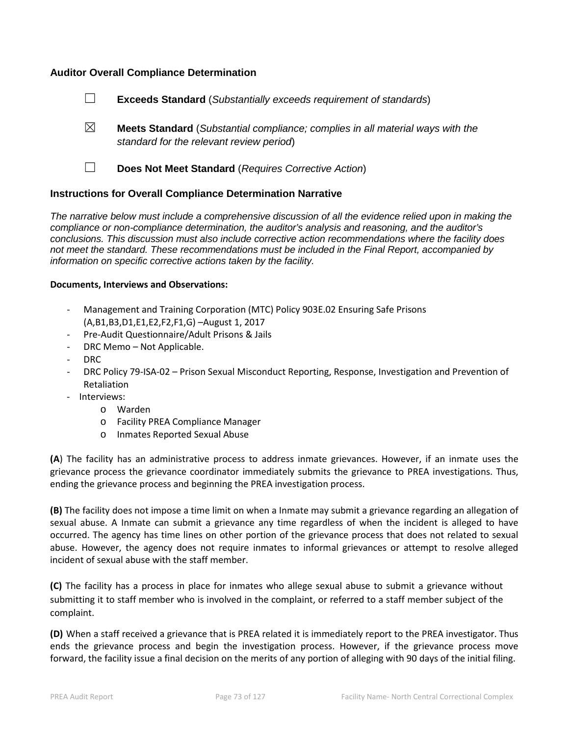## **Auditor Overall Compliance Determination**



- ☒ **Meets Standard** (*Substantial compliance; complies in all material ways with the standard for the relevant review period*)
- 

☐ **Does Not Meet Standard** (*Requires Corrective Action*)

## **Instructions for Overall Compliance Determination Narrative**

*The narrative below must include a comprehensive discussion of all the evidence relied upon in making the compliance or non-compliance determination, the auditor's analysis and reasoning, and the auditor's conclusions. This discussion must also include corrective action recommendations where the facility does not meet the standard. These recommendations must be included in the Final Report, accompanied by information on specific corrective actions taken by the facility.*

#### **Documents, Interviews and Observations:**

- Management and Training Corporation (MTC) Policy 903E.02 Ensuring Safe Prisons (A,B1,B3,D1,E1,E2,F2,F1,G) –August 1, 2017
- Pre-Audit Questionnaire/Adult Prisons & Jails
- DRC Memo Not Applicable.
- DRC
- DRC Policy 79-ISA-02 Prison Sexual Misconduct Reporting, Response, Investigation and Prevention of Retaliation
- Interviews:
	- o Warden
	- o Facility PREA Compliance Manager
	- o Inmates Reported Sexual Abuse

**(A**) The facility has an administrative process to address inmate grievances. However, if an inmate uses the grievance process the grievance coordinator immediately submits the grievance to PREA investigations. Thus, ending the grievance process and beginning the PREA investigation process.

**(B)** The facility does not impose a time limit on when a Inmate may submit a grievance regarding an allegation of sexual abuse. A Inmate can submit a grievance any time regardless of when the incident is alleged to have occurred. The agency has time lines on other portion of the grievance process that does not related to sexual abuse. However, the agency does not require inmates to informal grievances or attempt to resolve alleged incident of sexual abuse with the staff member.

**(C)** The facility has a process in place for inmates who allege sexual abuse to submit a grievance without submitting it to staff member who is involved in the complaint, or referred to a staff member subject of the complaint.

**(D)** When a staff received a grievance that is PREA related it is immediately report to the PREA investigator. Thus ends the grievance process and begin the investigation process. However, if the grievance process move forward, the facility issue a final decision on the merits of any portion of alleging with 90 days of the initial filing.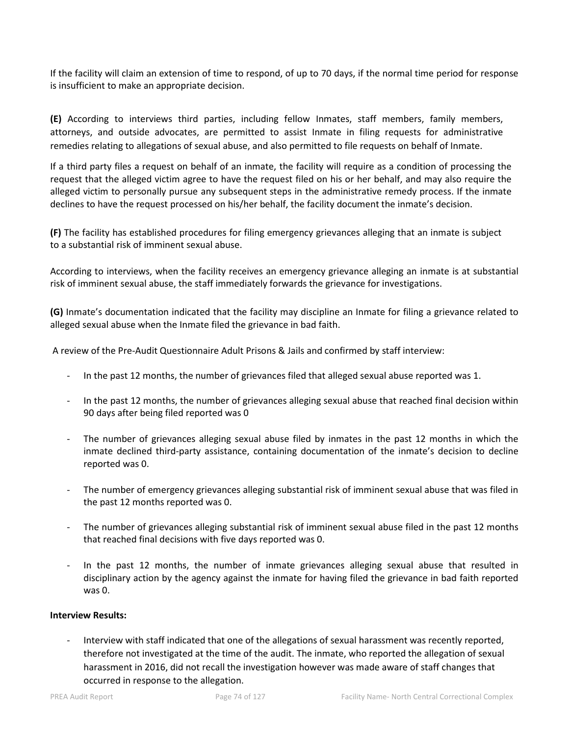If the facility will claim an extension of time to respond, of up to 70 days, if the normal time period for response is insufficient to make an appropriate decision.

**(E)** According to interviews third parties, including fellow Inmates, staff members, family members, attorneys, and outside advocates, are permitted to assist Inmate in filing requests for administrative remedies relating to allegations of sexual abuse, and also permitted to file requests on behalf of Inmate.

If a third party files a request on behalf of an inmate, the facility will require as a condition of processing the request that the alleged victim agree to have the request filed on his or her behalf, and may also require the alleged victim to personally pursue any subsequent steps in the administrative remedy process. If the inmate declines to have the request processed on his/her behalf, the facility document the inmate's decision.

**(F)** The facility has established procedures for filing emergency grievances alleging that an inmate is subject to a substantial risk of imminent sexual abuse.

According to interviews, when the facility receives an emergency grievance alleging an inmate is at substantial risk of imminent sexual abuse, the staff immediately forwards the grievance for investigations.

**(G)** Inmate's documentation indicated that the facility may discipline an Inmate for filing a grievance related to alleged sexual abuse when the Inmate filed the grievance in bad faith.

A review of the Pre-Audit Questionnaire Adult Prisons & Jails and confirmed by staff interview:

- In the past 12 months, the number of grievances filed that alleged sexual abuse reported was 1.
- In the past 12 months, the number of grievances alleging sexual abuse that reached final decision within 90 days after being filed reported was 0
- The number of grievances alleging sexual abuse filed by inmates in the past 12 months in which the inmate declined third-party assistance, containing documentation of the inmate's decision to decline reported was 0.
- The number of emergency grievances alleging substantial risk of imminent sexual abuse that was filed in the past 12 months reported was 0.
- The number of grievances alleging substantial risk of imminent sexual abuse filed in the past 12 months that reached final decisions with five days reported was 0.
- In the past 12 months, the number of inmate grievances alleging sexual abuse that resulted in disciplinary action by the agency against the inmate for having filed the grievance in bad faith reported was 0.

## **Interview Results:**

- Interview with staff indicated that one of the allegations of sexual harassment was recently reported, therefore not investigated at the time of the audit. The inmate, who reported the allegation of sexual harassment in 2016, did not recall the investigation however was made aware of staff changes that occurred in response to the allegation.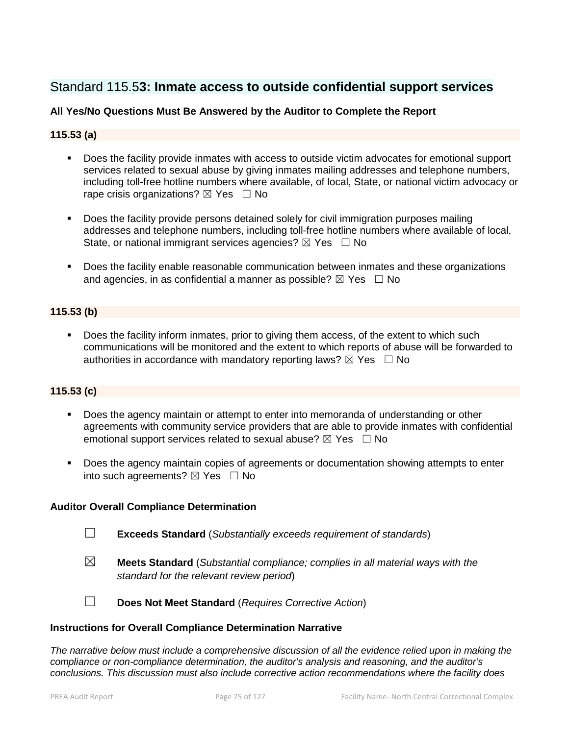# Standard 115.5**3: Inmate access to outside confidential support services**

## **All Yes/No Questions Must Be Answered by the Auditor to Complete the Report**

## **115.53 (a)**

- Does the facility provide inmates with access to outside victim advocates for emotional support services related to sexual abuse by giving inmates mailing addresses and telephone numbers, including toll-free hotline numbers where available, of local, State, or national victim advocacy or rape crisis organizations?  $\boxtimes$  Yes  $\Box$  No
- **Does the facility provide persons detained solely for civil immigration purposes mailing** addresses and telephone numbers, including toll-free hotline numbers where available of local, State, or national immigrant services agencies?  $\boxtimes$  Yes  $\Box$  No
- **Does the facility enable reasonable communication between inmates and these organizations** and agencies, in as confidential a manner as possible?  $\boxtimes$  Yes  $\Box$  No

## **115.53 (b)**

Does the facility inform inmates, prior to giving them access, of the extent to which such communications will be monitored and the extent to which reports of abuse will be forwarded to authorities in accordance with mandatory reporting laws?  $\boxtimes$  Yes  $\Box$  No

## **115.53 (c)**

- Does the agency maintain or attempt to enter into memoranda of understanding or other agreements with community service providers that are able to provide inmates with confidential emotional support services related to sexual abuse?  $\boxtimes$  Yes  $\Box$  No
- **Does the agency maintain copies of agreements or documentation showing attempts to enter** into such agreements?  $\boxtimes$  Yes  $\Box$  No

## **Auditor Overall Compliance Determination**

- ☐ **Exceeds Standard** (*Substantially exceeds requirement of standards*)
- ☒ **Meets Standard** (*Substantial compliance; complies in all material ways with the standard for the relevant review period*)

☐ **Does Not Meet Standard** (*Requires Corrective Action*)

## **Instructions for Overall Compliance Determination Narrative**

*The narrative below must include a comprehensive discussion of all the evidence relied upon in making the compliance or non-compliance determination, the auditor's analysis and reasoning, and the auditor's conclusions. This discussion must also include corrective action recommendations where the facility does*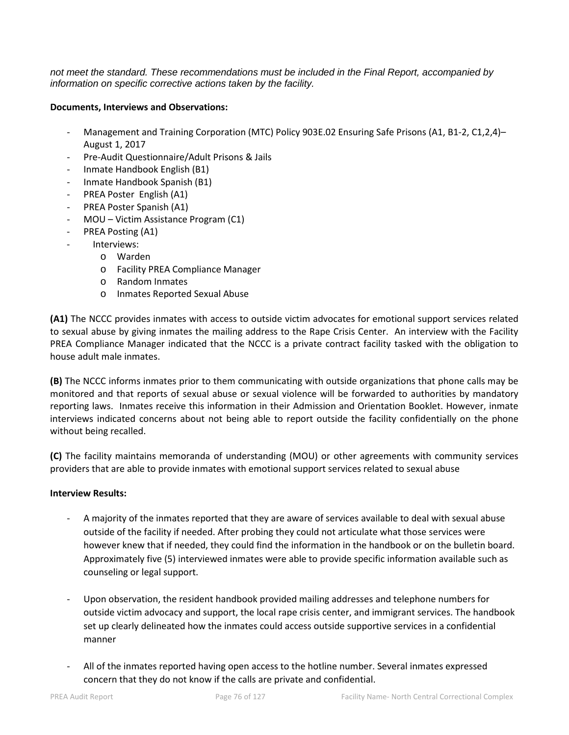*not meet the standard. These recommendations must be included in the Final Report, accompanied by information on specific corrective actions taken by the facility.*

## **Documents, Interviews and Observations:**

- Management and Training Corporation (MTC) Policy 903E.02 Ensuring Safe Prisons (A1, B1-2, C1,2,4)– August 1, 2017
- Pre-Audit Questionnaire/Adult Prisons & Jails
- Inmate Handbook English (B1)
- Inmate Handbook Spanish (B1)
- PREA Poster English (A1)
- PREA Poster Spanish (A1)
- MOU Victim Assistance Program (C1)
- PREA Posting (A1)
- Interviews:
	- o Warden
		- o Facility PREA Compliance Manager
		- o Random Inmates
		- o Inmates Reported Sexual Abuse

**(A1)** The NCCC provides inmates with access to outside victim advocates for emotional support services related to sexual abuse by giving inmates the mailing address to the Rape Crisis Center. An interview with the Facility PREA Compliance Manager indicated that the NCCC is a private contract facility tasked with the obligation to house adult male inmates.

**(B)** The NCCC informs inmates prior to them communicating with outside organizations that phone calls may be monitored and that reports of sexual abuse or sexual violence will be forwarded to authorities by mandatory reporting laws. Inmates receive this information in their Admission and Orientation Booklet. However, inmate interviews indicated concerns about not being able to report outside the facility confidentially on the phone without being recalled.

**(C)** The facility maintains memoranda of understanding (MOU) or other agreements with community services providers that are able to provide inmates with emotional support services related to sexual abuse

## **Interview Results:**

- A majority of the inmates reported that they are aware of services available to deal with sexual abuse outside of the facility if needed. After probing they could not articulate what those services were however knew that if needed, they could find the information in the handbook or on the bulletin board. Approximately five (5) interviewed inmates were able to provide specific information available such as counseling or legal support.
- Upon observation, the resident handbook provided mailing addresses and telephone numbers for outside victim advocacy and support, the local rape crisis center, and immigrant services. The handbook set up clearly delineated how the inmates could access outside supportive services in a confidential manner
- All of the inmates reported having open access to the hotline number. Several inmates expressed concern that they do not know if the calls are private and confidential.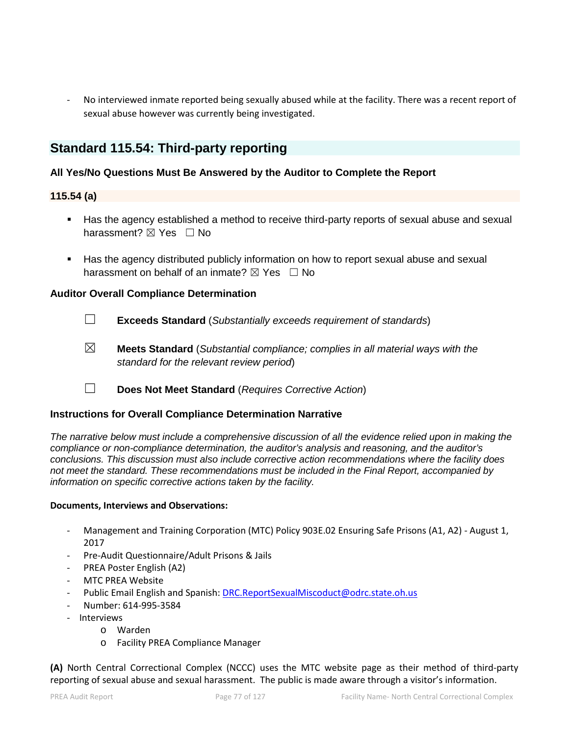No interviewed inmate reported being sexually abused while at the facility. There was a recent report of sexual abuse however was currently being investigated.

## **Standard 115.54: Third-party reporting**

## **All Yes/No Questions Must Be Answered by the Auditor to Complete the Report**

## **115.54 (a)**

- Has the agency established a method to receive third-party reports of sexual abuse and sexual harassment?  $\boxtimes$  Yes  $\Box$  No
- Has the agency distributed publicly information on how to report sexual abuse and sexual harassment on behalf of an inmate?  $\boxtimes$  Yes  $\Box$  No

## **Auditor Overall Compliance Determination**

- ☐ **Exceeds Standard** (*Substantially exceeds requirement of standards*)
- ☒ **Meets Standard** (*Substantial compliance; complies in all material ways with the standard for the relevant review period*)
- ☐ **Does Not Meet Standard** (*Requires Corrective Action*)

## **Instructions for Overall Compliance Determination Narrative**

*The narrative below must include a comprehensive discussion of all the evidence relied upon in making the compliance or non-compliance determination, the auditor's analysis and reasoning, and the auditor's conclusions. This discussion must also include corrective action recommendations where the facility does not meet the standard. These recommendations must be included in the Final Report, accompanied by information on specific corrective actions taken by the facility.*

## **Documents, Interviews and Observations:**

- Management and Training Corporation (MTC) Policy 903E.02 Ensuring Safe Prisons (A1, A2) August 1, 2017
- Pre-Audit Questionnaire/Adult Prisons & Jails
- PREA Poster English (A2)
- MTC PREA Website
- Public Email English and Spanish[: DRC.ReportSexualMiscoduct@odrc.state.oh.us](mailto:DRC.ReportSexualMiscoduct@odrc.state.oh.us)
- Number: 614-995-3584
- Interviews
	- o Warden
	- o Facility PREA Compliance Manager

**(A)** North Central Correctional Complex (NCCC) uses the MTC website page as their method of third-party reporting of sexual abuse and sexual harassment. The public is made aware through a visitor's information.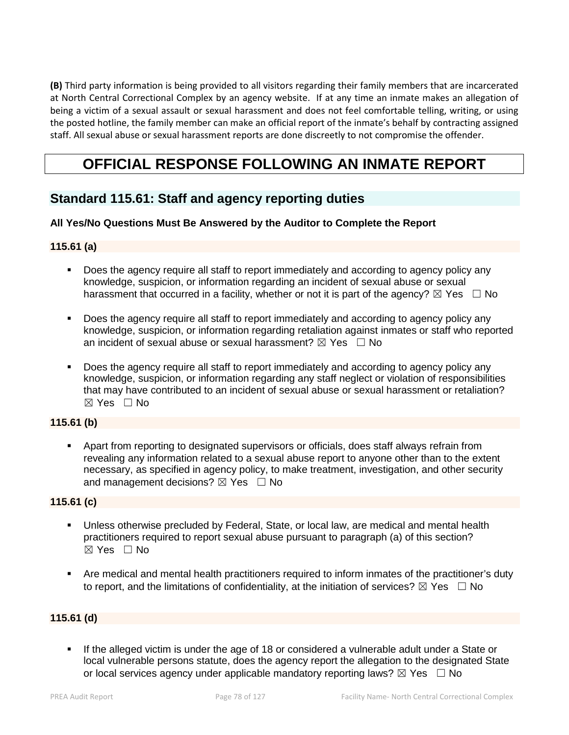**(B)** Third party information is being provided to all visitors regarding their family members that are incarcerated at North Central Correctional Complex by an agency website. If at any time an inmate makes an allegation of being a victim of a sexual assault or sexual harassment and does not feel comfortable telling, writing, or using the posted hotline, the family member can make an official report of the inmate's behalf by contracting assigned staff. All sexual abuse or sexual harassment reports are done discreetly to not compromise the offender.

# **OFFICIAL RESPONSE FOLLOWING AN INMATE REPORT**

# **Standard 115.61: Staff and agency reporting duties**

## **All Yes/No Questions Must Be Answered by the Auditor to Complete the Report**

## **115.61 (a)**

- Does the agency require all staff to report immediately and according to agency policy any knowledge, suspicion, or information regarding an incident of sexual abuse or sexual harassment that occurred in a facility, whether or not it is part of the agency?  $\boxtimes$  Yes  $\Box$  No
- Does the agency require all staff to report immediately and according to agency policy any knowledge, suspicion, or information regarding retaliation against inmates or staff who reported an incident of sexual abuse or sexual harassment?  $\boxtimes$  Yes  $\Box$  No
- Does the agency require all staff to report immediately and according to agency policy any knowledge, suspicion, or information regarding any staff neglect or violation of responsibilities that may have contributed to an incident of sexual abuse or sexual harassment or retaliation? ☒ Yes ☐ No

## **115.61 (b)**

 Apart from reporting to designated supervisors or officials, does staff always refrain from revealing any information related to a sexual abuse report to anyone other than to the extent necessary, as specified in agency policy, to make treatment, investigation, and other security and management decisions?  $\boxtimes$  Yes  $\Box$  No

## **115.61 (c)**

- Unless otherwise precluded by Federal, State, or local law, are medical and mental health practitioners required to report sexual abuse pursuant to paragraph (a) of this section?  $\boxtimes$  Yes  $\Box$  No
- Are medical and mental health practitioners required to inform inmates of the practitioner's duty to report, and the limitations of confidentiality, at the initiation of services?  $\boxtimes$  Yes  $\Box$  No

## **115.61 (d)**

 If the alleged victim is under the age of 18 or considered a vulnerable adult under a State or local vulnerable persons statute, does the agency report the allegation to the designated State or local services agency under applicable mandatory reporting laws?  $\boxtimes$  Yes  $\Box$  No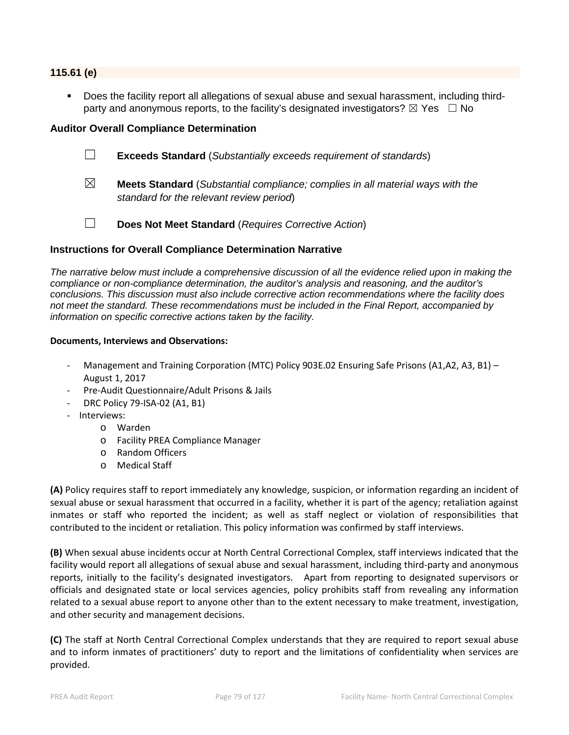#### **115.61 (e)**

 Does the facility report all allegations of sexual abuse and sexual harassment, including thirdparty and anonymous reports, to the facility's designated investigators?  $\boxtimes$  Yes  $\Box$  No

#### **Auditor Overall Compliance Determination**

- ☐ **Exceeds Standard** (*Substantially exceeds requirement of standards*)
- ☒ **Meets Standard** (*Substantial compliance; complies in all material ways with the standard for the relevant review period*)
- ☐ **Does Not Meet Standard** (*Requires Corrective Action*)

## **Instructions for Overall Compliance Determination Narrative**

*The narrative below must include a comprehensive discussion of all the evidence relied upon in making the compliance or non-compliance determination, the auditor's analysis and reasoning, and the auditor's conclusions. This discussion must also include corrective action recommendations where the facility does not meet the standard. These recommendations must be included in the Final Report, accompanied by information on specific corrective actions taken by the facility.*

#### **Documents, Interviews and Observations:**

- Management and Training Corporation (MTC) Policy 903E.02 Ensuring Safe Prisons (A1,A2, A3, B1) -August 1, 2017
- Pre-Audit Questionnaire/Adult Prisons & Jails
- DRC Policy 79-ISA-02 (A1, B1)
- Interviews:
	- o Warden
	- o Facility PREA Compliance Manager
	- o Random Officers
	- o Medical Staff

**(A)** Policy requires staff to report immediately any knowledge, suspicion, or information regarding an incident of sexual abuse or sexual harassment that occurred in a facility, whether it is part of the agency; retaliation against inmates or staff who reported the incident; as well as staff neglect or violation of responsibilities that contributed to the incident or retaliation. This policy information was confirmed by staff interviews.

**(B)** When sexual abuse incidents occur at North Central Correctional Complex, staff interviews indicated that the facility would report all allegations of sexual abuse and sexual harassment, including third-party and anonymous reports, initially to the facility's designated investigators. Apart from reporting to designated supervisors or officials and designated state or local services agencies, policy prohibits staff from revealing any information related to a sexual abuse report to anyone other than to the extent necessary to make treatment, investigation, and other security and management decisions.

**(C)** The staff at North Central Correctional Complex understands that they are required to report sexual abuse and to inform inmates of practitioners' duty to report and the limitations of confidentiality when services are provided.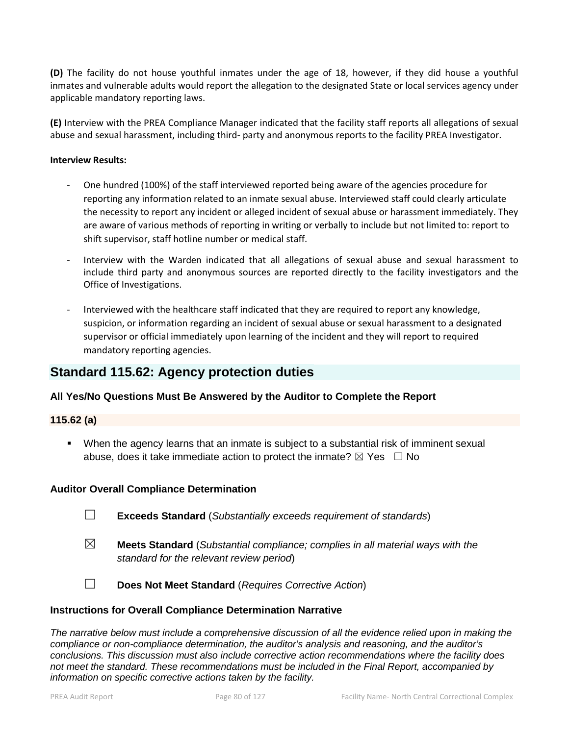**(D)** The facility do not house youthful inmates under the age of 18, however, if they did house a youthful inmates and vulnerable adults would report the allegation to the designated State or local services agency under applicable mandatory reporting laws.

**(E)** Interview with the PREA Compliance Manager indicated that the facility staff reports all allegations of sexual abuse and sexual harassment, including third- party and anonymous reports to the facility PREA Investigator.

#### **Interview Results:**

- One hundred (100%) of the staff interviewed reported being aware of the agencies procedure for reporting any information related to an inmate sexual abuse. Interviewed staff could clearly articulate the necessity to report any incident or alleged incident of sexual abuse or harassment immediately. They are aware of various methods of reporting in writing or verbally to include but not limited to: report to shift supervisor, staff hotline number or medical staff.
- Interview with the Warden indicated that all allegations of sexual abuse and sexual harassment to include third party and anonymous sources are reported directly to the facility investigators and the Office of Investigations.
- Interviewed with the healthcare staff indicated that they are required to report any knowledge, suspicion, or information regarding an incident of sexual abuse or sexual harassment to a designated supervisor or official immediately upon learning of the incident and they will report to required mandatory reporting agencies.

# **Standard 115.62: Agency protection duties**

## **All Yes/No Questions Must Be Answered by the Auditor to Complete the Report**

## **115.62 (a)**

 When the agency learns that an inmate is subject to a substantial risk of imminent sexual abuse, does it take immediate action to protect the inmate?  $\boxtimes$  Yes  $\Box$  No

## **Auditor Overall Compliance Determination**

- ☐ **Exceeds Standard** (*Substantially exceeds requirement of standards*)
- ☒ **Meets Standard** (*Substantial compliance; complies in all material ways with the standard for the relevant review period*)
- ☐ **Does Not Meet Standard** (*Requires Corrective Action*)

## **Instructions for Overall Compliance Determination Narrative**

*The narrative below must include a comprehensive discussion of all the evidence relied upon in making the compliance or non-compliance determination, the auditor's analysis and reasoning, and the auditor's conclusions. This discussion must also include corrective action recommendations where the facility does not meet the standard. These recommendations must be included in the Final Report, accompanied by information on specific corrective actions taken by the facility.*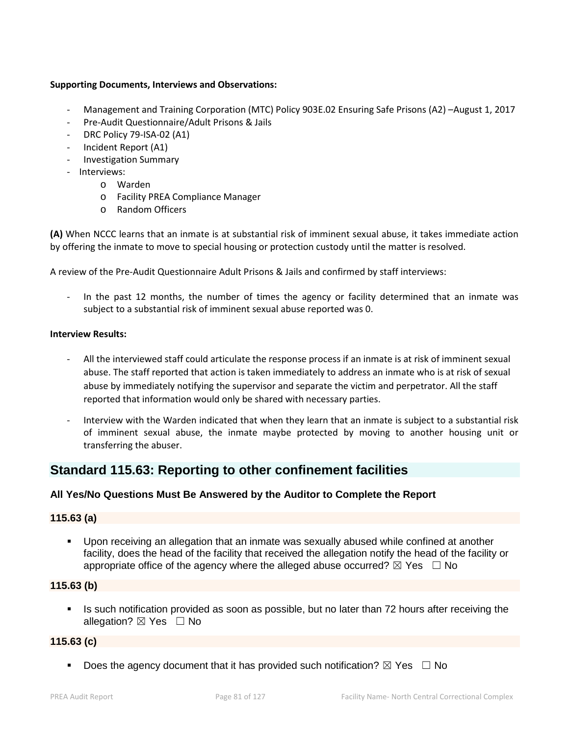## **Supporting Documents, Interviews and Observations:**

- Management and Training Corporation (MTC) Policy 903E.02 Ensuring Safe Prisons (A2) –August 1, 2017
- Pre-Audit Questionnaire/Adult Prisons & Jails
- DRC Policy 79-ISA-02 (A1)
- Incident Report (A1)
- Investigation Summary
- Interviews:
	- o Warden
	- o Facility PREA Compliance Manager
	- o Random Officers

**(A)** When NCCC learns that an inmate is at substantial risk of imminent sexual abuse, it takes immediate action by offering the inmate to move to special housing or protection custody until the matter is resolved.

A review of the Pre-Audit Questionnaire Adult Prisons & Jails and confirmed by staff interviews:

In the past 12 months, the number of times the agency or facility determined that an inmate was subject to a substantial risk of imminent sexual abuse reported was 0.

## **Interview Results:**

- All the interviewed staff could articulate the response process if an inmate is at risk of imminent sexual abuse. The staff reported that action is taken immediately to address an inmate who is at risk of sexual abuse by immediately notifying the supervisor and separate the victim and perpetrator. All the staff reported that information would only be shared with necessary parties.
- Interview with the Warden indicated that when they learn that an inmate is subject to a substantial risk of imminent sexual abuse, the inmate maybe protected by moving to another housing unit or transferring the abuser.

## **Standard 115.63: Reporting to other confinement facilities**

## **All Yes/No Questions Must Be Answered by the Auditor to Complete the Report**

## **115.63 (a)**

 Upon receiving an allegation that an inmate was sexually abused while confined at another facility, does the head of the facility that received the allegation notify the head of the facility or appropriate office of the agency where the alleged abuse occurred?  $\boxtimes$  Yes  $\Box$  No

## **115.63 (b)**

 Is such notification provided as soon as possible, but no later than 72 hours after receiving the allegation?  $\boxtimes$  Yes  $\Box$  No

## **115.63 (c)**

Does the agency document that it has provided such notification?  $\boxtimes$  Yes  $\Box$  No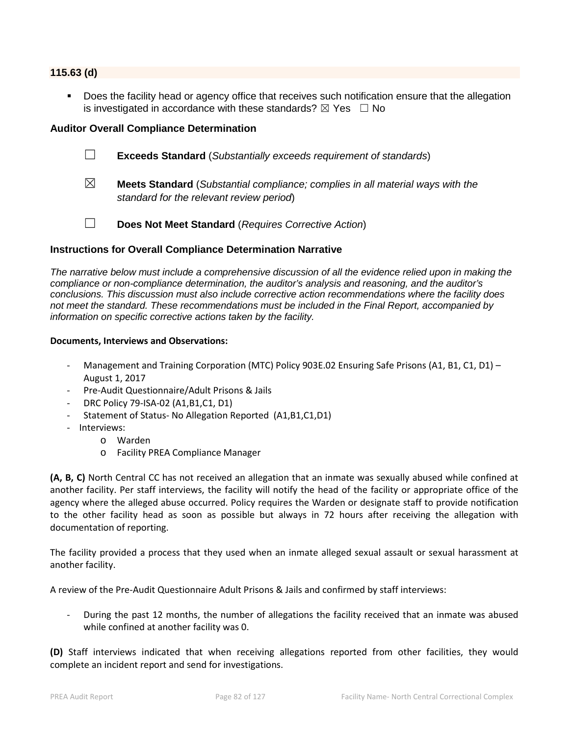#### **115.63 (d)**

 Does the facility head or agency office that receives such notification ensure that the allegation is investigated in accordance with these standards?  $\boxtimes$  Yes  $\Box$  No

## **Auditor Overall Compliance Determination**

- ☐ **Exceeds Standard** (*Substantially exceeds requirement of standards*)
- ☒ **Meets Standard** (*Substantial compliance; complies in all material ways with the standard for the relevant review period*)
- ☐ **Does Not Meet Standard** (*Requires Corrective Action*)

## **Instructions for Overall Compliance Determination Narrative**

*The narrative below must include a comprehensive discussion of all the evidence relied upon in making the compliance or non-compliance determination, the auditor's analysis and reasoning, and the auditor's conclusions. This discussion must also include corrective action recommendations where the facility does not meet the standard. These recommendations must be included in the Final Report, accompanied by information on specific corrective actions taken by the facility.*

#### **Documents, Interviews and Observations:**

- Management and Training Corporation (MTC) Policy 903E.02 Ensuring Safe Prisons (A1, B1, C1, D1) -August 1, 2017
- Pre-Audit Questionnaire/Adult Prisons & Jails
- DRC Policy 79-ISA-02 (A1,B1,C1, D1)
- Statement of Status- No Allegation Reported (A1,B1,C1,D1)
- Interviews:
	- o Warden
		- o Facility PREA Compliance Manager

**(A, B, C)** North Central CC has not received an allegation that an inmate was sexually abused while confined at another facility. Per staff interviews, the facility will notify the head of the facility or appropriate office of the agency where the alleged abuse occurred. Policy requires the Warden or designate staff to provide notification to the other facility head as soon as possible but always in 72 hours after receiving the allegation with documentation of reporting.

The facility provided a process that they used when an inmate alleged sexual assault or sexual harassment at another facility.

A review of the Pre-Audit Questionnaire Adult Prisons & Jails and confirmed by staff interviews:

During the past 12 months, the number of allegations the facility received that an inmate was abused while confined at another facility was 0.

**(D)** Staff interviews indicated that when receiving allegations reported from other facilities, they would complete an incident report and send for investigations.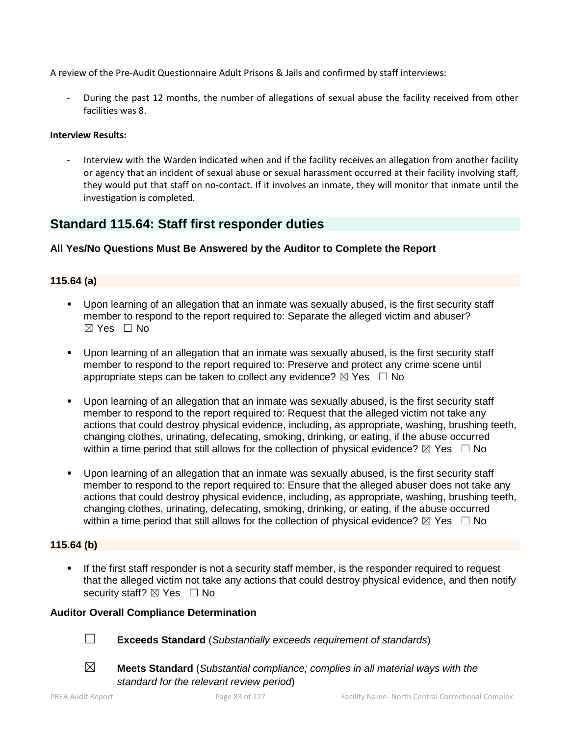A review of the Pre-Audit Questionnaire Adult Prisons & Jails and confirmed by staff interviews:

During the past 12 months, the number of allegations of sexual abuse the facility received from other facilities was 8.

## **Interview Results:**

Interview with the Warden indicated when and if the facility receives an allegation from another facility or agency that an incident of sexual abuse or sexual harassment occurred at their facility involving staff, they would put that staff on no-contact. If it involves an inmate, they will monitor that inmate until the investigation is completed.

# **Standard 115.64: Staff first responder duties**

## **All Yes/No Questions Must Be Answered by the Auditor to Complete the Report**

## **115.64 (a)**

- Upon learning of an allegation that an inmate was sexually abused, is the first security staff member to respond to the report required to: Separate the alleged victim and abuser?  $\boxtimes$  Yes  $\Box$  No
- Upon learning of an allegation that an inmate was sexually abused, is the first security staff member to respond to the report required to: Preserve and protect any crime scene until appropriate steps can be taken to collect any evidence?  $\boxtimes$  Yes  $\Box$  No
- Upon learning of an allegation that an inmate was sexually abused, is the first security staff member to respond to the report required to: Request that the alleged victim not take any actions that could destroy physical evidence, including, as appropriate, washing, brushing teeth, changing clothes, urinating, defecating, smoking, drinking, or eating, if the abuse occurred within a time period that still allows for the collection of physical evidence?  $\boxtimes$  Yes  $\Box$  No
- Upon learning of an allegation that an inmate was sexually abused, is the first security staff member to respond to the report required to: Ensure that the alleged abuser does not take any actions that could destroy physical evidence, including, as appropriate, washing, brushing teeth, changing clothes, urinating, defecating, smoking, drinking, or eating, if the abuse occurred within a time period that still allows for the collection of physical evidence?  $\boxtimes$  Yes  $\Box$  No

## **115.64 (b)**

 If the first staff responder is not a security staff member, is the responder required to request that the alleged victim not take any actions that could destroy physical evidence, and then notify security staff?  $\boxtimes$  Yes  $\Box$  No

## **Auditor Overall Compliance Determination**

- ☐ **Exceeds Standard** (*Substantially exceeds requirement of standards*)
- ☒ **Meets Standard** (*Substantial compliance; complies in all material ways with the standard for the relevant review period*)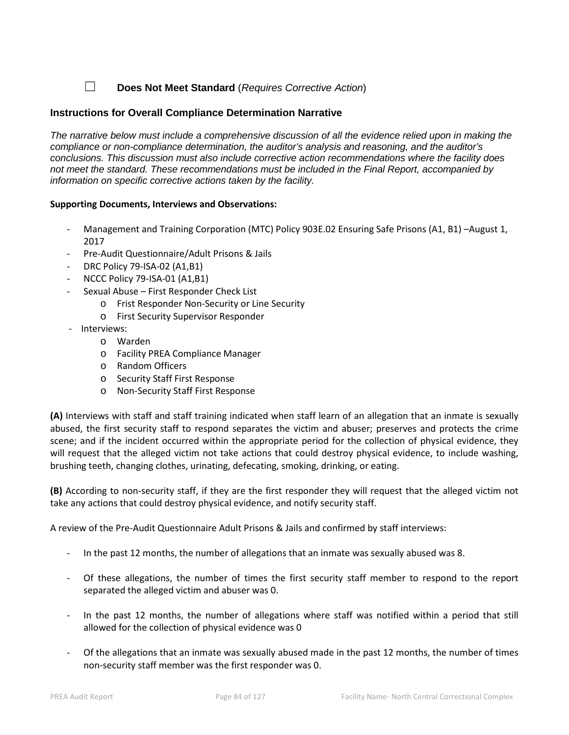☐ **Does Not Meet Standard** (*Requires Corrective Action*)

## **Instructions for Overall Compliance Determination Narrative**

*The narrative below must include a comprehensive discussion of all the evidence relied upon in making the compliance or non-compliance determination, the auditor's analysis and reasoning, and the auditor's conclusions. This discussion must also include corrective action recommendations where the facility does not meet the standard. These recommendations must be included in the Final Report, accompanied by information on specific corrective actions taken by the facility.*

## **Supporting Documents, Interviews and Observations:**

- Management and Training Corporation (MTC) Policy 903E.02 Ensuring Safe Prisons (A1, B1) -August 1, 2017
- Pre-Audit Questionnaire/Adult Prisons & Jails
- DRC Policy 79-ISA-02 (A1,B1)
- NCCC Policy 79-ISA-01 (A1,B1)
- Sexual Abuse First Responder Check List
	- o Frist Responder Non-Security or Line Security
		- o First Security Supervisor Responder
- Interviews:
	- o Warden
	- o Facility PREA Compliance Manager
	- o Random Officers
	- o Security Staff First Response
	- o Non-Security Staff First Response

**(A)** Interviews with staff and staff training indicated when staff learn of an allegation that an inmate is sexually abused, the first security staff to respond separates the victim and abuser; preserves and protects the crime scene; and if the incident occurred within the appropriate period for the collection of physical evidence, they will request that the alleged victim not take actions that could destroy physical evidence, to include washing, brushing teeth, changing clothes, urinating, defecating, smoking, drinking, or eating.

**(B)** According to non-security staff, if they are the first responder they will request that the alleged victim not take any actions that could destroy physical evidence, and notify security staff.

A review of the Pre-Audit Questionnaire Adult Prisons & Jails and confirmed by staff interviews:

- In the past 12 months, the number of allegations that an inmate was sexually abused was 8.
- Of these allegations, the number of times the first security staff member to respond to the report separated the alleged victim and abuser was 0.
- In the past 12 months, the number of allegations where staff was notified within a period that still allowed for the collection of physical evidence was 0
- Of the allegations that an inmate was sexually abused made in the past 12 months, the number of times non-security staff member was the first responder was 0.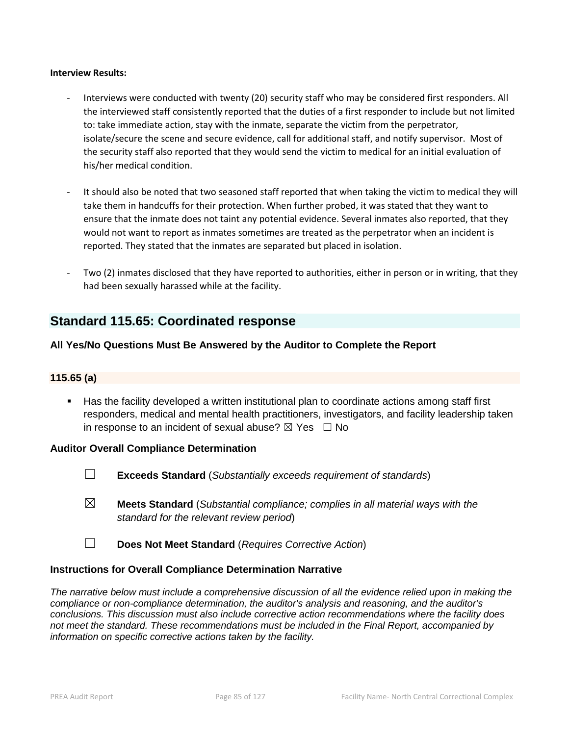#### **Interview Results:**

- Interviews were conducted with twenty (20) security staff who may be considered first responders. All the interviewed staff consistently reported that the duties of a first responder to include but not limited to: take immediate action, stay with the inmate, separate the victim from the perpetrator, isolate/secure the scene and secure evidence, call for additional staff, and notify supervisor. Most of the security staff also reported that they would send the victim to medical for an initial evaluation of his/her medical condition.
- It should also be noted that two seasoned staff reported that when taking the victim to medical they will take them in handcuffs for their protection. When further probed, it was stated that they want to ensure that the inmate does not taint any potential evidence. Several inmates also reported, that they would not want to report as inmates sometimes are treated as the perpetrator when an incident is reported. They stated that the inmates are separated but placed in isolation.
- Two (2) inmates disclosed that they have reported to authorities, either in person or in writing, that they had been sexually harassed while at the facility.

# **Standard 115.65: Coordinated response**

## **All Yes/No Questions Must Be Answered by the Auditor to Complete the Report**

## **115.65 (a)**

 Has the facility developed a written institutional plan to coordinate actions among staff first responders, medical and mental health practitioners, investigators, and facility leadership taken in response to an incident of sexual abuse?  $\boxtimes$  Yes  $\Box$  No

#### **Auditor Overall Compliance Determination**

- ☐ **Exceeds Standard** (*Substantially exceeds requirement of standards*)
- ☒ **Meets Standard** (*Substantial compliance; complies in all material ways with the standard for the relevant review period*)
- ☐ **Does Not Meet Standard** (*Requires Corrective Action*)

## **Instructions for Overall Compliance Determination Narrative**

*The narrative below must include a comprehensive discussion of all the evidence relied upon in making the compliance or non-compliance determination, the auditor's analysis and reasoning, and the auditor's conclusions. This discussion must also include corrective action recommendations where the facility does not meet the standard. These recommendations must be included in the Final Report, accompanied by information on specific corrective actions taken by the facility.*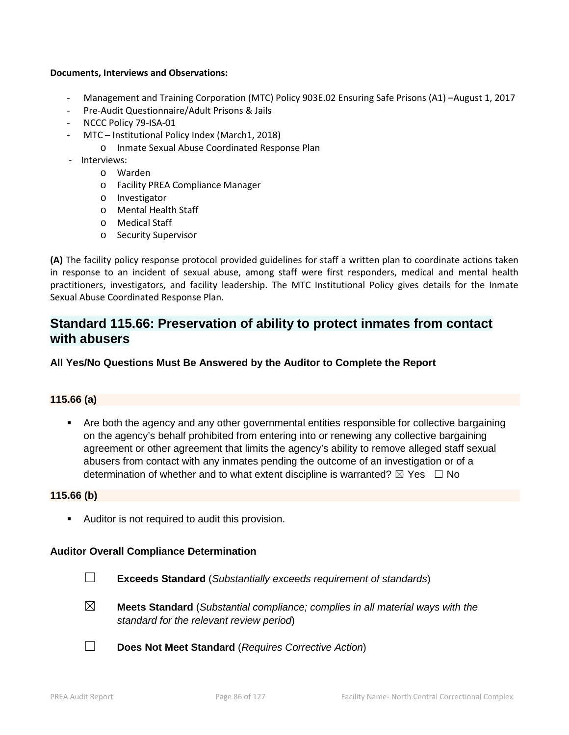#### **Documents, Interviews and Observations:**

- Management and Training Corporation (MTC) Policy 903E.02 Ensuring Safe Prisons (A1) –August 1, 2017
- Pre-Audit Questionnaire/Adult Prisons & Jails
- NCCC Policy 79-ISA-01
	- MTC Institutional Policy Index (March1, 2018)
		- o Inmate Sexual Abuse Coordinated Response Plan
- Interviews:
	- o Warden
	- o Facility PREA Compliance Manager
	- o Investigator
	- o Mental Health Staff
	- o Medical Staff
	- o Security Supervisor

**(A)** The facility policy response protocol provided guidelines for staff a written plan to coordinate actions taken in response to an incident of sexual abuse, among staff were first responders, medical and mental health practitioners, investigators, and facility leadership. The MTC Institutional Policy gives details for the Inmate Sexual Abuse Coordinated Response Plan.

# **Standard 115.66: Preservation of ability to protect inmates from contact with abusers**

## **All Yes/No Questions Must Be Answered by the Auditor to Complete the Report**

## **115.66 (a)**

 Are both the agency and any other governmental entities responsible for collective bargaining on the agency's behalf prohibited from entering into or renewing any collective bargaining agreement or other agreement that limits the agency's ability to remove alleged staff sexual abusers from contact with any inmates pending the outcome of an investigation or of a determination of whether and to what extent discipline is warranted?  $\boxtimes$  Yes  $\Box$  No

#### **115.66 (b)**

Auditor is not required to audit this provision.

## **Auditor Overall Compliance Determination**

- ☐ **Exceeds Standard** (*Substantially exceeds requirement of standards*)
- ☒ **Meets Standard** (*Substantial compliance; complies in all material ways with the standard for the relevant review period*)
- ☐ **Does Not Meet Standard** (*Requires Corrective Action*)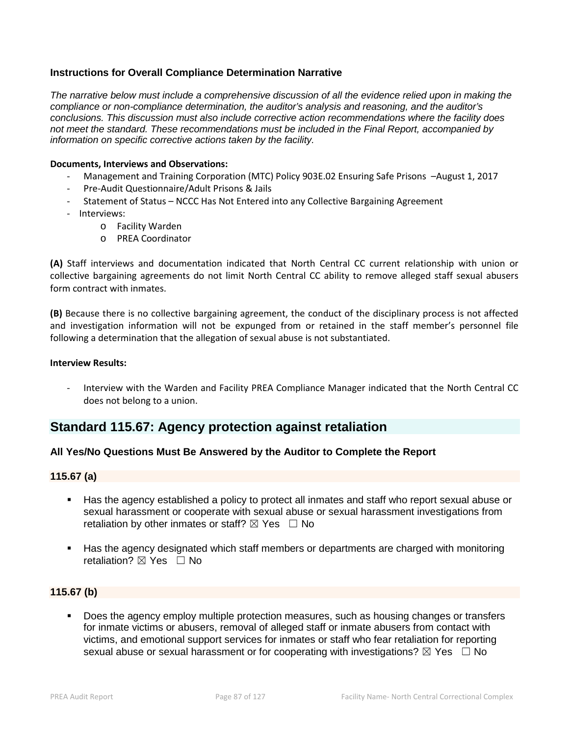## **Instructions for Overall Compliance Determination Narrative**

*The narrative below must include a comprehensive discussion of all the evidence relied upon in making the compliance or non-compliance determination, the auditor's analysis and reasoning, and the auditor's conclusions. This discussion must also include corrective action recommendations where the facility does not meet the standard. These recommendations must be included in the Final Report, accompanied by information on specific corrective actions taken by the facility.*

#### **Documents, Interviews and Observations:**

- Management and Training Corporation (MTC) Policy 903E.02 Ensuring Safe Prisons –August 1, 2017
- Pre-Audit Questionnaire/Adult Prisons & Jails
- Statement of Status NCCC Has Not Entered into any Collective Bargaining Agreement
- Interviews:
	- o Facility Warden
	- o PREA Coordinator

**(A)** Staff interviews and documentation indicated that North Central CC current relationship with union or collective bargaining agreements do not limit North Central CC ability to remove alleged staff sexual abusers form contract with inmates.

**(B)** Because there is no collective bargaining agreement, the conduct of the disciplinary process is not affected and investigation information will not be expunged from or retained in the staff member's personnel file following a determination that the allegation of sexual abuse is not substantiated.

#### **Interview Results:**

Interview with the Warden and Facility PREA Compliance Manager indicated that the North Central CC does not belong to a union.

## **Standard 115.67: Agency protection against retaliation**

## **All Yes/No Questions Must Be Answered by the Auditor to Complete the Report**

## **115.67 (a)**

- Has the agency established a policy to protect all inmates and staff who report sexual abuse or sexual harassment or cooperate with sexual abuse or sexual harassment investigations from retaliation by other inmates or staff?  $\boxtimes$  Yes  $\Box$  No
- Has the agency designated which staff members or departments are charged with monitoring retaliation?  $\boxtimes$  Yes  $\Box$  No

## **115.67 (b)**

 Does the agency employ multiple protection measures, such as housing changes or transfers for inmate victims or abusers, removal of alleged staff or inmate abusers from contact with victims, and emotional support services for inmates or staff who fear retaliation for reporting sexual abuse or sexual harassment or for cooperating with investigations?  $\boxtimes$  Yes  $\Box$  No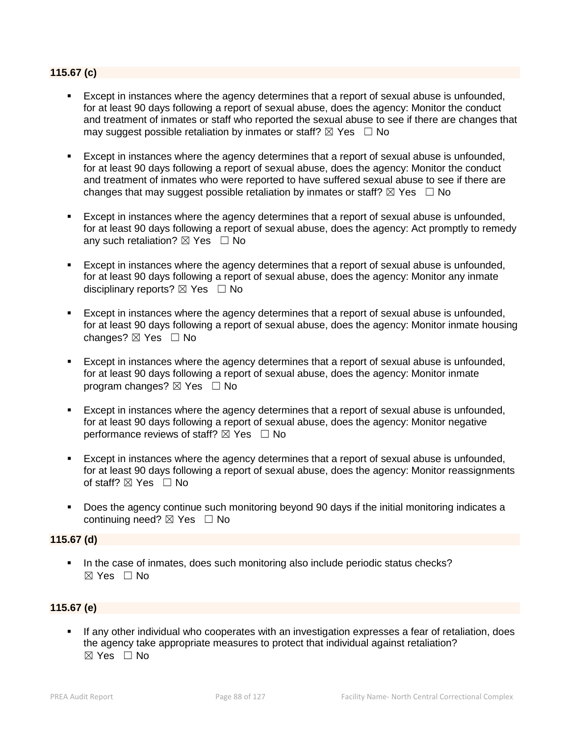## **115.67 (c)**

- Except in instances where the agency determines that a report of sexual abuse is unfounded, for at least 90 days following a report of sexual abuse, does the agency: Monitor the conduct and treatment of inmates or staff who reported the sexual abuse to see if there are changes that may suggest possible retaliation by inmates or staff?  $\boxtimes$  Yes  $\Box$  No
- Except in instances where the agency determines that a report of sexual abuse is unfounded, for at least 90 days following a report of sexual abuse, does the agency: Monitor the conduct and treatment of inmates who were reported to have suffered sexual abuse to see if there are changes that may suggest possible retaliation by inmates or staff?  $\boxtimes$  Yes  $\Box$  No
- Except in instances where the agency determines that a report of sexual abuse is unfounded, for at least 90 days following a report of sexual abuse, does the agency: Act promptly to remedy any such retaliation?  $\boxtimes$  Yes  $\Box$  No
- Except in instances where the agency determines that a report of sexual abuse is unfounded, for at least 90 days following a report of sexual abuse, does the agency: Monitor any inmate disciplinary reports?  $\boxtimes$  Yes  $\Box$  No
- Except in instances where the agency determines that a report of sexual abuse is unfounded, for at least 90 days following a report of sexual abuse, does the agency: Monitor inmate housing changes? ☒ Yes ☐ No
- Except in instances where the agency determines that a report of sexual abuse is unfounded, for at least 90 days following a report of sexual abuse, does the agency: Monitor inmate program changes?  $\boxtimes$  Yes  $\Box$  No
- Except in instances where the agency determines that a report of sexual abuse is unfounded, for at least 90 days following a report of sexual abuse, does the agency: Monitor negative performance reviews of staff?  $\boxtimes$  Yes  $\Box$  No
- Except in instances where the agency determines that a report of sexual abuse is unfounded, for at least 90 days following a report of sexual abuse, does the agency: Monitor reassignments of staff?  $\boxtimes$  Yes  $\Box$  No
- Does the agency continue such monitoring beyond 90 days if the initial monitoring indicates a continuing need?  $\boxtimes$  Yes  $\Box$  No

## **115.67 (d)**

In the case of inmates, does such monitoring also include periodic status checks?  $\boxtimes$  Yes  $\Box$  No

## **115.67 (e)**

 If any other individual who cooperates with an investigation expresses a fear of retaliation, does the agency take appropriate measures to protect that individual against retaliation?  $\boxtimes$  Yes  $\Box$  No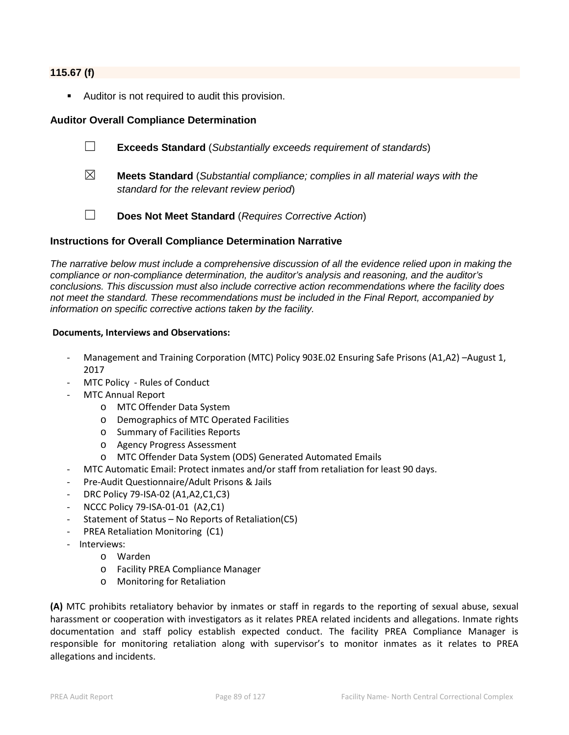#### **115.67 (f)**

**Auditor is not required to audit this provision.** 

## **Auditor Overall Compliance Determination**

- ☐ **Exceeds Standard** (*Substantially exceeds requirement of standards*)
- ☒ **Meets Standard** (*Substantial compliance; complies in all material ways with the standard for the relevant review period*)
	-
- ☐ **Does Not Meet Standard** (*Requires Corrective Action*)

## **Instructions for Overall Compliance Determination Narrative**

*The narrative below must include a comprehensive discussion of all the evidence relied upon in making the compliance or non-compliance determination, the auditor's analysis and reasoning, and the auditor's conclusions. This discussion must also include corrective action recommendations where the facility does not meet the standard. These recommendations must be included in the Final Report, accompanied by information on specific corrective actions taken by the facility.*

#### **Documents, Interviews and Observations:**

- Management and Training Corporation (MTC) Policy 903E.02 Ensuring Safe Prisons (A1,A2) -August 1, 2017
- MTC Policy Rules of Conduct
	- MTC Annual Report
		- o MTC Offender Data System
		- o Demographics of MTC Operated Facilities
		- o Summary of Facilities Reports
		- o Agency Progress Assessment
		- o MTC Offender Data System (ODS) Generated Automated Emails
- MTC Automatic Email: Protect inmates and/or staff from retaliation for least 90 days.
- Pre-Audit Questionnaire/Adult Prisons & Jails
- DRC Policy 79-ISA-02 (A1,A2,C1,C3)
- NCCC Policy 79-ISA-01-01 (A2,C1)
- Statement of Status No Reports of Retaliation(C5)
- PREA Retaliation Monitoring (C1)
- Interviews:
	- o Warden
	- o Facility PREA Compliance Manager
	- o Monitoring for Retaliation

**(A)** MTC prohibits retaliatory behavior by inmates or staff in regards to the reporting of sexual abuse, sexual harassment or cooperation with investigators as it relates PREA related incidents and allegations. Inmate rights documentation and staff policy establish expected conduct. The facility PREA Compliance Manager is responsible for monitoring retaliation along with supervisor's to monitor inmates as it relates to PREA allegations and incidents.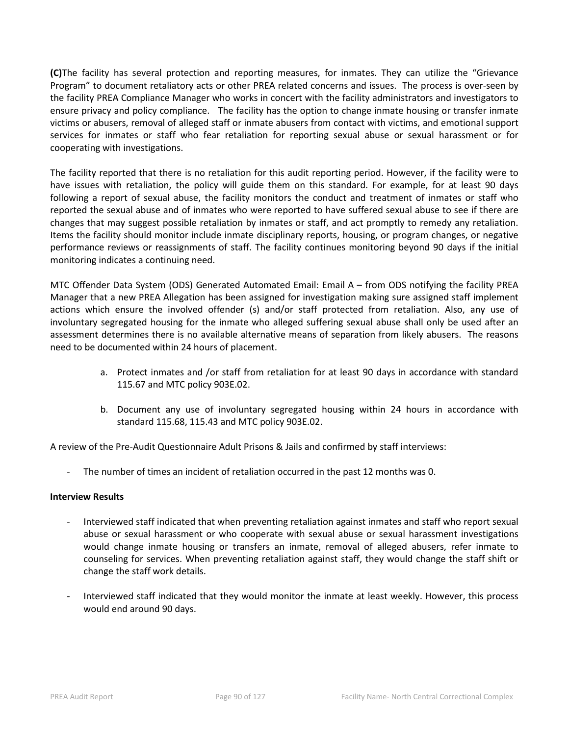**(C)**The facility has several protection and reporting measures, for inmates. They can utilize the "Grievance Program" to document retaliatory acts or other PREA related concerns and issues. The process is over-seen by the facility PREA Compliance Manager who works in concert with the facility administrators and investigators to ensure privacy and policy compliance. The facility has the option to change inmate housing or transfer inmate victims or abusers, removal of alleged staff or inmate abusers from contact with victims, and emotional support services for inmates or staff who fear retaliation for reporting sexual abuse or sexual harassment or for cooperating with investigations.

The facility reported that there is no retaliation for this audit reporting period. However, if the facility were to have issues with retaliation, the policy will guide them on this standard. For example, for at least 90 days following a report of sexual abuse, the facility monitors the conduct and treatment of inmates or staff who reported the sexual abuse and of inmates who were reported to have suffered sexual abuse to see if there are changes that may suggest possible retaliation by inmates or staff, and act promptly to remedy any retaliation. Items the facility should monitor include inmate disciplinary reports, housing, or program changes, or negative performance reviews or reassignments of staff. The facility continues monitoring beyond 90 days if the initial monitoring indicates a continuing need.

MTC Offender Data System (ODS) Generated Automated Email: Email A – from ODS notifying the facility PREA Manager that a new PREA Allegation has been assigned for investigation making sure assigned staff implement actions which ensure the involved offender (s) and/or staff protected from retaliation. Also, any use of involuntary segregated housing for the inmate who alleged suffering sexual abuse shall only be used after an assessment determines there is no available alternative means of separation from likely abusers. The reasons need to be documented within 24 hours of placement.

- a. Protect inmates and /or staff from retaliation for at least 90 days in accordance with standard 115.67 and MTC policy 903E.02.
- b. Document any use of involuntary segregated housing within 24 hours in accordance with standard 115.68, 115.43 and MTC policy 903E.02.

A review of the Pre-Audit Questionnaire Adult Prisons & Jails and confirmed by staff interviews:

The number of times an incident of retaliation occurred in the past 12 months was 0.

## **Interview Results**

- Interviewed staff indicated that when preventing retaliation against inmates and staff who report sexual abuse or sexual harassment or who cooperate with sexual abuse or sexual harassment investigations would change inmate housing or transfers an inmate, removal of alleged abusers, refer inmate to counseling for services. When preventing retaliation against staff, they would change the staff shift or change the staff work details.
- Interviewed staff indicated that they would monitor the inmate at least weekly. However, this process would end around 90 days.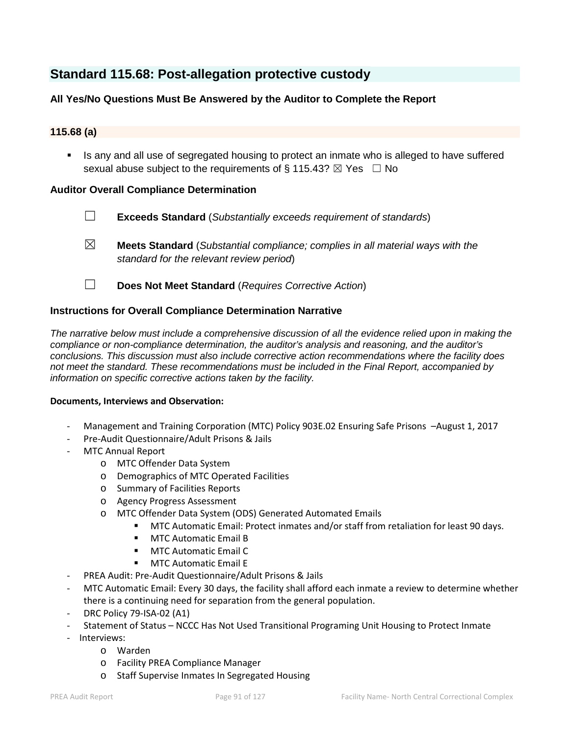# **Standard 115.68: Post-allegation protective custody**

## **All Yes/No Questions Must Be Answered by the Auditor to Complete the Report**

## **115.68 (a)**

Is any and all use of segregated housing to protect an inmate who is alleged to have suffered sexual abuse subject to the requirements of § 115.43?  $\boxtimes$  Yes  $\Box$  No

## **Auditor Overall Compliance Determination**

- ☐ **Exceeds Standard** (*Substantially exceeds requirement of standards*)
- ☒ **Meets Standard** (*Substantial compliance; complies in all material ways with the standard for the relevant review period*)
- ☐ **Does Not Meet Standard** (*Requires Corrective Action*)

## **Instructions for Overall Compliance Determination Narrative**

*The narrative below must include a comprehensive discussion of all the evidence relied upon in making the compliance or non-compliance determination, the auditor's analysis and reasoning, and the auditor's conclusions. This discussion must also include corrective action recommendations where the facility does not meet the standard. These recommendations must be included in the Final Report, accompanied by information on specific corrective actions taken by the facility.*

#### **Documents, Interviews and Observation:**

- Management and Training Corporation (MTC) Policy 903E.02 Ensuring Safe Prisons –August 1, 2017
- Pre-Audit Questionnaire/Adult Prisons & Jails
- MTC Annual Report
	- o MTC Offender Data System
	- o Demographics of MTC Operated Facilities
	- o Summary of Facilities Reports
	- o Agency Progress Assessment
	- o MTC Offender Data System (ODS) Generated Automated Emails
		- **MTC Automatic Email: Protect inmates and/or staff from retaliation for least 90 days.**
		- **MTC Automatic Email B**
		- **MTC Automatic Email C**
		- **MTC Automatic Email E**
- PREA Audit: Pre-Audit Questionnaire/Adult Prisons & Jails
- MTC Automatic Email: Every 30 days, the facility shall afford each inmate a review to determine whether there is a continuing need for separation from the general population.
- DRC Policy 79-ISA-02 (A1)
- Statement of Status NCCC Has Not Used Transitional Programing Unit Housing to Protect Inmate
- Interviews:
	- o Warden
	- o Facility PREA Compliance Manager
	- o Staff Supervise Inmates In Segregated Housing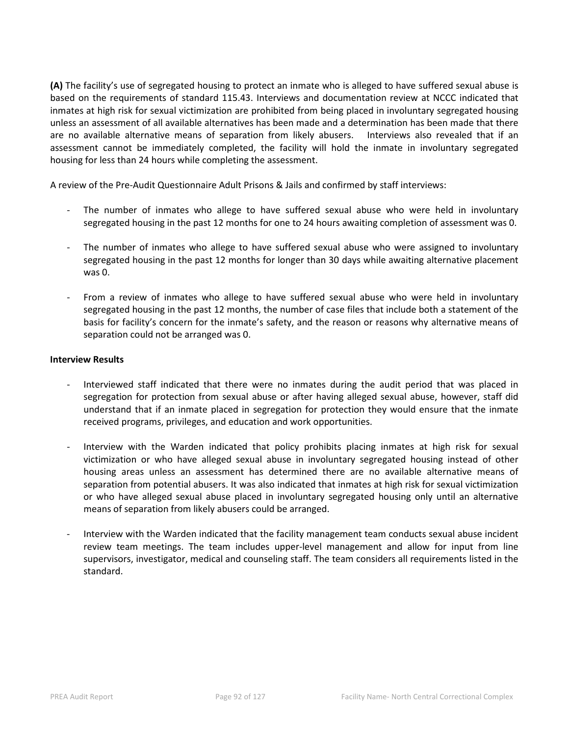**(A)** The facility's use of segregated housing to protect an inmate who is alleged to have suffered sexual abuse is based on the requirements of standard 115.43. Interviews and documentation review at NCCC indicated that inmates at high risk for sexual victimization are prohibited from being placed in involuntary segregated housing unless an assessment of all available alternatives has been made and a determination has been made that there are no available alternative means of separation from likely abusers. Interviews also revealed that if an assessment cannot be immediately completed, the facility will hold the inmate in involuntary segregated housing for less than 24 hours while completing the assessment.

A review of the Pre-Audit Questionnaire Adult Prisons & Jails and confirmed by staff interviews:

- The number of inmates who allege to have suffered sexual abuse who were held in involuntary segregated housing in the past 12 months for one to 24 hours awaiting completion of assessment was 0.
- The number of inmates who allege to have suffered sexual abuse who were assigned to involuntary segregated housing in the past 12 months for longer than 30 days while awaiting alternative placement was 0.
- From a review of inmates who allege to have suffered sexual abuse who were held in involuntary segregated housing in the past 12 months, the number of case files that include both a statement of the basis for facility's concern for the inmate's safety, and the reason or reasons why alternative means of separation could not be arranged was 0.

#### **Interview Results**

- Interviewed staff indicated that there were no inmates during the audit period that was placed in segregation for protection from sexual abuse or after having alleged sexual abuse, however, staff did understand that if an inmate placed in segregation for protection they would ensure that the inmate received programs, privileges, and education and work opportunities.
- Interview with the Warden indicated that policy prohibits placing inmates at high risk for sexual victimization or who have alleged sexual abuse in involuntary segregated housing instead of other housing areas unless an assessment has determined there are no available alternative means of separation from potential abusers. It was also indicated that inmates at high risk for sexual victimization or who have alleged sexual abuse placed in involuntary segregated housing only until an alternative means of separation from likely abusers could be arranged.
- Interview with the Warden indicated that the facility management team conducts sexual abuse incident review team meetings. The team includes upper-level management and allow for input from line supervisors, investigator, medical and counseling staff. The team considers all requirements listed in the standard.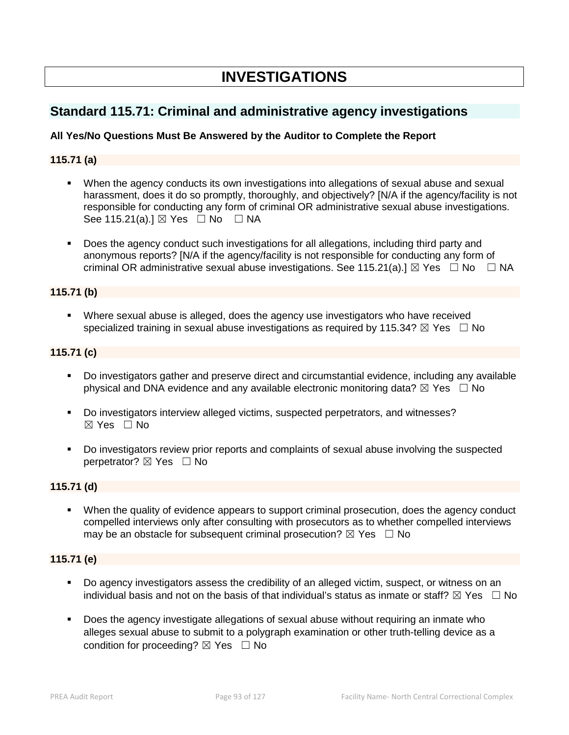# **INVESTIGATIONS**

# **Standard 115.71: Criminal and administrative agency investigations**

## **All Yes/No Questions Must Be Answered by the Auditor to Complete the Report**

## **115.71 (a)**

- When the agency conducts its own investigations into allegations of sexual abuse and sexual harassment, does it do so promptly, thoroughly, and objectively? [N/A if the agency/facility is not responsible for conducting any form of criminal OR administrative sexual abuse investigations. See 115.21(a).] ⊠ Yes □ No □ NA
- Does the agency conduct such investigations for all allegations, including third party and anonymous reports? [N/A if the agency/facility is not responsible for conducting any form of criminal OR administrative sexual abuse investigations. See 115.21(a).]  $\boxtimes$  Yes  $\Box$  No  $\Box$  NA

## **115.71 (b)**

 Where sexual abuse is alleged, does the agency use investigators who have received specialized training in sexual abuse investigations as required by 115.34?  $\boxtimes$  Yes  $\Box$  No

## **115.71 (c)**

- Do investigators gather and preserve direct and circumstantial evidence, including any available physical and DNA evidence and any available electronic monitoring data?  $\boxtimes$  Yes  $\Box$  No
- Do investigators interview alleged victims, suspected perpetrators, and witnesses? ☒ Yes ☐ No
- Do investigators review prior reports and complaints of sexual abuse involving the suspected perpetrator? ⊠ Yes □ No

## **115.71 (d)**

 When the quality of evidence appears to support criminal prosecution, does the agency conduct compelled interviews only after consulting with prosecutors as to whether compelled interviews may be an obstacle for subsequent criminal prosecution?  $\boxtimes$  Yes  $\Box$  No

## **115.71 (e)**

- Do agency investigators assess the credibility of an alleged victim, suspect, or witness on an individual basis and not on the basis of that individual's status as inmate or staff?  $\boxtimes$  Yes  $\Box$  No
- Does the agency investigate allegations of sexual abuse without requiring an inmate who alleges sexual abuse to submit to a polygraph examination or other truth-telling device as a condition for proceeding?  $\boxtimes$  Yes  $\Box$  No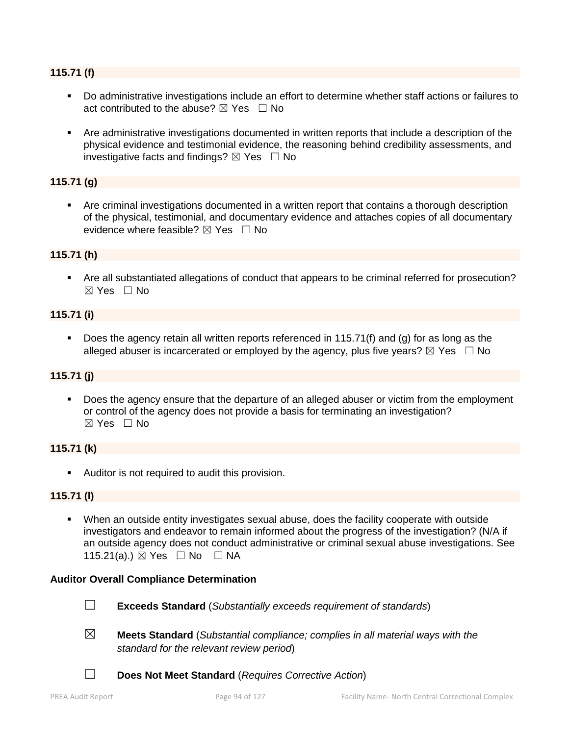## **115.71 (f)**

- Do administrative investigations include an effort to determine whether staff actions or failures to act contributed to the abuse?  $\boxtimes$  Yes  $\Box$  No
- Are administrative investigations documented in written reports that include a description of the physical evidence and testimonial evidence, the reasoning behind credibility assessments, and investigative facts and findings?  $\boxtimes$  Yes  $\Box$  No

## **115.71 (g)**

 Are criminal investigations documented in a written report that contains a thorough description of the physical, testimonial, and documentary evidence and attaches copies of all documentary evidence where feasible?  $\boxtimes$  Yes  $\Box$  No

## **115.71 (h)**

 Are all substantiated allegations of conduct that appears to be criminal referred for prosecution? ☒ Yes ☐ No

## **115.71 (i)**

 Does the agency retain all written reports referenced in 115.71(f) and (g) for as long as the alleged abuser is incarcerated or employed by the agency, plus five years?  $\boxtimes$  Yes  $\Box$  No

## **115.71 (j)**

 Does the agency ensure that the departure of an alleged abuser or victim from the employment or control of the agency does not provide a basis for terminating an investigation? ☒ Yes ☐ No

## **115.71 (k)**

Auditor is not required to audit this provision.

## **115.71 (l)**

 When an outside entity investigates sexual abuse, does the facility cooperate with outside investigators and endeavor to remain informed about the progress of the investigation? (N/A if an outside agency does not conduct administrative or criminal sexual abuse investigations. See 115.21(a).) ⊠ Yes □ No □ NA

## **Auditor Overall Compliance Determination**



- ☐ **Exceeds Standard** (*Substantially exceeds requirement of standards*)
- ☒ **Meets Standard** (*Substantial compliance; complies in all material ways with the standard for the relevant review period*)
- ☐ **Does Not Meet Standard** (*Requires Corrective Action*)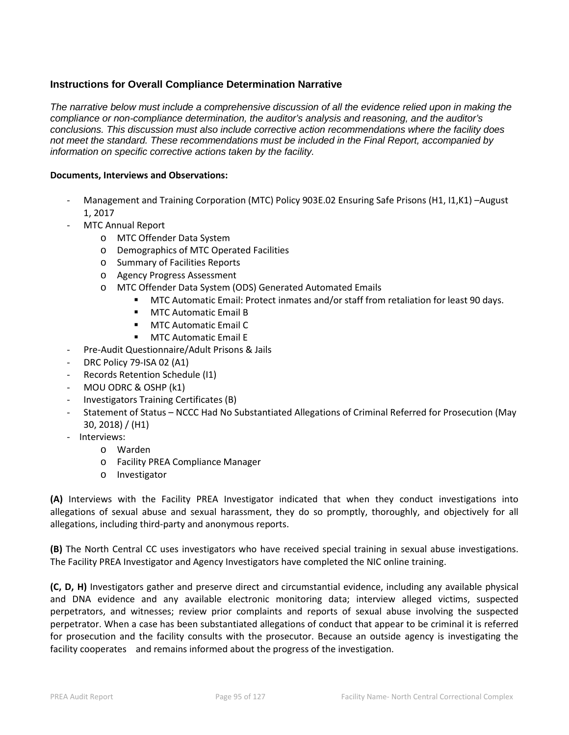## **Instructions for Overall Compliance Determination Narrative**

*The narrative below must include a comprehensive discussion of all the evidence relied upon in making the compliance or non-compliance determination, the auditor's analysis and reasoning, and the auditor's conclusions. This discussion must also include corrective action recommendations where the facility does not meet the standard. These recommendations must be included in the Final Report, accompanied by information on specific corrective actions taken by the facility.*

#### **Documents, Interviews and Observations:**

- Management and Training Corporation (MTC) Policy 903E.02 Ensuring Safe Prisons (H1, I1, K1) -August 1, 2017
- MTC Annual Report
	- o MTC Offender Data System
	- o Demographics of MTC Operated Facilities
	- o Summary of Facilities Reports
	- o Agency Progress Assessment
	- o MTC Offender Data System (ODS) Generated Automated Emails
		- MTC Automatic Email: Protect inmates and/or staff from retaliation for least 90 days.
		- **MTC Automatic Email B**
		- **MTC Automatic Email C**
		- **MTC Automatic Email E**
- Pre-Audit Questionnaire/Adult Prisons & Jails
- DRC Policy 79-ISA 02 (A1)
- Records Retention Schedule (I1)
- MOU ODRC & OSHP (k1)
- Investigators Training Certificates (B)
- Statement of Status NCCC Had No Substantiated Allegations of Criminal Referred for Prosecution (May 30, 2018) / (H1)
- Interviews:
	- o Warden
	- o Facility PREA Compliance Manager
	- o Investigator

**(A)** Interviews with the Facility PREA Investigator indicated that when they conduct investigations into allegations of sexual abuse and sexual harassment, they do so promptly, thoroughly, and objectively for all allegations, including third-party and anonymous reports.

**(B)** The North Central CC uses investigators who have received special training in sexual abuse investigations. The Facility PREA Investigator and Agency Investigators have completed the NIC online training.

**(C, D, H)** Investigators gather and preserve direct and circumstantial evidence, including any available physical and DNA evidence and any available electronic monitoring data; interview alleged victims, suspected perpetrators, and witnesses; review prior complaints and reports of sexual abuse involving the suspected perpetrator. When a case has been substantiated allegations of conduct that appear to be criminal it is referred for prosecution and the facility consults with the prosecutor. Because an outside agency is investigating the facility cooperates and remains informed about the progress of the investigation.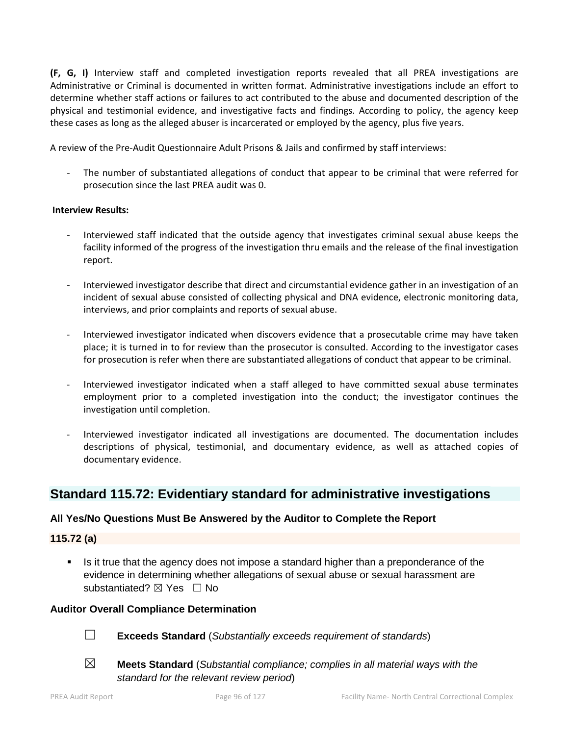**(F, G, I)** Interview staff and completed investigation reports revealed that all PREA investigations are Administrative or Criminal is documented in written format. Administrative investigations include an effort to determine whether staff actions or failures to act contributed to the abuse and documented description of the physical and testimonial evidence, and investigative facts and findings. According to policy, the agency keep these cases as long as the alleged abuser is incarcerated or employed by the agency, plus five years.

A review of the Pre-Audit Questionnaire Adult Prisons & Jails and confirmed by staff interviews:

- The number of substantiated allegations of conduct that appear to be criminal that were referred for prosecution since the last PREA audit was 0.

## **Interview Results:**

- Interviewed staff indicated that the outside agency that investigates criminal sexual abuse keeps the facility informed of the progress of the investigation thru emails and the release of the final investigation report.
- Interviewed investigator describe that direct and circumstantial evidence gather in an investigation of an incident of sexual abuse consisted of collecting physical and DNA evidence, electronic monitoring data, interviews, and prior complaints and reports of sexual abuse.
- Interviewed investigator indicated when discovers evidence that a prosecutable crime may have taken place; it is turned in to for review than the prosecutor is consulted. According to the investigator cases for prosecution is refer when there are substantiated allegations of conduct that appear to be criminal.
- Interviewed investigator indicated when a staff alleged to have committed sexual abuse terminates employment prior to a completed investigation into the conduct; the investigator continues the investigation until completion.
- Interviewed investigator indicated all investigations are documented. The documentation includes descriptions of physical, testimonial, and documentary evidence, as well as attached copies of documentary evidence.

# **Standard 115.72: Evidentiary standard for administrative investigations**

## **All Yes/No Questions Must Be Answered by the Auditor to Complete the Report**

## **115.72 (a)**

 Is it true that the agency does not impose a standard higher than a preponderance of the evidence in determining whether allegations of sexual abuse or sexual harassment are substantiated? ⊠ Yes □ No

## **Auditor Overall Compliance Determination**



- ☐ **Exceeds Standard** (*Substantially exceeds requirement of standards*)
- ☒ **Meets Standard** (*Substantial compliance; complies in all material ways with the standard for the relevant review period*)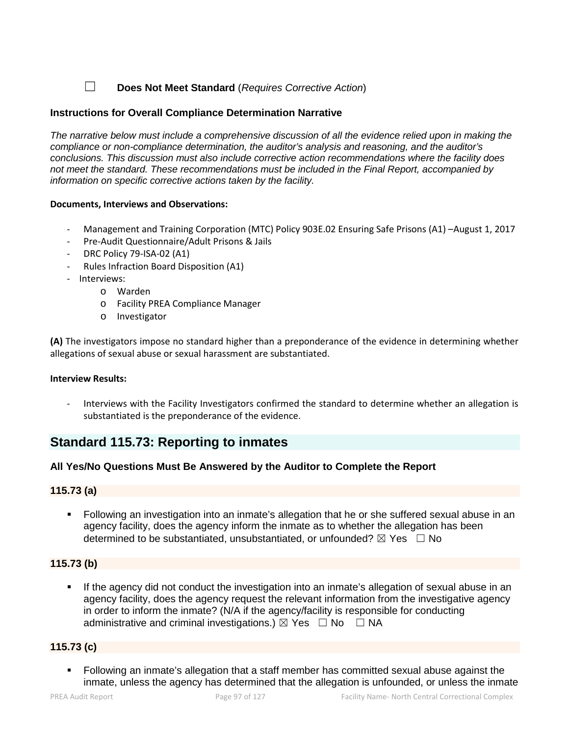☐ **Does Not Meet Standard** (*Requires Corrective Action*)

## **Instructions for Overall Compliance Determination Narrative**

*The narrative below must include a comprehensive discussion of all the evidence relied upon in making the compliance or non-compliance determination, the auditor's analysis and reasoning, and the auditor's conclusions. This discussion must also include corrective action recommendations where the facility does not meet the standard. These recommendations must be included in the Final Report, accompanied by information on specific corrective actions taken by the facility.*

## **Documents, Interviews and Observations:**

- Management and Training Corporation (MTC) Policy 903E.02 Ensuring Safe Prisons (A1) –August 1, 2017
- Pre-Audit Questionnaire/Adult Prisons & Jails
- DRC Policy 79-ISA-02 (A1)
- Rules Infraction Board Disposition (A1)
- Interviews:
	- o Warden
	- o Facility PREA Compliance Manager
	- o Investigator

**(A)** The investigators impose no standard higher than a preponderance of the evidence in determining whether allegations of sexual abuse or sexual harassment are substantiated.

#### **Interview Results:**

- Interviews with the Facility Investigators confirmed the standard to determine whether an allegation is substantiated is the preponderance of the evidence.

# **Standard 115.73: Reporting to inmates**

## **All Yes/No Questions Must Be Answered by the Auditor to Complete the Report**

## **115.73 (a)**

 Following an investigation into an inmate's allegation that he or she suffered sexual abuse in an agency facility, does the agency inform the inmate as to whether the allegation has been determined to be substantiated, unsubstantiated, or unfounded?  $\boxtimes$  Yes  $\Box$  No

## **115.73 (b)**

 If the agency did not conduct the investigation into an inmate's allegation of sexual abuse in an agency facility, does the agency request the relevant information from the investigative agency in order to inform the inmate? (N/A if the agency/facility is responsible for conducting administrative and criminal investigations.)  $\boxtimes$  Yes  $\Box$  No  $\Box$  NA

## **115.73 (c)**

 Following an inmate's allegation that a staff member has committed sexual abuse against the inmate, unless the agency has determined that the allegation is unfounded, or unless the inmate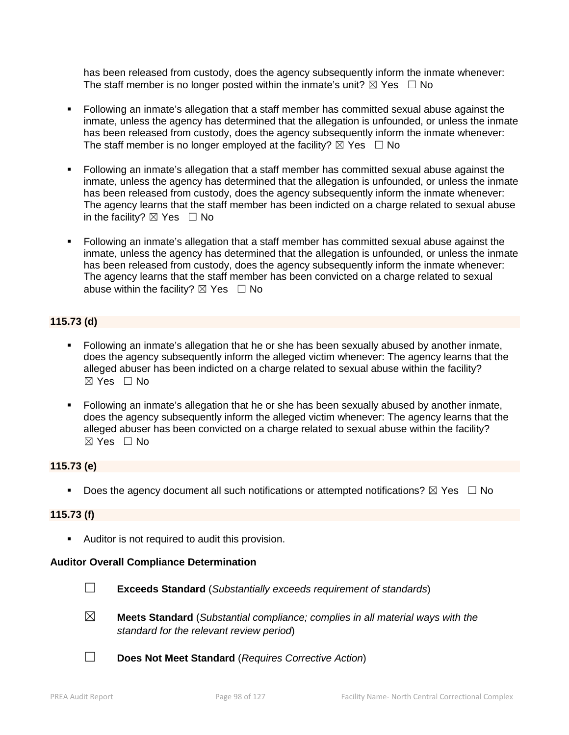has been released from custody, does the agency subsequently inform the inmate whenever: The staff member is no longer posted within the inmate's unit?  $\boxtimes$  Yes  $\Box$  No

- Following an inmate's allegation that a staff member has committed sexual abuse against the inmate, unless the agency has determined that the allegation is unfounded, or unless the inmate has been released from custody, does the agency subsequently inform the inmate whenever: The staff member is no longer employed at the facility?  $\boxtimes$  Yes  $\Box$  No
- Following an inmate's allegation that a staff member has committed sexual abuse against the inmate, unless the agency has determined that the allegation is unfounded, or unless the inmate has been released from custody, does the agency subsequently inform the inmate whenever: The agency learns that the staff member has been indicted on a charge related to sexual abuse in the facility?  $\boxtimes$  Yes  $\Box$  No
- Following an inmate's allegation that a staff member has committed sexual abuse against the inmate, unless the agency has determined that the allegation is unfounded, or unless the inmate has been released from custody, does the agency subsequently inform the inmate whenever: The agency learns that the staff member has been convicted on a charge related to sexual abuse within the facility?  $\boxtimes$  Yes  $\Box$  No

## **115.73 (d)**

- Following an inmate's allegation that he or she has been sexually abused by another inmate, does the agency subsequently inform the alleged victim whenever: The agency learns that the alleged abuser has been indicted on a charge related to sexual abuse within the facility? ☒ Yes ☐ No
- Following an inmate's allegation that he or she has been sexually abused by another inmate, does the agency subsequently inform the alleged victim whenever: The agency learns that the alleged abuser has been convicted on a charge related to sexual abuse within the facility? ☒ Yes ☐ No

## **115.73 (e)**

Does the agency document all such notifications or attempted notifications?  $\boxtimes$  Yes  $\Box$  No

## **115.73 (f)**

Auditor is not required to audit this provision.

## **Auditor Overall Compliance Determination**



☐ **Exceeds Standard** (*Substantially exceeds requirement of standards*)

- ☒ **Meets Standard** (*Substantial compliance; complies in all material ways with the standard for the relevant review period*)
- ☐ **Does Not Meet Standard** (*Requires Corrective Action*)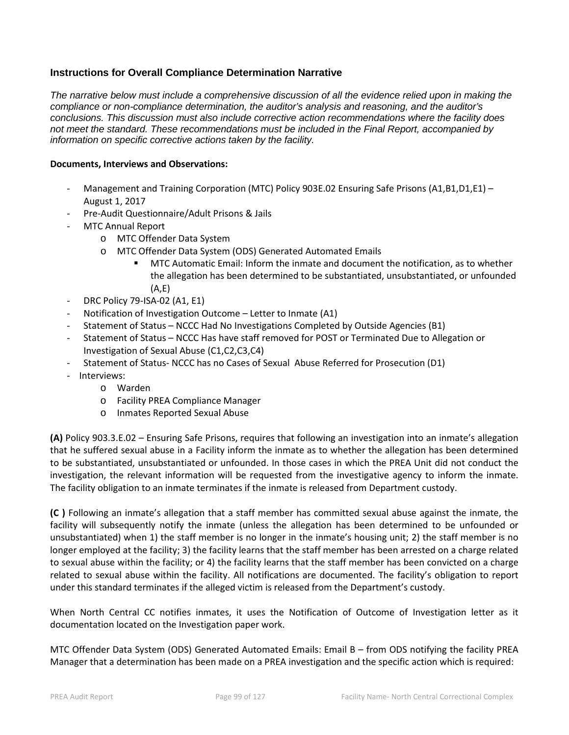## **Instructions for Overall Compliance Determination Narrative**

*The narrative below must include a comprehensive discussion of all the evidence relied upon in making the compliance or non-compliance determination, the auditor's analysis and reasoning, and the auditor's conclusions. This discussion must also include corrective action recommendations where the facility does not meet the standard. These recommendations must be included in the Final Report, accompanied by information on specific corrective actions taken by the facility.*

#### **Documents, Interviews and Observations:**

- Management and Training Corporation (MTC) Policy 903E.02 Ensuring Safe Prisons (A1,B1,D1,E1) August 1, 2017
- Pre-Audit Questionnaire/Adult Prisons & Jails
- MTC Annual Report
	- o MTC Offender Data System
	- o MTC Offender Data System (ODS) Generated Automated Emails
		- MTC Automatic Email: Inform the inmate and document the notification, as to whether the allegation has been determined to be substantiated, unsubstantiated, or unfounded (A,E)
- DRC Policy 79-ISA-02 (A1, E1)
- Notification of Investigation Outcome Letter to Inmate (A1)
- Statement of Status NCCC Had No Investigations Completed by Outside Agencies (B1)
- Statement of Status NCCC Has have staff removed for POST or Terminated Due to Allegation or Investigation of Sexual Abuse (C1,C2,C3,C4)
- Statement of Status- NCCC has no Cases of Sexual Abuse Referred for Prosecution (D1)
- Interviews:
	- o Warden
	- o Facility PREA Compliance Manager
	- o Inmates Reported Sexual Abuse

**(A)** Policy 903.3.E.02 – Ensuring Safe Prisons, requires that following an investigation into an inmate's allegation that he suffered sexual abuse in a Facility inform the inmate as to whether the allegation has been determined to be substantiated, unsubstantiated or unfounded. In those cases in which the PREA Unit did not conduct the investigation, the relevant information will be requested from the investigative agency to inform the inmate. The facility obligation to an inmate terminates if the inmate is released from Department custody.

**(C )** Following an inmate's allegation that a staff member has committed sexual abuse against the inmate, the facility will subsequently notify the inmate (unless the allegation has been determined to be unfounded or unsubstantiated) when 1) the staff member is no longer in the inmate's housing unit; 2) the staff member is no longer employed at the facility; 3) the facility learns that the staff member has been arrested on a charge related to sexual abuse within the facility; or 4) the facility learns that the staff member has been convicted on a charge related to sexual abuse within the facility. All notifications are documented. The facility's obligation to report under this standard terminates if the alleged victim is released from the Department's custody.

When North Central CC notifies inmates, it uses the Notification of Outcome of Investigation letter as it documentation located on the Investigation paper work.

MTC Offender Data System (ODS) Generated Automated Emails: Email B – from ODS notifying the facility PREA Manager that a determination has been made on a PREA investigation and the specific action which is required: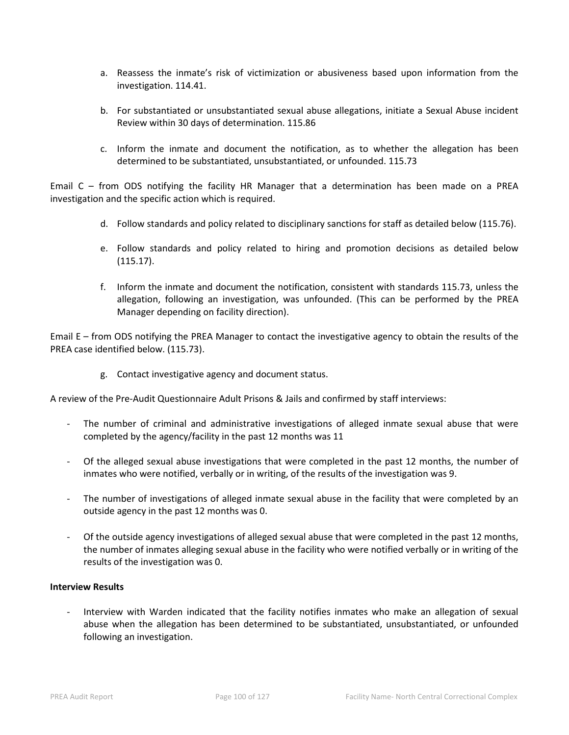- a. Reassess the inmate's risk of victimization or abusiveness based upon information from the investigation. 114.41.
- b. For substantiated or unsubstantiated sexual abuse allegations, initiate a Sexual Abuse incident Review within 30 days of determination. 115.86
- c. Inform the inmate and document the notification, as to whether the allegation has been determined to be substantiated, unsubstantiated, or unfounded. 115.73

Email C – from ODS notifying the facility HR Manager that a determination has been made on a PREA investigation and the specific action which is required.

- d. Follow standards and policy related to disciplinary sanctions for staff as detailed below (115.76).
- e. Follow standards and policy related to hiring and promotion decisions as detailed below (115.17).
- f. Inform the inmate and document the notification, consistent with standards 115.73, unless the allegation, following an investigation, was unfounded. (This can be performed by the PREA Manager depending on facility direction).

Email E – from ODS notifying the PREA Manager to contact the investigative agency to obtain the results of the PREA case identified below. (115.73).

g. Contact investigative agency and document status.

A review of the Pre-Audit Questionnaire Adult Prisons & Jails and confirmed by staff interviews:

- The number of criminal and administrative investigations of alleged inmate sexual abuse that were completed by the agency/facility in the past 12 months was 11
- Of the alleged sexual abuse investigations that were completed in the past 12 months, the number of inmates who were notified, verbally or in writing, of the results of the investigation was 9.
- The number of investigations of alleged inmate sexual abuse in the facility that were completed by an outside agency in the past 12 months was 0.
- Of the outside agency investigations of alleged sexual abuse that were completed in the past 12 months, the number of inmates alleging sexual abuse in the facility who were notified verbally or in writing of the results of the investigation was 0.

#### **Interview Results**

Interview with Warden indicated that the facility notifies inmates who make an allegation of sexual abuse when the allegation has been determined to be substantiated, unsubstantiated, or unfounded following an investigation.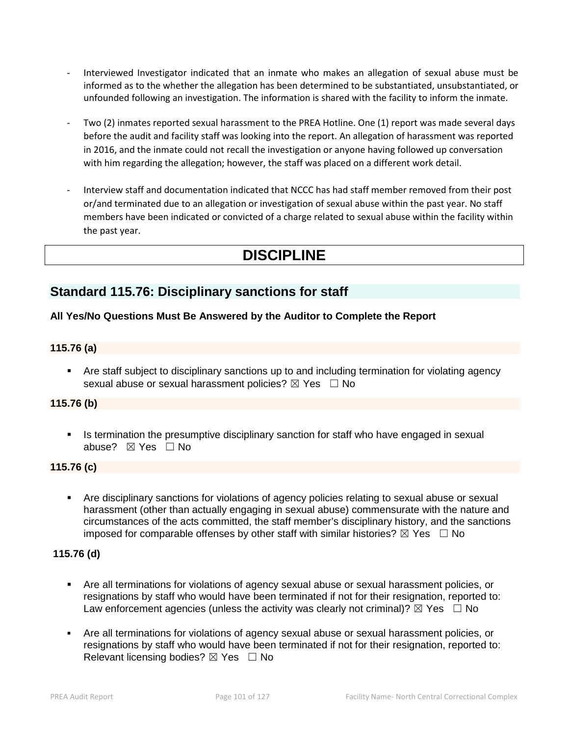- Interviewed Investigator indicated that an inmate who makes an allegation of sexual abuse must be informed as to the whether the allegation has been determined to be substantiated, unsubstantiated, or unfounded following an investigation. The information is shared with the facility to inform the inmate.
- Two (2) inmates reported sexual harassment to the PREA Hotline. One (1) report was made several days before the audit and facility staff was looking into the report. An allegation of harassment was reported in 2016, and the inmate could not recall the investigation or anyone having followed up conversation with him regarding the allegation; however, the staff was placed on a different work detail.
- Interview staff and documentation indicated that NCCC has had staff member removed from their post or/and terminated due to an allegation or investigation of sexual abuse within the past year. No staff members have been indicated or convicted of a charge related to sexual abuse within the facility within the past year.

# **DISCIPLINE**

# **Standard 115.76: Disciplinary sanctions for staff**

## **All Yes/No Questions Must Be Answered by the Auditor to Complete the Report**

## **115.76 (a)**

 Are staff subject to disciplinary sanctions up to and including termination for violating agency sexual abuse or sexual harassment policies?  $\boxtimes$  Yes  $\Box$  No

## **115.76 (b)**

 Is termination the presumptive disciplinary sanction for staff who have engaged in sexual abuse? ⊠ Yes □ No

## **115.76 (c)**

 Are disciplinary sanctions for violations of agency policies relating to sexual abuse or sexual harassment (other than actually engaging in sexual abuse) commensurate with the nature and circumstances of the acts committed, the staff member's disciplinary history, and the sanctions imposed for comparable offenses by other staff with similar histories?  $\boxtimes$  Yes  $\Box$  No

## **115.76 (d)**

- Are all terminations for violations of agency sexual abuse or sexual harassment policies, or resignations by staff who would have been terminated if not for their resignation, reported to: Law enforcement agencies (unless the activity was clearly not criminal)?  $\boxtimes$  Yes  $\Box$  No
- Are all terminations for violations of agency sexual abuse or sexual harassment policies, or resignations by staff who would have been terminated if not for their resignation, reported to: Relevant licensing bodies?  $\boxtimes$  Yes  $\Box$  No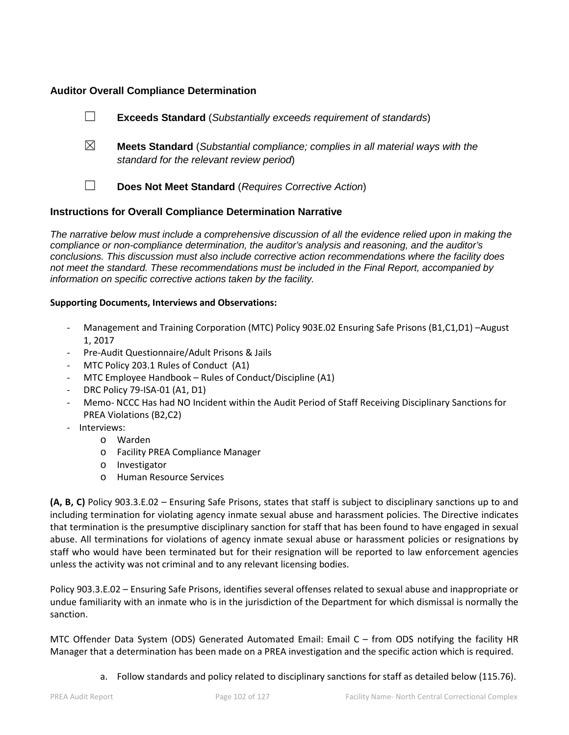## **Auditor Overall Compliance Determination**

- ☐ **Exceeds Standard** (*Substantially exceeds requirement of standards*)
- ☒ **Meets Standard** (*Substantial compliance; complies in all material ways with the standard for the relevant review period*)
- ☐ **Does Not Meet Standard** (*Requires Corrective Action*)

## **Instructions for Overall Compliance Determination Narrative**

*The narrative below must include a comprehensive discussion of all the evidence relied upon in making the compliance or non-compliance determination, the auditor's analysis and reasoning, and the auditor's conclusions. This discussion must also include corrective action recommendations where the facility does not meet the standard. These recommendations must be included in the Final Report, accompanied by information on specific corrective actions taken by the facility.*

## **Supporting Documents, Interviews and Observations:**

- Management and Training Corporation (MTC) Policy 903E.02 Ensuring Safe Prisons (B1,C1,D1) –August 1, 2017
- Pre-Audit Questionnaire/Adult Prisons & Jails
- MTC Policy 203.1 Rules of Conduct (A1)
- MTC Employee Handbook Rules of Conduct/Discipline (A1)
- DRC Policy 79-ISA-01 (A1, D1)
- Memo- NCCC Has had NO Incident within the Audit Period of Staff Receiving Disciplinary Sanctions for PREA Violations (B2,C2)
- Interviews:
	- o Warden
		- o Facility PREA Compliance Manager
		- o Investigator
		- o Human Resource Services

**(A, B, C)** Policy 903.3.E.02 – Ensuring Safe Prisons, states that staff is subject to disciplinary sanctions up to and including termination for violating agency inmate sexual abuse and harassment policies. The Directive indicates that termination is the presumptive disciplinary sanction for staff that has been found to have engaged in sexual abuse. All terminations for violations of agency inmate sexual abuse or harassment policies or resignations by staff who would have been terminated but for their resignation will be reported to law enforcement agencies unless the activity was not criminal and to any relevant licensing bodies.

Policy 903.3.E.02 – Ensuring Safe Prisons, identifies several offenses related to sexual abuse and inappropriate or undue familiarity with an inmate who is in the jurisdiction of the Department for which dismissal is normally the sanction.

MTC Offender Data System (ODS) Generated Automated Email: Email C – from ODS notifying the facility HR Manager that a determination has been made on a PREA investigation and the specific action which is required.

a. Follow standards and policy related to disciplinary sanctions for staff as detailed below (115.76).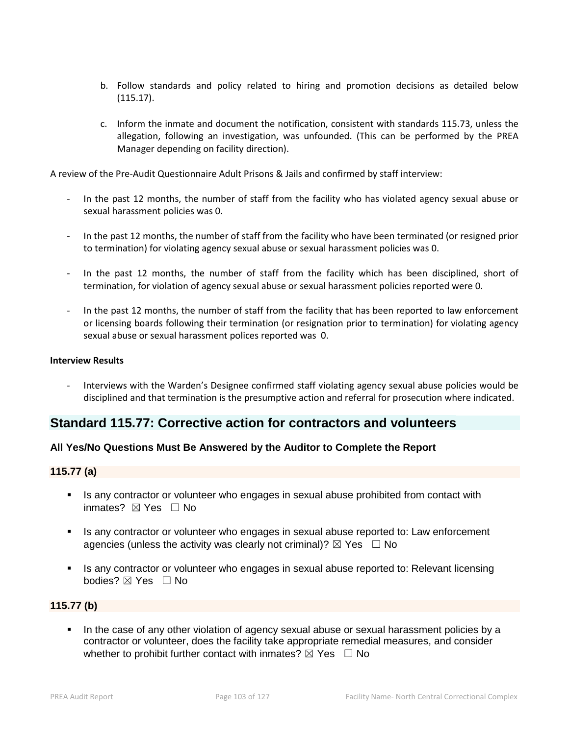- b. Follow standards and policy related to hiring and promotion decisions as detailed below (115.17).
- c. Inform the inmate and document the notification, consistent with standards 115.73, unless the allegation, following an investigation, was unfounded. (This can be performed by the PREA Manager depending on facility direction).

A review of the Pre-Audit Questionnaire Adult Prisons & Jails and confirmed by staff interview:

- In the past 12 months, the number of staff from the facility who has violated agency sexual abuse or sexual harassment policies was 0.
- In the past 12 months, the number of staff from the facility who have been terminated (or resigned prior to termination) for violating agency sexual abuse or sexual harassment policies was 0.
- In the past 12 months, the number of staff from the facility which has been disciplined, short of termination, for violation of agency sexual abuse or sexual harassment policies reported were 0.
- In the past 12 months, the number of staff from the facility that has been reported to law enforcement or licensing boards following their termination (or resignation prior to termination) for violating agency sexual abuse or sexual harassment polices reported was 0.

#### **Interview Results**

- Interviews with the Warden's Designee confirmed staff violating agency sexual abuse policies would be disciplined and that termination is the presumptive action and referral for prosecution where indicated.

## **Standard 115.77: Corrective action for contractors and volunteers**

## **All Yes/No Questions Must Be Answered by the Auditor to Complete the Report**

## **115.77 (a)**

- Is any contractor or volunteer who engages in sexual abuse prohibited from contact with inmates? ⊠ Yes □ No
- Is any contractor or volunteer who engages in sexual abuse reported to: Law enforcement agencies (unless the activity was clearly not criminal)?  $\boxtimes$  Yes  $\Box$  No
- Is any contractor or volunteer who engages in sexual abuse reported to: Relevant licensing bodies? ☒ Yes ☐ No

## **115.77 (b)**

 In the case of any other violation of agency sexual abuse or sexual harassment policies by a contractor or volunteer, does the facility take appropriate remedial measures, and consider whether to prohibit further contact with inmates?  $\boxtimes$  Yes  $\Box$  No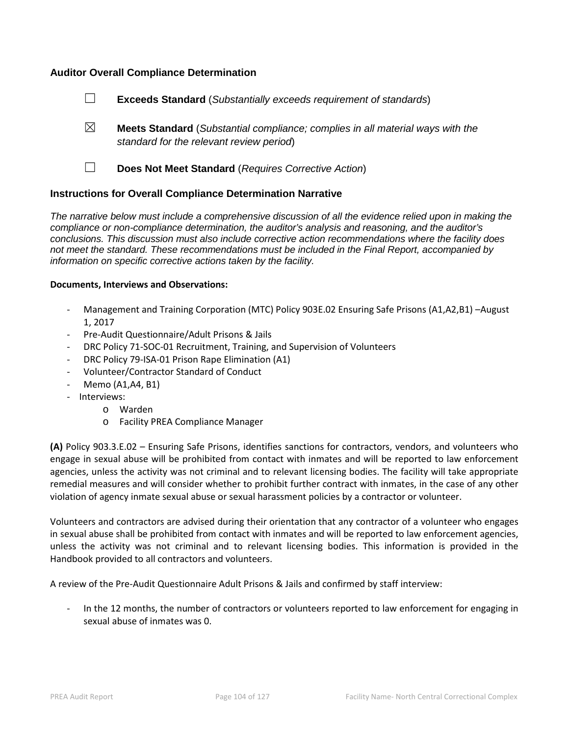## **Auditor Overall Compliance Determination**

- ☐ **Exceeds Standard** (*Substantially exceeds requirement of standards*)
- ☒ **Meets Standard** (*Substantial compliance; complies in all material ways with the standard for the relevant review period*)
- 
- ☐ **Does Not Meet Standard** (*Requires Corrective Action*)

## **Instructions for Overall Compliance Determination Narrative**

*The narrative below must include a comprehensive discussion of all the evidence relied upon in making the compliance or non-compliance determination, the auditor's analysis and reasoning, and the auditor's conclusions. This discussion must also include corrective action recommendations where the facility does not meet the standard. These recommendations must be included in the Final Report, accompanied by information on specific corrective actions taken by the facility.*

#### **Documents, Interviews and Observations:**

- Management and Training Corporation (MTC) Policy 903E.02 Ensuring Safe Prisons (A1,A2,B1) –August 1, 2017
- Pre-Audit Questionnaire/Adult Prisons & Jails
- DRC Policy 71-SOC-01 Recruitment, Training, and Supervision of Volunteers
- DRC Policy 79-ISA-01 Prison Rape Elimination (A1)
- Volunteer/Contractor Standard of Conduct
- Memo (A1,A4, B1)
- Interviews:
	- o Warden
	- o Facility PREA Compliance Manager

**(A)** Policy 903.3.E.02 – Ensuring Safe Prisons, identifies sanctions for contractors, vendors, and volunteers who engage in sexual abuse will be prohibited from contact with inmates and will be reported to law enforcement agencies, unless the activity was not criminal and to relevant licensing bodies. The facility will take appropriate remedial measures and will consider whether to prohibit further contract with inmates, in the case of any other violation of agency inmate sexual abuse or sexual harassment policies by a contractor or volunteer.

Volunteers and contractors are advised during their orientation that any contractor of a volunteer who engages in sexual abuse shall be prohibited from contact with inmates and will be reported to law enforcement agencies, unless the activity was not criminal and to relevant licensing bodies. This information is provided in the Handbook provided to all contractors and volunteers.

A review of the Pre-Audit Questionnaire Adult Prisons & Jails and confirmed by staff interview:

- In the 12 months, the number of contractors or volunteers reported to law enforcement for engaging in sexual abuse of inmates was 0.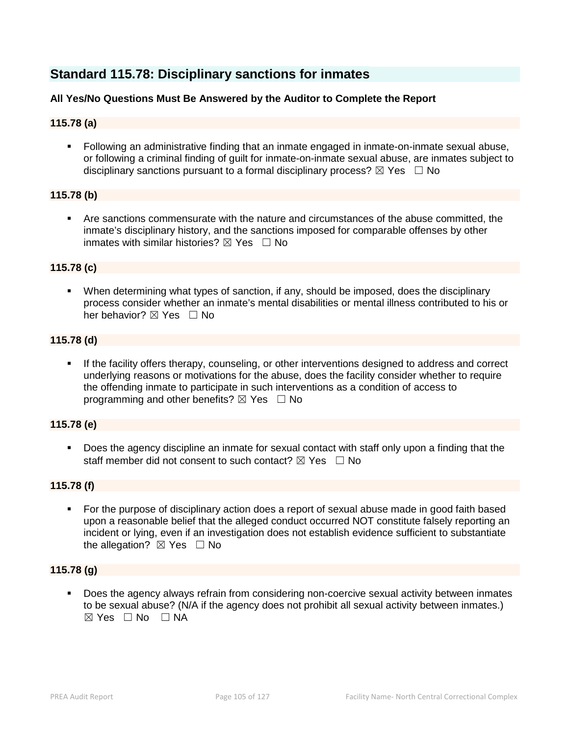# **Standard 115.78: Disciplinary sanctions for inmates**

## **All Yes/No Questions Must Be Answered by the Auditor to Complete the Report**

## **115.78 (a)**

 Following an administrative finding that an inmate engaged in inmate-on-inmate sexual abuse, or following a criminal finding of guilt for inmate-on-inmate sexual abuse, are inmates subject to disciplinary sanctions pursuant to a formal disciplinary process?  $\boxtimes$  Yes  $\Box$  No

## **115.78 (b)**

 Are sanctions commensurate with the nature and circumstances of the abuse committed, the inmate's disciplinary history, and the sanctions imposed for comparable offenses by other inmates with similar histories?  $\boxtimes$  Yes  $\Box$  No

## **115.78 (c)**

 When determining what types of sanction, if any, should be imposed, does the disciplinary process consider whether an inmate's mental disabilities or mental illness contributed to his or her behavior?  $\boxtimes$  Yes  $\Box$  No

#### **115.78 (d)**

 If the facility offers therapy, counseling, or other interventions designed to address and correct underlying reasons or motivations for the abuse, does the facility consider whether to require the offending inmate to participate in such interventions as a condition of access to programming and other benefits?  $\boxtimes$  Yes  $\Box$  No

#### **115.78 (e)**

 Does the agency discipline an inmate for sexual contact with staff only upon a finding that the staff member did not consent to such contact?  $\boxtimes$  Yes  $\Box$  No

#### **115.78 (f)**

 For the purpose of disciplinary action does a report of sexual abuse made in good faith based upon a reasonable belief that the alleged conduct occurred NOT constitute falsely reporting an incident or lying, even if an investigation does not establish evidence sufficient to substantiate the allegation?  $\boxtimes$  Yes  $\Box$  No

## **115.78 (g)**

 Does the agency always refrain from considering non-coercive sexual activity between inmates to be sexual abuse? (N/A if the agency does not prohibit all sexual activity between inmates.)  $\boxtimes$  Yes  $\Box$  No  $\Box$  NA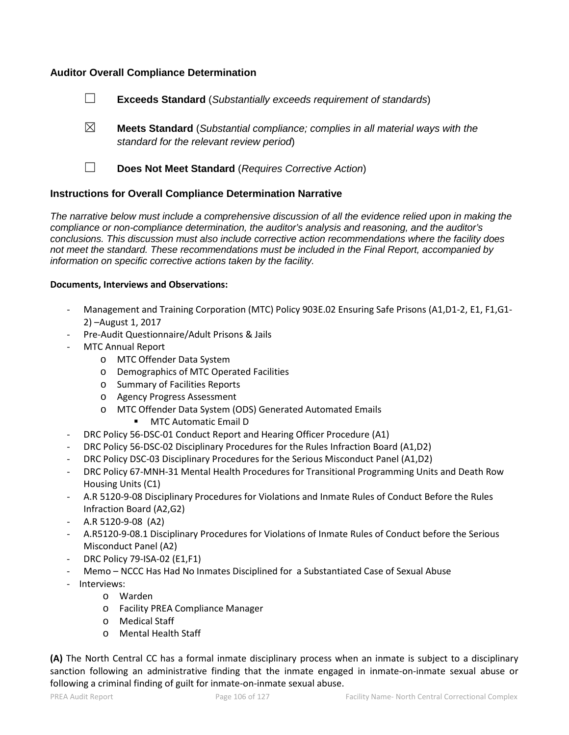## **Auditor Overall Compliance Determination**

- ☐ **Exceeds Standard** (*Substantially exceeds requirement of standards*)
- ☒ **Meets Standard** (*Substantial compliance; complies in all material ways with the standard for the relevant review period*)
- 
- ☐ **Does Not Meet Standard** (*Requires Corrective Action*)

## **Instructions for Overall Compliance Determination Narrative**

*The narrative below must include a comprehensive discussion of all the evidence relied upon in making the compliance or non-compliance determination, the auditor's analysis and reasoning, and the auditor's conclusions. This discussion must also include corrective action recommendations where the facility does not meet the standard. These recommendations must be included in the Final Report, accompanied by information on specific corrective actions taken by the facility.*

## **Documents, Interviews and Observations:**

- Management and Training Corporation (MTC) Policy 903E.02 Ensuring Safe Prisons (A1,D1-2, E1, F1,G1- 2) –August 1, 2017
- Pre-Audit Questionnaire/Adult Prisons & Jails
- MTC Annual Report
	- o MTC Offender Data System
	- o Demographics of MTC Operated Facilities
	- o Summary of Facilities Reports
	- o Agency Progress Assessment
	- o MTC Offender Data System (ODS) Generated Automated Emails
		- MTC Automatic Email D
- DRC Policy 56-DSC-01 Conduct Report and Hearing Officer Procedure (A1)
- DRC Policy 56-DSC-02 Disciplinary Procedures for the Rules Infraction Board (A1,D2)
- DRC Policy DSC-03 Disciplinary Procedures for the Serious Misconduct Panel (A1,D2)
- DRC Policy 67-MNH-31 Mental Health Procedures for Transitional Programming Units and Death Row Housing Units (C1)
- A.R 5120-9-08 Disciplinary Procedures for Violations and Inmate Rules of Conduct Before the Rules Infraction Board (A2,G2)
- A.R 5120-9-08 (A2)
- A.R5120-9-08.1 Disciplinary Procedures for Violations of Inmate Rules of Conduct before the Serious Misconduct Panel (A2)
- DRC Policy 79-ISA-02 (E1,F1)
- Memo NCCC Has Had No Inmates Disciplined for a Substantiated Case of Sexual Abuse
- Interviews:
	- o Warden
		- o Facility PREA Compliance Manager
		- o Medical Staff
		- o Mental Health Staff

**(A)** The North Central CC has a formal inmate disciplinary process when an inmate is subject to a disciplinary sanction following an administrative finding that the inmate engaged in inmate-on-inmate sexual abuse or following a criminal finding of guilt for inmate-on-inmate sexual abuse.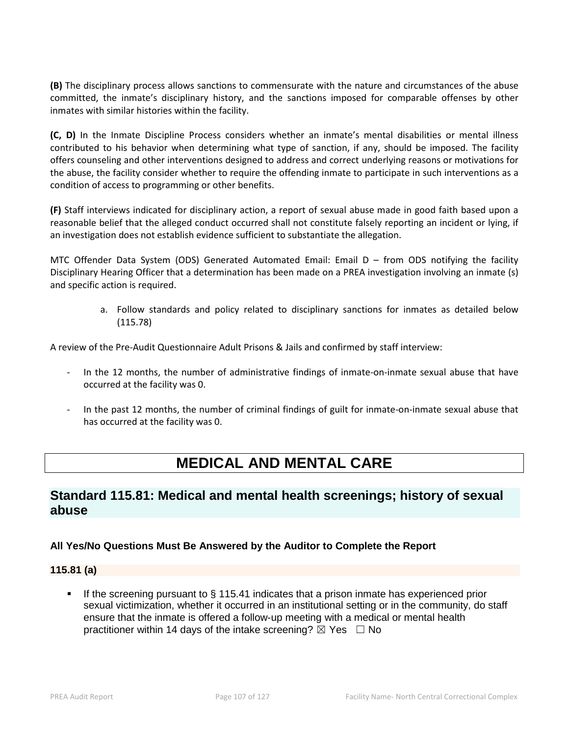**(B)** The disciplinary process allows sanctions to commensurate with the nature and circumstances of the abuse committed, the inmate's disciplinary history, and the sanctions imposed for comparable offenses by other inmates with similar histories within the facility.

**(C, D)** In the Inmate Discipline Process considers whether an inmate's mental disabilities or mental illness contributed to his behavior when determining what type of sanction, if any, should be imposed. The facility offers counseling and other interventions designed to address and correct underlying reasons or motivations for the abuse, the facility consider whether to require the offending inmate to participate in such interventions as a condition of access to programming or other benefits.

**(F)** Staff interviews indicated for disciplinary action, a report of sexual abuse made in good faith based upon a reasonable belief that the alleged conduct occurred shall not constitute falsely reporting an incident or lying, if an investigation does not establish evidence sufficient to substantiate the allegation.

MTC Offender Data System (ODS) Generated Automated Email: Email D – from ODS notifying the facility Disciplinary Hearing Officer that a determination has been made on a PREA investigation involving an inmate (s) and specific action is required.

> a. Follow standards and policy related to disciplinary sanctions for inmates as detailed below (115.78)

A review of the Pre-Audit Questionnaire Adult Prisons & Jails and confirmed by staff interview:

- In the 12 months, the number of administrative findings of inmate-on-inmate sexual abuse that have occurred at the facility was 0.
- In the past 12 months, the number of criminal findings of guilt for inmate-on-inmate sexual abuse that has occurred at the facility was 0.

# **MEDICAL AND MENTAL CARE**

# **Standard 115.81: Medical and mental health screenings; history of sexual abuse**

## **All Yes/No Questions Must Be Answered by the Auditor to Complete the Report**

## **115.81 (a)**

If the screening pursuant to  $\S$  115.41 indicates that a prison inmate has experienced prior sexual victimization, whether it occurred in an institutional setting or in the community, do staff ensure that the inmate is offered a follow-up meeting with a medical or mental health practitioner within 14 days of the intake screening?  $\boxtimes$  Yes  $\Box$  No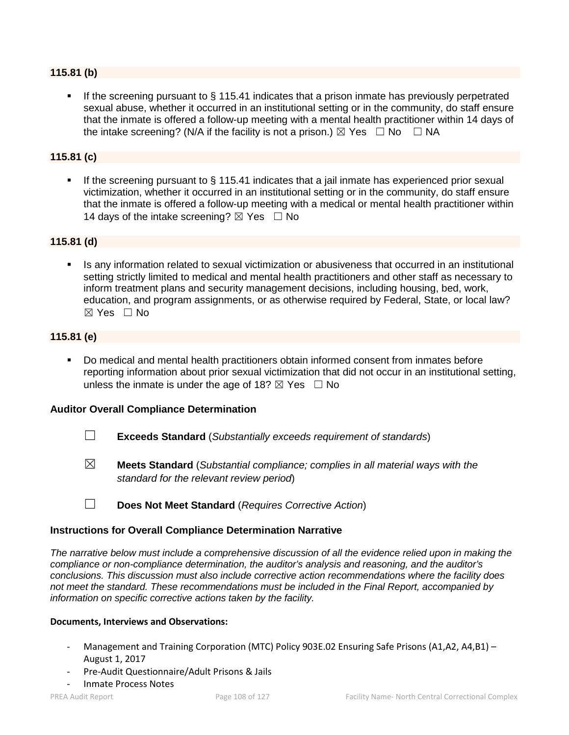## **115.81 (b)**

 If the screening pursuant to § 115.41 indicates that a prison inmate has previously perpetrated sexual abuse, whether it occurred in an institutional setting or in the community, do staff ensure that the inmate is offered a follow-up meeting with a mental health practitioner within 14 days of the intake screening? (N/A if the facility is not a prison.)  $\boxtimes$  Yes  $\Box$  No  $\Box$  NA

## **115.81 (c)**

 If the screening pursuant to § 115.41 indicates that a jail inmate has experienced prior sexual victimization, whether it occurred in an institutional setting or in the community, do staff ensure that the inmate is offered a follow-up meeting with a medical or mental health practitioner within 14 days of the intake screening?  $\boxtimes$  Yes  $\Box$  No

## **115.81 (d)**

 Is any information related to sexual victimization or abusiveness that occurred in an institutional setting strictly limited to medical and mental health practitioners and other staff as necessary to inform treatment plans and security management decisions, including housing, bed, work, education, and program assignments, or as otherwise required by Federal, State, or local law? ☒ Yes ☐ No

## **115.81 (e)**

 Do medical and mental health practitioners obtain informed consent from inmates before reporting information about prior sexual victimization that did not occur in an institutional setting, unless the inmate is under the age of 18?  $\boxtimes$  Yes  $\Box$  No

## **Auditor Overall Compliance Determination**

- ☐ **Exceeds Standard** (*Substantially exceeds requirement of standards*)
- ☒ **Meets Standard** (*Substantial compliance; complies in all material ways with the standard for the relevant review period*)

☐ **Does Not Meet Standard** (*Requires Corrective Action*)

## **Instructions for Overall Compliance Determination Narrative**

*The narrative below must include a comprehensive discussion of all the evidence relied upon in making the compliance or non-compliance determination, the auditor's analysis and reasoning, and the auditor's conclusions. This discussion must also include corrective action recommendations where the facility does not meet the standard. These recommendations must be included in the Final Report, accompanied by information on specific corrective actions taken by the facility.*

#### **Documents, Interviews and Observations:**

- Management and Training Corporation (MTC) Policy 903E.02 Ensuring Safe Prisons (A1,A2, A4,B1) August 1, 2017
- Pre-Audit Questionnaire/Adult Prisons & Jails
- Inmate Process Notes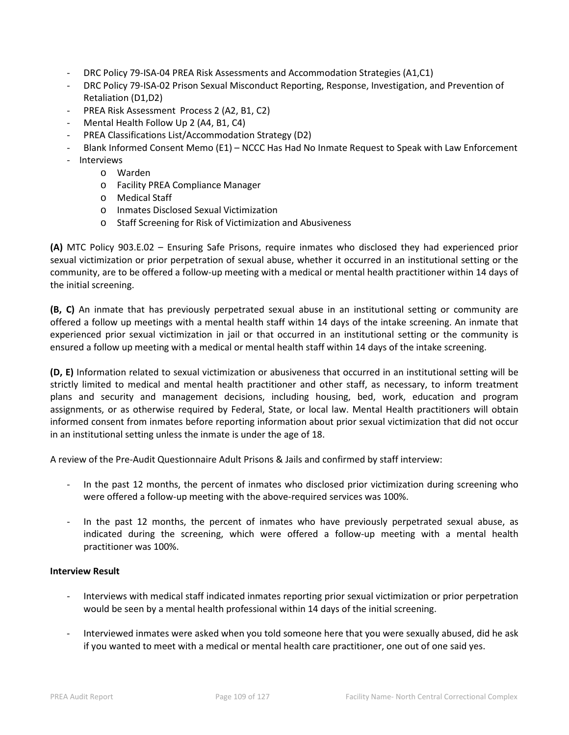- DRC Policy 79-ISA-04 PREA Risk Assessments and Accommodation Strategies (A1,C1)
- DRC Policy 79-ISA-02 Prison Sexual Misconduct Reporting, Response, Investigation, and Prevention of Retaliation (D1,D2)
- PREA Risk Assessment Process 2 (A2, B1, C2)
- Mental Health Follow Up 2 (A4, B1, C4)
- PREA Classifications List/Accommodation Strategy (D2)
- Blank Informed Consent Memo (E1) NCCC Has Had No Inmate Request to Speak with Law Enforcement
- Interviews
	- o Warden
	- o Facility PREA Compliance Manager
	- o Medical Staff
	- o Inmates Disclosed Sexual Victimization
	- o Staff Screening for Risk of Victimization and Abusiveness

**(A)** MTC Policy 903.E.02 – Ensuring Safe Prisons, require inmates who disclosed they had experienced prior sexual victimization or prior perpetration of sexual abuse, whether it occurred in an institutional setting or the community, are to be offered a follow-up meeting with a medical or mental health practitioner within 14 days of the initial screening.

**(B, C)** An inmate that has previously perpetrated sexual abuse in an institutional setting or community are offered a follow up meetings with a mental health staff within 14 days of the intake screening. An inmate that experienced prior sexual victimization in jail or that occurred in an institutional setting or the community is ensured a follow up meeting with a medical or mental health staff within 14 days of the intake screening.

**(D, E)** Information related to sexual victimization or abusiveness that occurred in an institutional setting will be strictly limited to medical and mental health practitioner and other staff, as necessary, to inform treatment plans and security and management decisions, including housing, bed, work, education and program assignments, or as otherwise required by Federal, State, or local law. Mental Health practitioners will obtain informed consent from inmates before reporting information about prior sexual victimization that did not occur in an institutional setting unless the inmate is under the age of 18.

A review of the Pre-Audit Questionnaire Adult Prisons & Jails and confirmed by staff interview:

- In the past 12 months, the percent of inmates who disclosed prior victimization during screening who were offered a follow-up meeting with the above-required services was 100%.
- In the past 12 months, the percent of inmates who have previously perpetrated sexual abuse, as indicated during the screening, which were offered a follow-up meeting with a mental health practitioner was 100%.

#### **Interview Result**

- Interviews with medical staff indicated inmates reporting prior sexual victimization or prior perpetration would be seen by a mental health professional within 14 days of the initial screening.
- Interviewed inmates were asked when you told someone here that you were sexually abused, did he ask if you wanted to meet with a medical or mental health care practitioner, one out of one said yes.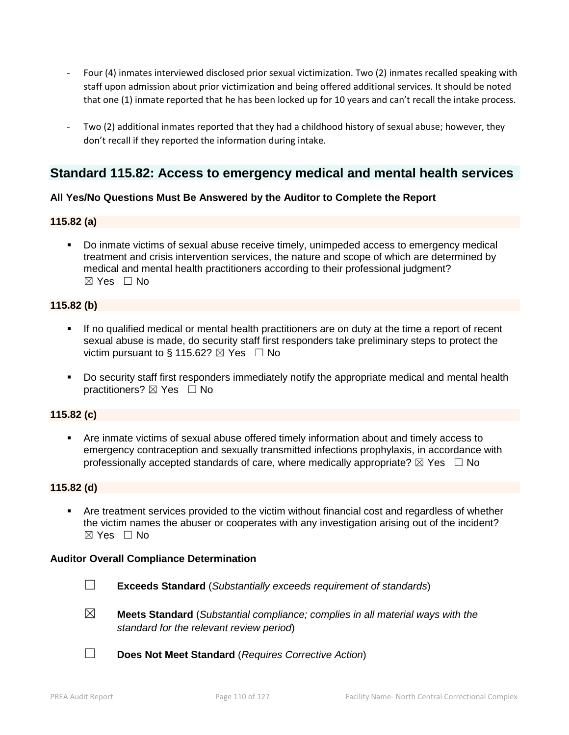- Four (4) inmates interviewed disclosed prior sexual victimization. Two (2) inmates recalled speaking with staff upon admission about prior victimization and being offered additional services. It should be noted that one (1) inmate reported that he has been locked up for 10 years and can't recall the intake process.
- Two (2) additional inmates reported that they had a childhood history of sexual abuse; however, they don't recall if they reported the information during intake.

# **Standard 115.82: Access to emergency medical and mental health services**

## **All Yes/No Questions Must Be Answered by the Auditor to Complete the Report**

## **115.82 (a)**

 Do inmate victims of sexual abuse receive timely, unimpeded access to emergency medical treatment and crisis intervention services, the nature and scope of which are determined by medical and mental health practitioners according to their professional judgment? ☒ Yes ☐ No

## **115.82 (b)**

- If no qualified medical or mental health practitioners are on duty at the time a report of recent sexual abuse is made, do security staff first responders take preliminary steps to protect the victim pursuant to § 115.62?  $\boxtimes$  Yes  $\Box$  No
- Do security staff first responders immediately notify the appropriate medical and mental health practitioners? ⊠ Yes □ No

# **115.82 (c)**

 Are inmate victims of sexual abuse offered timely information about and timely access to emergency contraception and sexually transmitted infections prophylaxis, in accordance with professionally accepted standards of care, where medically appropriate?  $\boxtimes$  Yes  $\Box$  No

# **115.82 (d)**

 Are treatment services provided to the victim without financial cost and regardless of whether the victim names the abuser or cooperates with any investigation arising out of the incident?  $\boxtimes$  Yes  $\Box$  No

#### **Auditor Overall Compliance Determination**

- ☐ **Exceeds Standard** (*Substantially exceeds requirement of standards*)
- ☒ **Meets Standard** (*Substantial compliance; complies in all material ways with the standard for the relevant review period*)
- ☐ **Does Not Meet Standard** (*Requires Corrective Action*)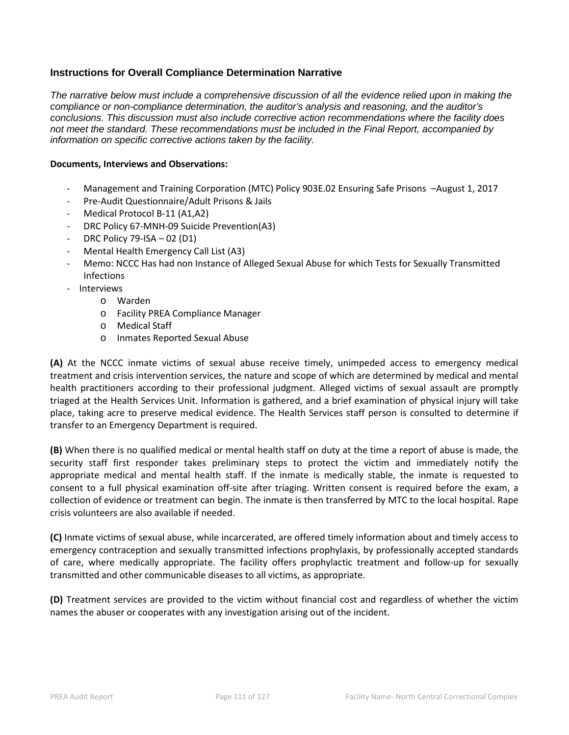# **Instructions for Overall Compliance Determination Narrative**

*The narrative below must include a comprehensive discussion of all the evidence relied upon in making the compliance or non-compliance determination, the auditor's analysis and reasoning, and the auditor's conclusions. This discussion must also include corrective action recommendations where the facility does not meet the standard. These recommendations must be included in the Final Report, accompanied by information on specific corrective actions taken by the facility.*

#### **Documents, Interviews and Observations:**

- Management and Training Corporation (MTC) Policy 903E.02 Ensuring Safe Prisons –August 1, 2017
- Pre-Audit Questionnaire/Adult Prisons & Jails
- Medical Protocol B-11 (A1,A2)
- DRC Policy 67-MNH-09 Suicide Prevention(A3)
- DRC Policy 79-ISA 02 (D1)
- Mental Health Emergency Call List (A3)
- Memo: NCCC Has had non Instance of Alleged Sexual Abuse for which Tests for Sexually Transmitted Infections
- Interviews
	- o Warden
	- o Facility PREA Compliance Manager
	- o Medical Staff
	- o Inmates Reported Sexual Abuse

**(A)** At the NCCC inmate victims of sexual abuse receive timely, unimpeded access to emergency medical treatment and crisis intervention services, the nature and scope of which are determined by medical and mental health practitioners according to their professional judgment. Alleged victims of sexual assault are promptly triaged at the Health Services Unit. Information is gathered, and a brief examination of physical injury will take place, taking acre to preserve medical evidence. The Health Services staff person is consulted to determine if transfer to an Emergency Department is required.

**(B)** When there is no qualified medical or mental health staff on duty at the time a report of abuse is made, the security staff first responder takes preliminary steps to protect the victim and immediately notify the appropriate medical and mental health staff. If the inmate is medically stable, the inmate is requested to consent to a full physical examination off-site after triaging. Written consent is required before the exam, a collection of evidence or treatment can begin. The inmate is then transferred by MTC to the local hospital. Rape crisis volunteers are also available if needed.

**(C)** Inmate victims of sexual abuse, while incarcerated, are offered timely information about and timely access to emergency contraception and sexually transmitted infections prophylaxis, by professionally accepted standards of care, where medically appropriate. The facility offers prophylactic treatment and follow-up for sexually transmitted and other communicable diseases to all victims, as appropriate.

**(D)** Treatment services are provided to the victim without financial cost and regardless of whether the victim names the abuser or cooperates with any investigation arising out of the incident.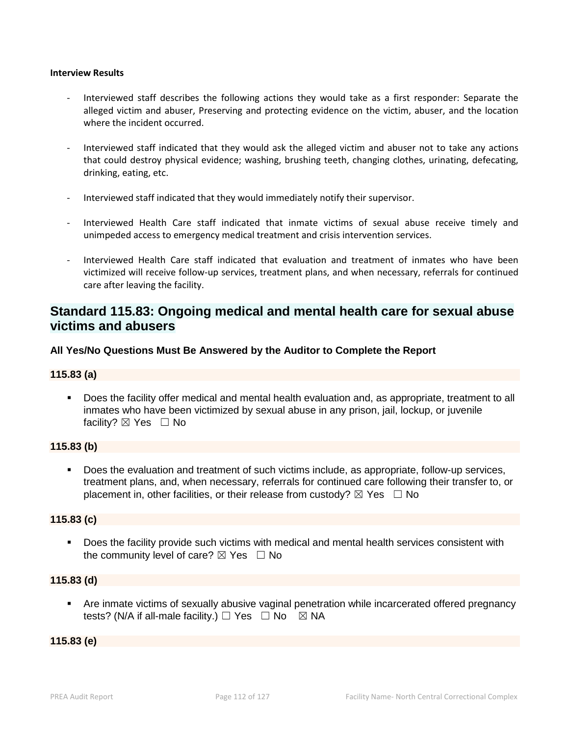#### **Interview Results**

- Interviewed staff describes the following actions they would take as a first responder: Separate the alleged victim and abuser, Preserving and protecting evidence on the victim, abuser, and the location where the incident occurred.
- Interviewed staff indicated that they would ask the alleged victim and abuser not to take any actions that could destroy physical evidence; washing, brushing teeth, changing clothes, urinating, defecating, drinking, eating, etc.
- Interviewed staff indicated that they would immediately notify their supervisor.
- Interviewed Health Care staff indicated that inmate victims of sexual abuse receive timely and unimpeded access to emergency medical treatment and crisis intervention services.
- Interviewed Health Care staff indicated that evaluation and treatment of inmates who have been victimized will receive follow-up services, treatment plans, and when necessary, referrals for continued care after leaving the facility.

# **Standard 115.83: Ongoing medical and mental health care for sexual abuse victims and abusers**

**All Yes/No Questions Must Be Answered by the Auditor to Complete the Report**

#### **115.83 (a)**

 Does the facility offer medical and mental health evaluation and, as appropriate, treatment to all inmates who have been victimized by sexual abuse in any prison, jail, lockup, or juvenile facility?  $\boxtimes$  Yes  $\Box$  No

#### **115.83 (b)**

 Does the evaluation and treatment of such victims include, as appropriate, follow-up services, treatment plans, and, when necessary, referrals for continued care following their transfer to, or placement in, other facilities, or their release from custody?  $\boxtimes$  Yes  $\Box$  No

#### **115.83 (c)**

 Does the facility provide such victims with medical and mental health services consistent with the community level of care?  $\boxtimes$  Yes  $\Box$  No

#### **115.83 (d)**

 Are inmate victims of sexually abusive vaginal penetration while incarcerated offered pregnancy tests? (N/A if all-male facility.)  $\Box$  Yes  $\Box$  No  $\boxtimes$  NA

#### **115.83 (e)**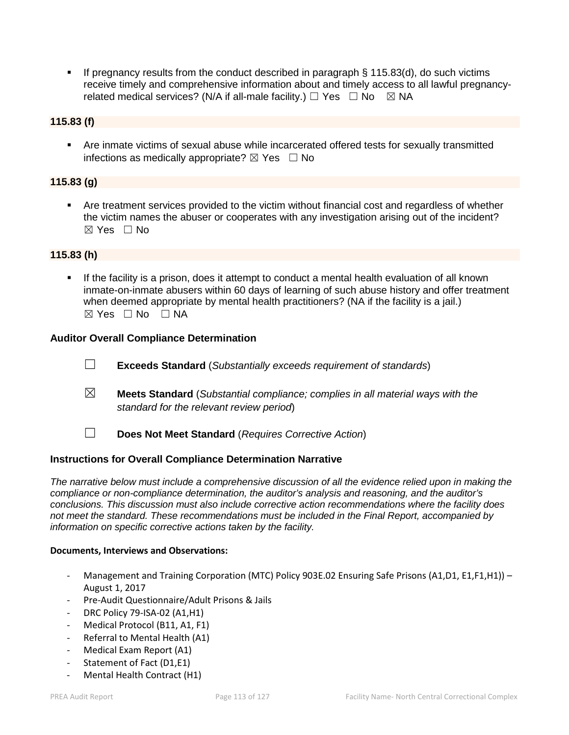If pregnancy results from the conduct described in paragraph  $\S$  115.83(d), do such victims receive timely and comprehensive information about and timely access to all lawful pregnancyrelated medical services? (N/A if all-male facility.)  $\Box$  Yes  $\Box$  No  $\boxtimes$  NA

# **115.83 (f)**

 Are inmate victims of sexual abuse while incarcerated offered tests for sexually transmitted infections as medically appropriate?  $\boxtimes$  Yes  $\Box$  No

# **115.83 (g)**

 Are treatment services provided to the victim without financial cost and regardless of whether the victim names the abuser or cooperates with any investigation arising out of the incident? ☒ Yes ☐ No

## **115.83 (h)**

 If the facility is a prison, does it attempt to conduct a mental health evaluation of all known inmate-on-inmate abusers within 60 days of learning of such abuse history and offer treatment when deemed appropriate by mental health practitioners? (NA if the facility is a jail.)  $\boxtimes$  Yes  $\Box$  No  $\Box$  NA

#### **Auditor Overall Compliance Determination**

- ☐ **Exceeds Standard** (*Substantially exceeds requirement of standards*)
- ☒ **Meets Standard** (*Substantial compliance; complies in all material ways with the standard for the relevant review period*)
- 
- ☐ **Does Not Meet Standard** (*Requires Corrective Action*)

#### **Instructions for Overall Compliance Determination Narrative**

*The narrative below must include a comprehensive discussion of all the evidence relied upon in making the compliance or non-compliance determination, the auditor's analysis and reasoning, and the auditor's conclusions. This discussion must also include corrective action recommendations where the facility does not meet the standard. These recommendations must be included in the Final Report, accompanied by information on specific corrective actions taken by the facility.*

#### **Documents, Interviews and Observations:**

- Management and Training Corporation (MTC) Policy 903E.02 Ensuring Safe Prisons (A1,D1, E1,F1,H1)) -August 1, 2017
- Pre-Audit Questionnaire/Adult Prisons & Jails
- DRC Policy 79-ISA-02 (A1,H1)
- Medical Protocol (B11, A1, F1)
- Referral to Mental Health (A1)
- Medical Exam Report (A1)
- Statement of Fact (D1,E1)
- Mental Health Contract (H1)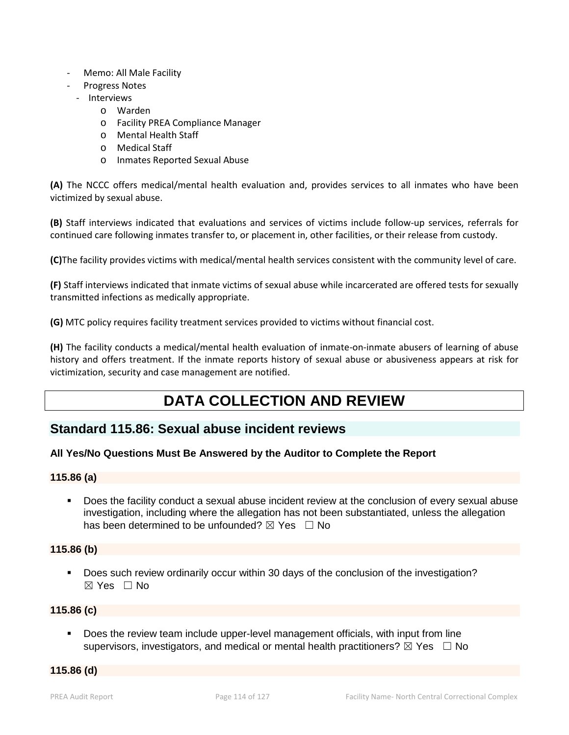- Memo: All Male Facility
- Progress Notes
	- Interviews
		- o Warden
		- o Facility PREA Compliance Manager
		- o Mental Health Staff
		- o Medical Staff
		- o Inmates Reported Sexual Abuse

**(A)** The NCCC offers medical/mental health evaluation and, provides services to all inmates who have been victimized by sexual abuse.

**(B)** Staff interviews indicated that evaluations and services of victims include follow-up services, referrals for continued care following inmates transfer to, or placement in, other facilities, or their release from custody.

**(C)**The facility provides victims with medical/mental health services consistent with the community level of care.

**(F)** Staff interviews indicated that inmate victims of sexual abuse while incarcerated are offered tests for sexually transmitted infections as medically appropriate.

**(G)** MTC policy requires facility treatment services provided to victims without financial cost.

**(H)** The facility conducts a medical/mental health evaluation of inmate-on-inmate abusers of learning of abuse history and offers treatment. If the inmate reports history of sexual abuse or abusiveness appears at risk for victimization, security and case management are notified.

# **DATA COLLECTION AND REVIEW**

# **Standard 115.86: Sexual abuse incident reviews**

#### **All Yes/No Questions Must Be Answered by the Auditor to Complete the Report**

#### **115.86 (a)**

 Does the facility conduct a sexual abuse incident review at the conclusion of every sexual abuse investigation, including where the allegation has not been substantiated, unless the allegation has been determined to be unfounded?  $\boxtimes$  Yes  $\Box$  No

#### **115.86 (b)**

 Does such review ordinarily occur within 30 days of the conclusion of the investigation?  $\boxtimes$  Yes  $\Box$  No

#### **115.86 (c)**

 Does the review team include upper-level management officials, with input from line supervisors, investigators, and medical or mental health practitioners?  $\boxtimes$  Yes  $\Box$  No

**115.86 (d)**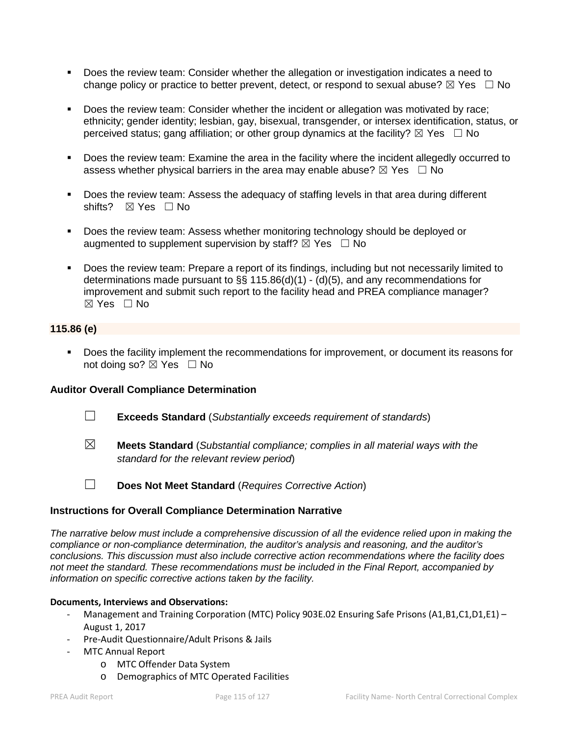- Does the review team: Consider whether the allegation or investigation indicates a need to change policy or practice to better prevent, detect, or respond to sexual abuse?  $\boxtimes$  Yes  $\Box$  No
- Does the review team: Consider whether the incident or allegation was motivated by race; ethnicity; gender identity; lesbian, gay, bisexual, transgender, or intersex identification, status, or perceived status; gang affiliation; or other group dynamics at the facility?  $\boxtimes$  Yes  $\Box$  No
- **Does the review team: Examine the area in the facility where the incident allegedly occurred to** assess whether physical barriers in the area may enable abuse?  $\boxtimes$  Yes  $\Box$  No
- Does the review team: Assess the adequacy of staffing levels in that area during different shifts? ⊠ Yes □ No
- Does the review team: Assess whether monitoring technology should be deployed or augmented to supplement supervision by staff?  $\boxtimes$  Yes  $\Box$  No
- Does the review team: Prepare a report of its findings, including but not necessarily limited to determinations made pursuant to §§ 115.86(d)(1) - (d)(5), and any recommendations for improvement and submit such report to the facility head and PREA compliance manager?  $\boxtimes$  Yes  $\Box$  No

# **115.86 (e)**

 Does the facility implement the recommendations for improvement, or document its reasons for not doing so? ⊠ Yes □ No

# **Auditor Overall Compliance Determination**

- ☐ **Exceeds Standard** (*Substantially exceeds requirement of standards*)
- ☒ **Meets Standard** (*Substantial compliance; complies in all material ways with the standard for the relevant review period*)
- ☐ **Does Not Meet Standard** (*Requires Corrective Action*)

# **Instructions for Overall Compliance Determination Narrative**

*The narrative below must include a comprehensive discussion of all the evidence relied upon in making the compliance or non-compliance determination, the auditor's analysis and reasoning, and the auditor's conclusions. This discussion must also include corrective action recommendations where the facility does not meet the standard. These recommendations must be included in the Final Report, accompanied by information on specific corrective actions taken by the facility.*

#### **Documents, Interviews and Observations:**

- Management and Training Corporation (MTC) Policy 903E.02 Ensuring Safe Prisons (A1,B1,C1,D1,E1) August 1, 2017
- Pre-Audit Questionnaire/Adult Prisons & Jails
- MTC Annual Report
	- o MTC Offender Data System
	- o Demographics of MTC Operated Facilities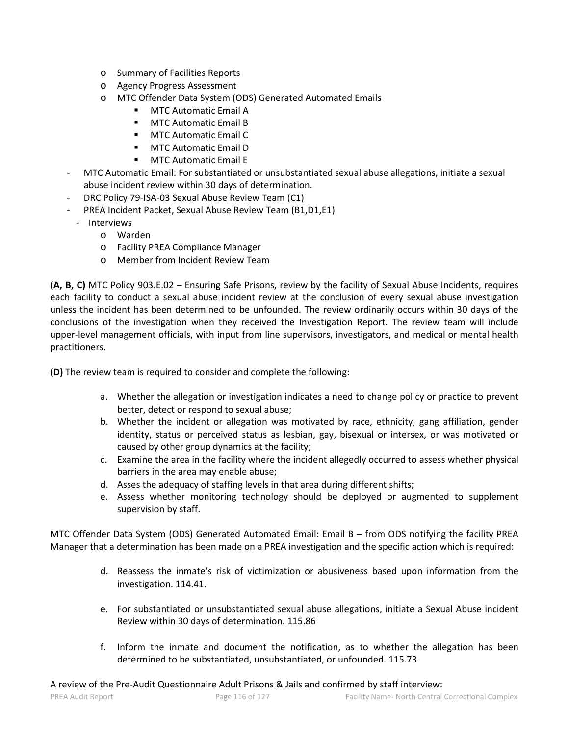- o Summary of Facilities Reports
- o Agency Progress Assessment
- o MTC Offender Data System (ODS) Generated Automated Emails
	- MTC Automatic Email A
	- **MTC Automatic Email B**
	- **MTC Automatic Email C.**
	- **MTC Automatic Email D**
	- **MTC Automatic Email F**
- MTC Automatic Email: For substantiated or unsubstantiated sexual abuse allegations, initiate a sexual abuse incident review within 30 days of determination.
- DRC Policy 79-ISA-03 Sexual Abuse Review Team (C1)
- PREA Incident Packet, Sexual Abuse Review Team (B1,D1,E1)
	- Interviews
		- o Warden
		- o Facility PREA Compliance Manager
		- o Member from Incident Review Team

**(A, B, C)** MTC Policy 903.E.02 – Ensuring Safe Prisons, review by the facility of Sexual Abuse Incidents, requires each facility to conduct a sexual abuse incident review at the conclusion of every sexual abuse investigation unless the incident has been determined to be unfounded. The review ordinarily occurs within 30 days of the conclusions of the investigation when they received the Investigation Report. The review team will include upper-level management officials, with input from line supervisors, investigators, and medical or mental health practitioners.

**(D)** The review team is required to consider and complete the following:

- a. Whether the allegation or investigation indicates a need to change policy or practice to prevent better, detect or respond to sexual abuse;
- b. Whether the incident or allegation was motivated by race, ethnicity, gang affiliation, gender identity, status or perceived status as lesbian, gay, bisexual or intersex, or was motivated or caused by other group dynamics at the facility;
- c. Examine the area in the facility where the incident allegedly occurred to assess whether physical barriers in the area may enable abuse;
- d. Asses the adequacy of staffing levels in that area during different shifts;
- e. Assess whether monitoring technology should be deployed or augmented to supplement supervision by staff.

MTC Offender Data System (ODS) Generated Automated Email: Email B – from ODS notifying the facility PREA Manager that a determination has been made on a PREA investigation and the specific action which is required:

- d. Reassess the inmate's risk of victimization or abusiveness based upon information from the investigation. 114.41.
- e. For substantiated or unsubstantiated sexual abuse allegations, initiate a Sexual Abuse incident Review within 30 days of determination. 115.86
- f. Inform the inmate and document the notification, as to whether the allegation has been determined to be substantiated, unsubstantiated, or unfounded. 115.73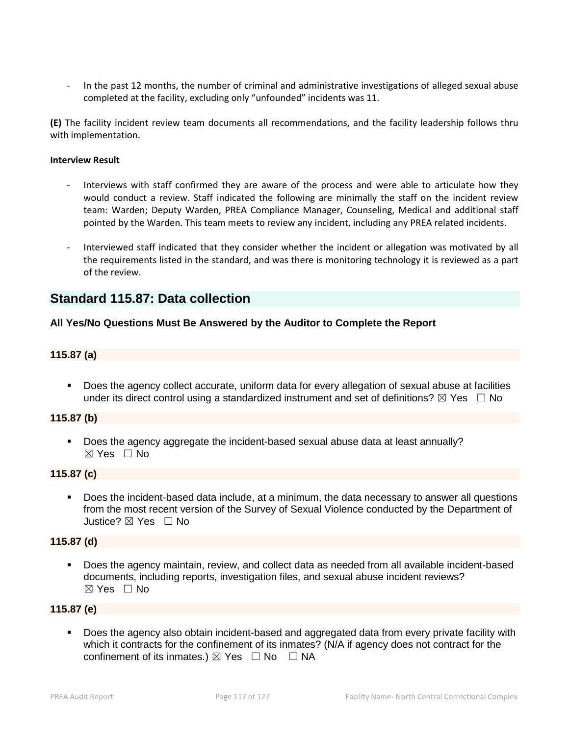In the past 12 months, the number of criminal and administrative investigations of alleged sexual abuse completed at the facility, excluding only "unfounded" incidents was 11.

**(E)** The facility incident review team documents all recommendations, and the facility leadership follows thru with implementation.

#### **Interview Result**

- Interviews with staff confirmed they are aware of the process and were able to articulate how they would conduct a review. Staff indicated the following are minimally the staff on the incident review team: Warden; Deputy Warden, PREA Compliance Manager, Counseling, Medical and additional staff pointed by the Warden. This team meets to review any incident, including any PREA related incidents.
- Interviewed staff indicated that they consider whether the incident or allegation was motivated by all the requirements listed in the standard, and was there is monitoring technology it is reviewed as a part of the review.

# **Standard 115.87: Data collection**

#### **All Yes/No Questions Must Be Answered by the Auditor to Complete the Report**

#### **115.87 (a)**

 Does the agency collect accurate, uniform data for every allegation of sexual abuse at facilities under its direct control using a standardized instrument and set of definitions?  $\boxtimes$  Yes  $\Box$  No

#### **115.87 (b)**

 Does the agency aggregate the incident-based sexual abuse data at least annually?  $\boxtimes$  Yes  $\Box$  No

#### **115.87 (c)**

 Does the incident-based data include, at a minimum, the data necessary to answer all questions from the most recent version of the Survey of Sexual Violence conducted by the Department of Justice? ☒ Yes ☐ No

#### **115.87 (d)**

 Does the agency maintain, review, and collect data as needed from all available incident-based documents, including reports, investigation files, and sexual abuse incident reviews?  $\boxtimes$  Yes  $\Box$  No

#### **115.87 (e)**

**Does the agency also obtain incident-based and aggregated data from every private facility with** which it contracts for the confinement of its inmates? (N/A if agency does not contract for the confinement of its inmates.)  $\boxtimes$  Yes  $\Box$  No  $\Box$  NA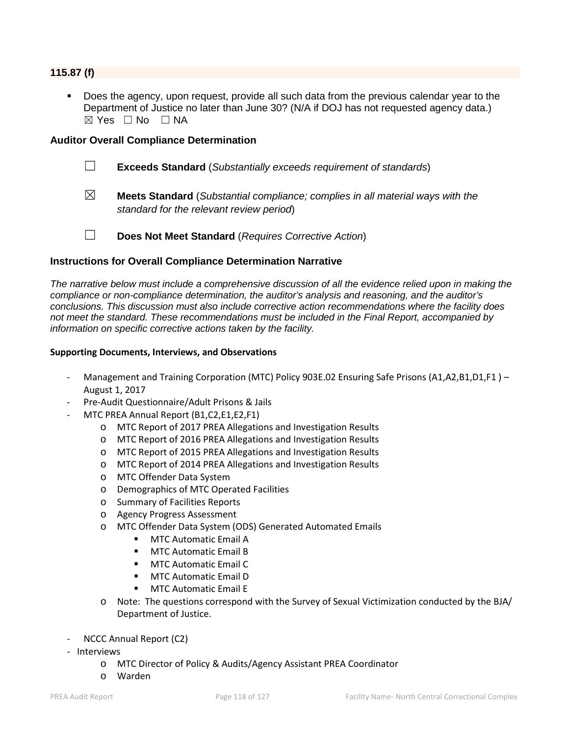## **115.87 (f)**

 Does the agency, upon request, provide all such data from the previous calendar year to the Department of Justice no later than June 30? (N/A if DOJ has not requested agency data.)  $\boxtimes$  Yes  $\Box$  No  $\Box$  NA

#### **Auditor Overall Compliance Determination**

☐ **Exceeds Standard** (*Substantially exceeds requirement of standards*)

- ☒ **Meets Standard** (*Substantial compliance; complies in all material ways with the standard for the relevant review period*)
- 
- ☐ **Does Not Meet Standard** (*Requires Corrective Action*)

#### **Instructions for Overall Compliance Determination Narrative**

*The narrative below must include a comprehensive discussion of all the evidence relied upon in making the compliance or non-compliance determination, the auditor's analysis and reasoning, and the auditor's conclusions. This discussion must also include corrective action recommendations where the facility does not meet the standard. These recommendations must be included in the Final Report, accompanied by information on specific corrective actions taken by the facility.*

#### **Supporting Documents, Interviews, and Observations**

- Management and Training Corporation (MTC) Policy 903E.02 Ensuring Safe Prisons (A1,A2,B1,D1,F1) -August 1, 2017
- Pre-Audit Questionnaire/Adult Prisons & Jails
- MTC PREA Annual Report (B1,C2,E1,E2,F1)
	- o MTC Report of 2017 PREA Allegations and Investigation Results
	- o MTC Report of 2016 PREA Allegations and Investigation Results
	- o MTC Report of 2015 PREA Allegations and Investigation Results
	- o MTC Report of 2014 PREA Allegations and Investigation Results
	- o MTC Offender Data System
	- o Demographics of MTC Operated Facilities
	- o Summary of Facilities Reports
	- o Agency Progress Assessment
	- o MTC Offender Data System (ODS) Generated Automated Emails
		- MTC Automatic Email A
		- **MTC Automatic Email B**
		- MTC Automatic Email C
		- MTC Automatic Email D
		- MTC Automatic Email E
	- o Note: The questions correspond with the Survey of Sexual Victimization conducted by the BJA/ Department of Justice.
- NCCC Annual Report (C2)
- Interviews
	- o MTC Director of Policy & Audits/Agency Assistant PREA Coordinator
	- o Warden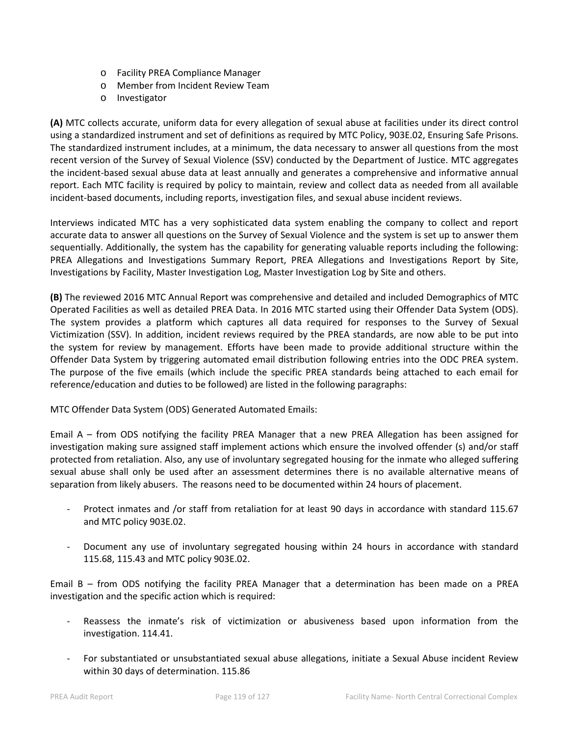- o Facility PREA Compliance Manager
- o Member from Incident Review Team
- o Investigator

**(A)** MTC collects accurate, uniform data for every allegation of sexual abuse at facilities under its direct control using a standardized instrument and set of definitions as required by MTC Policy, 903E.02, Ensuring Safe Prisons. The standardized instrument includes, at a minimum, the data necessary to answer all questions from the most recent version of the Survey of Sexual Violence (SSV) conducted by the Department of Justice. MTC aggregates the incident-based sexual abuse data at least annually and generates a comprehensive and informative annual report. Each MTC facility is required by policy to maintain, review and collect data as needed from all available incident-based documents, including reports, investigation files, and sexual abuse incident reviews.

Interviews indicated MTC has a very sophisticated data system enabling the company to collect and report accurate data to answer all questions on the Survey of Sexual Violence and the system is set up to answer them sequentially. Additionally, the system has the capability for generating valuable reports including the following: PREA Allegations and Investigations Summary Report, PREA Allegations and Investigations Report by Site, Investigations by Facility, Master Investigation Log, Master Investigation Log by Site and others.

**(B)** The reviewed 2016 MTC Annual Report was comprehensive and detailed and included Demographics of MTC Operated Facilities as well as detailed PREA Data. In 2016 MTC started using their Offender Data System (ODS). The system provides a platform which captures all data required for responses to the Survey of Sexual Victimization (SSV). In addition, incident reviews required by the PREA standards, are now able to be put into the system for review by management. Efforts have been made to provide additional structure within the Offender Data System by triggering automated email distribution following entries into the ODC PREA system. The purpose of the five emails (which include the specific PREA standards being attached to each email for reference/education and duties to be followed) are listed in the following paragraphs:

MTC Offender Data System (ODS) Generated Automated Emails:

Email A – from ODS notifying the facility PREA Manager that a new PREA Allegation has been assigned for investigation making sure assigned staff implement actions which ensure the involved offender (s) and/or staff protected from retaliation. Also, any use of involuntary segregated housing for the inmate who alleged suffering sexual abuse shall only be used after an assessment determines there is no available alternative means of separation from likely abusers. The reasons need to be documented within 24 hours of placement.

- Protect inmates and /or staff from retaliation for at least 90 days in accordance with standard 115.67 and MTC policy 903E.02.
- Document any use of involuntary segregated housing within 24 hours in accordance with standard 115.68, 115.43 and MTC policy 903E.02.

Email B – from ODS notifying the facility PREA Manager that a determination has been made on a PREA investigation and the specific action which is required:

- Reassess the inmate's risk of victimization or abusiveness based upon information from the investigation. 114.41.
- For substantiated or unsubstantiated sexual abuse allegations, initiate a Sexual Abuse incident Review within 30 days of determination. 115.86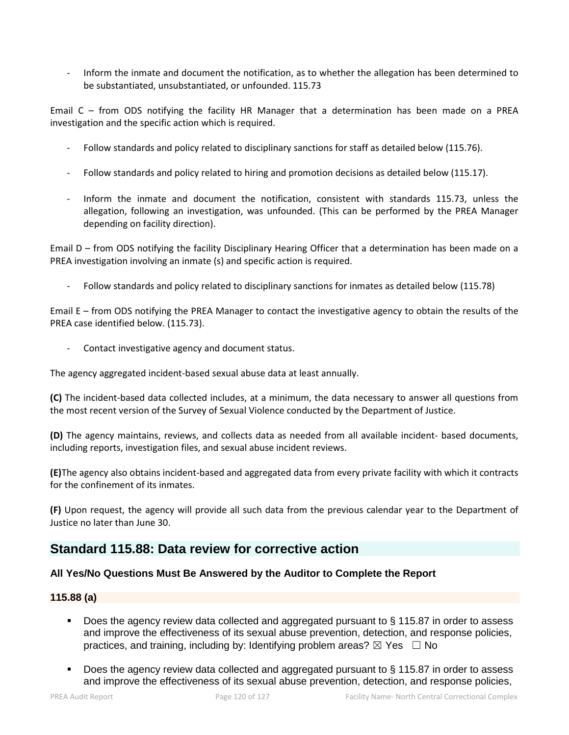- Inform the inmate and document the notification, as to whether the allegation has been determined to be substantiated, unsubstantiated, or unfounded. 115.73

Email C – from ODS notifying the facility HR Manager that a determination has been made on a PREA investigation and the specific action which is required.

- Follow standards and policy related to disciplinary sanctions for staff as detailed below (115.76).
- Follow standards and policy related to hiring and promotion decisions as detailed below (115.17).
- Inform the inmate and document the notification, consistent with standards 115.73, unless the allegation, following an investigation, was unfounded. (This can be performed by the PREA Manager depending on facility direction).

Email D – from ODS notifying the facility Disciplinary Hearing Officer that a determination has been made on a PREA investigation involving an inmate (s) and specific action is required.

Follow standards and policy related to disciplinary sanctions for inmates as detailed below (115.78)

Email E – from ODS notifying the PREA Manager to contact the investigative agency to obtain the results of the PREA case identified below. (115.73).

Contact investigative agency and document status.

The agency aggregated incident-based sexual abuse data at least annually.

**(C)** The incident-based data collected includes, at a minimum, the data necessary to answer all questions from the most recent version of the Survey of Sexual Violence conducted by the Department of Justice.

**(D)** The agency maintains, reviews, and collects data as needed from all available incident- based documents, including reports, investigation files, and sexual abuse incident reviews.

**(E)**The agency also obtains incident-based and aggregated data from every private facility with which it contracts for the confinement of its inmates.

**(F)** Upon request, the agency will provide all such data from the previous calendar year to the Department of Justice no later than June 30.

# **Standard 115.88: Data review for corrective action**

# **All Yes/No Questions Must Be Answered by the Auditor to Complete the Report**

#### **115.88 (a)**

- Does the agency review data collected and aggregated pursuant to § 115.87 in order to assess and improve the effectiveness of its sexual abuse prevention, detection, and response policies, practices, and training, including by: Identifying problem areas?  $\boxtimes$  Yes  $\Box$  No
- Does the agency review data collected and aggregated pursuant to § 115.87 in order to assess and improve the effectiveness of its sexual abuse prevention, detection, and response policies,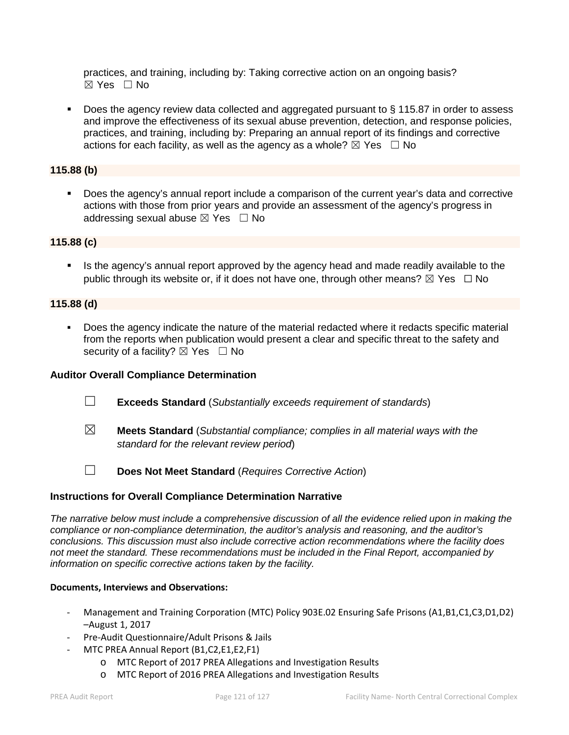practices, and training, including by: Taking corrective action on an ongoing basis? ☒ Yes ☐ No

■ Does the agency review data collected and aggregated pursuant to § 115.87 in order to assess and improve the effectiveness of its sexual abuse prevention, detection, and response policies, practices, and training, including by: Preparing an annual report of its findings and corrective actions for each facility, as well as the agency as a whole?  $\boxtimes$  Yes  $\Box$  No

# **115.88 (b)**

 Does the agency's annual report include a comparison of the current year's data and corrective actions with those from prior years and provide an assessment of the agency's progress in addressing sexual abuse  $\boxtimes$  Yes  $\Box$  No

#### **115.88 (c)**

 Is the agency's annual report approved by the agency head and made readily available to the public through its website or, if it does not have one, through other means?  $\boxtimes$  Yes  $\Box$  No

#### **115.88 (d)**

 Does the agency indicate the nature of the material redacted where it redacts specific material from the reports when publication would present a clear and specific threat to the safety and security of a facility?  $\boxtimes$  Yes  $\Box$  No

#### **Auditor Overall Compliance Determination**

- ☐ **Exceeds Standard** (*Substantially exceeds requirement of standards*)
- ☒ **Meets Standard** (*Substantial compliance; complies in all material ways with the standard for the relevant review period*)
- ☐ **Does Not Meet Standard** (*Requires Corrective Action*)

#### **Instructions for Overall Compliance Determination Narrative**

*The narrative below must include a comprehensive discussion of all the evidence relied upon in making the compliance or non-compliance determination, the auditor's analysis and reasoning, and the auditor's conclusions. This discussion must also include corrective action recommendations where the facility does not meet the standard. These recommendations must be included in the Final Report, accompanied by information on specific corrective actions taken by the facility.*

#### **Documents, Interviews and Observations:**

- Management and Training Corporation (MTC) Policy 903E.02 Ensuring Safe Prisons (A1,B1,C1,C3,D1,D2) –August 1, 2017
- Pre-Audit Questionnaire/Adult Prisons & Jails
- MTC PREA Annual Report (B1,C2,E1,E2,F1)
	- o MTC Report of 2017 PREA Allegations and Investigation Results
	- o MTC Report of 2016 PREA Allegations and Investigation Results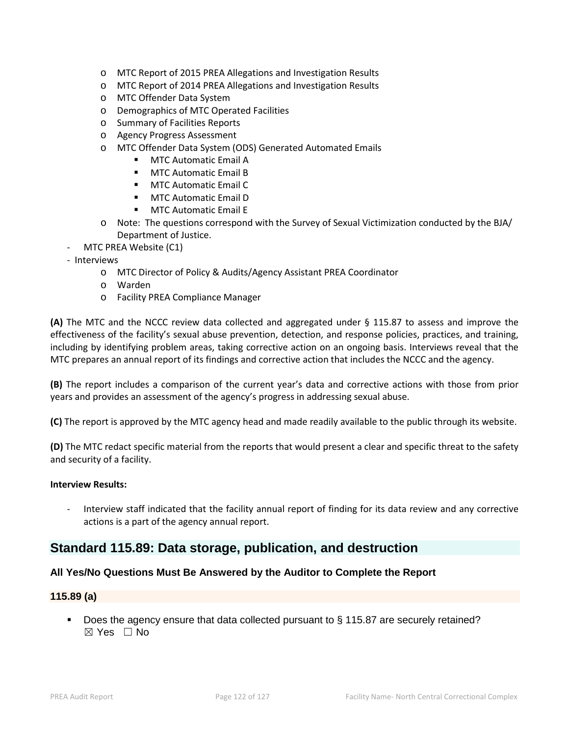- o MTC Report of 2015 PREA Allegations and Investigation Results
- o MTC Report of 2014 PREA Allegations and Investigation Results
- o MTC Offender Data System
- o Demographics of MTC Operated Facilities
- o Summary of Facilities Reports
- o Agency Progress Assessment
- o MTC Offender Data System (ODS) Generated Automated Emails
	- **MTC Automatic Email A**
	- MTC Automatic Email B
	- **MTC Automatic Email C**
	- **MTC Automatic Email D**
	- **MTC Automatic Email E**
- o Note: The questions correspond with the Survey of Sexual Victimization conducted by the BJA/ Department of Justice.
- MTC PREA Website (C1)
- Interviews
	- o MTC Director of Policy & Audits/Agency Assistant PREA Coordinator
	- o Warden
	- o Facility PREA Compliance Manager

**(A)** The MTC and the NCCC review data collected and aggregated under § 115.87 to assess and improve the effectiveness of the facility's sexual abuse prevention, detection, and response policies, practices, and training, including by identifying problem areas, taking corrective action on an ongoing basis. Interviews reveal that the MTC prepares an annual report of its findings and corrective action that includes the NCCC and the agency.

**(B)** The report includes a comparison of the current year's data and corrective actions with those from prior years and provides an assessment of the agency's progress in addressing sexual abuse.

**(C)** The report is approved by the MTC agency head and made readily available to the public through its website.

**(D)** The MTC redact specific material from the reports that would present a clear and specific threat to the safety and security of a facility.

#### **Interview Results:**

- Interview staff indicated that the facility annual report of finding for its data review and any corrective actions is a part of the agency annual report.

# **Standard 115.89: Data storage, publication, and destruction**

#### **All Yes/No Questions Must Be Answered by the Auditor to Complete the Report**

#### **115.89 (a)**

Does the agency ensure that data collected pursuant to § 115.87 are securely retained?  $\boxtimes$  Yes  $\Box$  No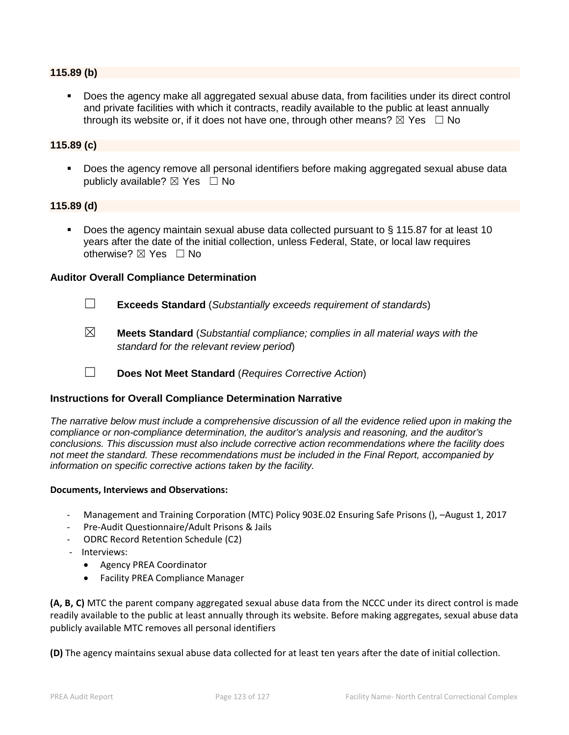#### **115.89 (b)**

 Does the agency make all aggregated sexual abuse data, from facilities under its direct control and private facilities with which it contracts, readily available to the public at least annually through its website or, if it does not have one, through other means?  $\boxtimes$  Yes  $\Box$  No

### **115.89 (c)**

 Does the agency remove all personal identifiers before making aggregated sexual abuse data publicly available?  $\boxtimes$  Yes  $\Box$  No

#### **115.89 (d)**

 Does the agency maintain sexual abuse data collected pursuant to § 115.87 for at least 10 years after the date of the initial collection, unless Federal, State, or local law requires otherwise?  $\boxtimes$  Yes  $\Box$  No

#### **Auditor Overall Compliance Determination**

- ☐ **Exceeds Standard** (*Substantially exceeds requirement of standards*)
- ☒ **Meets Standard** (*Substantial compliance; complies in all material ways with the standard for the relevant review period*)
- ☐ **Does Not Meet Standard** (*Requires Corrective Action*)

#### **Instructions for Overall Compliance Determination Narrative**

*The narrative below must include a comprehensive discussion of all the evidence relied upon in making the compliance or non-compliance determination, the auditor's analysis and reasoning, and the auditor's conclusions. This discussion must also include corrective action recommendations where the facility does not meet the standard. These recommendations must be included in the Final Report, accompanied by information on specific corrective actions taken by the facility.*

#### **Documents, Interviews and Observations:**

- Management and Training Corporation (MTC) Policy 903E.02 Ensuring Safe Prisons (), –August 1, 2017
- Pre-Audit Questionnaire/Adult Prisons & Jails
- ODRC Record Retention Schedule (C2)
- Interviews:
	- Agency PREA Coordinator
	- Facility PREA Compliance Manager

**(A, B, C)** MTC the parent company aggregated sexual abuse data from the NCCC under its direct control is made readily available to the public at least annually through its website. Before making aggregates, sexual abuse data publicly available MTC removes all personal identifiers

**(D)** The agency maintains sexual abuse data collected for at least ten years after the date of initial collection.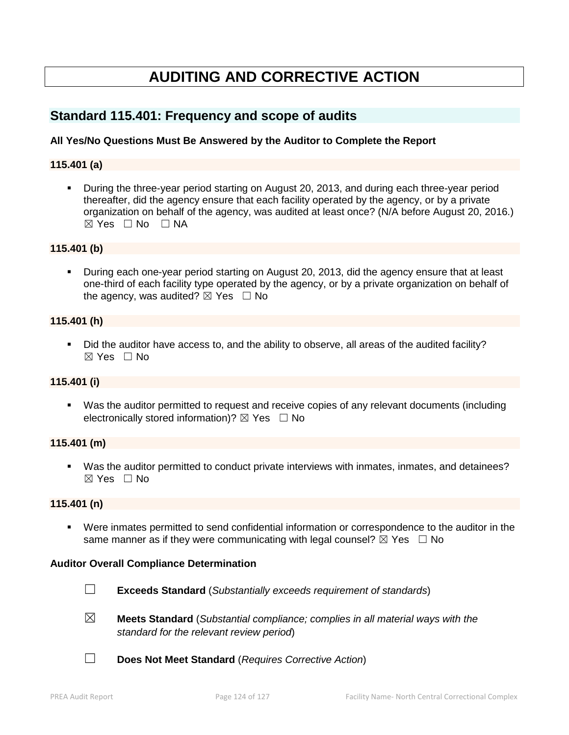# **AUDITING AND CORRECTIVE ACTION**

# **Standard 115.401: Frequency and scope of audits**

# **All Yes/No Questions Must Be Answered by the Auditor to Complete the Report**

#### **115.401 (a)**

 During the three-year period starting on August 20, 2013, and during each three-year period thereafter, did the agency ensure that each facility operated by the agency, or by a private organization on behalf of the agency, was audited at least once? (N/A before August 20, 2016.)  $\boxtimes$  Yes  $\Box$  No  $\Box$  NA

#### **115.401 (b)**

 During each one-year period starting on August 20, 2013, did the agency ensure that at least one-third of each facility type operated by the agency, or by a private organization on behalf of the agency, was audited?  $\boxtimes$  Yes  $\Box$  No

#### **115.401 (h)**

 Did the auditor have access to, and the ability to observe, all areas of the audited facility?  $\boxtimes$  Yes  $\Box$  No

#### **115.401 (i)**

 Was the auditor permitted to request and receive copies of any relevant documents (including electronically stored information)?  $\boxtimes$  Yes  $\Box$  No

#### **115.401 (m)**

 Was the auditor permitted to conduct private interviews with inmates, inmates, and detainees?  $\boxtimes$  Yes  $\Box$  No

#### **115.401 (n)**

 Were inmates permitted to send confidential information or correspondence to the auditor in the same manner as if they were communicating with legal counsel?  $\boxtimes$  Yes  $\Box$  No

#### **Auditor Overall Compliance Determination**



- ☐ **Exceeds Standard** (*Substantially exceeds requirement of standards*)
- ☒ **Meets Standard** (*Substantial compliance; complies in all material ways with the standard for the relevant review period*)
- ☐ **Does Not Meet Standard** (*Requires Corrective Action*)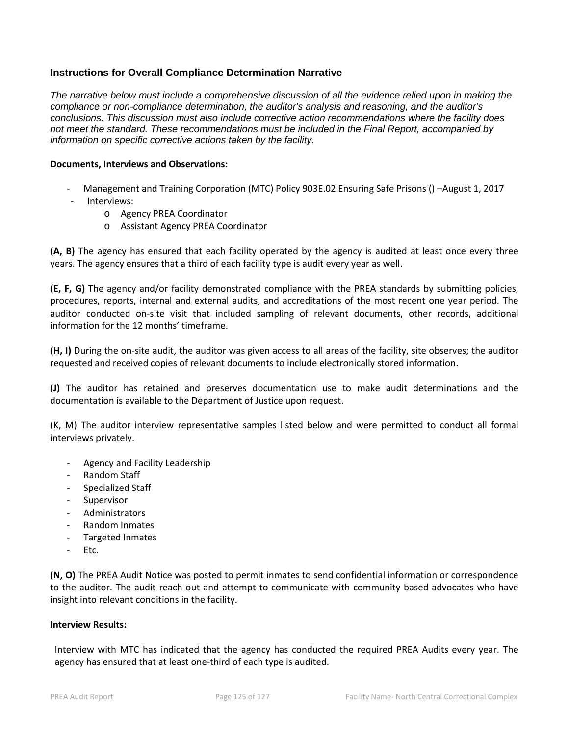# **Instructions for Overall Compliance Determination Narrative**

*The narrative below must include a comprehensive discussion of all the evidence relied upon in making the compliance or non-compliance determination, the auditor's analysis and reasoning, and the auditor's conclusions. This discussion must also include corrective action recommendations where the facility does not meet the standard. These recommendations must be included in the Final Report, accompanied by information on specific corrective actions taken by the facility.*

#### **Documents, Interviews and Observations:**

- Management and Training Corporation (MTC) Policy 903E.02 Ensuring Safe Prisons () –August 1, 2017
- Interviews:
	- o Agency PREA Coordinator
	- o Assistant Agency PREA Coordinator

**(A, B)** The agency has ensured that each facility operated by the agency is audited at least once every three years. The agency ensures that a third of each facility type is audit every year as well.

**(E, F, G)** The agency and/or facility demonstrated compliance with the PREA standards by submitting policies, procedures, reports, internal and external audits, and accreditations of the most recent one year period. The auditor conducted on-site visit that included sampling of relevant documents, other records, additional information for the 12 months' timeframe.

**(H, I)** During the on-site audit, the auditor was given access to all areas of the facility, site observes; the auditor requested and received copies of relevant documents to include electronically stored information.

**(J)** The auditor has retained and preserves documentation use to make audit determinations and the documentation is available to the Department of Justice upon request.

(K, M) The auditor interview representative samples listed below and were permitted to conduct all formal interviews privately.

- Agency and Facility Leadership
- Random Staff
- Specialized Staff
- **Supervisor**
- Administrators
- Random Inmates
- Targeted Inmates
- Etc.

**(N, O)** The PREA Audit Notice was posted to permit inmates to send confidential information or correspondence to the auditor. The audit reach out and attempt to communicate with community based advocates who have insight into relevant conditions in the facility.

#### **Interview Results:**

Interview with MTC has indicated that the agency has conducted the required PREA Audits every year. The agency has ensured that at least one-third of each type is audited.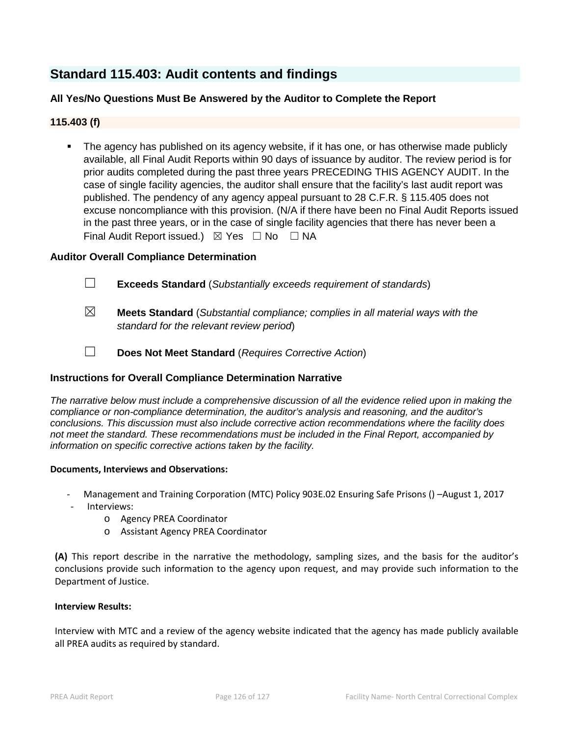# **Standard 115.403: Audit contents and findings**

# **All Yes/No Questions Must Be Answered by the Auditor to Complete the Report**

# **115.403 (f)**

 The agency has published on its agency website, if it has one, or has otherwise made publicly available, all Final Audit Reports within 90 days of issuance by auditor. The review period is for prior audits completed during the past three years PRECEDING THIS AGENCY AUDIT. In the case of single facility agencies, the auditor shall ensure that the facility's last audit report was published. The pendency of any agency appeal pursuant to 28 C.F.R. § 115.405 does not excuse noncompliance with this provision. (N/A if there have been no Final Audit Reports issued in the past three years, or in the case of single facility agencies that there has never been a Final Audit Report issued.)  $\boxtimes$  Yes  $\Box$  No  $\Box$  NA

#### **Auditor Overall Compliance Determination**

- ☐ **Exceeds Standard** (*Substantially exceeds requirement of standards*)
- ☒ **Meets Standard** (*Substantial compliance; complies in all material ways with the standard for the relevant review period*)
- ☐ **Does Not Meet Standard** (*Requires Corrective Action*)

#### **Instructions for Overall Compliance Determination Narrative**

*The narrative below must include a comprehensive discussion of all the evidence relied upon in making the compliance or non-compliance determination, the auditor's analysis and reasoning, and the auditor's conclusions. This discussion must also include corrective action recommendations where the facility does not meet the standard. These recommendations must be included in the Final Report, accompanied by information on specific corrective actions taken by the facility.*

#### **Documents, Interviews and Observations:**

- Management and Training Corporation (MTC) Policy 903E.02 Ensuring Safe Prisons () –August 1, 2017
- Interviews:
	- o Agency PREA Coordinator
	- o Assistant Agency PREA Coordinator

**(A)** This report describe in the narrative the methodology, sampling sizes, and the basis for the auditor's conclusions provide such information to the agency upon request, and may provide such information to the Department of Justice.

#### **Interview Results:**

Interview with MTC and a review of the agency website indicated that the agency has made publicly available all PREA audits as required by standard.